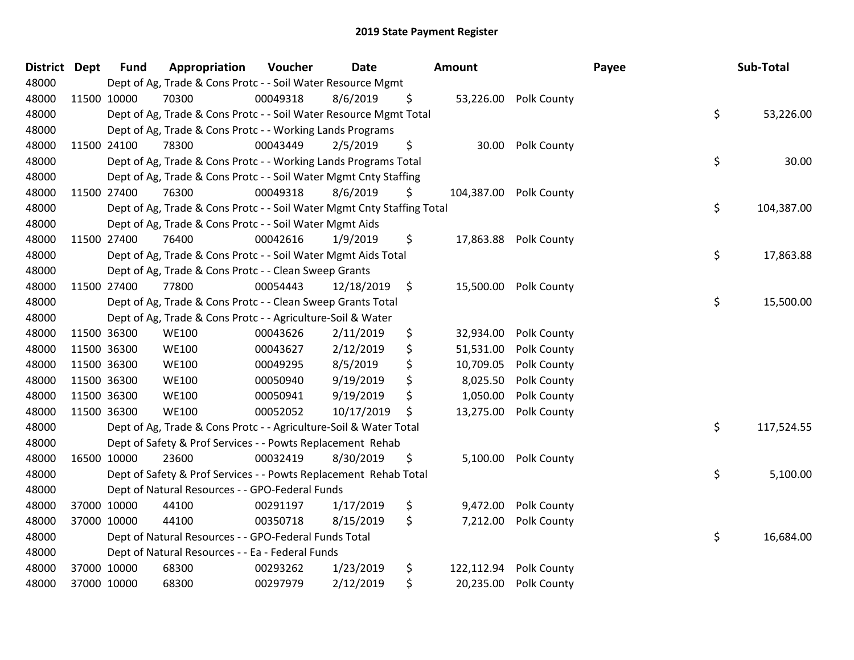| <b>District</b> | <b>Dept</b> | <b>Fund</b> | Appropriation                                                          | Voucher  | <b>Date</b> |               | Amount     |                        | Payee | Sub-Total  |
|-----------------|-------------|-------------|------------------------------------------------------------------------|----------|-------------|---------------|------------|------------------------|-------|------------|
| 48000           |             |             | Dept of Ag, Trade & Cons Protc - - Soil Water Resource Mgmt            |          |             |               |            |                        |       |            |
| 48000           | 11500 10000 |             | 70300                                                                  | 00049318 | 8/6/2019    | \$            |            | 53,226.00 Polk County  |       |            |
| 48000           |             |             | Dept of Ag, Trade & Cons Protc - - Soil Water Resource Mgmt Total      |          |             |               |            |                        | \$    | 53,226.00  |
| 48000           |             |             | Dept of Ag, Trade & Cons Protc - - Working Lands Programs              |          |             |               |            |                        |       |            |
| 48000           | 11500 24100 |             | 78300                                                                  | 00043449 | 2/5/2019    | \$            | 30.00      | Polk County            |       |            |
| 48000           |             |             | Dept of Ag, Trade & Cons Protc - - Working Lands Programs Total        |          |             |               |            |                        | \$    | 30.00      |
| 48000           |             |             | Dept of Ag, Trade & Cons Protc - - Soil Water Mgmt Cnty Staffing       |          |             |               |            |                        |       |            |
| 48000           | 11500 27400 |             | 76300                                                                  | 00049318 | 8/6/2019    | \$            |            | 104,387.00 Polk County |       |            |
| 48000           |             |             | Dept of Ag, Trade & Cons Protc - - Soil Water Mgmt Cnty Staffing Total |          |             |               |            |                        | \$    | 104,387.00 |
| 48000           |             |             | Dept of Ag, Trade & Cons Protc - - Soil Water Mgmt Aids                |          |             |               |            |                        |       |            |
| 48000           | 11500 27400 |             | 76400                                                                  | 00042616 | 1/9/2019    | \$            |            | 17,863.88 Polk County  |       |            |
| 48000           |             |             | Dept of Ag, Trade & Cons Protc - - Soil Water Mgmt Aids Total          |          |             |               |            |                        | \$    | 17,863.88  |
| 48000           |             |             | Dept of Ag, Trade & Cons Protc - - Clean Sweep Grants                  |          |             |               |            |                        |       |            |
| 48000           | 11500 27400 |             | 77800                                                                  | 00054443 | 12/18/2019  | $\ddot{\phi}$ | 15,500.00  | Polk County            |       |            |
| 48000           |             |             | Dept of Ag, Trade & Cons Protc - - Clean Sweep Grants Total            |          |             |               |            |                        | \$    | 15,500.00  |
| 48000           |             |             | Dept of Ag, Trade & Cons Protc - - Agriculture-Soil & Water            |          |             |               |            |                        |       |            |
| 48000           | 11500 36300 |             | <b>WE100</b>                                                           | 00043626 | 2/11/2019   | \$            | 32,934.00  | Polk County            |       |            |
| 48000           | 11500 36300 |             | <b>WE100</b>                                                           | 00043627 | 2/12/2019   | \$            | 51,531.00  | Polk County            |       |            |
| 48000           | 11500 36300 |             | <b>WE100</b>                                                           | 00049295 | 8/5/2019    | \$            | 10,709.05  | Polk County            |       |            |
| 48000           | 11500 36300 |             | <b>WE100</b>                                                           | 00050940 | 9/19/2019   | \$            | 8,025.50   | Polk County            |       |            |
| 48000           | 11500 36300 |             | <b>WE100</b>                                                           | 00050941 | 9/19/2019   | \$            | 1,050.00   | Polk County            |       |            |
| 48000           | 11500 36300 |             | <b>WE100</b>                                                           | 00052052 | 10/17/2019  | \$            | 13,275.00  | Polk County            |       |            |
| 48000           |             |             | Dept of Ag, Trade & Cons Protc - - Agriculture-Soil & Water Total      |          |             |               |            |                        | \$    | 117,524.55 |
| 48000           |             |             | Dept of Safety & Prof Services - - Powts Replacement Rehab             |          |             |               |            |                        |       |            |
| 48000           | 16500 10000 |             | 23600                                                                  | 00032419 | 8/30/2019   | \$            | 5,100.00   | Polk County            |       |            |
| 48000           |             |             | Dept of Safety & Prof Services - - Powts Replacement Rehab Total       |          |             |               |            |                        | \$    | 5,100.00   |
| 48000           |             |             | Dept of Natural Resources - - GPO-Federal Funds                        |          |             |               |            |                        |       |            |
| 48000           |             | 37000 10000 | 44100                                                                  | 00291197 | 1/17/2019   | \$            | 9,472.00   | Polk County            |       |            |
| 48000           | 37000 10000 |             | 44100                                                                  | 00350718 | 8/15/2019   | \$            | 7,212.00   | Polk County            |       |            |
| 48000           |             |             | Dept of Natural Resources - - GPO-Federal Funds Total                  |          |             |               |            |                        | \$    | 16,684.00  |
| 48000           |             |             | Dept of Natural Resources - - Ea - Federal Funds                       |          |             |               |            |                        |       |            |
| 48000           |             | 37000 10000 | 68300                                                                  | 00293262 | 1/23/2019   | \$            | 122,112.94 | Polk County            |       |            |
| 48000           | 37000 10000 |             | 68300                                                                  | 00297979 | 2/12/2019   | \$            | 20,235.00  | Polk County            |       |            |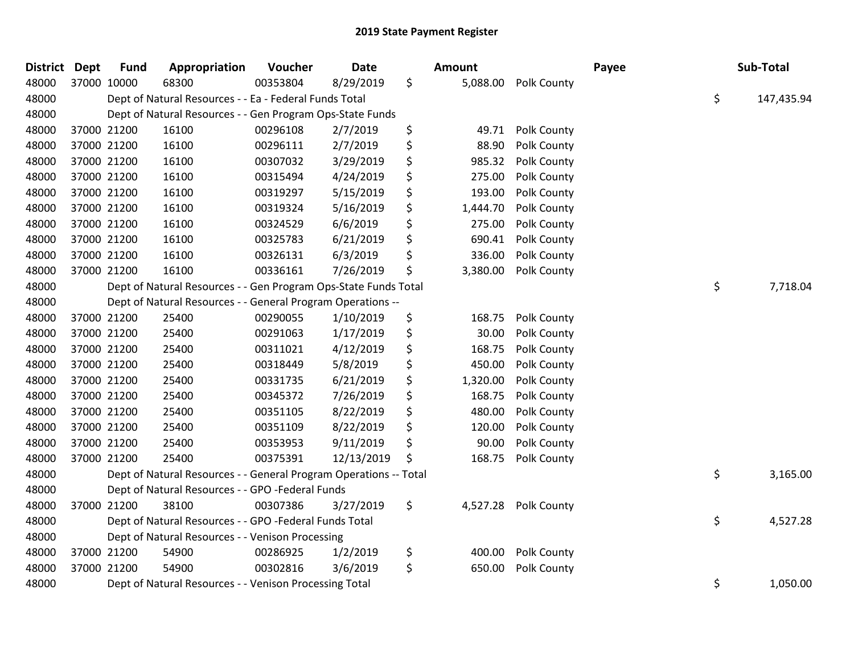| <b>District</b> | <b>Dept</b> | <b>Fund</b> | Appropriation                                                     | Voucher  | Date       | <b>Amount</b>  |             | Payee | Sub-Total        |
|-----------------|-------------|-------------|-------------------------------------------------------------------|----------|------------|----------------|-------------|-------|------------------|
| 48000           | 37000 10000 |             | 68300                                                             | 00353804 | 8/29/2019  | \$<br>5,088.00 | Polk County |       |                  |
| 48000           |             |             | Dept of Natural Resources - - Ea - Federal Funds Total            |          |            |                |             |       | \$<br>147,435.94 |
| 48000           |             |             | Dept of Natural Resources - - Gen Program Ops-State Funds         |          |            |                |             |       |                  |
| 48000           | 37000 21200 |             | 16100                                                             | 00296108 | 2/7/2019   | \$<br>49.71    | Polk County |       |                  |
| 48000           | 37000 21200 |             | 16100                                                             | 00296111 | 2/7/2019   | \$<br>88.90    | Polk County |       |                  |
| 48000           | 37000 21200 |             | 16100                                                             | 00307032 | 3/29/2019  | \$<br>985.32   | Polk County |       |                  |
| 48000           | 37000 21200 |             | 16100                                                             | 00315494 | 4/24/2019  | \$<br>275.00   | Polk County |       |                  |
| 48000           | 37000 21200 |             | 16100                                                             | 00319297 | 5/15/2019  | \$<br>193.00   | Polk County |       |                  |
| 48000           | 37000 21200 |             | 16100                                                             | 00319324 | 5/16/2019  | \$<br>1,444.70 | Polk County |       |                  |
| 48000           | 37000 21200 |             | 16100                                                             | 00324529 | 6/6/2019   | \$<br>275.00   | Polk County |       |                  |
| 48000           | 37000 21200 |             | 16100                                                             | 00325783 | 6/21/2019  | \$<br>690.41   | Polk County |       |                  |
| 48000           | 37000 21200 |             | 16100                                                             | 00326131 | 6/3/2019   | \$<br>336.00   | Polk County |       |                  |
| 48000           | 37000 21200 |             | 16100                                                             | 00336161 | 7/26/2019  | \$<br>3,380.00 | Polk County |       |                  |
| 48000           |             |             | Dept of Natural Resources - - Gen Program Ops-State Funds Total   |          |            |                |             |       | \$<br>7,718.04   |
| 48000           |             |             | Dept of Natural Resources - - General Program Operations --       |          |            |                |             |       |                  |
| 48000           | 37000 21200 |             | 25400                                                             | 00290055 | 1/10/2019  | \$<br>168.75   | Polk County |       |                  |
| 48000           | 37000 21200 |             | 25400                                                             | 00291063 | 1/17/2019  | \$<br>30.00    | Polk County |       |                  |
| 48000           | 37000 21200 |             | 25400                                                             | 00311021 | 4/12/2019  | \$<br>168.75   | Polk County |       |                  |
| 48000           | 37000 21200 |             | 25400                                                             | 00318449 | 5/8/2019   | \$<br>450.00   | Polk County |       |                  |
| 48000           | 37000 21200 |             | 25400                                                             | 00331735 | 6/21/2019  | \$<br>1,320.00 | Polk County |       |                  |
| 48000           | 37000 21200 |             | 25400                                                             | 00345372 | 7/26/2019  | \$<br>168.75   | Polk County |       |                  |
| 48000           | 37000 21200 |             | 25400                                                             | 00351105 | 8/22/2019  | \$<br>480.00   | Polk County |       |                  |
| 48000           | 37000 21200 |             | 25400                                                             | 00351109 | 8/22/2019  | \$<br>120.00   | Polk County |       |                  |
| 48000           | 37000 21200 |             | 25400                                                             | 00353953 | 9/11/2019  | \$<br>90.00    | Polk County |       |                  |
| 48000           | 37000 21200 |             | 25400                                                             | 00375391 | 12/13/2019 | \$<br>168.75   | Polk County |       |                  |
| 48000           |             |             | Dept of Natural Resources - - General Program Operations -- Total |          |            |                |             |       | \$<br>3,165.00   |
| 48000           |             |             | Dept of Natural Resources - - GPO -Federal Funds                  |          |            |                |             |       |                  |
| 48000           | 37000 21200 |             | 38100                                                             | 00307386 | 3/27/2019  | \$<br>4,527.28 | Polk County |       |                  |
| 48000           |             |             | Dept of Natural Resources - - GPO -Federal Funds Total            |          |            |                |             |       | \$<br>4,527.28   |
| 48000           |             |             | Dept of Natural Resources - - Venison Processing                  |          |            |                |             |       |                  |
| 48000           | 37000 21200 |             | 54900                                                             | 00286925 | 1/2/2019   | \$<br>400.00   | Polk County |       |                  |
| 48000           | 37000 21200 |             | 54900                                                             | 00302816 | 3/6/2019   | \$<br>650.00   | Polk County |       |                  |
| 48000           |             |             | Dept of Natural Resources - - Venison Processing Total            |          |            |                |             |       | \$<br>1,050.00   |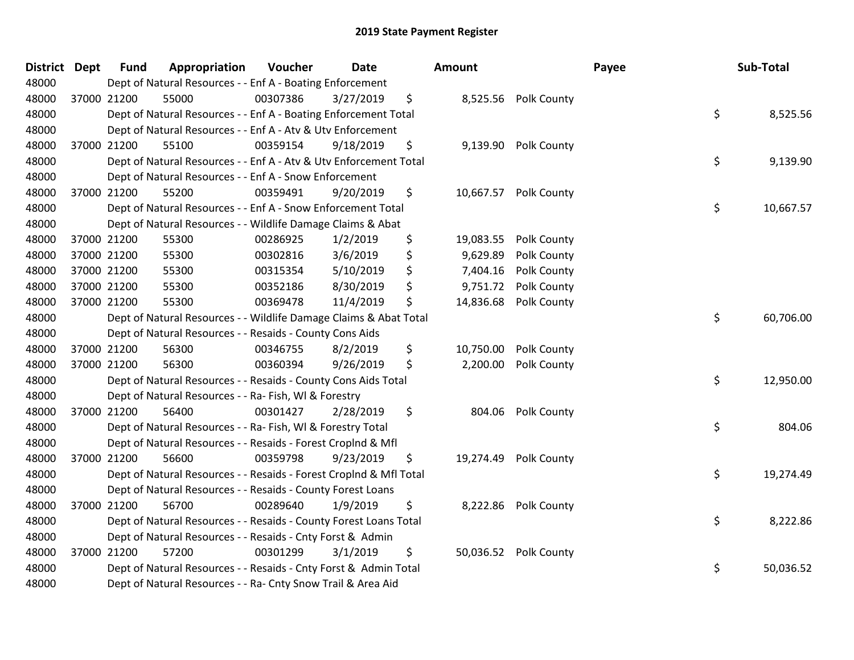| District Dept |             | <b>Fund</b> | Appropriation                                                      | Voucher  | <b>Date</b> | <b>Amount</b>   |                       | Payee | Sub-Total |           |
|---------------|-------------|-------------|--------------------------------------------------------------------|----------|-------------|-----------------|-----------------------|-------|-----------|-----------|
| 48000         |             |             | Dept of Natural Resources - - Enf A - Boating Enforcement          |          |             |                 |                       |       |           |           |
| 48000         | 37000 21200 |             | 55000                                                              | 00307386 | 3/27/2019   | \$              | 8,525.56 Polk County  |       |           |           |
| 48000         |             |             | Dept of Natural Resources - - Enf A - Boating Enforcement Total    |          |             |                 |                       | \$    |           | 8,525.56  |
| 48000         |             |             | Dept of Natural Resources - - Enf A - Atv & Utv Enforcement        |          |             |                 |                       |       |           |           |
| 48000         | 37000 21200 |             | 55100                                                              | 00359154 | 9/18/2019   | \$              | 9,139.90 Polk County  |       |           |           |
| 48000         |             |             | Dept of Natural Resources - - Enf A - Atv & Utv Enforcement Total  |          |             |                 |                       | \$    |           | 9,139.90  |
| 48000         |             |             | Dept of Natural Resources - - Enf A - Snow Enforcement             |          |             |                 |                       |       |           |           |
| 48000         | 37000 21200 |             | 55200                                                              | 00359491 | 9/20/2019   | \$<br>10,667.57 | Polk County           |       |           |           |
| 48000         |             |             | Dept of Natural Resources - - Enf A - Snow Enforcement Total       |          |             |                 |                       | \$    |           | 10,667.57 |
| 48000         |             |             | Dept of Natural Resources - - Wildlife Damage Claims & Abat        |          |             |                 |                       |       |           |           |
| 48000         | 37000 21200 |             | 55300                                                              | 00286925 | 1/2/2019    | \$<br>19,083.55 | Polk County           |       |           |           |
| 48000         | 37000 21200 |             | 55300                                                              | 00302816 | 3/6/2019    | \$<br>9,629.89  | Polk County           |       |           |           |
| 48000         | 37000 21200 |             | 55300                                                              | 00315354 | 5/10/2019   | \$<br>7,404.16  | Polk County           |       |           |           |
| 48000         | 37000 21200 |             | 55300                                                              | 00352186 | 8/30/2019   | \$<br>9,751.72  | Polk County           |       |           |           |
| 48000         | 37000 21200 |             | 55300                                                              | 00369478 | 11/4/2019   | \$<br>14,836.68 | Polk County           |       |           |           |
| 48000         |             |             | Dept of Natural Resources - - Wildlife Damage Claims & Abat Total  |          |             |                 |                       | \$    |           | 60,706.00 |
| 48000         |             |             | Dept of Natural Resources - - Resaids - County Cons Aids           |          |             |                 |                       |       |           |           |
| 48000         | 37000 21200 |             | 56300                                                              | 00346755 | 8/2/2019    | \$<br>10,750.00 | Polk County           |       |           |           |
| 48000         | 37000 21200 |             | 56300                                                              | 00360394 | 9/26/2019   | \$<br>2,200.00  | Polk County           |       |           |           |
| 48000         |             |             | Dept of Natural Resources - - Resaids - County Cons Aids Total     |          |             |                 |                       | \$    |           | 12,950.00 |
| 48000         |             |             | Dept of Natural Resources - - Ra- Fish, WI & Forestry              |          |             |                 |                       |       |           |           |
| 48000         | 37000 21200 |             | 56400                                                              | 00301427 | 2/28/2019   | \$<br>804.06    | Polk County           |       |           |           |
| 48000         |             |             | Dept of Natural Resources - - Ra- Fish, WI & Forestry Total        |          |             |                 |                       | \$    |           | 804.06    |
| 48000         |             |             | Dept of Natural Resources - - Resaids - Forest Croplnd & Mfl       |          |             |                 |                       |       |           |           |
| 48000         | 37000 21200 |             | 56600                                                              | 00359798 | 9/23/2019   | \$<br>19,274.49 | Polk County           |       |           |           |
| 48000         |             |             | Dept of Natural Resources - - Resaids - Forest CropInd & Mfl Total |          |             |                 |                       | \$    |           | 19,274.49 |
| 48000         |             |             | Dept of Natural Resources - - Resaids - County Forest Loans        |          |             |                 |                       |       |           |           |
| 48000         | 37000 21200 |             | 56700                                                              | 00289640 | 1/9/2019    | \$<br>8,222.86  | Polk County           |       |           |           |
| 48000         |             |             | Dept of Natural Resources - - Resaids - County Forest Loans Total  |          |             |                 |                       | \$    |           | 8,222.86  |
| 48000         |             |             | Dept of Natural Resources - - Resaids - Cnty Forst & Admin         |          |             |                 |                       |       |           |           |
| 48000         | 37000 21200 |             | 57200                                                              | 00301299 | 3/1/2019    | \$              | 50,036.52 Polk County |       |           |           |
| 48000         |             |             | Dept of Natural Resources - - Resaids - Cnty Forst & Admin Total   |          |             |                 |                       | \$    |           | 50,036.52 |
| 48000         |             |             | Dept of Natural Resources - - Ra- Cnty Snow Trail & Area Aid       |          |             |                 |                       |       |           |           |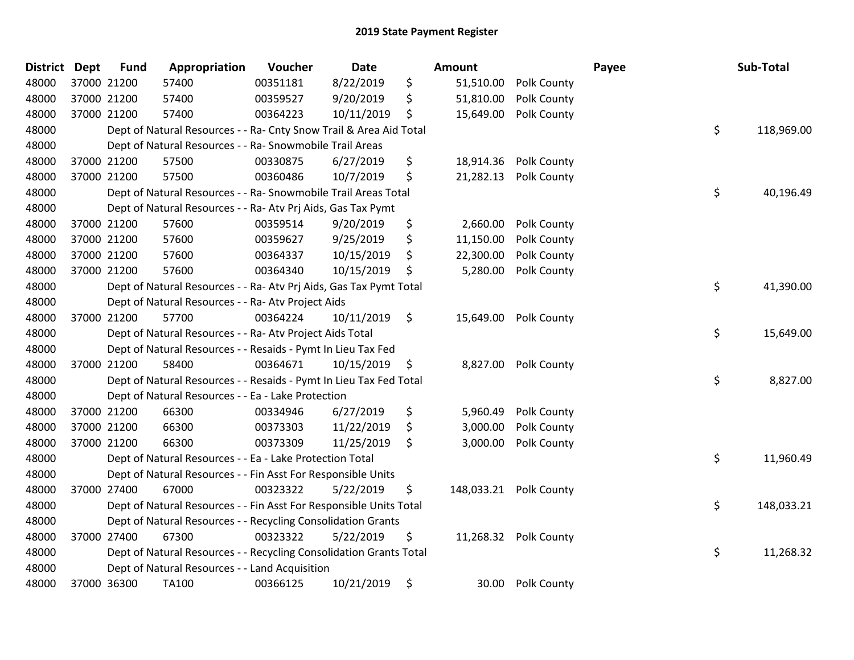| District Dept | <b>Fund</b> | Appropriation                                                      | Voucher  | <b>Date</b> | Amount          |                        | Payee | Sub-Total        |
|---------------|-------------|--------------------------------------------------------------------|----------|-------------|-----------------|------------------------|-------|------------------|
| 48000         | 37000 21200 | 57400                                                              | 00351181 | 8/22/2019   | \$<br>51,510.00 | Polk County            |       |                  |
| 48000         | 37000 21200 | 57400                                                              | 00359527 | 9/20/2019   | \$<br>51,810.00 | Polk County            |       |                  |
| 48000         | 37000 21200 | 57400                                                              | 00364223 | 10/11/2019  | \$<br>15,649.00 | Polk County            |       |                  |
| 48000         |             | Dept of Natural Resources - - Ra- Cnty Snow Trail & Area Aid Total |          |             |                 |                        |       | \$<br>118,969.00 |
| 48000         |             | Dept of Natural Resources - - Ra- Snowmobile Trail Areas           |          |             |                 |                        |       |                  |
| 48000         | 37000 21200 | 57500                                                              | 00330875 | 6/27/2019   | \$<br>18,914.36 | Polk County            |       |                  |
| 48000         | 37000 21200 | 57500                                                              | 00360486 | 10/7/2019   | \$<br>21,282.13 | Polk County            |       |                  |
| 48000         |             | Dept of Natural Resources - - Ra- Snowmobile Trail Areas Total     |          |             |                 |                        |       | \$<br>40,196.49  |
| 48000         |             | Dept of Natural Resources - - Ra- Atv Prj Aids, Gas Tax Pymt       |          |             |                 |                        |       |                  |
| 48000         | 37000 21200 | 57600                                                              | 00359514 | 9/20/2019   | \$<br>2,660.00  | Polk County            |       |                  |
| 48000         | 37000 21200 | 57600                                                              | 00359627 | 9/25/2019   | \$<br>11,150.00 | Polk County            |       |                  |
| 48000         | 37000 21200 | 57600                                                              | 00364337 | 10/15/2019  | \$<br>22,300.00 | Polk County            |       |                  |
| 48000         | 37000 21200 | 57600                                                              | 00364340 | 10/15/2019  | \$<br>5,280.00  | Polk County            |       |                  |
| 48000         |             | Dept of Natural Resources - - Ra- Atv Prj Aids, Gas Tax Pymt Total |          |             |                 |                        |       | \$<br>41,390.00  |
| 48000         |             | Dept of Natural Resources - - Ra- Atv Project Aids                 |          |             |                 |                        |       |                  |
| 48000         | 37000 21200 | 57700                                                              | 00364224 | 10/11/2019  | \$<br>15,649.00 | Polk County            |       |                  |
| 48000         |             | Dept of Natural Resources - - Ra- Atv Project Aids Total           |          |             |                 |                        |       | \$<br>15,649.00  |
| 48000         |             | Dept of Natural Resources - - Resaids - Pymt In Lieu Tax Fed       |          |             |                 |                        |       |                  |
| 48000         | 37000 21200 | 58400                                                              | 00364671 | 10/15/2019  | \$<br>8,827.00  | Polk County            |       |                  |
| 48000         |             | Dept of Natural Resources - - Resaids - Pymt In Lieu Tax Fed Total |          |             |                 |                        |       | \$<br>8,827.00   |
| 48000         |             | Dept of Natural Resources - - Ea - Lake Protection                 |          |             |                 |                        |       |                  |
| 48000         | 37000 21200 | 66300                                                              | 00334946 | 6/27/2019   | \$<br>5,960.49  | Polk County            |       |                  |
| 48000         | 37000 21200 | 66300                                                              | 00373303 | 11/22/2019  | \$<br>3,000.00  | Polk County            |       |                  |
| 48000         | 37000 21200 | 66300                                                              | 00373309 | 11/25/2019  | \$<br>3,000.00  | Polk County            |       |                  |
| 48000         |             | Dept of Natural Resources - - Ea - Lake Protection Total           |          |             |                 |                        |       | \$<br>11,960.49  |
| 48000         |             | Dept of Natural Resources - - Fin Asst For Responsible Units       |          |             |                 |                        |       |                  |
| 48000         | 37000 27400 | 67000                                                              | 00323322 | 5/22/2019   | \$              | 148,033.21 Polk County |       |                  |
| 48000         |             | Dept of Natural Resources - - Fin Asst For Responsible Units Total |          |             |                 |                        |       | \$<br>148,033.21 |
| 48000         |             | Dept of Natural Resources - - Recycling Consolidation Grants       |          |             |                 |                        |       |                  |
| 48000         | 37000 27400 | 67300                                                              | 00323322 | 5/22/2019   | \$              | 11,268.32 Polk County  |       |                  |
| 48000         |             | Dept of Natural Resources - - Recycling Consolidation Grants Total |          |             |                 |                        |       | \$<br>11,268.32  |
| 48000         |             | Dept of Natural Resources - - Land Acquisition                     |          |             |                 |                        |       |                  |
| 48000         | 37000 36300 | TA100                                                              | 00366125 | 10/21/2019  | \$<br>30.00     | Polk County            |       |                  |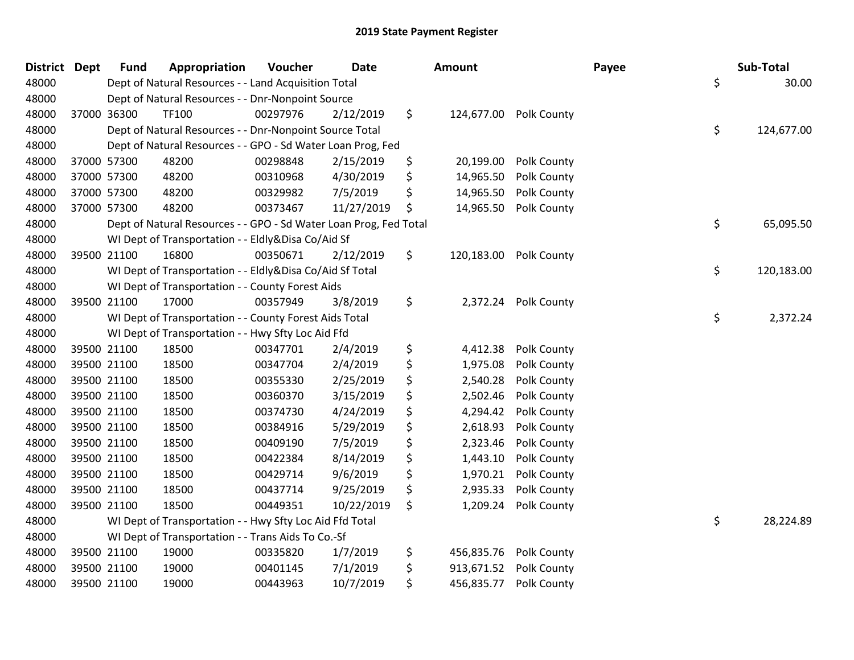| <b>District Dept</b> |             | <b>Fund</b> | Appropriation                                                     | Voucher  | <b>Date</b> | <b>Amount</b> |            |                        | Payee | Sub-Total        |
|----------------------|-------------|-------------|-------------------------------------------------------------------|----------|-------------|---------------|------------|------------------------|-------|------------------|
| 48000                |             |             | Dept of Natural Resources - - Land Acquisition Total              |          |             |               |            |                        |       | \$<br>30.00      |
| 48000                |             |             | Dept of Natural Resources - - Dnr-Nonpoint Source                 |          |             |               |            |                        |       |                  |
| 48000                |             | 37000 36300 | TF100                                                             | 00297976 | 2/12/2019   | \$            |            | 124,677.00 Polk County |       |                  |
| 48000                |             |             | Dept of Natural Resources - - Dnr-Nonpoint Source Total           |          |             |               |            |                        |       | \$<br>124,677.00 |
| 48000                |             |             | Dept of Natural Resources - - GPO - Sd Water Loan Prog, Fed       |          |             |               |            |                        |       |                  |
| 48000                | 37000 57300 |             | 48200                                                             | 00298848 | 2/15/2019   | \$            | 20,199.00  | Polk County            |       |                  |
| 48000                |             | 37000 57300 | 48200                                                             | 00310968 | 4/30/2019   | \$            | 14,965.50  | Polk County            |       |                  |
| 48000                | 37000 57300 |             | 48200                                                             | 00329982 | 7/5/2019    | \$            | 14,965.50  | Polk County            |       |                  |
| 48000                | 37000 57300 |             | 48200                                                             | 00373467 | 11/27/2019  | \$            | 14,965.50  | Polk County            |       |                  |
| 48000                |             |             | Dept of Natural Resources - - GPO - Sd Water Loan Prog, Fed Total |          |             |               |            |                        |       | \$<br>65,095.50  |
| 48000                |             |             | WI Dept of Transportation - - Eldly&Disa Co/Aid Sf                |          |             |               |            |                        |       |                  |
| 48000                | 39500 21100 |             | 16800                                                             | 00350671 | 2/12/2019   | \$            |            | 120,183.00 Polk County |       |                  |
| 48000                |             |             | WI Dept of Transportation - - Eldly&Disa Co/Aid Sf Total          |          |             |               |            |                        |       | \$<br>120,183.00 |
| 48000                |             |             | WI Dept of Transportation - - County Forest Aids                  |          |             |               |            |                        |       |                  |
| 48000                | 39500 21100 |             | 17000                                                             | 00357949 | 3/8/2019    | \$            | 2,372.24   | Polk County            |       |                  |
| 48000                |             |             | WI Dept of Transportation - - County Forest Aids Total            |          |             |               |            |                        |       | \$<br>2,372.24   |
| 48000                |             |             | WI Dept of Transportation - - Hwy Sfty Loc Aid Ffd                |          |             |               |            |                        |       |                  |
| 48000                |             | 39500 21100 | 18500                                                             | 00347701 | 2/4/2019    | \$            | 4,412.38   | Polk County            |       |                  |
| 48000                | 39500 21100 |             | 18500                                                             | 00347704 | 2/4/2019    | \$            | 1,975.08   | Polk County            |       |                  |
| 48000                |             | 39500 21100 | 18500                                                             | 00355330 | 2/25/2019   | \$            | 2,540.28   | Polk County            |       |                  |
| 48000                | 39500 21100 |             | 18500                                                             | 00360370 | 3/15/2019   | \$            | 2,502.46   | Polk County            |       |                  |
| 48000                |             | 39500 21100 | 18500                                                             | 00374730 | 4/24/2019   | \$            | 4,294.42   | Polk County            |       |                  |
| 48000                | 39500 21100 |             | 18500                                                             | 00384916 | 5/29/2019   | \$            | 2,618.93   | Polk County            |       |                  |
| 48000                | 39500 21100 |             | 18500                                                             | 00409190 | 7/5/2019    | \$            | 2,323.46   | Polk County            |       |                  |
| 48000                | 39500 21100 |             | 18500                                                             | 00422384 | 8/14/2019   | \$            | 1,443.10   | Polk County            |       |                  |
| 48000                | 39500 21100 |             | 18500                                                             | 00429714 | 9/6/2019    | \$            | 1,970.21   | Polk County            |       |                  |
| 48000                | 39500 21100 |             | 18500                                                             | 00437714 | 9/25/2019   | \$            | 2,935.33   | Polk County            |       |                  |
| 48000                | 39500 21100 |             | 18500                                                             | 00449351 | 10/22/2019  | \$            | 1,209.24   | Polk County            |       |                  |
| 48000                |             |             | WI Dept of Transportation - - Hwy Sfty Loc Aid Ffd Total          |          |             |               |            |                        |       | \$<br>28,224.89  |
| 48000                |             |             | WI Dept of Transportation - - Trans Aids To Co.-Sf                |          |             |               |            |                        |       |                  |
| 48000                |             | 39500 21100 | 19000                                                             | 00335820 | 1/7/2019    | \$            | 456,835.76 | Polk County            |       |                  |
| 48000                | 39500 21100 |             | 19000                                                             | 00401145 | 7/1/2019    | \$            | 913,671.52 | Polk County            |       |                  |
| 48000                | 39500 21100 |             | 19000                                                             | 00443963 | 10/7/2019   | \$            | 456,835.77 | Polk County            |       |                  |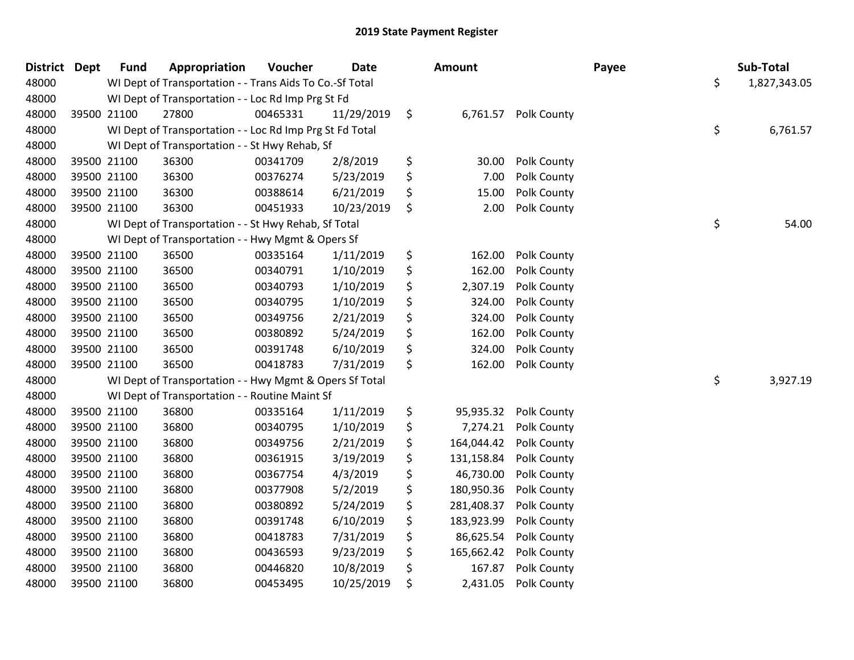| <b>District Dept</b> |             | <b>Fund</b> | Appropriation                                            | Voucher  | <b>Date</b> | Amount           |                      | Payee | Sub-Total          |
|----------------------|-------------|-------------|----------------------------------------------------------|----------|-------------|------------------|----------------------|-------|--------------------|
| 48000                |             |             | WI Dept of Transportation - - Trans Aids To Co.-Sf Total |          |             |                  |                      |       | \$<br>1,827,343.05 |
| 48000                |             |             | WI Dept of Transportation - - Loc Rd Imp Prg St Fd       |          |             |                  |                      |       |                    |
| 48000                | 39500 21100 |             | 27800                                                    | 00465331 | 11/29/2019  | \$               | 6,761.57 Polk County |       |                    |
| 48000                |             |             | WI Dept of Transportation - - Loc Rd Imp Prg St Fd Total |          |             |                  |                      |       | \$<br>6,761.57     |
| 48000                |             |             | WI Dept of Transportation - - St Hwy Rehab, Sf           |          |             |                  |                      |       |                    |
| 48000                | 39500 21100 |             | 36300                                                    | 00341709 | 2/8/2019    | \$<br>30.00      | Polk County          |       |                    |
| 48000                |             | 39500 21100 | 36300                                                    | 00376274 | 5/23/2019   | \$<br>7.00       | Polk County          |       |                    |
| 48000                |             | 39500 21100 | 36300                                                    | 00388614 | 6/21/2019   | \$<br>15.00      | Polk County          |       |                    |
| 48000                | 39500 21100 |             | 36300                                                    | 00451933 | 10/23/2019  | \$<br>2.00       | Polk County          |       |                    |
| 48000                |             |             | WI Dept of Transportation - - St Hwy Rehab, Sf Total     |          |             |                  |                      |       | \$<br>54.00        |
| 48000                |             |             | WI Dept of Transportation - - Hwy Mgmt & Opers Sf        |          |             |                  |                      |       |                    |
| 48000                |             | 39500 21100 | 36500                                                    | 00335164 | 1/11/2019   | \$<br>162.00     | Polk County          |       |                    |
| 48000                |             | 39500 21100 | 36500                                                    | 00340791 | 1/10/2019   | \$<br>162.00     | Polk County          |       |                    |
| 48000                | 39500 21100 |             | 36500                                                    | 00340793 | 1/10/2019   | \$<br>2,307.19   | Polk County          |       |                    |
| 48000                | 39500 21100 |             | 36500                                                    | 00340795 | 1/10/2019   | \$<br>324.00     | Polk County          |       |                    |
| 48000                | 39500 21100 |             | 36500                                                    | 00349756 | 2/21/2019   | \$<br>324.00     | Polk County          |       |                    |
| 48000                | 39500 21100 |             | 36500                                                    | 00380892 | 5/24/2019   | \$<br>162.00     | Polk County          |       |                    |
| 48000                |             | 39500 21100 | 36500                                                    | 00391748 | 6/10/2019   | \$<br>324.00     | Polk County          |       |                    |
| 48000                | 39500 21100 |             | 36500                                                    | 00418783 | 7/31/2019   | \$<br>162.00     | Polk County          |       |                    |
| 48000                |             |             | WI Dept of Transportation - - Hwy Mgmt & Opers Sf Total  |          |             |                  |                      |       | \$<br>3,927.19     |
| 48000                |             |             | WI Dept of Transportation - - Routine Maint Sf           |          |             |                  |                      |       |                    |
| 48000                | 39500 21100 |             | 36800                                                    | 00335164 | 1/11/2019   | \$<br>95,935.32  | Polk County          |       |                    |
| 48000                |             | 39500 21100 | 36800                                                    | 00340795 | 1/10/2019   | \$<br>7,274.21   | Polk County          |       |                    |
| 48000                |             | 39500 21100 | 36800                                                    | 00349756 | 2/21/2019   | \$<br>164,044.42 | Polk County          |       |                    |
| 48000                | 39500 21100 |             | 36800                                                    | 00361915 | 3/19/2019   | \$<br>131,158.84 | Polk County          |       |                    |
| 48000                | 39500 21100 |             | 36800                                                    | 00367754 | 4/3/2019    | \$<br>46,730.00  | Polk County          |       |                    |
| 48000                | 39500 21100 |             | 36800                                                    | 00377908 | 5/2/2019    | \$<br>180,950.36 | Polk County          |       |                    |
| 48000                | 39500 21100 |             | 36800                                                    | 00380892 | 5/24/2019   | \$<br>281,408.37 | Polk County          |       |                    |
| 48000                |             | 39500 21100 | 36800                                                    | 00391748 | 6/10/2019   | \$<br>183,923.99 | Polk County          |       |                    |
| 48000                | 39500 21100 |             | 36800                                                    | 00418783 | 7/31/2019   | \$<br>86,625.54  | Polk County          |       |                    |
| 48000                | 39500 21100 |             | 36800                                                    | 00436593 | 9/23/2019   | \$<br>165,662.42 | Polk County          |       |                    |
| 48000                | 39500 21100 |             | 36800                                                    | 00446820 | 10/8/2019   | \$<br>167.87     | Polk County          |       |                    |
| 48000                | 39500 21100 |             | 36800                                                    | 00453495 | 10/25/2019  | \$<br>2,431.05   | Polk County          |       |                    |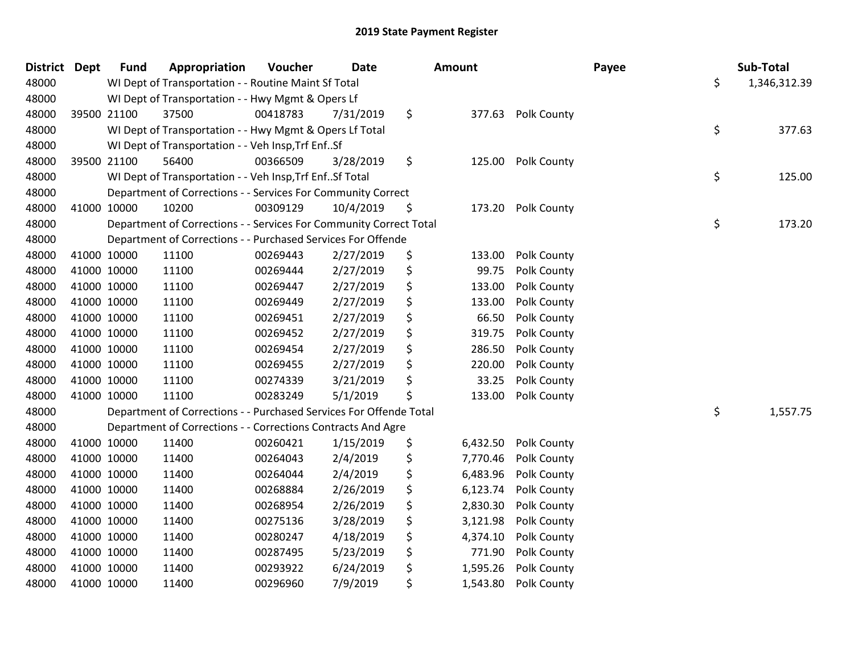| District Dept |             | <b>Fund</b> | Appropriation                                                      | Voucher  | <b>Date</b> | Amount |          |             | Payee | Sub-Total          |
|---------------|-------------|-------------|--------------------------------------------------------------------|----------|-------------|--------|----------|-------------|-------|--------------------|
| 48000         |             |             | WI Dept of Transportation - - Routine Maint Sf Total               |          |             |        |          |             |       | \$<br>1,346,312.39 |
| 48000         |             |             | WI Dept of Transportation - - Hwy Mgmt & Opers Lf                  |          |             |        |          |             |       |                    |
| 48000         | 39500 21100 |             | 37500                                                              | 00418783 | 7/31/2019   | \$     | 377.63   | Polk County |       |                    |
| 48000         |             |             | WI Dept of Transportation - - Hwy Mgmt & Opers Lf Total            |          |             |        |          |             |       | \$<br>377.63       |
| 48000         |             |             | WI Dept of Transportation - - Veh Insp, Trf EnfSf                  |          |             |        |          |             |       |                    |
| 48000         | 39500 21100 |             | 56400                                                              | 00366509 | 3/28/2019   | \$     | 125.00   | Polk County |       |                    |
| 48000         |             |             | WI Dept of Transportation - - Veh Insp, Trf EnfSf Total            |          |             |        |          |             |       | \$<br>125.00       |
| 48000         |             |             | Department of Corrections - - Services For Community Correct       |          |             |        |          |             |       |                    |
| 48000         | 41000 10000 |             | 10200                                                              | 00309129 | 10/4/2019   | \$     | 173.20   | Polk County |       |                    |
| 48000         |             |             | Department of Corrections - - Services For Community Correct Total |          |             |        |          |             |       | \$<br>173.20       |
| 48000         |             |             | Department of Corrections - - Purchased Services For Offende       |          |             |        |          |             |       |                    |
| 48000         | 41000 10000 |             | 11100                                                              | 00269443 | 2/27/2019   | \$     | 133.00   | Polk County |       |                    |
| 48000         | 41000 10000 |             | 11100                                                              | 00269444 | 2/27/2019   | \$     | 99.75    | Polk County |       |                    |
| 48000         | 41000 10000 |             | 11100                                                              | 00269447 | 2/27/2019   | \$     | 133.00   | Polk County |       |                    |
| 48000         | 41000 10000 |             | 11100                                                              | 00269449 | 2/27/2019   | \$     | 133.00   | Polk County |       |                    |
| 48000         | 41000 10000 |             | 11100                                                              | 00269451 | 2/27/2019   | \$     | 66.50    | Polk County |       |                    |
| 48000         | 41000 10000 |             | 11100                                                              | 00269452 | 2/27/2019   | \$     | 319.75   | Polk County |       |                    |
| 48000         | 41000 10000 |             | 11100                                                              | 00269454 | 2/27/2019   | \$     | 286.50   | Polk County |       |                    |
| 48000         | 41000 10000 |             | 11100                                                              | 00269455 | 2/27/2019   | \$     | 220.00   | Polk County |       |                    |
| 48000         | 41000 10000 |             | 11100                                                              | 00274339 | 3/21/2019   | \$     | 33.25    | Polk County |       |                    |
| 48000         | 41000 10000 |             | 11100                                                              | 00283249 | 5/1/2019    | \$     | 133.00   | Polk County |       |                    |
| 48000         |             |             | Department of Corrections - - Purchased Services For Offende Total |          |             |        |          |             |       | \$<br>1,557.75     |
| 48000         |             |             | Department of Corrections - - Corrections Contracts And Agre       |          |             |        |          |             |       |                    |
| 48000         | 41000 10000 |             | 11400                                                              | 00260421 | 1/15/2019   | \$     | 6,432.50 | Polk County |       |                    |
| 48000         | 41000 10000 |             | 11400                                                              | 00264043 | 2/4/2019    | \$     | 7,770.46 | Polk County |       |                    |
| 48000         | 41000 10000 |             | 11400                                                              | 00264044 | 2/4/2019    | \$     | 6,483.96 | Polk County |       |                    |
| 48000         | 41000 10000 |             | 11400                                                              | 00268884 | 2/26/2019   | \$     | 6,123.74 | Polk County |       |                    |
| 48000         | 41000 10000 |             | 11400                                                              | 00268954 | 2/26/2019   | \$     | 2,830.30 | Polk County |       |                    |
| 48000         | 41000 10000 |             | 11400                                                              | 00275136 | 3/28/2019   | \$     | 3,121.98 | Polk County |       |                    |
| 48000         | 41000 10000 |             | 11400                                                              | 00280247 | 4/18/2019   | \$     | 4,374.10 | Polk County |       |                    |
| 48000         | 41000 10000 |             | 11400                                                              | 00287495 | 5/23/2019   | \$     | 771.90   | Polk County |       |                    |
| 48000         | 41000 10000 |             | 11400                                                              | 00293922 | 6/24/2019   | \$     | 1,595.26 | Polk County |       |                    |
| 48000         | 41000 10000 |             | 11400                                                              | 00296960 | 7/9/2019    | \$     | 1,543.80 | Polk County |       |                    |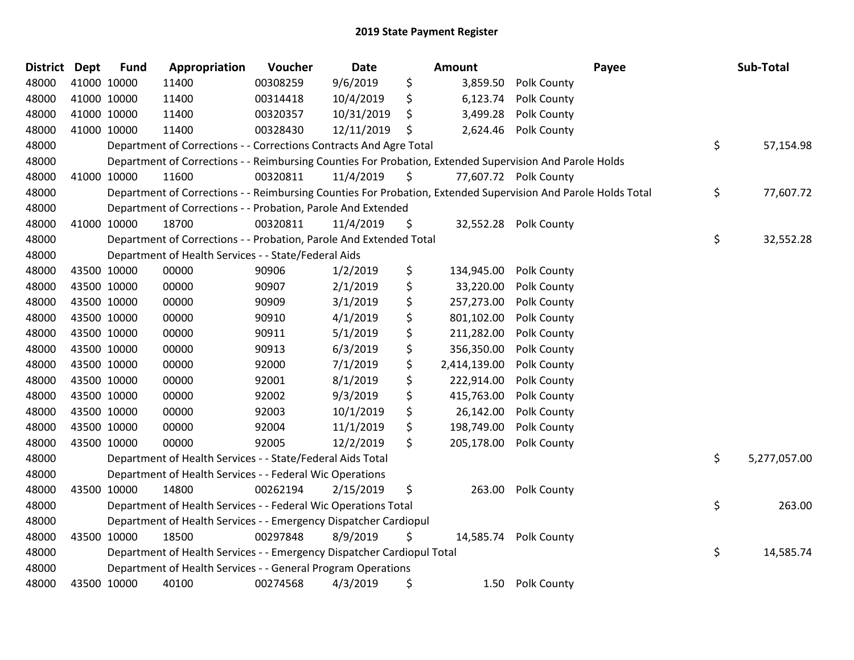| <b>District</b> | <b>Dept</b> | <b>Fund</b> | Appropriation                                                          | Voucher  | <b>Date</b> | Amount |              | Payee                                                                                                         | Sub-Total          |
|-----------------|-------------|-------------|------------------------------------------------------------------------|----------|-------------|--------|--------------|---------------------------------------------------------------------------------------------------------------|--------------------|
| 48000           |             | 41000 10000 | 11400                                                                  | 00308259 | 9/6/2019    | \$     | 3,859.50     | Polk County                                                                                                   |                    |
| 48000           |             | 41000 10000 | 11400                                                                  | 00314418 | 10/4/2019   | \$     | 6,123.74     | Polk County                                                                                                   |                    |
| 48000           |             | 41000 10000 | 11400                                                                  | 00320357 | 10/31/2019  | \$     | 3,499.28     | Polk County                                                                                                   |                    |
| 48000           | 41000 10000 |             | 11400                                                                  | 00328430 | 12/11/2019  | \$     | 2,624.46     | Polk County                                                                                                   |                    |
| 48000           |             |             | Department of Corrections - - Corrections Contracts And Agre Total     |          |             |        |              |                                                                                                               | \$<br>57,154.98    |
| 48000           |             |             |                                                                        |          |             |        |              | Department of Corrections - - Reimbursing Counties For Probation, Extended Supervision And Parole Holds       |                    |
| 48000           |             | 41000 10000 | 11600                                                                  | 00320811 | 11/4/2019   | \$     |              | 77,607.72 Polk County                                                                                         |                    |
| 48000           |             |             |                                                                        |          |             |        |              | Department of Corrections - - Reimbursing Counties For Probation, Extended Supervision And Parole Holds Total | \$<br>77,607.72    |
| 48000           |             |             | Department of Corrections - - Probation, Parole And Extended           |          |             |        |              |                                                                                                               |                    |
| 48000           |             | 41000 10000 | 18700                                                                  | 00320811 | 11/4/2019   | \$     |              | 32,552.28 Polk County                                                                                         |                    |
| 48000           |             |             | Department of Corrections - - Probation, Parole And Extended Total     |          |             |        |              |                                                                                                               | \$<br>32,552.28    |
| 48000           |             |             | Department of Health Services - - State/Federal Aids                   |          |             |        |              |                                                                                                               |                    |
| 48000           |             | 43500 10000 | 00000                                                                  | 90906    | 1/2/2019    | \$     | 134,945.00   | Polk County                                                                                                   |                    |
| 48000           |             | 43500 10000 | 00000                                                                  | 90907    | 2/1/2019    | \$     | 33,220.00    | Polk County                                                                                                   |                    |
| 48000           |             | 43500 10000 | 00000                                                                  | 90909    | 3/1/2019    | \$     | 257,273.00   | Polk County                                                                                                   |                    |
| 48000           |             | 43500 10000 | 00000                                                                  | 90910    | 4/1/2019    | \$     | 801,102.00   | Polk County                                                                                                   |                    |
| 48000           |             | 43500 10000 | 00000                                                                  | 90911    | 5/1/2019    | \$     | 211,282.00   | Polk County                                                                                                   |                    |
| 48000           |             | 43500 10000 | 00000                                                                  | 90913    | 6/3/2019    | \$     | 356,350.00   | Polk County                                                                                                   |                    |
| 48000           |             | 43500 10000 | 00000                                                                  | 92000    | 7/1/2019    | \$     | 2,414,139.00 | Polk County                                                                                                   |                    |
| 48000           |             | 43500 10000 | 00000                                                                  | 92001    | 8/1/2019    | \$     | 222,914.00   | Polk County                                                                                                   |                    |
| 48000           |             | 43500 10000 | 00000                                                                  | 92002    | 9/3/2019    | \$     | 415,763.00   | Polk County                                                                                                   |                    |
| 48000           |             | 43500 10000 | 00000                                                                  | 92003    | 10/1/2019   | \$     | 26,142.00    | Polk County                                                                                                   |                    |
| 48000           |             | 43500 10000 | 00000                                                                  | 92004    | 11/1/2019   | \$     | 198,749.00   | Polk County                                                                                                   |                    |
| 48000           |             | 43500 10000 | 00000                                                                  | 92005    | 12/2/2019   | \$     | 205,178.00   | Polk County                                                                                                   |                    |
| 48000           |             |             | Department of Health Services - - State/Federal Aids Total             |          |             |        |              |                                                                                                               | \$<br>5,277,057.00 |
| 48000           |             |             | Department of Health Services - - Federal Wic Operations               |          |             |        |              |                                                                                                               |                    |
| 48000           |             | 43500 10000 | 14800                                                                  | 00262194 | 2/15/2019   | \$     | 263.00       | Polk County                                                                                                   |                    |
| 48000           |             |             | Department of Health Services - - Federal Wic Operations Total         |          |             |        |              |                                                                                                               | \$<br>263.00       |
| 48000           |             |             | Department of Health Services - - Emergency Dispatcher Cardiopul       |          |             |        |              |                                                                                                               |                    |
| 48000           |             | 43500 10000 | 18500                                                                  | 00297848 | 8/9/2019    | \$     |              | 14,585.74 Polk County                                                                                         |                    |
| 48000           |             |             | Department of Health Services - - Emergency Dispatcher Cardiopul Total |          |             |        |              |                                                                                                               | \$<br>14,585.74    |
| 48000           |             |             | Department of Health Services - - General Program Operations           |          |             |        |              |                                                                                                               |                    |
| 48000           |             | 43500 10000 | 40100                                                                  | 00274568 | 4/3/2019    | \$     |              | 1.50 Polk County                                                                                              |                    |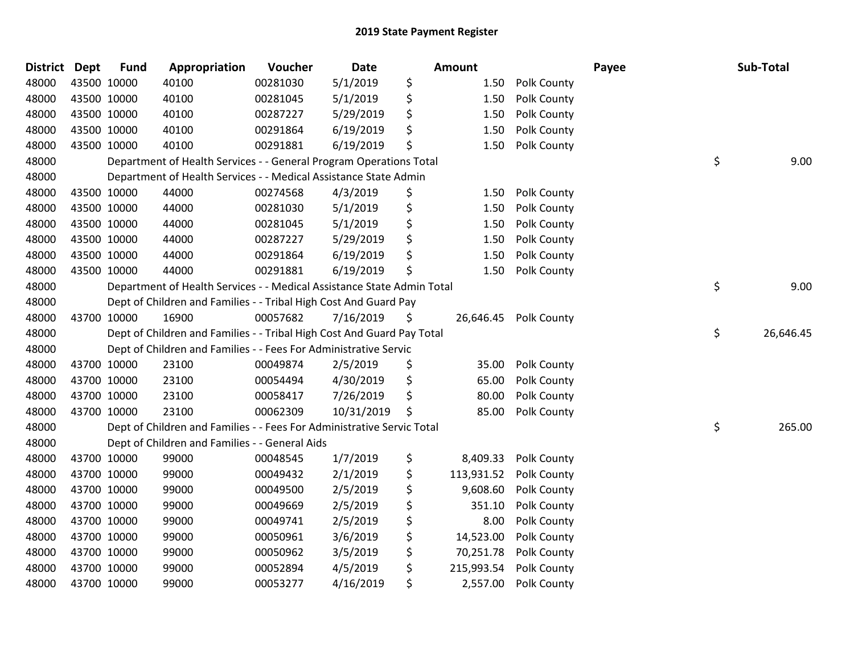| <b>District Dept</b> |             | <b>Fund</b> | Appropriation                                                          | Voucher  | Date       | Amount           |             | Payee | Sub-Total       |
|----------------------|-------------|-------------|------------------------------------------------------------------------|----------|------------|------------------|-------------|-------|-----------------|
| 48000                |             | 43500 10000 | 40100                                                                  | 00281030 | 5/1/2019   | \$<br>1.50       | Polk County |       |                 |
| 48000                |             | 43500 10000 | 40100                                                                  | 00281045 | 5/1/2019   | \$<br>1.50       | Polk County |       |                 |
| 48000                |             | 43500 10000 | 40100                                                                  | 00287227 | 5/29/2019  | \$<br>1.50       | Polk County |       |                 |
| 48000                | 43500 10000 |             | 40100                                                                  | 00291864 | 6/19/2019  | \$<br>1.50       | Polk County |       |                 |
| 48000                |             | 43500 10000 | 40100                                                                  | 00291881 | 6/19/2019  | \$<br>1.50       | Polk County |       |                 |
| 48000                |             |             | Department of Health Services - - General Program Operations Total     |          |            |                  |             |       | \$<br>9.00      |
| 48000                |             |             | Department of Health Services - - Medical Assistance State Admin       |          |            |                  |             |       |                 |
| 48000                |             | 43500 10000 | 44000                                                                  | 00274568 | 4/3/2019   | \$<br>1.50       | Polk County |       |                 |
| 48000                | 43500 10000 |             | 44000                                                                  | 00281030 | 5/1/2019   | \$<br>1.50       | Polk County |       |                 |
| 48000                |             | 43500 10000 | 44000                                                                  | 00281045 | 5/1/2019   | \$<br>1.50       | Polk County |       |                 |
| 48000                |             | 43500 10000 | 44000                                                                  | 00287227 | 5/29/2019  | \$<br>1.50       | Polk County |       |                 |
| 48000                |             | 43500 10000 | 44000                                                                  | 00291864 | 6/19/2019  | \$<br>1.50       | Polk County |       |                 |
| 48000                | 43500 10000 |             | 44000                                                                  | 00291881 | 6/19/2019  | \$<br>1.50       | Polk County |       |                 |
| 48000                |             |             | Department of Health Services - - Medical Assistance State Admin Total |          |            |                  |             |       | \$<br>9.00      |
| 48000                |             |             | Dept of Children and Families - - Tribal High Cost And Guard Pay       |          |            |                  |             |       |                 |
| 48000                |             | 43700 10000 | 16900                                                                  | 00057682 | 7/16/2019  | \$<br>26,646.45  | Polk County |       |                 |
| 48000                |             |             | Dept of Children and Families - - Tribal High Cost And Guard Pay Total |          |            |                  |             |       | \$<br>26,646.45 |
| 48000                |             |             | Dept of Children and Families - - Fees For Administrative Servic       |          |            |                  |             |       |                 |
| 48000                |             | 43700 10000 | 23100                                                                  | 00049874 | 2/5/2019   | \$<br>35.00      | Polk County |       |                 |
| 48000                |             | 43700 10000 | 23100                                                                  | 00054494 | 4/30/2019  | \$<br>65.00      | Polk County |       |                 |
| 48000                |             | 43700 10000 | 23100                                                                  | 00058417 | 7/26/2019  | \$<br>80.00      | Polk County |       |                 |
| 48000                |             | 43700 10000 | 23100                                                                  | 00062309 | 10/31/2019 | \$<br>85.00      | Polk County |       |                 |
| 48000                |             |             | Dept of Children and Families - - Fees For Administrative Servic Total |          |            |                  |             |       | \$<br>265.00    |
| 48000                |             |             | Dept of Children and Families - - General Aids                         |          |            |                  |             |       |                 |
| 48000                |             | 43700 10000 | 99000                                                                  | 00048545 | 1/7/2019   | \$<br>8,409.33   | Polk County |       |                 |
| 48000                |             | 43700 10000 | 99000                                                                  | 00049432 | 2/1/2019   | \$<br>113,931.52 | Polk County |       |                 |
| 48000                | 43700 10000 |             | 99000                                                                  | 00049500 | 2/5/2019   | \$<br>9,608.60   | Polk County |       |                 |
| 48000                |             | 43700 10000 | 99000                                                                  | 00049669 | 2/5/2019   | \$<br>351.10     | Polk County |       |                 |
| 48000                |             | 43700 10000 | 99000                                                                  | 00049741 | 2/5/2019   | \$<br>8.00       | Polk County |       |                 |
| 48000                |             | 43700 10000 | 99000                                                                  | 00050961 | 3/6/2019   | \$<br>14,523.00  | Polk County |       |                 |
| 48000                |             | 43700 10000 | 99000                                                                  | 00050962 | 3/5/2019   | \$<br>70,251.78  | Polk County |       |                 |
| 48000                |             | 43700 10000 | 99000                                                                  | 00052894 | 4/5/2019   | \$<br>215,993.54 | Polk County |       |                 |
| 48000                |             | 43700 10000 | 99000                                                                  | 00053277 | 4/16/2019  | \$<br>2,557.00   | Polk County |       |                 |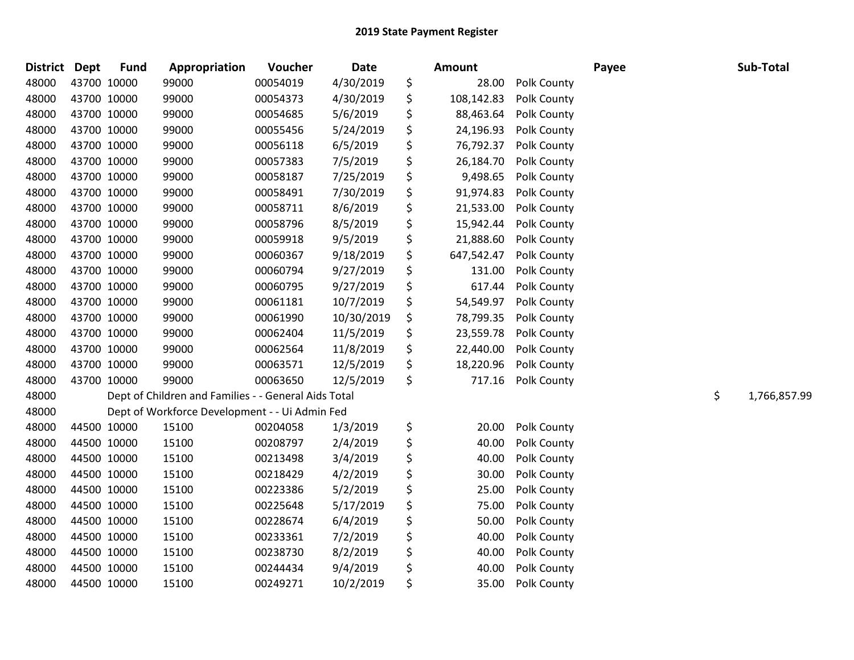| <b>District</b> | Dept        | <b>Fund</b> | Appropriation                                        | Voucher  | <b>Date</b> | Amount           |             | Payee | Sub-Total          |
|-----------------|-------------|-------------|------------------------------------------------------|----------|-------------|------------------|-------------|-------|--------------------|
| 48000           | 43700 10000 |             | 99000                                                | 00054019 | 4/30/2019   | \$<br>28.00      | Polk County |       |                    |
| 48000           | 43700 10000 |             | 99000                                                | 00054373 | 4/30/2019   | \$<br>108,142.83 | Polk County |       |                    |
| 48000           | 43700 10000 |             | 99000                                                | 00054685 | 5/6/2019    | \$<br>88,463.64  | Polk County |       |                    |
| 48000           | 43700 10000 |             | 99000                                                | 00055456 | 5/24/2019   | \$<br>24,196.93  | Polk County |       |                    |
| 48000           | 43700 10000 |             | 99000                                                | 00056118 | 6/5/2019    | \$<br>76,792.37  | Polk County |       |                    |
| 48000           | 43700 10000 |             | 99000                                                | 00057383 | 7/5/2019    | \$<br>26,184.70  | Polk County |       |                    |
| 48000           | 43700 10000 |             | 99000                                                | 00058187 | 7/25/2019   | \$<br>9,498.65   | Polk County |       |                    |
| 48000           | 43700 10000 |             | 99000                                                | 00058491 | 7/30/2019   | \$<br>91,974.83  | Polk County |       |                    |
| 48000           | 43700 10000 |             | 99000                                                | 00058711 | 8/6/2019    | \$<br>21,533.00  | Polk County |       |                    |
| 48000           | 43700 10000 |             | 99000                                                | 00058796 | 8/5/2019    | \$<br>15,942.44  | Polk County |       |                    |
| 48000           | 43700 10000 |             | 99000                                                | 00059918 | 9/5/2019    | \$<br>21,888.60  | Polk County |       |                    |
| 48000           | 43700 10000 |             | 99000                                                | 00060367 | 9/18/2019   | \$<br>647,542.47 | Polk County |       |                    |
| 48000           | 43700 10000 |             | 99000                                                | 00060794 | 9/27/2019   | \$<br>131.00     | Polk County |       |                    |
| 48000           | 43700 10000 |             | 99000                                                | 00060795 | 9/27/2019   | \$<br>617.44     | Polk County |       |                    |
| 48000           | 43700 10000 |             | 99000                                                | 00061181 | 10/7/2019   | \$<br>54,549.97  | Polk County |       |                    |
| 48000           | 43700 10000 |             | 99000                                                | 00061990 | 10/30/2019  | \$<br>78,799.35  | Polk County |       |                    |
| 48000           | 43700 10000 |             | 99000                                                | 00062404 | 11/5/2019   | \$<br>23,559.78  | Polk County |       |                    |
| 48000           | 43700 10000 |             | 99000                                                | 00062564 | 11/8/2019   | \$<br>22,440.00  | Polk County |       |                    |
| 48000           | 43700 10000 |             | 99000                                                | 00063571 | 12/5/2019   | \$<br>18,220.96  | Polk County |       |                    |
| 48000           | 43700 10000 |             | 99000                                                | 00063650 | 12/5/2019   | \$<br>717.16     | Polk County |       |                    |
| 48000           |             |             | Dept of Children and Families - - General Aids Total |          |             |                  |             |       | \$<br>1,766,857.99 |
| 48000           |             |             | Dept of Workforce Development - - Ui Admin Fed       |          |             |                  |             |       |                    |
| 48000           | 44500 10000 |             | 15100                                                | 00204058 | 1/3/2019    | \$<br>20.00      | Polk County |       |                    |
| 48000           | 44500 10000 |             | 15100                                                | 00208797 | 2/4/2019    | \$<br>40.00      | Polk County |       |                    |
| 48000           | 44500 10000 |             | 15100                                                | 00213498 | 3/4/2019    | \$<br>40.00      | Polk County |       |                    |
| 48000           | 44500 10000 |             | 15100                                                | 00218429 | 4/2/2019    | \$<br>30.00      | Polk County |       |                    |
| 48000           |             | 44500 10000 | 15100                                                | 00223386 | 5/2/2019    | \$<br>25.00      | Polk County |       |                    |
| 48000           |             | 44500 10000 | 15100                                                | 00225648 | 5/17/2019   | \$<br>75.00      | Polk County |       |                    |
| 48000           | 44500 10000 |             | 15100                                                | 00228674 | 6/4/2019    | \$<br>50.00      | Polk County |       |                    |
| 48000           | 44500 10000 |             | 15100                                                | 00233361 | 7/2/2019    | \$<br>40.00      | Polk County |       |                    |
| 48000           | 44500 10000 |             | 15100                                                | 00238730 | 8/2/2019    | \$<br>40.00      | Polk County |       |                    |
| 48000           |             | 44500 10000 | 15100                                                | 00244434 | 9/4/2019    | \$<br>40.00      | Polk County |       |                    |
| 48000           | 44500 10000 |             | 15100                                                | 00249271 | 10/2/2019   | \$<br>35.00      | Polk County |       |                    |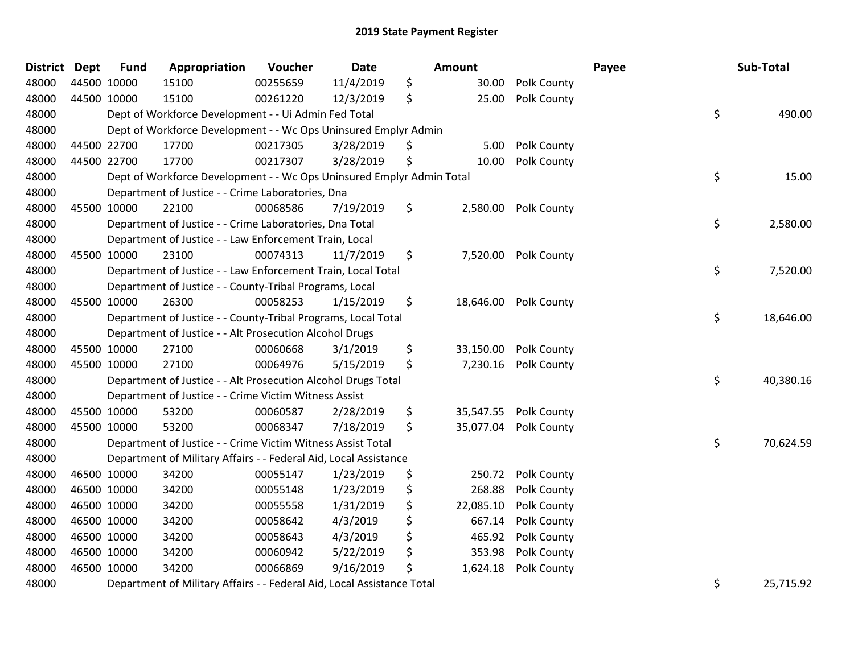| <b>District</b> | <b>Dept</b> | <b>Fund</b> | Appropriation                                                          | Voucher  | <b>Date</b> |    | Amount    |             | Payee | Sub-Total       |
|-----------------|-------------|-------------|------------------------------------------------------------------------|----------|-------------|----|-----------|-------------|-------|-----------------|
| 48000           |             | 44500 10000 | 15100                                                                  | 00255659 | 11/4/2019   | \$ | 30.00     | Polk County |       |                 |
| 48000           |             | 44500 10000 | 15100                                                                  | 00261220 | 12/3/2019   | \$ | 25.00     | Polk County |       |                 |
| 48000           |             |             | Dept of Workforce Development - - Ui Admin Fed Total                   |          |             |    |           |             |       | \$<br>490.00    |
| 48000           |             |             | Dept of Workforce Development - - Wc Ops Uninsured Emplyr Admin        |          |             |    |           |             |       |                 |
| 48000           |             | 44500 22700 | 17700                                                                  | 00217305 | 3/28/2019   | \$ | 5.00      | Polk County |       |                 |
| 48000           |             | 44500 22700 | 17700                                                                  | 00217307 | 3/28/2019   | Ś  | 10.00     | Polk County |       |                 |
| 48000           |             |             | Dept of Workforce Development - - Wc Ops Uninsured Emplyr Admin Total  |          |             |    |           |             |       | \$<br>15.00     |
| 48000           |             |             | Department of Justice - - Crime Laboratories, Dna                      |          |             |    |           |             |       |                 |
| 48000           |             | 45500 10000 | 22100                                                                  | 00068586 | 7/19/2019   | \$ | 2,580.00  | Polk County |       |                 |
| 48000           |             |             | Department of Justice - - Crime Laboratories, Dna Total                |          |             |    |           |             |       | \$<br>2,580.00  |
| 48000           |             |             | Department of Justice - - Law Enforcement Train, Local                 |          |             |    |           |             |       |                 |
| 48000           |             | 45500 10000 | 23100                                                                  | 00074313 | 11/7/2019   | \$ | 7,520.00  | Polk County |       |                 |
| 48000           |             |             | Department of Justice - - Law Enforcement Train, Local Total           |          |             |    |           |             |       | \$<br>7,520.00  |
| 48000           |             |             | Department of Justice - - County-Tribal Programs, Local                |          |             |    |           |             |       |                 |
| 48000           |             | 45500 10000 | 26300                                                                  | 00058253 | 1/15/2019   | \$ | 18,646.00 | Polk County |       |                 |
| 48000           |             |             | Department of Justice - - County-Tribal Programs, Local Total          |          |             |    |           |             |       | \$<br>18,646.00 |
| 48000           |             |             | Department of Justice - - Alt Prosecution Alcohol Drugs                |          |             |    |           |             |       |                 |
| 48000           |             | 45500 10000 | 27100                                                                  | 00060668 | 3/1/2019    | \$ | 33,150.00 | Polk County |       |                 |
| 48000           |             | 45500 10000 | 27100                                                                  | 00064976 | 5/15/2019   | \$ | 7,230.16  | Polk County |       |                 |
| 48000           |             |             | Department of Justice - - Alt Prosecution Alcohol Drugs Total          |          |             |    |           |             |       | \$<br>40,380.16 |
| 48000           |             |             | Department of Justice - - Crime Victim Witness Assist                  |          |             |    |           |             |       |                 |
| 48000           |             | 45500 10000 | 53200                                                                  | 00060587 | 2/28/2019   | \$ | 35,547.55 | Polk County |       |                 |
| 48000           |             | 45500 10000 | 53200                                                                  | 00068347 | 7/18/2019   | \$ | 35,077.04 | Polk County |       |                 |
| 48000           |             |             | Department of Justice - - Crime Victim Witness Assist Total            |          |             |    |           |             |       | \$<br>70,624.59 |
| 48000           |             |             | Department of Military Affairs - - Federal Aid, Local Assistance       |          |             |    |           |             |       |                 |
| 48000           |             | 46500 10000 | 34200                                                                  | 00055147 | 1/23/2019   | \$ | 250.72    | Polk County |       |                 |
| 48000           |             | 46500 10000 | 34200                                                                  | 00055148 | 1/23/2019   | \$ | 268.88    | Polk County |       |                 |
| 48000           |             | 46500 10000 | 34200                                                                  | 00055558 | 1/31/2019   | \$ | 22,085.10 | Polk County |       |                 |
| 48000           |             | 46500 10000 | 34200                                                                  | 00058642 | 4/3/2019    | \$ | 667.14    | Polk County |       |                 |
| 48000           |             | 46500 10000 | 34200                                                                  | 00058643 | 4/3/2019    | \$ | 465.92    | Polk County |       |                 |
| 48000           |             | 46500 10000 | 34200                                                                  | 00060942 | 5/22/2019   | \$ | 353.98    | Polk County |       |                 |
| 48000           |             | 46500 10000 | 34200                                                                  | 00066869 | 9/16/2019   | \$ | 1,624.18  | Polk County |       |                 |
| 48000           |             |             | Department of Military Affairs - - Federal Aid, Local Assistance Total |          |             |    |           |             |       | \$<br>25,715.92 |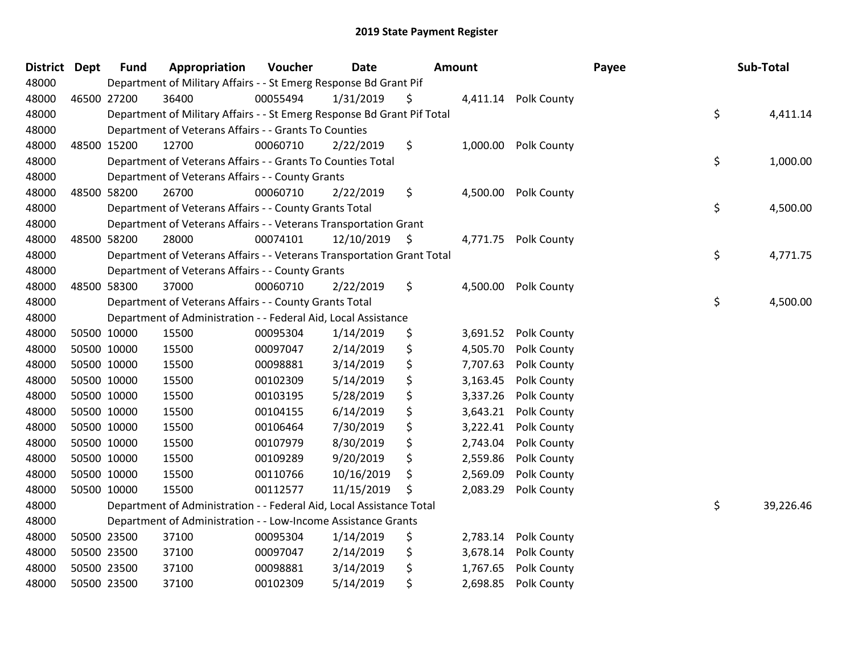| District Dept | <b>Fund</b> | Appropriation                                                           | Voucher  | <b>Date</b>     | Amount |          |                      | Payee | Sub-Total       |
|---------------|-------------|-------------------------------------------------------------------------|----------|-----------------|--------|----------|----------------------|-------|-----------------|
| 48000         |             | Department of Military Affairs - - St Emerg Response Bd Grant Pif       |          |                 |        |          |                      |       |                 |
| 48000         | 46500 27200 | 36400                                                                   | 00055494 | 1/31/2019       | \$     |          | 4,411.14 Polk County |       |                 |
| 48000         |             | Department of Military Affairs - - St Emerg Response Bd Grant Pif Total |          |                 |        |          |                      |       | \$<br>4,411.14  |
| 48000         |             | Department of Veterans Affairs - - Grants To Counties                   |          |                 |        |          |                      |       |                 |
| 48000         | 48500 15200 | 12700                                                                   | 00060710 | 2/22/2019       | \$     | 1,000.00 | Polk County          |       |                 |
| 48000         |             | Department of Veterans Affairs - - Grants To Counties Total             |          |                 |        |          |                      |       | \$<br>1,000.00  |
| 48000         |             | Department of Veterans Affairs - - County Grants                        |          |                 |        |          |                      |       |                 |
| 48000         | 48500 58200 | 26700                                                                   | 00060710 | 2/22/2019       | \$     | 4,500.00 | Polk County          |       |                 |
| 48000         |             | Department of Veterans Affairs - - County Grants Total                  |          |                 |        |          |                      |       | \$<br>4,500.00  |
| 48000         |             | Department of Veterans Affairs - - Veterans Transportation Grant        |          |                 |        |          |                      |       |                 |
| 48000         | 48500 58200 | 28000                                                                   | 00074101 | $12/10/2019$ \$ |        |          | 4,771.75 Polk County |       |                 |
| 48000         |             | Department of Veterans Affairs - - Veterans Transportation Grant Total  |          |                 |        |          |                      |       | \$<br>4,771.75  |
| 48000         |             | Department of Veterans Affairs - - County Grants                        |          |                 |        |          |                      |       |                 |
| 48000         | 48500 58300 | 37000                                                                   | 00060710 | 2/22/2019       | \$     | 4,500.00 | Polk County          |       |                 |
| 48000         |             | Department of Veterans Affairs - - County Grants Total                  |          |                 |        |          |                      |       | \$<br>4,500.00  |
| 48000         |             | Department of Administration - - Federal Aid, Local Assistance          |          |                 |        |          |                      |       |                 |
| 48000         | 50500 10000 | 15500                                                                   | 00095304 | 1/14/2019       | \$     | 3,691.52 | Polk County          |       |                 |
| 48000         | 50500 10000 | 15500                                                                   | 00097047 | 2/14/2019       | \$     | 4,505.70 | Polk County          |       |                 |
| 48000         | 50500 10000 | 15500                                                                   | 00098881 | 3/14/2019       | \$     | 7,707.63 | Polk County          |       |                 |
| 48000         | 50500 10000 | 15500                                                                   | 00102309 | 5/14/2019       | \$     | 3,163.45 | Polk County          |       |                 |
| 48000         | 50500 10000 | 15500                                                                   | 00103195 | 5/28/2019       | \$     | 3,337.26 | Polk County          |       |                 |
| 48000         | 50500 10000 | 15500                                                                   | 00104155 | 6/14/2019       | \$     | 3,643.21 | Polk County          |       |                 |
| 48000         | 50500 10000 | 15500                                                                   | 00106464 | 7/30/2019       | \$     | 3,222.41 | Polk County          |       |                 |
| 48000         | 50500 10000 | 15500                                                                   | 00107979 | 8/30/2019       | \$     | 2,743.04 | Polk County          |       |                 |
| 48000         | 50500 10000 | 15500                                                                   | 00109289 | 9/20/2019       | \$     | 2,559.86 | Polk County          |       |                 |
| 48000         | 50500 10000 | 15500                                                                   | 00110766 | 10/16/2019      | \$     | 2,569.09 | Polk County          |       |                 |
| 48000         | 50500 10000 | 15500                                                                   | 00112577 | 11/15/2019      | \$     | 2,083.29 | Polk County          |       |                 |
| 48000         |             | Department of Administration - - Federal Aid, Local Assistance Total    |          |                 |        |          |                      |       | \$<br>39,226.46 |
| 48000         |             | Department of Administration - - Low-Income Assistance Grants           |          |                 |        |          |                      |       |                 |
| 48000         | 50500 23500 | 37100                                                                   | 00095304 | 1/14/2019       | \$     | 2,783.14 | Polk County          |       |                 |
| 48000         | 50500 23500 | 37100                                                                   | 00097047 | 2/14/2019       | \$     | 3,678.14 | Polk County          |       |                 |
| 48000         | 50500 23500 | 37100                                                                   | 00098881 | 3/14/2019       | \$     | 1,767.65 | Polk County          |       |                 |
| 48000         | 50500 23500 | 37100                                                                   | 00102309 | 5/14/2019       | \$     | 2,698.85 | Polk County          |       |                 |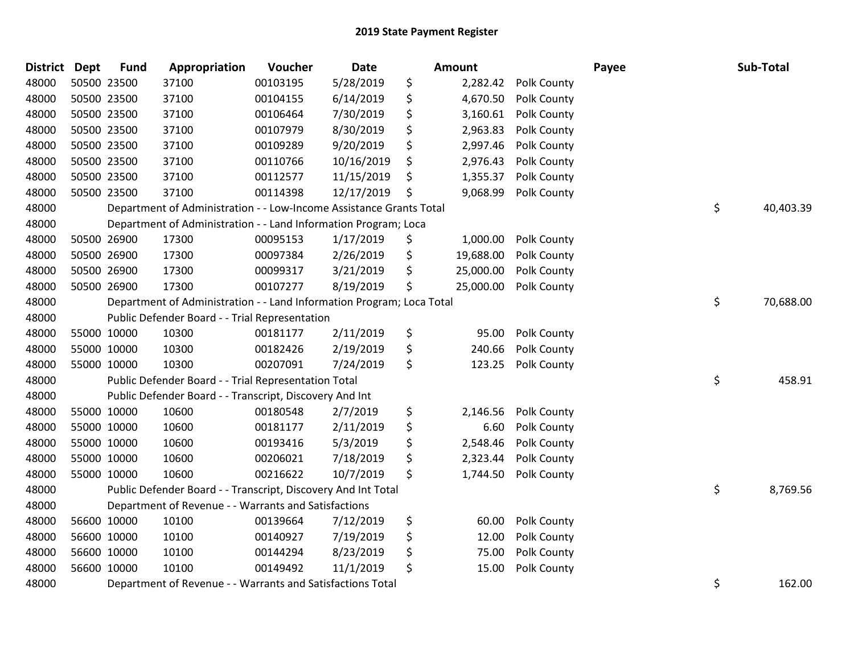| <b>District</b> | <b>Dept</b> | <b>Fund</b> | Appropriation                                                         | Voucher  | Date       | <b>Amount</b>   |             | Payee | Sub-Total       |
|-----------------|-------------|-------------|-----------------------------------------------------------------------|----------|------------|-----------------|-------------|-------|-----------------|
| 48000           |             | 50500 23500 | 37100                                                                 | 00103195 | 5/28/2019  | \$<br>2,282.42  | Polk County |       |                 |
| 48000           |             | 50500 23500 | 37100                                                                 | 00104155 | 6/14/2019  | \$<br>4,670.50  | Polk County |       |                 |
| 48000           |             | 50500 23500 | 37100                                                                 | 00106464 | 7/30/2019  | \$<br>3,160.61  | Polk County |       |                 |
| 48000           |             | 50500 23500 | 37100                                                                 | 00107979 | 8/30/2019  | \$<br>2,963.83  | Polk County |       |                 |
| 48000           |             | 50500 23500 | 37100                                                                 | 00109289 | 9/20/2019  | \$<br>2,997.46  | Polk County |       |                 |
| 48000           |             | 50500 23500 | 37100                                                                 | 00110766 | 10/16/2019 | \$<br>2,976.43  | Polk County |       |                 |
| 48000           |             | 50500 23500 | 37100                                                                 | 00112577 | 11/15/2019 | \$<br>1,355.37  | Polk County |       |                 |
| 48000           |             | 50500 23500 | 37100                                                                 | 00114398 | 12/17/2019 | \$<br>9,068.99  | Polk County |       |                 |
| 48000           |             |             | Department of Administration - - Low-Income Assistance Grants Total   |          |            |                 |             |       | \$<br>40,403.39 |
| 48000           |             |             | Department of Administration - - Land Information Program; Loca       |          |            |                 |             |       |                 |
| 48000           |             | 50500 26900 | 17300                                                                 | 00095153 | 1/17/2019  | \$<br>1,000.00  | Polk County |       |                 |
| 48000           |             | 50500 26900 | 17300                                                                 | 00097384 | 2/26/2019  | \$<br>19,688.00 | Polk County |       |                 |
| 48000           |             | 50500 26900 | 17300                                                                 | 00099317 | 3/21/2019  | \$<br>25,000.00 | Polk County |       |                 |
| 48000           |             | 50500 26900 | 17300                                                                 | 00107277 | 8/19/2019  | \$<br>25,000.00 | Polk County |       |                 |
| 48000           |             |             | Department of Administration - - Land Information Program; Loca Total |          |            |                 |             |       | \$<br>70,688.00 |
| 48000           |             |             | Public Defender Board - - Trial Representation                        |          |            |                 |             |       |                 |
| 48000           |             | 55000 10000 | 10300                                                                 | 00181177 | 2/11/2019  | \$<br>95.00     | Polk County |       |                 |
| 48000           |             | 55000 10000 | 10300                                                                 | 00182426 | 2/19/2019  | \$<br>240.66    | Polk County |       |                 |
| 48000           |             | 55000 10000 | 10300                                                                 | 00207091 | 7/24/2019  | \$<br>123.25    | Polk County |       |                 |
| 48000           |             |             | Public Defender Board - - Trial Representation Total                  |          |            |                 |             |       | \$<br>458.91    |
| 48000           |             |             | Public Defender Board - - Transcript, Discovery And Int               |          |            |                 |             |       |                 |
| 48000           |             | 55000 10000 | 10600                                                                 | 00180548 | 2/7/2019   | \$<br>2,146.56  | Polk County |       |                 |
| 48000           |             | 55000 10000 | 10600                                                                 | 00181177 | 2/11/2019  | \$<br>6.60      | Polk County |       |                 |
| 48000           |             | 55000 10000 | 10600                                                                 | 00193416 | 5/3/2019   | \$<br>2,548.46  | Polk County |       |                 |
| 48000           |             | 55000 10000 | 10600                                                                 | 00206021 | 7/18/2019  | \$<br>2,323.44  | Polk County |       |                 |
| 48000           |             | 55000 10000 | 10600                                                                 | 00216622 | 10/7/2019  | \$<br>1,744.50  | Polk County |       |                 |
| 48000           |             |             | Public Defender Board - - Transcript, Discovery And Int Total         |          |            |                 |             |       | \$<br>8,769.56  |
| 48000           |             |             | Department of Revenue - - Warrants and Satisfactions                  |          |            |                 |             |       |                 |
| 48000           |             | 56600 10000 | 10100                                                                 | 00139664 | 7/12/2019  | \$<br>60.00     | Polk County |       |                 |
| 48000           |             | 56600 10000 | 10100                                                                 | 00140927 | 7/19/2019  | \$<br>12.00     | Polk County |       |                 |
| 48000           |             | 56600 10000 | 10100                                                                 | 00144294 | 8/23/2019  | \$<br>75.00     | Polk County |       |                 |
| 48000           |             | 56600 10000 | 10100                                                                 | 00149492 | 11/1/2019  | \$<br>15.00     | Polk County |       |                 |
| 48000           |             |             | Department of Revenue - - Warrants and Satisfactions Total            |          |            |                 |             |       | \$<br>162.00    |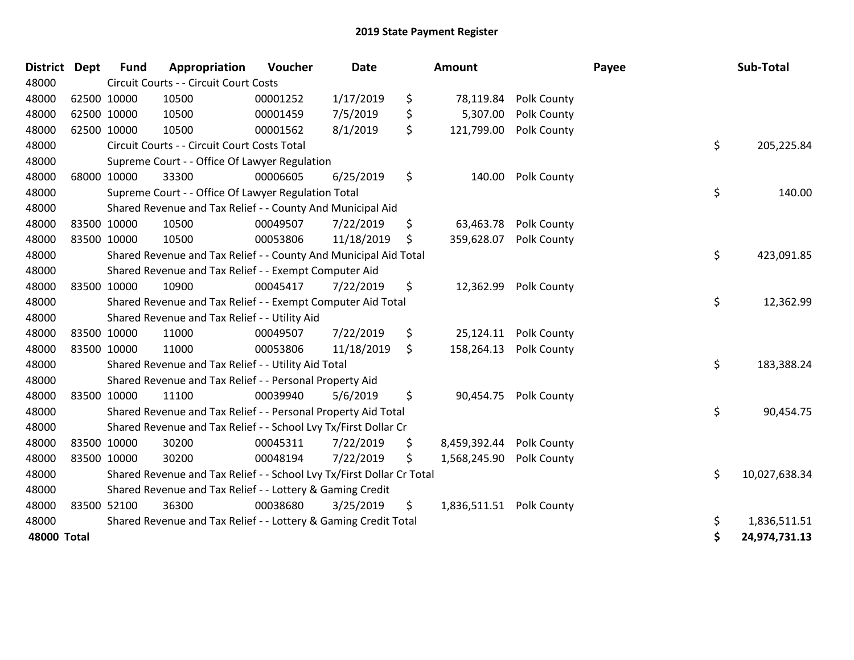| <b>District</b> | <b>Dept</b> | <b>Fund</b> | Appropriation                                                         | Voucher  | Date       | <b>Amount</b>                  |             | Payee | Sub-Total     |
|-----------------|-------------|-------------|-----------------------------------------------------------------------|----------|------------|--------------------------------|-------------|-------|---------------|
| 48000           |             |             | Circuit Courts - - Circuit Court Costs                                |          |            |                                |             |       |               |
| 48000           | 62500 10000 |             | 10500                                                                 | 00001252 | 1/17/2019  | \$<br>78,119.84                | Polk County |       |               |
| 48000           | 62500 10000 |             | 10500                                                                 | 00001459 | 7/5/2019   | \$<br>5,307.00                 | Polk County |       |               |
| 48000           | 62500 10000 |             | 10500                                                                 | 00001562 | 8/1/2019   | \$<br>121,799.00               | Polk County |       |               |
| 48000           |             |             | Circuit Courts - - Circuit Court Costs Total                          |          |            |                                |             | \$    | 205,225.84    |
| 48000           |             |             | Supreme Court - - Office Of Lawyer Regulation                         |          |            |                                |             |       |               |
| 48000           | 68000 10000 |             | 33300                                                                 | 00006605 | 6/25/2019  | \$<br>140.00                   | Polk County |       |               |
| 48000           |             |             | Supreme Court - - Office Of Lawyer Regulation Total                   |          |            |                                |             | \$    | 140.00        |
| 48000           |             |             | Shared Revenue and Tax Relief - - County And Municipal Aid            |          |            |                                |             |       |               |
| 48000           | 83500 10000 |             | 10500                                                                 | 00049507 | 7/22/2019  | \$<br>63,463.78                | Polk County |       |               |
| 48000           | 83500 10000 |             | 10500                                                                 | 00053806 | 11/18/2019 | \$<br>359,628.07               | Polk County |       |               |
| 48000           |             |             | Shared Revenue and Tax Relief - - County And Municipal Aid Total      |          |            |                                |             | \$    | 423,091.85    |
| 48000           |             |             | Shared Revenue and Tax Relief - - Exempt Computer Aid                 |          |            |                                |             |       |               |
| 48000           | 83500 10000 |             | 10900                                                                 | 00045417 | 7/22/2019  | \$<br>12,362.99                | Polk County |       |               |
| 48000           |             |             | Shared Revenue and Tax Relief - - Exempt Computer Aid Total           |          |            |                                |             | \$    | 12,362.99     |
| 48000           |             |             | Shared Revenue and Tax Relief - - Utility Aid                         |          |            |                                |             |       |               |
| 48000           | 83500 10000 |             | 11000                                                                 | 00049507 | 7/22/2019  | \$<br>25,124.11                | Polk County |       |               |
| 48000           | 83500 10000 |             | 11000                                                                 | 00053806 | 11/18/2019 | \$<br>158,264.13               | Polk County |       |               |
| 48000           |             |             | Shared Revenue and Tax Relief - - Utility Aid Total                   |          |            |                                |             | \$    | 183,388.24    |
| 48000           |             |             | Shared Revenue and Tax Relief - - Personal Property Aid               |          |            |                                |             |       |               |
| 48000           |             | 83500 10000 | 11100                                                                 | 00039940 | 5/6/2019   | \$<br>90,454.75                | Polk County |       |               |
| 48000           |             |             | Shared Revenue and Tax Relief - - Personal Property Aid Total         |          |            |                                |             | \$    | 90,454.75     |
| 48000           |             |             | Shared Revenue and Tax Relief - - School Lvy Tx/First Dollar Cr       |          |            |                                |             |       |               |
| 48000           |             | 83500 10000 | 30200                                                                 | 00045311 | 7/22/2019  | \$<br>8,459,392.44             | Polk County |       |               |
| 48000           | 83500 10000 |             | 30200                                                                 | 00048194 | 7/22/2019  | \$<br>1,568,245.90             | Polk County |       |               |
| 48000           |             |             | Shared Revenue and Tax Relief - - School Lvy Tx/First Dollar Cr Total |          |            |                                |             | \$    | 10,027,638.34 |
| 48000           |             |             | Shared Revenue and Tax Relief - - Lottery & Gaming Credit             |          |            |                                |             |       |               |
| 48000           | 83500 52100 |             | 36300                                                                 | 00038680 | 3/25/2019  | \$<br>1,836,511.51 Polk County |             |       |               |
| 48000           |             |             | Shared Revenue and Tax Relief - - Lottery & Gaming Credit Total       |          |            |                                |             | \$    | 1,836,511.51  |
| 48000 Total     |             |             |                                                                       |          |            |                                |             | \$    | 24,974,731.13 |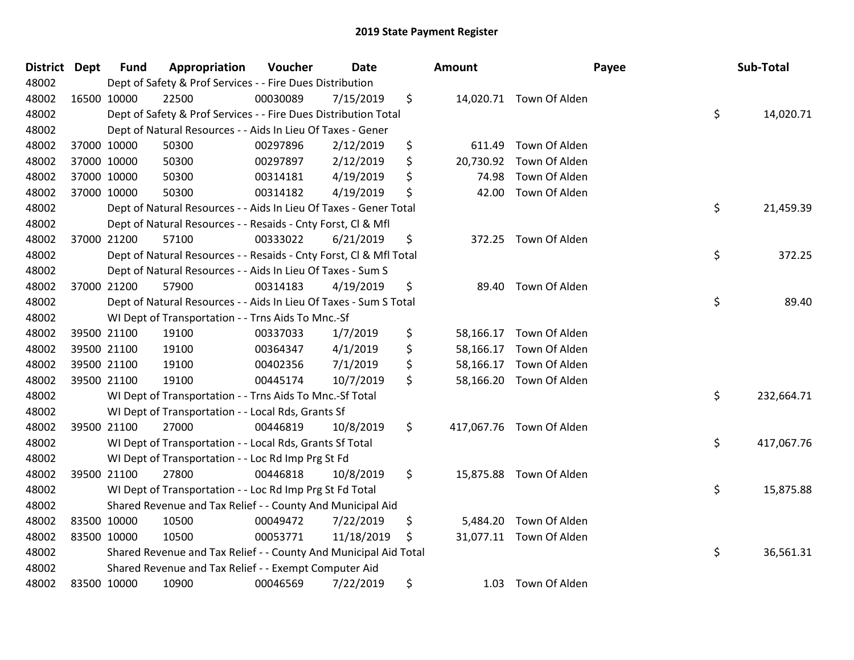| District Dept | <b>Fund</b> | Appropriation                                                      | Voucher  | <b>Date</b> |    | Amount    |                          | Payee | Sub-Total  |
|---------------|-------------|--------------------------------------------------------------------|----------|-------------|----|-----------|--------------------------|-------|------------|
| 48002         |             | Dept of Safety & Prof Services - - Fire Dues Distribution          |          |             |    |           |                          |       |            |
| 48002         | 16500 10000 | 22500                                                              | 00030089 | 7/15/2019   | \$ |           | 14,020.71 Town Of Alden  |       |            |
| 48002         |             | Dept of Safety & Prof Services - - Fire Dues Distribution Total    |          |             |    |           |                          | \$    | 14,020.71  |
| 48002         |             | Dept of Natural Resources - - Aids In Lieu Of Taxes - Gener        |          |             |    |           |                          |       |            |
| 48002         | 37000 10000 | 50300                                                              | 00297896 | 2/12/2019   | \$ | 611.49    | Town Of Alden            |       |            |
| 48002         | 37000 10000 | 50300                                                              | 00297897 | 2/12/2019   | \$ | 20,730.92 | Town Of Alden            |       |            |
| 48002         | 37000 10000 | 50300                                                              | 00314181 | 4/19/2019   | \$ | 74.98     | Town Of Alden            |       |            |
| 48002         | 37000 10000 | 50300                                                              | 00314182 | 4/19/2019   | \$ | 42.00     | Town Of Alden            |       |            |
| 48002         |             | Dept of Natural Resources - - Aids In Lieu Of Taxes - Gener Total  |          |             |    |           |                          | \$    | 21,459.39  |
| 48002         |             | Dept of Natural Resources - - Resaids - Cnty Forst, Cl & Mfl       |          |             |    |           |                          |       |            |
| 48002         | 37000 21200 | 57100                                                              | 00333022 | 6/21/2019   | \$ |           | 372.25 Town Of Alden     |       |            |
| 48002         |             | Dept of Natural Resources - - Resaids - Cnty Forst, CI & Mfl Total |          |             |    |           |                          | \$    | 372.25     |
| 48002         |             | Dept of Natural Resources - - Aids In Lieu Of Taxes - Sum S        |          |             |    |           |                          |       |            |
| 48002         | 37000 21200 | 57900                                                              | 00314183 | 4/19/2019   | \$ | 89.40     | Town Of Alden            |       |            |
| 48002         |             | Dept of Natural Resources - - Aids In Lieu Of Taxes - Sum S Total  |          |             |    |           |                          | \$    | 89.40      |
| 48002         |             | WI Dept of Transportation - - Trns Aids To Mnc.-Sf                 |          |             |    |           |                          |       |            |
| 48002         | 39500 21100 | 19100                                                              | 00337033 | 1/7/2019    | \$ |           | 58,166.17 Town Of Alden  |       |            |
| 48002         | 39500 21100 | 19100                                                              | 00364347 | 4/1/2019    | \$ |           | 58,166.17 Town Of Alden  |       |            |
| 48002         | 39500 21100 | 19100                                                              | 00402356 | 7/1/2019    | \$ |           | 58,166.17 Town Of Alden  |       |            |
| 48002         | 39500 21100 | 19100                                                              | 00445174 | 10/7/2019   | \$ |           | 58,166.20 Town Of Alden  |       |            |
| 48002         |             | WI Dept of Transportation - - Trns Aids To Mnc.-Sf Total           |          |             |    |           |                          | \$    | 232,664.71 |
| 48002         |             | WI Dept of Transportation - - Local Rds, Grants Sf                 |          |             |    |           |                          |       |            |
| 48002         | 39500 21100 | 27000                                                              | 00446819 | 10/8/2019   | \$ |           | 417,067.76 Town Of Alden |       |            |
| 48002         |             | WI Dept of Transportation - - Local Rds, Grants Sf Total           |          |             |    |           |                          | \$    | 417,067.76 |
| 48002         |             | WI Dept of Transportation - - Loc Rd Imp Prg St Fd                 |          |             |    |           |                          |       |            |
| 48002         | 39500 21100 | 27800                                                              | 00446818 | 10/8/2019   | \$ |           | 15,875.88 Town Of Alden  |       |            |
| 48002         |             | WI Dept of Transportation - - Loc Rd Imp Prg St Fd Total           |          |             |    |           |                          | \$    | 15,875.88  |
| 48002         |             | Shared Revenue and Tax Relief - - County And Municipal Aid         |          |             |    |           |                          |       |            |
| 48002         | 83500 10000 | 10500                                                              | 00049472 | 7/22/2019   | \$ |           | 5,484.20 Town Of Alden   |       |            |
| 48002         | 83500 10000 | 10500                                                              | 00053771 | 11/18/2019  | \$ |           | 31,077.11 Town Of Alden  |       |            |
| 48002         |             | Shared Revenue and Tax Relief - - County And Municipal Aid Total   |          |             |    |           |                          | \$    | 36,561.31  |
| 48002         |             | Shared Revenue and Tax Relief - - Exempt Computer Aid              |          |             |    |           |                          |       |            |
| 48002         | 83500 10000 | 10900                                                              | 00046569 | 7/22/2019   | \$ | 1.03      | Town Of Alden            |       |            |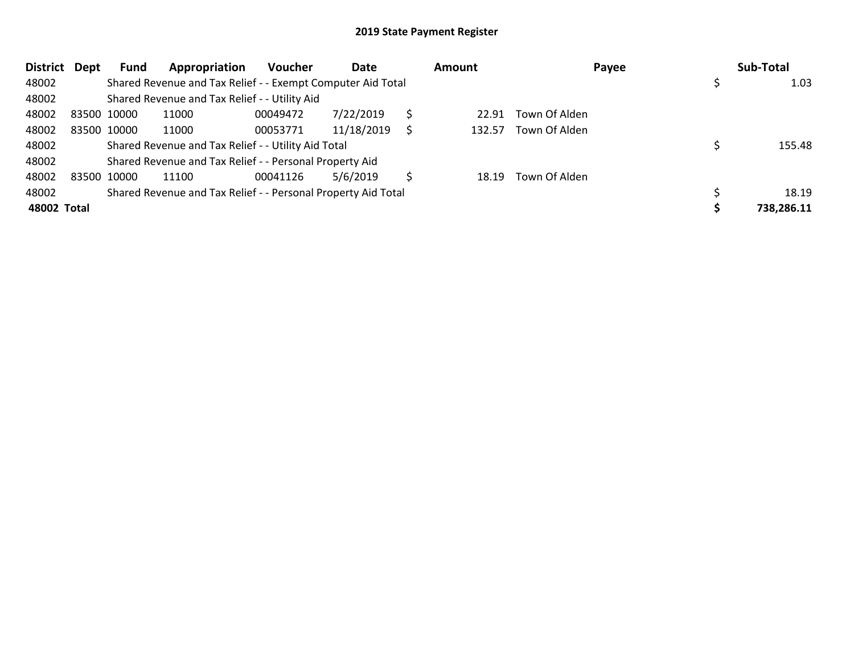| <b>District</b> | <b>Dept</b> | Fund        | Appropriation                                                 | <b>Voucher</b> | Date       |   | Amount |               | Payee | Sub-Total  |
|-----------------|-------------|-------------|---------------------------------------------------------------|----------------|------------|---|--------|---------------|-------|------------|
| 48002           |             |             | Shared Revenue and Tax Relief - - Exempt Computer Aid Total   |                |            |   |        |               |       | 1.03       |
| 48002           |             |             | Shared Revenue and Tax Relief - - Utility Aid                 |                |            |   |        |               |       |            |
| 48002           | 83500 10000 |             | 11000                                                         | 00049472       | 7/22/2019  |   | 22.91  | Town Of Alden |       |            |
| 48002           |             | 83500 10000 | 11000                                                         | 00053771       | 11/18/2019 | S | 132.57 | Town Of Alden |       |            |
| 48002           |             |             | Shared Revenue and Tax Relief - - Utility Aid Total           |                |            |   |        |               |       | 155.48     |
| 48002           |             |             | Shared Revenue and Tax Relief - - Personal Property Aid       |                |            |   |        |               |       |            |
| 48002           | 83500 10000 |             | 11100                                                         | 00041126       | 5/6/2019   |   | 18.19  | Town Of Alden |       |            |
| 48002           |             |             | Shared Revenue and Tax Relief - - Personal Property Aid Total |                |            |   |        |               |       | 18.19      |
| 48002 Total     |             |             |                                                               |                |            |   |        |               |       | 738,286.11 |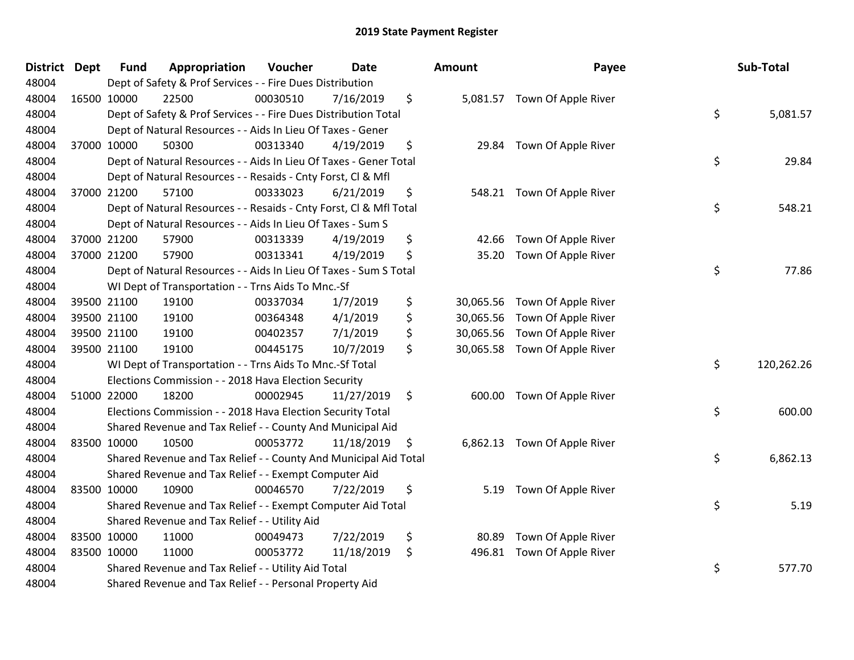| <b>District</b> | <b>Dept</b> | <b>Fund</b> | Appropriation                                                      | Voucher  | Date       |     | <b>Amount</b> | Payee                        | Sub-Total        |
|-----------------|-------------|-------------|--------------------------------------------------------------------|----------|------------|-----|---------------|------------------------------|------------------|
| 48004           |             |             | Dept of Safety & Prof Services - - Fire Dues Distribution          |          |            |     |               |                              |                  |
| 48004           |             | 16500 10000 | 22500                                                              | 00030510 | 7/16/2019  | \$  |               | 5,081.57 Town Of Apple River |                  |
| 48004           |             |             | Dept of Safety & Prof Services - - Fire Dues Distribution Total    |          |            |     |               |                              | \$<br>5,081.57   |
| 48004           |             |             | Dept of Natural Resources - - Aids In Lieu Of Taxes - Gener        |          |            |     |               |                              |                  |
| 48004           |             | 37000 10000 | 50300                                                              | 00313340 | 4/19/2019  | \$  | 29.84         | Town Of Apple River          |                  |
| 48004           |             |             | Dept of Natural Resources - - Aids In Lieu Of Taxes - Gener Total  |          |            |     |               |                              | \$<br>29.84      |
| 48004           |             |             | Dept of Natural Resources - - Resaids - Cnty Forst, Cl & Mfl       |          |            |     |               |                              |                  |
| 48004           |             | 37000 21200 | 57100                                                              | 00333023 | 6/21/2019  | \$  | 548.21        | Town Of Apple River          |                  |
| 48004           |             |             | Dept of Natural Resources - - Resaids - Cnty Forst, CI & Mfl Total |          |            |     |               |                              | \$<br>548.21     |
| 48004           |             |             | Dept of Natural Resources - - Aids In Lieu Of Taxes - Sum S        |          |            |     |               |                              |                  |
| 48004           |             | 37000 21200 | 57900                                                              | 00313339 | 4/19/2019  | \$  | 42.66         | Town Of Apple River          |                  |
| 48004           |             | 37000 21200 | 57900                                                              | 00313341 | 4/19/2019  | \$  | 35.20         | Town Of Apple River          |                  |
| 48004           |             |             | Dept of Natural Resources - - Aids In Lieu Of Taxes - Sum S Total  |          |            |     |               |                              | \$<br>77.86      |
| 48004           |             |             | WI Dept of Transportation - - Trns Aids To Mnc.-Sf                 |          |            |     |               |                              |                  |
| 48004           |             | 39500 21100 | 19100                                                              | 00337034 | 1/7/2019   | \$  | 30,065.56     | Town Of Apple River          |                  |
| 48004           |             | 39500 21100 | 19100                                                              | 00364348 | 4/1/2019   | \$  | 30,065.56     | Town Of Apple River          |                  |
| 48004           |             | 39500 21100 | 19100                                                              | 00402357 | 7/1/2019   | \$  | 30,065.56     | Town Of Apple River          |                  |
| 48004           |             | 39500 21100 | 19100                                                              | 00445175 | 10/7/2019  | \$  | 30,065.58     | Town Of Apple River          |                  |
| 48004           |             |             | WI Dept of Transportation - - Trns Aids To Mnc.-Sf Total           |          |            |     |               |                              | \$<br>120,262.26 |
| 48004           |             |             | Elections Commission - - 2018 Hava Election Security               |          |            |     |               |                              |                  |
| 48004           |             | 51000 22000 | 18200                                                              | 00002945 | 11/27/2019 | \$  |               | 600.00 Town Of Apple River   |                  |
| 48004           |             |             | Elections Commission - - 2018 Hava Election Security Total         |          |            |     |               |                              | \$<br>600.00     |
| 48004           |             |             | Shared Revenue and Tax Relief - - County And Municipal Aid         |          |            |     |               |                              |                  |
| 48004           |             | 83500 10000 | 10500                                                              | 00053772 | 11/18/2019 | \$, | 6,862.13      | Town Of Apple River          |                  |
| 48004           |             |             | Shared Revenue and Tax Relief - - County And Municipal Aid Total   |          |            |     |               |                              | \$<br>6,862.13   |
| 48004           |             |             | Shared Revenue and Tax Relief - - Exempt Computer Aid              |          |            |     |               |                              |                  |
| 48004           |             | 83500 10000 | 10900                                                              | 00046570 | 7/22/2019  | \$  | 5.19          | Town Of Apple River          |                  |
| 48004           |             |             | Shared Revenue and Tax Relief - - Exempt Computer Aid Total        |          |            |     |               |                              | \$<br>5.19       |
| 48004           |             |             | Shared Revenue and Tax Relief - - Utility Aid                      |          |            |     |               |                              |                  |
| 48004           |             | 83500 10000 | 11000                                                              | 00049473 | 7/22/2019  | \$  | 80.89         | Town Of Apple River          |                  |
| 48004           |             | 83500 10000 | 11000                                                              | 00053772 | 11/18/2019 | \$  | 496.81        | Town Of Apple River          |                  |
| 48004           |             |             | Shared Revenue and Tax Relief - - Utility Aid Total                |          |            |     |               |                              | \$<br>577.70     |
| 48004           |             |             | Shared Revenue and Tax Relief - - Personal Property Aid            |          |            |     |               |                              |                  |

| Sub-Total  | Payee                                                                                    | ount                                             |
|------------|------------------------------------------------------------------------------------------|--------------------------------------------------|
| 5,081.57   | \$<br>Town Of Apple River                                                                | 5,081.57                                         |
| 29.84      | \$<br>Town Of Apple River                                                                | 29.84                                            |
| 548.21     | \$<br>Town Of Apple River                                                                | 548.21                                           |
| 77.86      | \$<br>Town Of Apple River<br>Town Of Apple River                                         | 42.66<br>35.20                                   |
|            | Town Of Apple River<br>Town Of Apple River<br>Town Of Apple River<br>Town Of Apple River | 30,065.56<br>30,065.56<br>30,065.56<br>30,065.58 |
| 120,262.26 | \$                                                                                       |                                                  |
| 600.00     | \$<br>Town Of Apple River                                                                | 600.00                                           |
| 6,862.13   | \$<br>Town Of Apple River                                                                | 6,862.13                                         |
| 5.19       | \$<br>Town Of Apple River                                                                | 5.19                                             |
| 577.70     | \$<br>Town Of Apple River<br>Town Of Apple River                                         | 80.89<br>496.81                                  |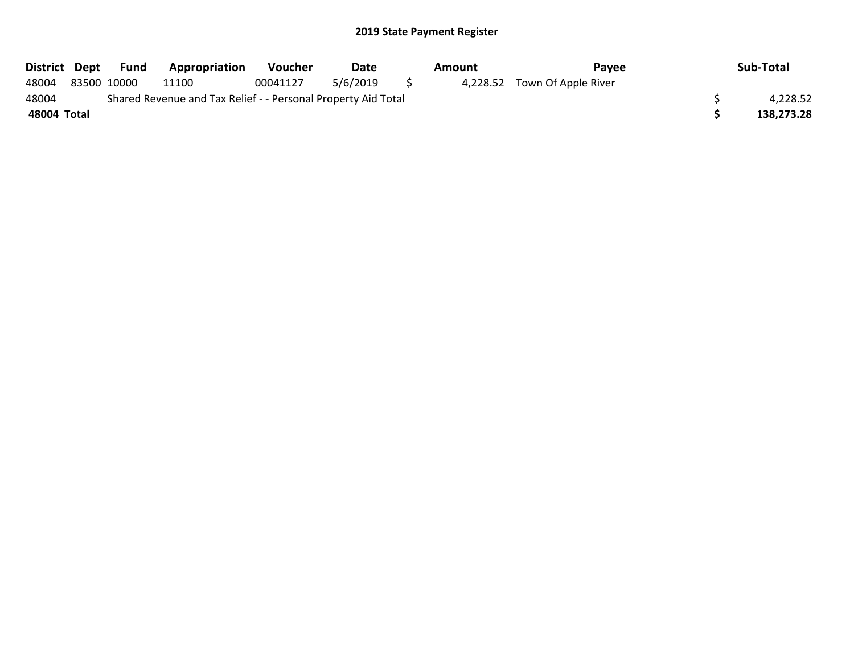| District Dept |             | Fund | <b>Appropriation</b>                                          | <b>Voucher</b> | Date     | Amount | Pavee                        | Sub-Total  |
|---------------|-------------|------|---------------------------------------------------------------|----------------|----------|--------|------------------------------|------------|
| 48004         | 83500 10000 |      | 11100                                                         | 00041127       | 5/6/2019 |        | 4,228.52 Town Of Apple River |            |
| 48004         |             |      | Shared Revenue and Tax Relief - - Personal Property Aid Total |                |          |        |                              | 4.228.52   |
| 48004 Total   |             |      |                                                               |                |          |        |                              | 138.273.28 |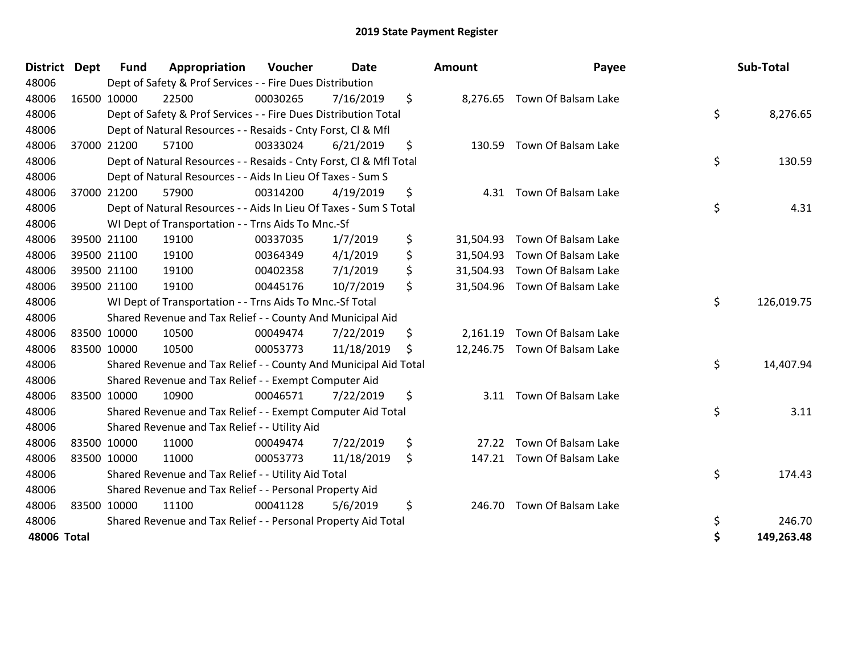| <b>District</b> | <b>Dept</b> | <b>Fund</b> | Appropriation                                                      | <b>Voucher</b> | <b>Date</b> | <b>Amount</b>   | Payee                         | Sub-Total        |
|-----------------|-------------|-------------|--------------------------------------------------------------------|----------------|-------------|-----------------|-------------------------------|------------------|
| 48006           |             |             | Dept of Safety & Prof Services - - Fire Dues Distribution          |                |             |                 |                               |                  |
| 48006           |             | 16500 10000 | 22500                                                              | 00030265       | 7/16/2019   | \$              | 8,276.65 Town Of Balsam Lake  |                  |
| 48006           |             |             | Dept of Safety & Prof Services - - Fire Dues Distribution Total    |                |             |                 |                               | \$<br>8,276.65   |
| 48006           |             |             | Dept of Natural Resources - - Resaids - Cnty Forst, CI & Mfl       |                |             |                 |                               |                  |
| 48006           |             | 37000 21200 | 57100                                                              | 00333024       | 6/21/2019   | \$<br>130.59    | Town Of Balsam Lake           |                  |
| 48006           |             |             | Dept of Natural Resources - - Resaids - Cnty Forst, CI & Mfl Total |                |             |                 |                               | \$<br>130.59     |
| 48006           |             |             | Dept of Natural Resources - - Aids In Lieu Of Taxes - Sum S        |                |             |                 |                               |                  |
| 48006           |             | 37000 21200 | 57900                                                              | 00314200       | 4/19/2019   | \$<br>4.31      | Town Of Balsam Lake           |                  |
| 48006           |             |             | Dept of Natural Resources - - Aids In Lieu Of Taxes - Sum S Total  |                |             |                 |                               | \$<br>4.31       |
| 48006           |             |             | WI Dept of Transportation - - Trns Aids To Mnc.-Sf                 |                |             |                 |                               |                  |
| 48006           |             | 39500 21100 | 19100                                                              | 00337035       | 1/7/2019    | \$<br>31,504.93 | Town Of Balsam Lake           |                  |
| 48006           |             | 39500 21100 | 19100                                                              | 00364349       | 4/1/2019    | \$<br>31,504.93 | Town Of Balsam Lake           |                  |
| 48006           |             | 39500 21100 | 19100                                                              | 00402358       | 7/1/2019    | \$<br>31,504.93 | Town Of Balsam Lake           |                  |
| 48006           |             | 39500 21100 | 19100                                                              | 00445176       | 10/7/2019   | \$              | 31,504.96 Town Of Balsam Lake |                  |
| 48006           |             |             | WI Dept of Transportation - - Trns Aids To Mnc.-Sf Total           |                |             |                 |                               | \$<br>126,019.75 |
| 48006           |             |             | Shared Revenue and Tax Relief - - County And Municipal Aid         |                |             |                 |                               |                  |
| 48006           |             | 83500 10000 | 10500                                                              | 00049474       | 7/22/2019   | \$<br>2,161.19  | Town Of Balsam Lake           |                  |
| 48006           |             | 83500 10000 | 10500                                                              | 00053773       | 11/18/2019  | \$<br>12,246.75 | Town Of Balsam Lake           |                  |
| 48006           |             |             | Shared Revenue and Tax Relief - - County And Municipal Aid Total   |                |             |                 |                               | \$<br>14,407.94  |
| 48006           |             |             | Shared Revenue and Tax Relief - - Exempt Computer Aid              |                |             |                 |                               |                  |
| 48006           |             | 83500 10000 | 10900                                                              | 00046571       | 7/22/2019   | \$              | 3.11 Town Of Balsam Lake      |                  |
| 48006           |             |             | Shared Revenue and Tax Relief - - Exempt Computer Aid Total        |                |             |                 |                               | \$<br>3.11       |
| 48006           |             |             | Shared Revenue and Tax Relief - - Utility Aid                      |                |             |                 |                               |                  |
| 48006           |             | 83500 10000 | 11000                                                              | 00049474       | 7/22/2019   | \$<br>27.22     | Town Of Balsam Lake           |                  |
| 48006           |             | 83500 10000 | 11000                                                              | 00053773       | 11/18/2019  | \$<br>147.21    | Town Of Balsam Lake           |                  |
| 48006           |             |             | Shared Revenue and Tax Relief - - Utility Aid Total                |                |             |                 |                               | \$<br>174.43     |
| 48006           |             |             | Shared Revenue and Tax Relief - - Personal Property Aid            |                |             |                 |                               |                  |
| 48006           |             | 83500 10000 | 11100                                                              | 00041128       | 5/6/2019    | \$              | 246.70 Town Of Balsam Lake    |                  |
| 48006           |             |             | Shared Revenue and Tax Relief - - Personal Property Aid Total      |                |             |                 |                               | \$<br>246.70     |
| 48006 Total     |             |             |                                                                    |                |             |                 |                               | \$<br>149,263.48 |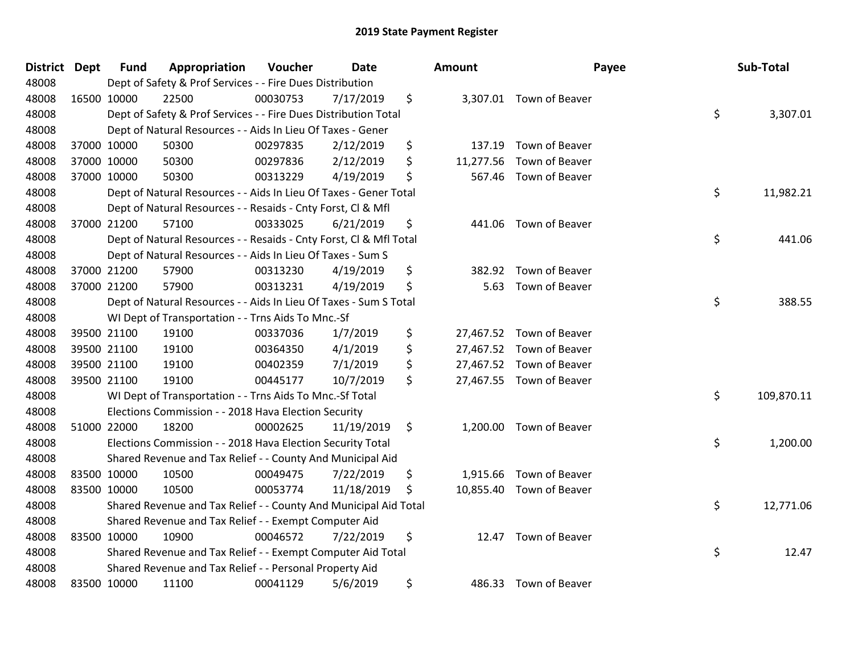| <b>District</b> | <b>Dept</b> | <b>Fund</b> | Appropriation                                                      | Voucher  | <b>Date</b> |    | <b>Amount</b> |                          | Payee | Sub-Total  |
|-----------------|-------------|-------------|--------------------------------------------------------------------|----------|-------------|----|---------------|--------------------------|-------|------------|
| 48008           |             |             | Dept of Safety & Prof Services - - Fire Dues Distribution          |          |             |    |               |                          |       |            |
| 48008           | 16500 10000 |             | 22500                                                              | 00030753 | 7/17/2019   | \$ |               | 3,307.01 Town of Beaver  |       |            |
| 48008           |             |             | Dept of Safety & Prof Services - - Fire Dues Distribution Total    |          |             |    |               |                          | \$    | 3,307.01   |
| 48008           |             |             | Dept of Natural Resources - - Aids In Lieu Of Taxes - Gener        |          |             |    |               |                          |       |            |
| 48008           | 37000 10000 |             | 50300                                                              | 00297835 | 2/12/2019   | \$ | 137.19        | Town of Beaver           |       |            |
| 48008           | 37000 10000 |             | 50300                                                              | 00297836 | 2/12/2019   | \$ | 11,277.56     | Town of Beaver           |       |            |
| 48008           | 37000 10000 |             | 50300                                                              | 00313229 | 4/19/2019   | \$ | 567.46        | Town of Beaver           |       |            |
| 48008           |             |             | Dept of Natural Resources - - Aids In Lieu Of Taxes - Gener Total  |          |             |    |               |                          | \$    | 11,982.21  |
| 48008           |             |             | Dept of Natural Resources - - Resaids - Cnty Forst, Cl & Mfl       |          |             |    |               |                          |       |            |
| 48008           | 37000 21200 |             | 57100                                                              | 00333025 | 6/21/2019   | \$ | 441.06        | Town of Beaver           |       |            |
| 48008           |             |             | Dept of Natural Resources - - Resaids - Cnty Forst, Cl & Mfl Total |          |             |    |               |                          | \$    | 441.06     |
| 48008           |             |             | Dept of Natural Resources - - Aids In Lieu Of Taxes - Sum S        |          |             |    |               |                          |       |            |
| 48008           | 37000 21200 |             | 57900                                                              | 00313230 | 4/19/2019   | \$ | 382.92        | Town of Beaver           |       |            |
| 48008           | 37000 21200 |             | 57900                                                              | 00313231 | 4/19/2019   | \$ | 5.63          | Town of Beaver           |       |            |
| 48008           |             |             | Dept of Natural Resources - - Aids In Lieu Of Taxes - Sum S Total  |          |             |    |               |                          | \$    | 388.55     |
| 48008           |             |             | WI Dept of Transportation - - Trns Aids To Mnc.-Sf                 |          |             |    |               |                          |       |            |
| 48008           | 39500 21100 |             | 19100                                                              | 00337036 | 1/7/2019    | \$ |               | 27,467.52 Town of Beaver |       |            |
| 48008           | 39500 21100 |             | 19100                                                              | 00364350 | 4/1/2019    | \$ |               | 27,467.52 Town of Beaver |       |            |
| 48008           | 39500 21100 |             | 19100                                                              | 00402359 | 7/1/2019    | \$ |               | 27,467.52 Town of Beaver |       |            |
| 48008           | 39500 21100 |             | 19100                                                              | 00445177 | 10/7/2019   | \$ |               | 27,467.55 Town of Beaver |       |            |
| 48008           |             |             | WI Dept of Transportation - - Trns Aids To Mnc.-Sf Total           |          |             |    |               |                          | \$    | 109,870.11 |
| 48008           |             |             | Elections Commission - - 2018 Hava Election Security               |          |             |    |               |                          |       |            |
| 48008           | 51000 22000 |             | 18200                                                              | 00002625 | 11/19/2019  | \$ | 1,200.00      | Town of Beaver           |       |            |
| 48008           |             |             | Elections Commission - - 2018 Hava Election Security Total         |          |             |    |               |                          | \$    | 1,200.00   |
| 48008           |             |             | Shared Revenue and Tax Relief - - County And Municipal Aid         |          |             |    |               |                          |       |            |
| 48008           | 83500 10000 |             | 10500                                                              | 00049475 | 7/22/2019   | \$ | 1,915.66      | Town of Beaver           |       |            |
| 48008           | 83500 10000 |             | 10500                                                              | 00053774 | 11/18/2019  | \$ |               | 10,855.40 Town of Beaver |       |            |
| 48008           |             |             | Shared Revenue and Tax Relief - - County And Municipal Aid Total   |          |             |    |               |                          | \$    | 12,771.06  |
| 48008           |             |             | Shared Revenue and Tax Relief - - Exempt Computer Aid              |          |             |    |               |                          |       |            |
| 48008           | 83500 10000 |             | 10900                                                              | 00046572 | 7/22/2019   | \$ | 12.47         | Town of Beaver           |       |            |
| 48008           |             |             | Shared Revenue and Tax Relief - - Exempt Computer Aid Total        |          |             |    |               |                          | \$    | 12.47      |
| 48008           |             |             | Shared Revenue and Tax Relief - - Personal Property Aid            |          |             |    |               |                          |       |            |
| 48008           | 83500 10000 |             | 11100                                                              | 00041129 | 5/6/2019    | \$ |               | 486.33 Town of Beaver    |       |            |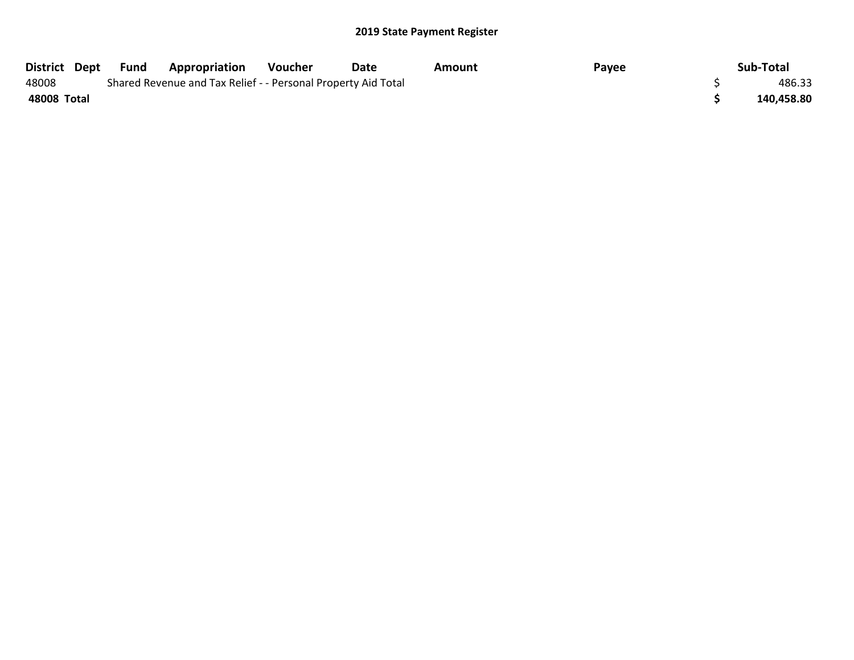| District Dept | Fund | <b>Appropriation</b>                                          | Voucher | Date | Amount | Payee | Sub-Total  |
|---------------|------|---------------------------------------------------------------|---------|------|--------|-------|------------|
| 48008         |      | Shared Revenue and Tax Relief - - Personal Property Aid Total |         |      |        |       | 486.33     |
| 48008 Total   |      |                                                               |         |      |        |       | 140,458.80 |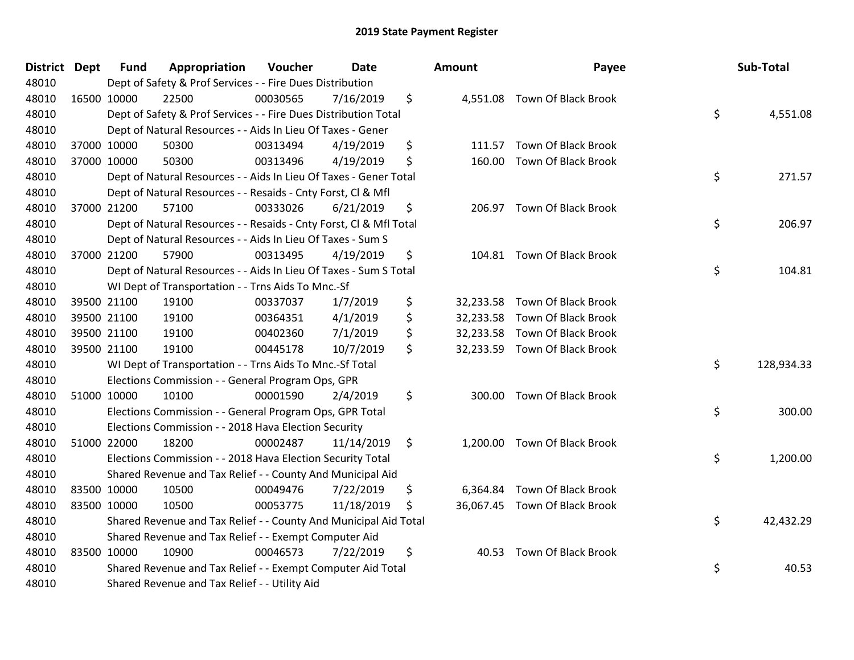| District Dept | Fund        | Appropriation                                                      | Voucher  | <b>Date</b> | Amount          | Payee                         | Sub-Total        |
|---------------|-------------|--------------------------------------------------------------------|----------|-------------|-----------------|-------------------------------|------------------|
| 48010         |             | Dept of Safety & Prof Services - - Fire Dues Distribution          |          |             |                 |                               |                  |
| 48010         | 16500 10000 | 22500                                                              | 00030565 | 7/16/2019   | \$              | 4,551.08 Town Of Black Brook  |                  |
| 48010         |             | Dept of Safety & Prof Services - - Fire Dues Distribution Total    |          |             |                 |                               | \$<br>4,551.08   |
| 48010         |             | Dept of Natural Resources - - Aids In Lieu Of Taxes - Gener        |          |             |                 |                               |                  |
| 48010         | 37000 10000 | 50300                                                              | 00313494 | 4/19/2019   | \$<br>111.57    | <b>Town Of Black Brook</b>    |                  |
| 48010         | 37000 10000 | 50300                                                              | 00313496 | 4/19/2019   | \$<br>160.00    | Town Of Black Brook           |                  |
| 48010         |             | Dept of Natural Resources - - Aids In Lieu Of Taxes - Gener Total  |          |             |                 |                               | \$<br>271.57     |
| 48010         |             | Dept of Natural Resources - - Resaids - Cnty Forst, Cl & Mfl       |          |             |                 |                               |                  |
| 48010         | 37000 21200 | 57100                                                              | 00333026 | 6/21/2019   | \$              | 206.97 Town Of Black Brook    |                  |
| 48010         |             | Dept of Natural Resources - - Resaids - Cnty Forst, CI & Mfl Total |          |             |                 |                               | \$<br>206.97     |
| 48010         |             | Dept of Natural Resources - - Aids In Lieu Of Taxes - Sum S        |          |             |                 |                               |                  |
| 48010         | 37000 21200 | 57900                                                              | 00313495 | 4/19/2019   | \$              | 104.81 Town Of Black Brook    |                  |
| 48010         |             | Dept of Natural Resources - - Aids In Lieu Of Taxes - Sum S Total  |          |             |                 |                               | \$<br>104.81     |
| 48010         |             | WI Dept of Transportation - - Trns Aids To Mnc.-Sf                 |          |             |                 |                               |                  |
| 48010         | 39500 21100 | 19100                                                              | 00337037 | 1/7/2019    | \$<br>32,233.58 | Town Of Black Brook           |                  |
| 48010         | 39500 21100 | 19100                                                              | 00364351 | 4/1/2019    | \$<br>32,233.58 | <b>Town Of Black Brook</b>    |                  |
| 48010         | 39500 21100 | 19100                                                              | 00402360 | 7/1/2019    | \$<br>32,233.58 | Town Of Black Brook           |                  |
| 48010         | 39500 21100 | 19100                                                              | 00445178 | 10/7/2019   | \$              | 32,233.59 Town Of Black Brook |                  |
| 48010         |             | WI Dept of Transportation - - Trns Aids To Mnc.-Sf Total           |          |             |                 |                               | \$<br>128,934.33 |
| 48010         |             | Elections Commission - - General Program Ops, GPR                  |          |             |                 |                               |                  |
| 48010         | 51000 10000 | 10100                                                              | 00001590 | 2/4/2019    | \$              | 300.00 Town Of Black Brook    |                  |
| 48010         |             | Elections Commission - - General Program Ops, GPR Total            |          |             |                 |                               | \$<br>300.00     |
| 48010         |             | Elections Commission - - 2018 Hava Election Security               |          |             |                 |                               |                  |
| 48010         | 51000 22000 | 18200                                                              | 00002487 | 11/14/2019  | \$<br>1,200.00  | <b>Town Of Black Brook</b>    |                  |
| 48010         |             | Elections Commission - - 2018 Hava Election Security Total         |          |             |                 |                               | \$<br>1,200.00   |
| 48010         |             | Shared Revenue and Tax Relief - - County And Municipal Aid         |          |             |                 |                               |                  |
| 48010         | 83500 10000 | 10500                                                              | 00049476 | 7/22/2019   | \$<br>6,364.84  | Town Of Black Brook           |                  |
| 48010         | 83500 10000 | 10500                                                              | 00053775 | 11/18/2019  | \$              | 36,067.45 Town Of Black Brook |                  |
| 48010         |             | Shared Revenue and Tax Relief - - County And Municipal Aid Total   |          |             |                 |                               | \$<br>42,432.29  |
| 48010         |             | Shared Revenue and Tax Relief - - Exempt Computer Aid              |          |             |                 |                               |                  |
| 48010         | 83500 10000 | 10900                                                              | 00046573 | 7/22/2019   | \$<br>40.53     | Town Of Black Brook           |                  |
| 48010         |             | Shared Revenue and Tax Relief - - Exempt Computer Aid Total        |          |             |                 |                               | \$<br>40.53      |
| 48010         |             | Shared Revenue and Tax Relief - - Utility Aid                      |          |             |                 |                               |                  |

| ıount     | Payee                         | Sub-Total        |
|-----------|-------------------------------|------------------|
| 4,551.08  | Town Of Black Brook           | \$<br>4,551.08   |
| 111.57    | Town Of Black Brook           |                  |
| 160.00    | <b>Town Of Black Brook</b>    | \$<br>271.57     |
| 206.97    | <b>Town Of Black Brook</b>    | \$<br>206.97     |
| 104.81    | <b>Town Of Black Brook</b>    | \$<br>104.81     |
| 32,233.58 | <b>Town Of Black Brook</b>    |                  |
|           | 32,233.58 Town Of Black Brook |                  |
|           | 32,233.58 Town Of Black Brook |                  |
| 32,233.59 | <b>Town Of Black Brook</b>    |                  |
|           |                               | \$<br>128,934.33 |
| 300.00    | <b>Town Of Black Brook</b>    | \$<br>300.00     |
| 1,200.00  | Town Of Black Brook           | \$<br>1,200.00   |
|           | 6,364.84 Town Of Black Brook  |                  |
| 36,067.45 | <b>Town Of Black Brook</b>    |                  |
|           |                               | \$<br>42,432.29  |
| 40.53     | <b>Town Of Black Brook</b>    | \$<br>40.53      |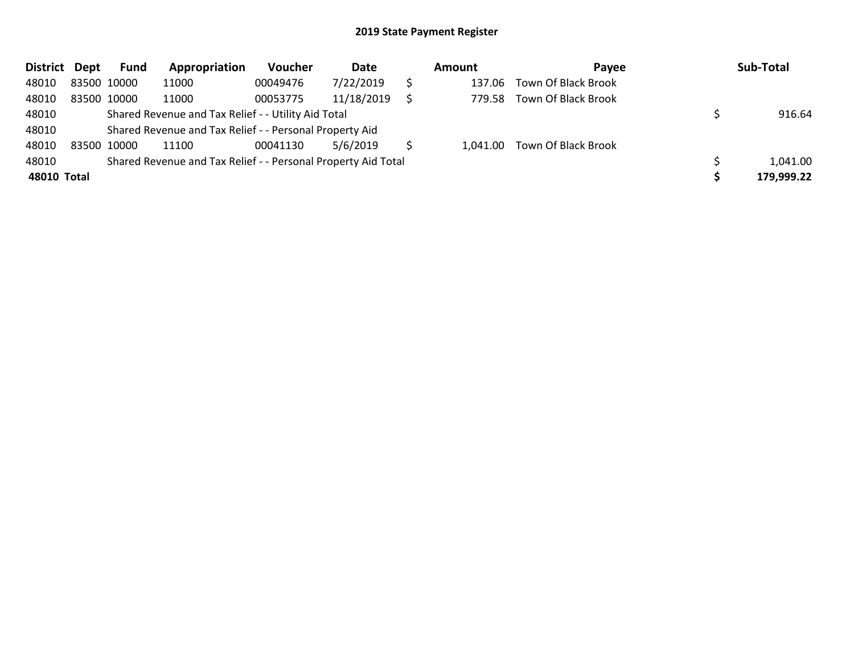| <b>District</b> | Dept        | Fund        | Appropriation                                                 | Voucher  | Date       | Amount | Pavee                        | Sub-Total  |
|-----------------|-------------|-------------|---------------------------------------------------------------|----------|------------|--------|------------------------------|------------|
| 48010           | 83500 10000 |             | 11000                                                         | 00049476 | 7/22/2019  | 137.06 | <b>Town Of Black Brook</b>   |            |
| 48010           |             | 83500 10000 | 11000                                                         | 00053775 | 11/18/2019 | 779.58 | <b>Town Of Black Brook</b>   |            |
| 48010           |             |             | Shared Revenue and Tax Relief - - Utility Aid Total           |          |            |        |                              | 916.64     |
| 48010           |             |             | Shared Revenue and Tax Relief - - Personal Property Aid       |          |            |        |                              |            |
| 48010           |             | 83500 10000 | 11100                                                         | 00041130 | 5/6/2019   |        | 1,041.00 Town Of Black Brook |            |
| 48010           |             |             | Shared Revenue and Tax Relief - - Personal Property Aid Total |          |            |        |                              | 1,041.00   |
| 48010 Total     |             |             |                                                               |          |            |        |                              | 179,999.22 |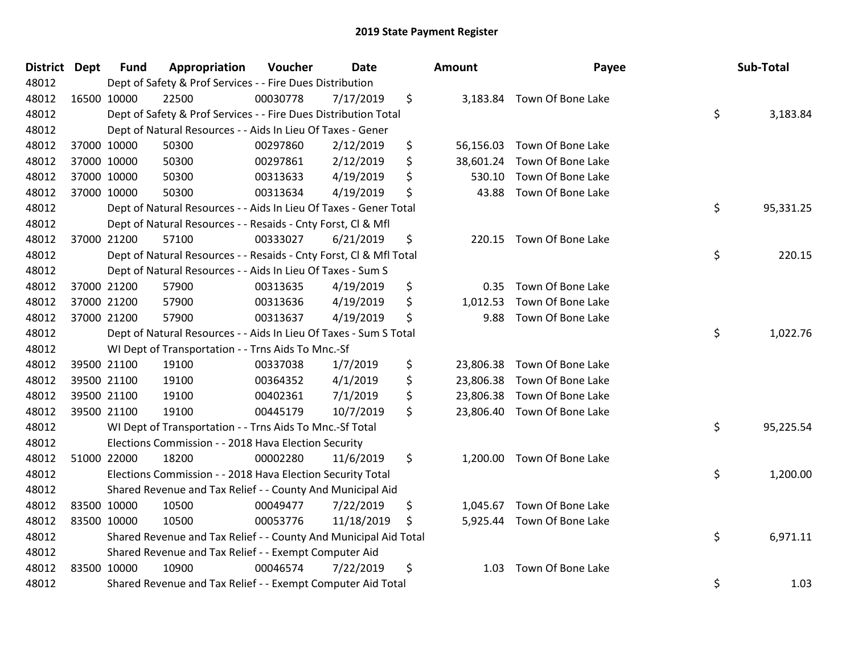| District Dept | <b>Fund</b> | Appropriation                                                      | Voucher  | Date       | <b>Amount</b>   | Payee                    | Sub-Total       |
|---------------|-------------|--------------------------------------------------------------------|----------|------------|-----------------|--------------------------|-----------------|
| 48012         |             | Dept of Safety & Prof Services - - Fire Dues Distribution          |          |            |                 |                          |                 |
| 48012         | 16500 10000 | 22500                                                              | 00030778 | 7/17/2019  | \$<br>3,183.84  | Town Of Bone Lake        |                 |
| 48012         |             | Dept of Safety & Prof Services - - Fire Dues Distribution Total    |          |            |                 |                          | \$<br>3,183.84  |
| 48012         |             | Dept of Natural Resources - - Aids In Lieu Of Taxes - Gener        |          |            |                 |                          |                 |
| 48012         | 37000 10000 | 50300                                                              | 00297860 | 2/12/2019  | \$<br>56,156.03 | Town Of Bone Lake        |                 |
| 48012         | 37000 10000 | 50300                                                              | 00297861 | 2/12/2019  | \$<br>38,601.24 | Town Of Bone Lake        |                 |
| 48012         | 37000 10000 | 50300                                                              | 00313633 | 4/19/2019  | \$<br>530.10    | Town Of Bone Lake        |                 |
| 48012         | 37000 10000 | 50300                                                              | 00313634 | 4/19/2019  | \$<br>43.88     | Town Of Bone Lake        |                 |
| 48012         |             | Dept of Natural Resources - - Aids In Lieu Of Taxes - Gener Total  |          |            |                 |                          | \$<br>95,331.25 |
| 48012         |             | Dept of Natural Resources - - Resaids - Cnty Forst, Cl & Mfl       |          |            |                 |                          |                 |
| 48012         | 37000 21200 | 57100                                                              | 00333027 | 6/21/2019  | \$              | 220.15 Town Of Bone Lake |                 |
| 48012         |             | Dept of Natural Resources - - Resaids - Cnty Forst, Cl & Mfl Total |          |            |                 |                          | \$<br>220.15    |
| 48012         |             | Dept of Natural Resources - - Aids In Lieu Of Taxes - Sum S        |          |            |                 |                          |                 |
| 48012         | 37000 21200 | 57900                                                              | 00313635 | 4/19/2019  | \$<br>0.35      | Town Of Bone Lake        |                 |
| 48012         | 37000 21200 | 57900                                                              | 00313636 | 4/19/2019  | \$<br>1,012.53  | Town Of Bone Lake        |                 |
| 48012         | 37000 21200 | 57900                                                              | 00313637 | 4/19/2019  | \$<br>9.88      | Town Of Bone Lake        |                 |
| 48012         |             | Dept of Natural Resources - - Aids In Lieu Of Taxes - Sum S Total  |          |            |                 |                          | \$<br>1,022.76  |
| 48012         |             | WI Dept of Transportation - - Trns Aids To Mnc.-Sf                 |          |            |                 |                          |                 |
| 48012         | 39500 21100 | 19100                                                              | 00337038 | 1/7/2019   | \$<br>23,806.38 | Town Of Bone Lake        |                 |
| 48012         | 39500 21100 | 19100                                                              | 00364352 | 4/1/2019   | \$<br>23,806.38 | Town Of Bone Lake        |                 |
| 48012         | 39500 21100 | 19100                                                              | 00402361 | 7/1/2019   | \$<br>23,806.38 | Town Of Bone Lake        |                 |
| 48012         | 39500 21100 | 19100                                                              | 00445179 | 10/7/2019  | \$<br>23,806.40 | Town Of Bone Lake        |                 |
| 48012         |             | WI Dept of Transportation - - Trns Aids To Mnc.-Sf Total           |          |            |                 |                          | \$<br>95,225.54 |
| 48012         |             | Elections Commission - - 2018 Hava Election Security               |          |            |                 |                          |                 |
| 48012         | 51000 22000 | 18200                                                              | 00002280 | 11/6/2019  | \$<br>1,200.00  | Town Of Bone Lake        |                 |
| 48012         |             | Elections Commission - - 2018 Hava Election Security Total         |          |            |                 |                          | \$<br>1,200.00  |
| 48012         |             | Shared Revenue and Tax Relief - - County And Municipal Aid         |          |            |                 |                          |                 |
| 48012         | 83500 10000 | 10500                                                              | 00049477 | 7/22/2019  | \$<br>1,045.67  | Town Of Bone Lake        |                 |
| 48012         | 83500 10000 | 10500                                                              | 00053776 | 11/18/2019 | \$<br>5,925.44  | Town Of Bone Lake        |                 |
| 48012         |             | Shared Revenue and Tax Relief - - County And Municipal Aid Total   |          |            |                 |                          | \$<br>6,971.11  |
| 48012         |             | Shared Revenue and Tax Relief - - Exempt Computer Aid              |          |            |                 |                          |                 |
| 48012         | 83500 10000 | 10900                                                              | 00046574 | 7/22/2019  | \$<br>1.03      | Town Of Bone Lake        |                 |
| 48012         |             | Shared Revenue and Tax Relief - - Exempt Computer Aid Total        |          |            |                 |                          | \$<br>1.03      |

| nount     | Payee                      | Sub-Total       |
|-----------|----------------------------|-----------------|
| 3,183.84  | Town Of Bone Lake          | \$<br>3,183.84  |
| 56,156.03 | Town Of Bone Lake          |                 |
| 38,601.24 | Town Of Bone Lake          |                 |
| 530.10    | Town Of Bone Lake          |                 |
| 43.88     | Town Of Bone Lake          |                 |
|           |                            | \$<br>95,331.25 |
| 220.15    | Town Of Bone Lake          |                 |
|           |                            | \$<br>220.15    |
| 0.35      | Town Of Bone Lake          |                 |
| 1,012.53  | Town Of Bone Lake          |                 |
| 9.88      | Town Of Bone Lake          |                 |
|           |                            | \$<br>1,022.76  |
| 23,806.38 | Town Of Bone Lake          |                 |
| 23,806.38 | Town Of Bone Lake          |                 |
| 23,806.38 | Town Of Bone Lake          |                 |
| 23,806.40 | Town Of Bone Lake          |                 |
|           |                            | \$<br>95,225.54 |
| 1,200.00  | Town Of Bone Lake          |                 |
|           |                            | \$<br>1,200.00  |
|           | 1,045.67 Town Of Bone Lake |                 |
| 5,925.44  | Town Of Bone Lake          |                 |
|           |                            | \$<br>6,971.11  |
| 1.03      | Town Of Bone Lake          |                 |
|           |                            | \$<br>1.03      |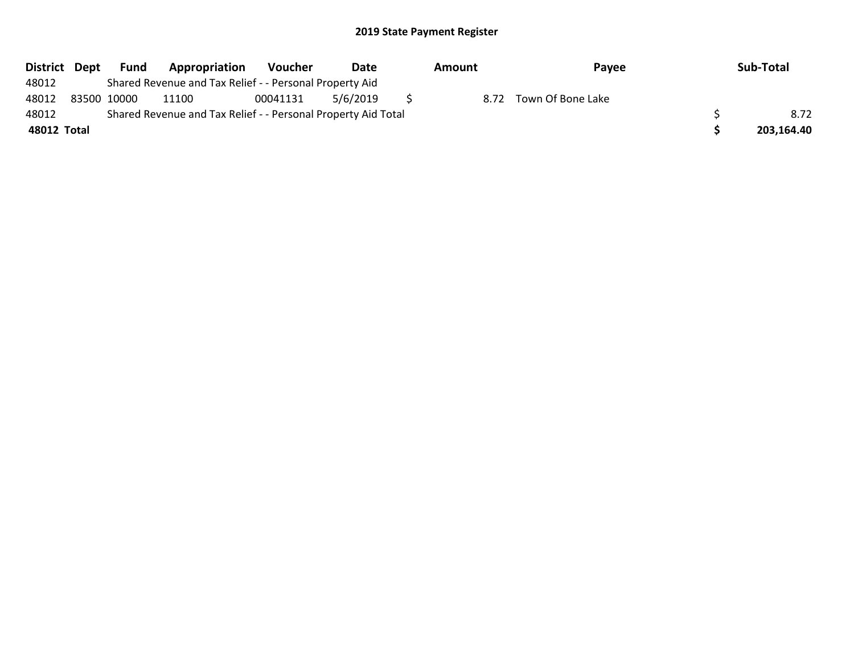| <b>District</b> | Dept        | <b>Fund</b> | Appropriation                                                 | Voucher  | Date     | Amount | Payee             | Sub-Total  |
|-----------------|-------------|-------------|---------------------------------------------------------------|----------|----------|--------|-------------------|------------|
| 48012           |             |             | Shared Revenue and Tax Relief - - Personal Property Aid       |          |          |        |                   |            |
| 48012           | 83500 10000 |             | 11100                                                         | 00041131 | 5/6/2019 | 8.72   | Town Of Bone Lake |            |
| 48012           |             |             | Shared Revenue and Tax Relief - - Personal Property Aid Total |          |          |        |                   | 8.72       |
| 48012 Total     |             |             |                                                               |          |          |        |                   | 203,164.40 |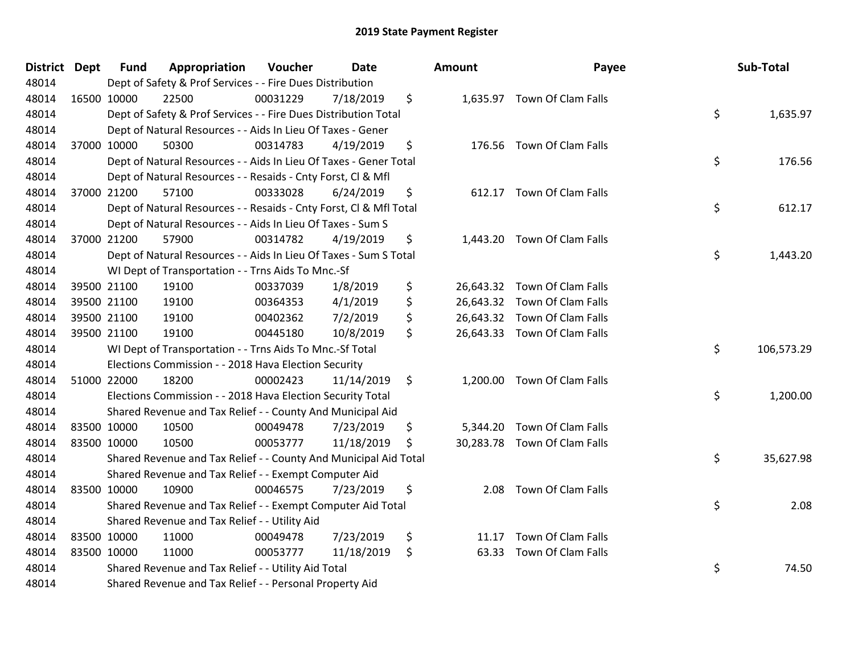| District Dept | <b>Fund</b> | Appropriation                                                      | Voucher  | <b>Date</b> | Amount      | Payee                        | Sub-Total        |
|---------------|-------------|--------------------------------------------------------------------|----------|-------------|-------------|------------------------------|------------------|
| 48014         |             | Dept of Safety & Prof Services - - Fire Dues Distribution          |          |             |             |                              |                  |
| 48014         | 16500 10000 | 22500                                                              | 00031229 | 7/18/2019   | \$          | 1,635.97 Town Of Clam Falls  |                  |
| 48014         |             | Dept of Safety & Prof Services - - Fire Dues Distribution Total    |          |             |             |                              | \$<br>1,635.97   |
| 48014         |             | Dept of Natural Resources - - Aids In Lieu Of Taxes - Gener        |          |             |             |                              |                  |
| 48014         | 37000 10000 | 50300                                                              | 00314783 | 4/19/2019   | \$          | 176.56 Town Of Clam Falls    |                  |
| 48014         |             | Dept of Natural Resources - - Aids In Lieu Of Taxes - Gener Total  |          |             |             |                              | \$<br>176.56     |
| 48014         |             | Dept of Natural Resources - - Resaids - Cnty Forst, Cl & Mfl       |          |             |             |                              |                  |
| 48014         | 37000 21200 | 57100                                                              | 00333028 | 6/24/2019   | \$          | 612.17 Town Of Clam Falls    |                  |
| 48014         |             | Dept of Natural Resources - - Resaids - Cnty Forst, Cl & Mfl Total |          |             |             |                              | \$<br>612.17     |
| 48014         |             | Dept of Natural Resources - - Aids In Lieu Of Taxes - Sum S        |          |             |             |                              |                  |
| 48014         | 37000 21200 | 57900                                                              | 00314782 | 4/19/2019   | \$          | 1,443.20 Town Of Clam Falls  |                  |
| 48014         |             | Dept of Natural Resources - - Aids In Lieu Of Taxes - Sum S Total  |          |             |             |                              | \$<br>1,443.20   |
| 48014         |             | WI Dept of Transportation - - Trns Aids To Mnc.-Sf                 |          |             |             |                              |                  |
| 48014         | 39500 21100 | 19100                                                              | 00337039 | 1/8/2019    | \$          | 26,643.32 Town Of Clam Falls |                  |
| 48014         | 39500 21100 | 19100                                                              | 00364353 | 4/1/2019    | \$          | 26,643.32 Town Of Clam Falls |                  |
| 48014         | 39500 21100 | 19100                                                              | 00402362 | 7/2/2019    | \$          | 26,643.32 Town Of Clam Falls |                  |
| 48014         | 39500 21100 | 19100                                                              | 00445180 | 10/8/2019   | \$          | 26,643.33 Town Of Clam Falls |                  |
| 48014         |             | WI Dept of Transportation - - Trns Aids To Mnc.-Sf Total           |          |             |             |                              | \$<br>106,573.29 |
| 48014         |             | Elections Commission - - 2018 Hava Election Security               |          |             |             |                              |                  |
| 48014         | 51000 22000 | 18200                                                              | 00002423 | 11/14/2019  | \$          | 1,200.00 Town Of Clam Falls  |                  |
| 48014         |             | Elections Commission - - 2018 Hava Election Security Total         |          |             |             |                              | \$<br>1,200.00   |
| 48014         |             | Shared Revenue and Tax Relief - - County And Municipal Aid         |          |             |             |                              |                  |
| 48014         | 83500 10000 | 10500                                                              | 00049478 | 7/23/2019   | \$          | 5,344.20 Town Of Clam Falls  |                  |
| 48014         | 83500 10000 | 10500                                                              | 00053777 | 11/18/2019  | \$          | 30,283.78 Town Of Clam Falls |                  |
| 48014         |             | Shared Revenue and Tax Relief - - County And Municipal Aid Total   |          |             |             |                              | \$<br>35,627.98  |
| 48014         |             | Shared Revenue and Tax Relief - - Exempt Computer Aid              |          |             |             |                              |                  |
| 48014         | 83500 10000 | 10900                                                              | 00046575 | 7/23/2019   | \$          | 2.08 Town Of Clam Falls      |                  |
| 48014         |             | Shared Revenue and Tax Relief - - Exempt Computer Aid Total        |          |             |             |                              | \$<br>2.08       |
| 48014         |             | Shared Revenue and Tax Relief - - Utility Aid                      |          |             |             |                              |                  |
| 48014         | 83500 10000 | 11000                                                              | 00049478 | 7/23/2019   | \$          | 11.17 Town Of Clam Falls     |                  |
| 48014         | 83500 10000 | 11000                                                              | 00053777 | 11/18/2019  | \$<br>63.33 | Town Of Clam Falls           |                  |
| 48014         |             | Shared Revenue and Tax Relief - - Utility Aid Total                |          |             |             |                              | \$<br>74.50      |
| 48014         |             | Shared Revenue and Tax Relief - - Personal Property Aid            |          |             |             |                              |                  |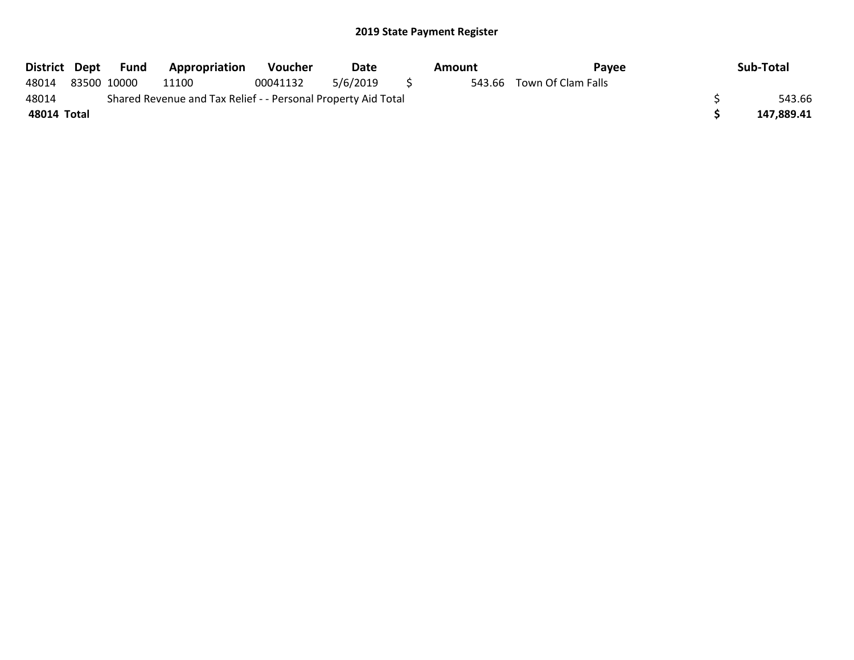| District Dept |                                                               | Fund | <b>Appropriation</b> | <b>Voucher</b> | Date     |  | Amount | Pavee                     |  | Sub-Total  |
|---------------|---------------------------------------------------------------|------|----------------------|----------------|----------|--|--------|---------------------------|--|------------|
| 48014         | 83500 10000                                                   |      | 11100                | 00041132       | 5/6/2019 |  |        | 543.66 Town Of Clam Falls |  |            |
| 48014         | Shared Revenue and Tax Relief - - Personal Property Aid Total |      |                      |                |          |  |        |                           |  | 543.66     |
| 48014 Total   |                                                               |      |                      |                |          |  |        |                           |  | 147,889.41 |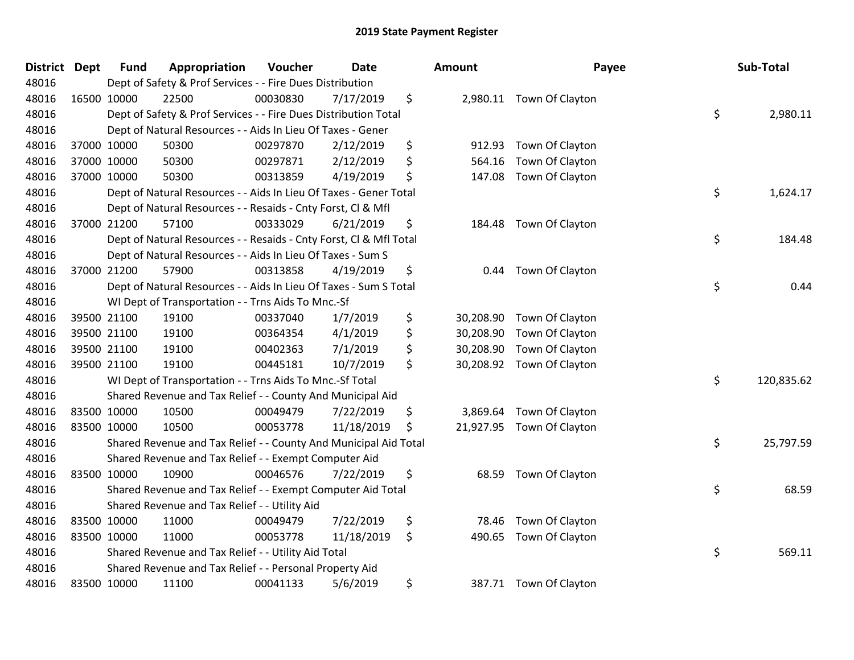| District Dept | <b>Fund</b> | Appropriation                                                      | Voucher  | <b>Date</b> | <b>Amount</b>   | Payee                    | Sub-Total        |
|---------------|-------------|--------------------------------------------------------------------|----------|-------------|-----------------|--------------------------|------------------|
| 48016         |             | Dept of Safety & Prof Services - - Fire Dues Distribution          |          |             |                 |                          |                  |
| 48016         | 16500 10000 | 22500                                                              | 00030830 | 7/17/2019   | \$              | 2,980.11 Town Of Clayton |                  |
| 48016         |             | Dept of Safety & Prof Services - - Fire Dues Distribution Total    |          |             |                 |                          | \$<br>2,980.11   |
| 48016         |             | Dept of Natural Resources - - Aids In Lieu Of Taxes - Gener        |          |             |                 |                          |                  |
| 48016         | 37000 10000 | 50300                                                              | 00297870 | 2/12/2019   | \$<br>912.93    | Town Of Clayton          |                  |
| 48016         | 37000 10000 | 50300                                                              | 00297871 | 2/12/2019   | \$<br>564.16    | Town Of Clayton          |                  |
| 48016         | 37000 10000 | 50300                                                              | 00313859 | 4/19/2019   | \$<br>147.08    | Town Of Clayton          |                  |
| 48016         |             | Dept of Natural Resources - - Aids In Lieu Of Taxes - Gener Total  |          |             |                 |                          | \$<br>1,624.17   |
| 48016         |             | Dept of Natural Resources - - Resaids - Cnty Forst, Cl & Mfl       |          |             |                 |                          |                  |
| 48016         | 37000 21200 | 57100                                                              | 00333029 | 6/21/2019   | \$<br>184.48    | Town Of Clayton          |                  |
| 48016         |             | Dept of Natural Resources - - Resaids - Cnty Forst, CI & Mfl Total |          |             |                 |                          | \$<br>184.48     |
| 48016         |             | Dept of Natural Resources - - Aids In Lieu Of Taxes - Sum S        |          |             |                 |                          |                  |
| 48016         | 37000 21200 | 57900                                                              | 00313858 | 4/19/2019   | \$<br>0.44      | Town Of Clayton          |                  |
| 48016         |             | Dept of Natural Resources - - Aids In Lieu Of Taxes - Sum S Total  |          |             |                 |                          | \$<br>0.44       |
| 48016         |             | WI Dept of Transportation - - Trns Aids To Mnc.-Sf                 |          |             |                 |                          |                  |
| 48016         | 39500 21100 | 19100                                                              | 00337040 | 1/7/2019    | \$<br>30,208.90 | Town Of Clayton          |                  |
| 48016         | 39500 21100 | 19100                                                              | 00364354 | 4/1/2019    | \$<br>30,208.90 | Town Of Clayton          |                  |
| 48016         | 39500 21100 | 19100                                                              | 00402363 | 7/1/2019    | \$<br>30,208.90 | Town Of Clayton          |                  |
| 48016         | 39500 21100 | 19100                                                              | 00445181 | 10/7/2019   | \$<br>30,208.92 | Town Of Clayton          |                  |
| 48016         |             | WI Dept of Transportation - - Trns Aids To Mnc.-Sf Total           |          |             |                 |                          | \$<br>120,835.62 |
| 48016         |             | Shared Revenue and Tax Relief - - County And Municipal Aid         |          |             |                 |                          |                  |
| 48016         | 83500 10000 | 10500                                                              | 00049479 | 7/22/2019   | \$<br>3,869.64  | Town Of Clayton          |                  |
| 48016         | 83500 10000 | 10500                                                              | 00053778 | 11/18/2019  | \$<br>21,927.95 | Town Of Clayton          |                  |
| 48016         |             | Shared Revenue and Tax Relief - - County And Municipal Aid Total   |          |             |                 |                          | \$<br>25,797.59  |
| 48016         |             | Shared Revenue and Tax Relief - - Exempt Computer Aid              |          |             |                 |                          |                  |
| 48016         | 83500 10000 | 10900                                                              | 00046576 | 7/22/2019   | \$<br>68.59     | Town Of Clayton          |                  |
| 48016         |             | Shared Revenue and Tax Relief - - Exempt Computer Aid Total        |          |             |                 |                          | \$<br>68.59      |
| 48016         |             | Shared Revenue and Tax Relief - - Utility Aid                      |          |             |                 |                          |                  |
| 48016         | 83500 10000 | 11000                                                              | 00049479 | 7/22/2019   | \$<br>78.46     | Town Of Clayton          |                  |
| 48016         | 83500 10000 | 11000                                                              | 00053778 | 11/18/2019  | \$<br>490.65    | Town Of Clayton          |                  |
| 48016         |             | Shared Revenue and Tax Relief - - Utility Aid Total                |          |             |                 |                          | \$<br>569.11     |
| 48016         |             | Shared Revenue and Tax Relief - - Personal Property Aid            |          |             |                 |                          |                  |
| 48016         | 83500 10000 | 11100                                                              | 00041133 | 5/6/2019    | \$              | 387.71 Town Of Clayton   |                  |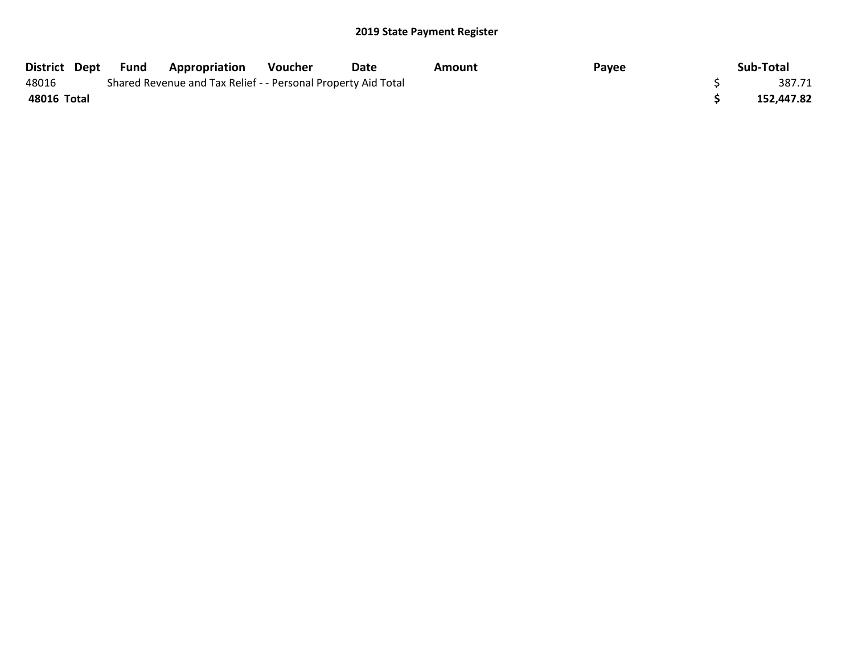| District Dept | Fund | <b>Appropriation</b>                                          | Voucher | Date | Amount | Payee | Sub-Total  |
|---------------|------|---------------------------------------------------------------|---------|------|--------|-------|------------|
| 48016         |      | Shared Revenue and Tax Relief - - Personal Property Aid Total |         |      |        |       | 387.71     |
| 48016 Total   |      |                                                               |         |      |        |       | 152,447.82 |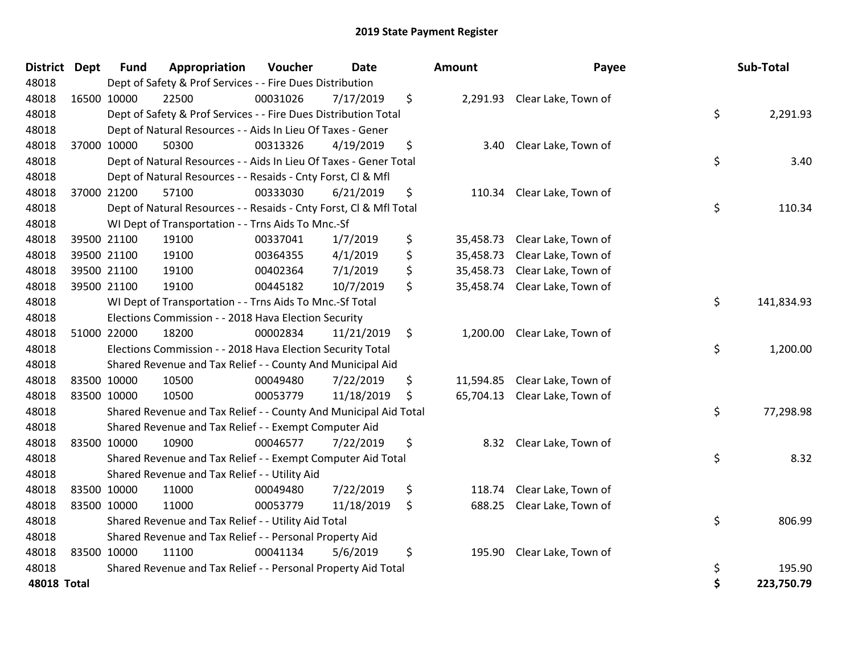| <b>District</b>    | <b>Dept</b> | <b>Fund</b> | Appropriation                                                      | Voucher  | <b>Date</b> | <b>Amount</b>   | Payee                         | Sub-Total        |
|--------------------|-------------|-------------|--------------------------------------------------------------------|----------|-------------|-----------------|-------------------------------|------------------|
| 48018              |             |             | Dept of Safety & Prof Services - - Fire Dues Distribution          |          |             |                 |                               |                  |
| 48018              |             | 16500 10000 | 22500                                                              | 00031026 | 7/17/2019   | \$              | 2,291.93 Clear Lake, Town of  |                  |
| 48018              |             |             | Dept of Safety & Prof Services - - Fire Dues Distribution Total    |          |             |                 |                               | \$<br>2,291.93   |
| 48018              |             |             | Dept of Natural Resources - - Aids In Lieu Of Taxes - Gener        |          |             |                 |                               |                  |
| 48018              |             | 37000 10000 | 50300                                                              | 00313326 | 4/19/2019   | \$<br>3.40      | Clear Lake, Town of           |                  |
| 48018              |             |             | Dept of Natural Resources - - Aids In Lieu Of Taxes - Gener Total  |          |             |                 |                               | \$<br>3.40       |
| 48018              |             |             | Dept of Natural Resources - - Resaids - Cnty Forst, Cl & Mfl       |          |             |                 |                               |                  |
| 48018              |             | 37000 21200 | 57100                                                              | 00333030 | 6/21/2019   | \$<br>110.34    | Clear Lake, Town of           |                  |
| 48018              |             |             | Dept of Natural Resources - - Resaids - Cnty Forst, CI & Mfl Total |          |             |                 |                               | \$<br>110.34     |
| 48018              |             |             | WI Dept of Transportation - - Trns Aids To Mnc.-Sf                 |          |             |                 |                               |                  |
| 48018              |             | 39500 21100 | 19100                                                              | 00337041 | 1/7/2019    | \$<br>35,458.73 | Clear Lake, Town of           |                  |
| 48018              |             | 39500 21100 | 19100                                                              | 00364355 | 4/1/2019    | \$<br>35,458.73 | Clear Lake, Town of           |                  |
| 48018              |             | 39500 21100 | 19100                                                              | 00402364 | 7/1/2019    | \$<br>35,458.73 | Clear Lake, Town of           |                  |
| 48018              |             | 39500 21100 | 19100                                                              | 00445182 | 10/7/2019   | \$<br>35,458.74 | Clear Lake, Town of           |                  |
| 48018              |             |             | WI Dept of Transportation - - Trns Aids To Mnc.-Sf Total           |          |             |                 |                               | \$<br>141,834.93 |
| 48018              |             |             | Elections Commission - - 2018 Hava Election Security               |          |             |                 |                               |                  |
| 48018              |             | 51000 22000 | 18200                                                              | 00002834 | 11/21/2019  | \$<br>1,200.00  | Clear Lake, Town of           |                  |
| 48018              |             |             | Elections Commission - - 2018 Hava Election Security Total         |          |             |                 |                               | \$<br>1,200.00   |
| 48018              |             |             | Shared Revenue and Tax Relief - - County And Municipal Aid         |          |             |                 |                               |                  |
| 48018              |             | 83500 10000 | 10500                                                              | 00049480 | 7/22/2019   | \$<br>11,594.85 | Clear Lake, Town of           |                  |
| 48018              |             | 83500 10000 | 10500                                                              | 00053779 | 11/18/2019  | \$              | 65,704.13 Clear Lake, Town of |                  |
| 48018              |             |             | Shared Revenue and Tax Relief - - County And Municipal Aid Total   |          |             |                 |                               | \$<br>77,298.98  |
| 48018              |             |             | Shared Revenue and Tax Relief - - Exempt Computer Aid              |          |             |                 |                               |                  |
| 48018              |             | 83500 10000 | 10900                                                              | 00046577 | 7/22/2019   | \$<br>8.32      | Clear Lake, Town of           |                  |
| 48018              |             |             | Shared Revenue and Tax Relief - - Exempt Computer Aid Total        |          |             |                 |                               | \$<br>8.32       |
| 48018              |             |             | Shared Revenue and Tax Relief - - Utility Aid                      |          |             |                 |                               |                  |
| 48018              |             | 83500 10000 | 11000                                                              | 00049480 | 7/22/2019   | \$<br>118.74    | Clear Lake, Town of           |                  |
| 48018              |             | 83500 10000 | 11000                                                              | 00053779 | 11/18/2019  | \$<br>688.25    | Clear Lake, Town of           |                  |
| 48018              |             |             | Shared Revenue and Tax Relief - - Utility Aid Total                |          |             |                 |                               | \$<br>806.99     |
| 48018              |             |             | Shared Revenue and Tax Relief - - Personal Property Aid            |          |             |                 |                               |                  |
| 48018              |             | 83500 10000 | 11100                                                              | 00041134 | 5/6/2019    | \$<br>195.90    | Clear Lake, Town of           |                  |
| 48018              |             |             | Shared Revenue and Tax Relief - - Personal Property Aid Total      |          |             |                 |                               | \$<br>195.90     |
| <b>48018 Total</b> |             |             |                                                                    |          |             |                 |                               | \$<br>223,750.79 |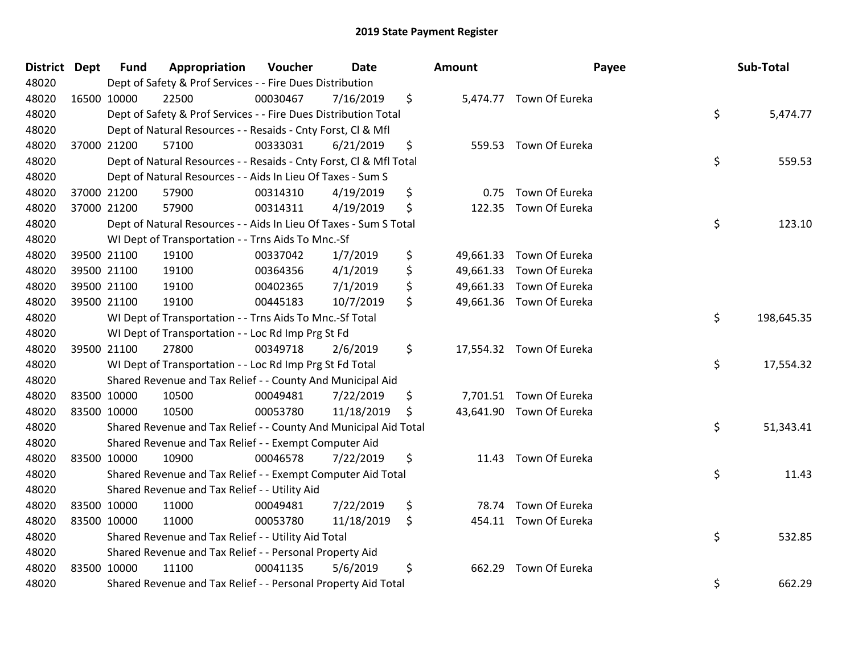| District Dept | <b>Fund</b> | Appropriation                                                      | Voucher  | <b>Date</b> | Amount       | Payee                    | Sub-Total        |
|---------------|-------------|--------------------------------------------------------------------|----------|-------------|--------------|--------------------------|------------------|
| 48020         |             | Dept of Safety & Prof Services - - Fire Dues Distribution          |          |             |              |                          |                  |
| 48020         | 16500 10000 | 22500                                                              | 00030467 | 7/16/2019   | \$           | 5,474.77 Town Of Eureka  |                  |
| 48020         |             | Dept of Safety & Prof Services - - Fire Dues Distribution Total    |          |             |              |                          | \$<br>5,474.77   |
| 48020         |             | Dept of Natural Resources - - Resaids - Cnty Forst, CI & Mfl       |          |             |              |                          |                  |
| 48020         | 37000 21200 | 57100                                                              | 00333031 | 6/21/2019   | \$           | 559.53 Town Of Eureka    |                  |
| 48020         |             | Dept of Natural Resources - - Resaids - Cnty Forst, Cl & Mfl Total |          |             |              |                          | \$<br>559.53     |
| 48020         |             | Dept of Natural Resources - - Aids In Lieu Of Taxes - Sum S        |          |             |              |                          |                  |
| 48020         | 37000 21200 | 57900                                                              | 00314310 | 4/19/2019   | \$<br>0.75   | Town Of Eureka           |                  |
| 48020         | 37000 21200 | 57900                                                              | 00314311 | 4/19/2019   | \$           | 122.35 Town Of Eureka    |                  |
| 48020         |             | Dept of Natural Resources - - Aids In Lieu Of Taxes - Sum S Total  |          |             |              |                          | \$<br>123.10     |
| 48020         |             | WI Dept of Transportation - - Trns Aids To Mnc.-Sf                 |          |             |              |                          |                  |
| 48020         | 39500 21100 | 19100                                                              | 00337042 | 1/7/2019    | \$           | 49,661.33 Town Of Eureka |                  |
| 48020         | 39500 21100 | 19100                                                              | 00364356 | 4/1/2019    | \$           | 49,661.33 Town Of Eureka |                  |
| 48020         | 39500 21100 | 19100                                                              | 00402365 | 7/1/2019    | \$           | 49,661.33 Town Of Eureka |                  |
| 48020         | 39500 21100 | 19100                                                              | 00445183 | 10/7/2019   | \$           | 49,661.36 Town Of Eureka |                  |
| 48020         |             | WI Dept of Transportation - - Trns Aids To Mnc.-Sf Total           |          |             |              |                          | \$<br>198,645.35 |
| 48020         |             | WI Dept of Transportation - - Loc Rd Imp Prg St Fd                 |          |             |              |                          |                  |
| 48020         | 39500 21100 | 27800                                                              | 00349718 | 2/6/2019    | \$           | 17,554.32 Town Of Eureka |                  |
| 48020         |             | WI Dept of Transportation - - Loc Rd Imp Prg St Fd Total           |          |             |              |                          | \$<br>17,554.32  |
| 48020         |             | Shared Revenue and Tax Relief - - County And Municipal Aid         |          |             |              |                          |                  |
| 48020         | 83500 10000 | 10500                                                              | 00049481 | 7/22/2019   | \$           | 7,701.51 Town Of Eureka  |                  |
| 48020         | 83500 10000 | 10500                                                              | 00053780 | 11/18/2019  | \$           | 43,641.90 Town Of Eureka |                  |
| 48020         |             | Shared Revenue and Tax Relief - - County And Municipal Aid Total   |          |             |              |                          | \$<br>51,343.41  |
| 48020         |             | Shared Revenue and Tax Relief - - Exempt Computer Aid              |          |             |              |                          |                  |
| 48020         | 83500 10000 | 10900                                                              | 00046578 | 7/22/2019   | \$<br>11.43  | Town Of Eureka           |                  |
| 48020         |             | Shared Revenue and Tax Relief - - Exempt Computer Aid Total        |          |             |              |                          | \$<br>11.43      |
| 48020         |             | Shared Revenue and Tax Relief - - Utility Aid                      |          |             |              |                          |                  |
| 48020         | 83500 10000 | 11000                                                              | 00049481 | 7/22/2019   | \$<br>78.74  | Town Of Eureka           |                  |
| 48020         | 83500 10000 | 11000                                                              | 00053780 | 11/18/2019  | \$           | 454.11 Town Of Eureka    |                  |
| 48020         |             | Shared Revenue and Tax Relief - - Utility Aid Total                |          |             |              |                          | \$<br>532.85     |
| 48020         |             | Shared Revenue and Tax Relief - - Personal Property Aid            |          |             |              |                          |                  |
| 48020         | 83500 10000 | 11100                                                              | 00041135 | 5/6/2019    | \$<br>662.29 | Town Of Eureka           |                  |
| 48020         |             | Shared Revenue and Tax Relief - - Personal Property Aid Total      |          |             |              |                          | \$<br>662.29     |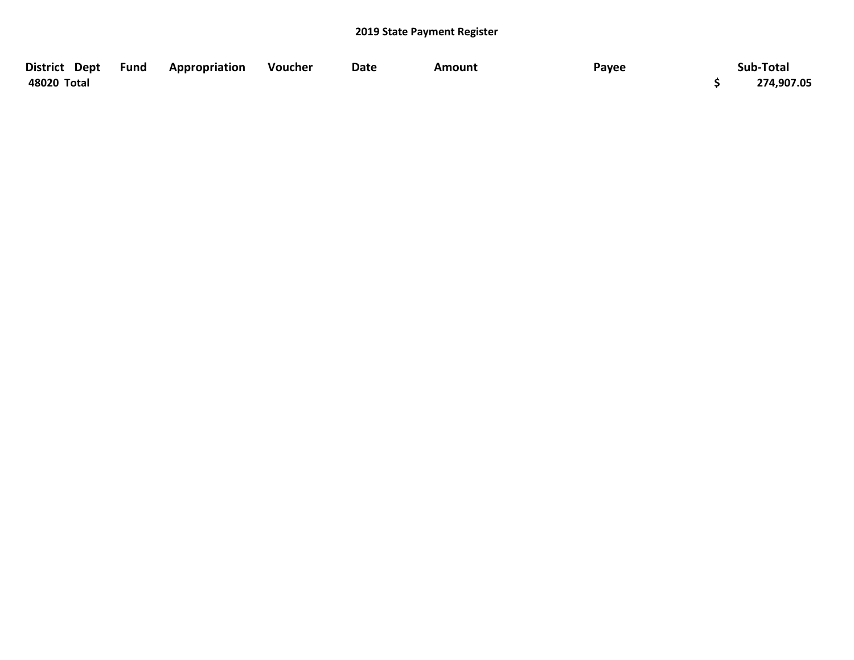| District Dept Fund | Appropriation | Voucher | Date | Amount | Payee | Sub-Total  |
|--------------------|---------------|---------|------|--------|-------|------------|
| 48020 Total        |               |         |      |        |       | 274,907.05 |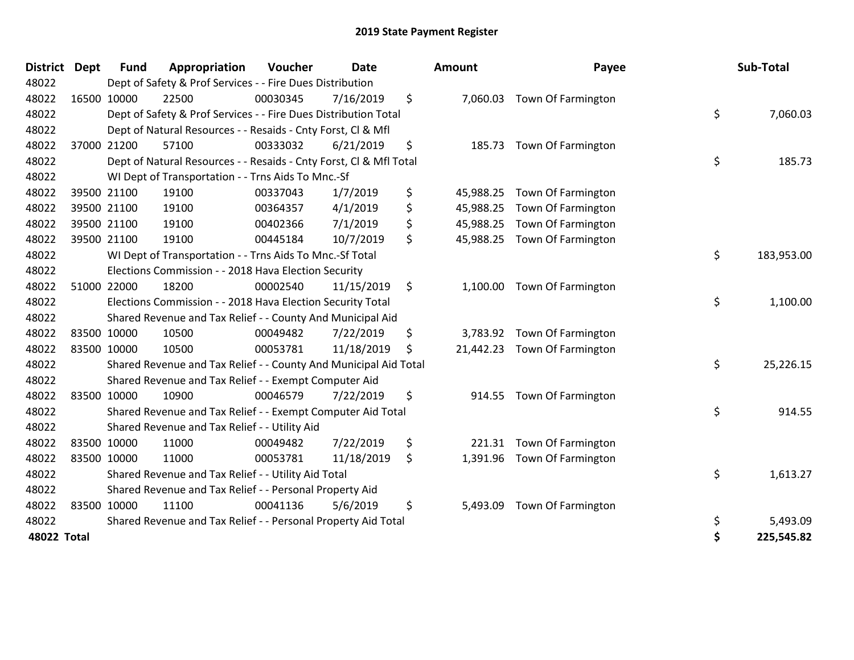| <b>District</b> | <b>Dept</b> | <b>Fund</b> | Appropriation                                                      | Voucher  | <b>Date</b> |     | Amount    | Payee                       | Sub-Total        |
|-----------------|-------------|-------------|--------------------------------------------------------------------|----------|-------------|-----|-----------|-----------------------------|------------------|
| 48022           |             |             | Dept of Safety & Prof Services - - Fire Dues Distribution          |          |             |     |           |                             |                  |
| 48022           |             | 16500 10000 | 22500                                                              | 00030345 | 7/16/2019   | \$  |           | 7,060.03 Town Of Farmington |                  |
| 48022           |             |             | Dept of Safety & Prof Services - - Fire Dues Distribution Total    |          |             |     |           |                             | \$<br>7,060.03   |
| 48022           |             |             | Dept of Natural Resources - - Resaids - Cnty Forst, CI & Mfl       |          |             |     |           |                             |                  |
| 48022           |             | 37000 21200 | 57100                                                              | 00333032 | 6/21/2019   | \$  | 185.73    | Town Of Farmington          |                  |
| 48022           |             |             | Dept of Natural Resources - - Resaids - Cnty Forst, Cl & Mfl Total |          |             |     |           |                             | \$<br>185.73     |
| 48022           |             |             | WI Dept of Transportation - - Trns Aids To Mnc.-Sf                 |          |             |     |           |                             |                  |
| 48022           |             | 39500 21100 | 19100                                                              | 00337043 | 1/7/2019    | \$  | 45,988.25 | Town Of Farmington          |                  |
| 48022           |             | 39500 21100 | 19100                                                              | 00364357 | 4/1/2019    | \$  | 45,988.25 | Town Of Farmington          |                  |
| 48022           |             | 39500 21100 | 19100                                                              | 00402366 | 7/1/2019    | \$  | 45,988.25 | Town Of Farmington          |                  |
| 48022           |             | 39500 21100 | 19100                                                              | 00445184 | 10/7/2019   | \$  | 45,988.25 | <b>Town Of Farmington</b>   |                  |
| 48022           |             |             | WI Dept of Transportation - - Trns Aids To Mnc .- Sf Total         |          |             |     |           |                             | \$<br>183,953.00 |
| 48022           |             |             | Elections Commission - - 2018 Hava Election Security               |          |             |     |           |                             |                  |
| 48022           |             | 51000 22000 | 18200                                                              | 00002540 | 11/15/2019  | \$  | 1,100.00  | Town Of Farmington          |                  |
| 48022           |             |             | Elections Commission - - 2018 Hava Election Security Total         |          |             |     |           |                             | \$<br>1,100.00   |
| 48022           |             |             | Shared Revenue and Tax Relief - - County And Municipal Aid         |          |             |     |           |                             |                  |
| 48022           |             | 83500 10000 | 10500                                                              | 00049482 | 7/22/2019   | \$  | 3,783.92  | Town Of Farmington          |                  |
| 48022           |             | 83500 10000 | 10500                                                              | 00053781 | 11/18/2019  | \$. | 21,442.23 | Town Of Farmington          |                  |
| 48022           |             |             | Shared Revenue and Tax Relief - - County And Municipal Aid Total   |          |             |     |           |                             | \$<br>25,226.15  |
| 48022           |             |             | Shared Revenue and Tax Relief - - Exempt Computer Aid              |          |             |     |           |                             |                  |
| 48022           |             | 83500 10000 | 10900                                                              | 00046579 | 7/22/2019   | \$  | 914.55    | Town Of Farmington          |                  |
| 48022           |             |             | Shared Revenue and Tax Relief - - Exempt Computer Aid Total        |          |             |     |           |                             | \$<br>914.55     |
| 48022           |             |             | Shared Revenue and Tax Relief - - Utility Aid                      |          |             |     |           |                             |                  |
| 48022           |             | 83500 10000 | 11000                                                              | 00049482 | 7/22/2019   | \$  | 221.31    | Town Of Farmington          |                  |
| 48022           |             | 83500 10000 | 11000                                                              | 00053781 | 11/18/2019  | \$  | 1,391.96  | Town Of Farmington          |                  |
| 48022           |             |             | Shared Revenue and Tax Relief - - Utility Aid Total                |          |             |     |           |                             | \$<br>1,613.27   |
| 48022           |             |             | Shared Revenue and Tax Relief - - Personal Property Aid            |          |             |     |           |                             |                  |
| 48022           |             | 83500 10000 | 11100                                                              | 00041136 | 5/6/2019    | \$  | 5,493.09  | Town Of Farmington          |                  |
| 48022           |             |             | Shared Revenue and Tax Relief - - Personal Property Aid Total      |          |             |     |           |                             | \$<br>5,493.09   |
| 48022 Total     |             |             |                                                                    |          |             |     |           |                             | \$<br>225,545.82 |

| District<br>Dept   | <b>Fund</b> | Appropriation                                                                                                                                                                                   | Voucher  | Date                                                      |                                                                                                                                                                                                                                                                                                                                                                                                                                                                                                                                                                                                            | <b>Amount</b>                                                                                                                                                                                                                                                                                                                             | Payee              |                                                                                                                                                                                                                                                                 | Sub-Total      |
|--------------------|-------------|-------------------------------------------------------------------------------------------------------------------------------------------------------------------------------------------------|----------|-----------------------------------------------------------|------------------------------------------------------------------------------------------------------------------------------------------------------------------------------------------------------------------------------------------------------------------------------------------------------------------------------------------------------------------------------------------------------------------------------------------------------------------------------------------------------------------------------------------------------------------------------------------------------------|-------------------------------------------------------------------------------------------------------------------------------------------------------------------------------------------------------------------------------------------------------------------------------------------------------------------------------------------|--------------------|-----------------------------------------------------------------------------------------------------------------------------------------------------------------------------------------------------------------------------------------------------------------|----------------|
|                    |             |                                                                                                                                                                                                 |          |                                                           |                                                                                                                                                                                                                                                                                                                                                                                                                                                                                                                                                                                                            |                                                                                                                                                                                                                                                                                                                                           |                    |                                                                                                                                                                                                                                                                 |                |
|                    |             | 22500                                                                                                                                                                                           |          | 7/16/2019                                                 | \$                                                                                                                                                                                                                                                                                                                                                                                                                                                                                                                                                                                                         |                                                                                                                                                                                                                                                                                                                                           |                    |                                                                                                                                                                                                                                                                 |                |
|                    |             |                                                                                                                                                                                                 |          |                                                           |                                                                                                                                                                                                                                                                                                                                                                                                                                                                                                                                                                                                            |                                                                                                                                                                                                                                                                                                                                           |                    | \$                                                                                                                                                                                                                                                              | 7,060.03       |
|                    |             |                                                                                                                                                                                                 |          |                                                           |                                                                                                                                                                                                                                                                                                                                                                                                                                                                                                                                                                                                            |                                                                                                                                                                                                                                                                                                                                           |                    |                                                                                                                                                                                                                                                                 |                |
|                    |             | 57100                                                                                                                                                                                           | 00333032 | 6/21/2019                                                 | \$                                                                                                                                                                                                                                                                                                                                                                                                                                                                                                                                                                                                         |                                                                                                                                                                                                                                                                                                                                           |                    |                                                                                                                                                                                                                                                                 |                |
|                    |             |                                                                                                                                                                                                 |          |                                                           |                                                                                                                                                                                                                                                                                                                                                                                                                                                                                                                                                                                                            |                                                                                                                                                                                                                                                                                                                                           |                    | \$                                                                                                                                                                                                                                                              | 185.73         |
|                    |             |                                                                                                                                                                                                 |          |                                                           |                                                                                                                                                                                                                                                                                                                                                                                                                                                                                                                                                                                                            |                                                                                                                                                                                                                                                                                                                                           |                    |                                                                                                                                                                                                                                                                 |                |
|                    |             | 19100                                                                                                                                                                                           | 00337043 | 1/7/2019                                                  | \$                                                                                                                                                                                                                                                                                                                                                                                                                                                                                                                                                                                                         | 45,988.25                                                                                                                                                                                                                                                                                                                                 | Town Of Farmington |                                                                                                                                                                                                                                                                 |                |
|                    |             | 19100                                                                                                                                                                                           | 00364357 | 4/1/2019                                                  | \$                                                                                                                                                                                                                                                                                                                                                                                                                                                                                                                                                                                                         |                                                                                                                                                                                                                                                                                                                                           |                    |                                                                                                                                                                                                                                                                 |                |
|                    |             | 19100                                                                                                                                                                                           | 00402366 | 7/1/2019                                                  | \$                                                                                                                                                                                                                                                                                                                                                                                                                                                                                                                                                                                                         | 45,988.25                                                                                                                                                                                                                                                                                                                                 | Town Of Farmington |                                                                                                                                                                                                                                                                 |                |
|                    |             | 19100                                                                                                                                                                                           | 00445184 | 10/7/2019                                                 | \$                                                                                                                                                                                                                                                                                                                                                                                                                                                                                                                                                                                                         |                                                                                                                                                                                                                                                                                                                                           |                    |                                                                                                                                                                                                                                                                 |                |
|                    |             |                                                                                                                                                                                                 |          |                                                           |                                                                                                                                                                                                                                                                                                                                                                                                                                                                                                                                                                                                            |                                                                                                                                                                                                                                                                                                                                           |                    | \$                                                                                                                                                                                                                                                              | 183,953.00     |
|                    |             |                                                                                                                                                                                                 |          |                                                           |                                                                                                                                                                                                                                                                                                                                                                                                                                                                                                                                                                                                            |                                                                                                                                                                                                                                                                                                                                           |                    |                                                                                                                                                                                                                                                                 |                |
|                    |             | 18200                                                                                                                                                                                           | 00002540 | 11/15/2019                                                | \$                                                                                                                                                                                                                                                                                                                                                                                                                                                                                                                                                                                                         |                                                                                                                                                                                                                                                                                                                                           |                    |                                                                                                                                                                                                                                                                 |                |
|                    |             |                                                                                                                                                                                                 |          |                                                           |                                                                                                                                                                                                                                                                                                                                                                                                                                                                                                                                                                                                            |                                                                                                                                                                                                                                                                                                                                           |                    | \$                                                                                                                                                                                                                                                              | 1,100.00       |
|                    |             |                                                                                                                                                                                                 |          |                                                           |                                                                                                                                                                                                                                                                                                                                                                                                                                                                                                                                                                                                            |                                                                                                                                                                                                                                                                                                                                           |                    |                                                                                                                                                                                                                                                                 |                |
|                    |             | 10500                                                                                                                                                                                           | 00049482 | 7/22/2019                                                 | \$                                                                                                                                                                                                                                                                                                                                                                                                                                                                                                                                                                                                         |                                                                                                                                                                                                                                                                                                                                           |                    |                                                                                                                                                                                                                                                                 |                |
|                    |             | 10500                                                                                                                                                                                           | 00053781 | 11/18/2019                                                | S                                                                                                                                                                                                                                                                                                                                                                                                                                                                                                                                                                                                          |                                                                                                                                                                                                                                                                                                                                           |                    |                                                                                                                                                                                                                                                                 |                |
|                    |             |                                                                                                                                                                                                 |          |                                                           |                                                                                                                                                                                                                                                                                                                                                                                                                                                                                                                                                                                                            |                                                                                                                                                                                                                                                                                                                                           |                    | \$                                                                                                                                                                                                                                                              | 25,226.15      |
|                    |             |                                                                                                                                                                                                 |          |                                                           |                                                                                                                                                                                                                                                                                                                                                                                                                                                                                                                                                                                                            |                                                                                                                                                                                                                                                                                                                                           |                    |                                                                                                                                                                                                                                                                 |                |
|                    |             | 10900                                                                                                                                                                                           | 00046579 | 7/22/2019                                                 | \$                                                                                                                                                                                                                                                                                                                                                                                                                                                                                                                                                                                                         |                                                                                                                                                                                                                                                                                                                                           |                    |                                                                                                                                                                                                                                                                 |                |
|                    |             |                                                                                                                                                                                                 |          |                                                           |                                                                                                                                                                                                                                                                                                                                                                                                                                                                                                                                                                                                            |                                                                                                                                                                                                                                                                                                                                           |                    |                                                                                                                                                                                                                                                                 | 914.55         |
|                    |             |                                                                                                                                                                                                 |          |                                                           |                                                                                                                                                                                                                                                                                                                                                                                                                                                                                                                                                                                                            |                                                                                                                                                                                                                                                                                                                                           |                    |                                                                                                                                                                                                                                                                 |                |
|                    |             | 11000                                                                                                                                                                                           | 00049482 | 7/22/2019                                                 | \$                                                                                                                                                                                                                                                                                                                                                                                                                                                                                                                                                                                                         | 221.31                                                                                                                                                                                                                                                                                                                                    | Town Of Farmington |                                                                                                                                                                                                                                                                 |                |
|                    |             | 11000                                                                                                                                                                                           | 00053781 | 11/18/2019                                                | \$                                                                                                                                                                                                                                                                                                                                                                                                                                                                                                                                                                                                         |                                                                                                                                                                                                                                                                                                                                           | Town Of Farmington |                                                                                                                                                                                                                                                                 |                |
|                    |             |                                                                                                                                                                                                 |          |                                                           |                                                                                                                                                                                                                                                                                                                                                                                                                                                                                                                                                                                                            |                                                                                                                                                                                                                                                                                                                                           |                    |                                                                                                                                                                                                                                                                 | 1,613.27       |
|                    |             |                                                                                                                                                                                                 |          |                                                           |                                                                                                                                                                                                                                                                                                                                                                                                                                                                                                                                                                                                            |                                                                                                                                                                                                                                                                                                                                           |                    |                                                                                                                                                                                                                                                                 |                |
|                    |             | 11100                                                                                                                                                                                           | 00041136 | 5/6/2019                                                  | \$                                                                                                                                                                                                                                                                                                                                                                                                                                                                                                                                                                                                         | 5,493.09                                                                                                                                                                                                                                                                                                                                  | Town Of Farmington |                                                                                                                                                                                                                                                                 |                |
|                    |             |                                                                                                                                                                                                 |          |                                                           |                                                                                                                                                                                                                                                                                                                                                                                                                                                                                                                                                                                                            |                                                                                                                                                                                                                                                                                                                                           |                    | \$                                                                                                                                                                                                                                                              | 5,493.09       |
| <b>48022 Total</b> |             |                                                                                                                                                                                                 |          |                                                           |                                                                                                                                                                                                                                                                                                                                                                                                                                                                                                                                                                                                            |                                                                                                                                                                                                                                                                                                                                           |                    |                                                                                                                                                                                                                                                                 | 225,545.82     |
|                    |             | 16500 10000<br>37000 21200<br>39500 21100<br>39500 21100<br>39500 21100<br>39500 21100<br>51000 22000<br>83500 10000<br>83500 10000<br>83500 10000<br>83500 10000<br>83500 10000<br>83500 10000 |          | 00030345<br>Shared Revenue and Tax Relief - - Utility Aid | Dept of Safety & Prof Services - - Fire Dues Distribution<br>Dept of Natural Resources - - Resaids - Cnty Forst, Cl & Mfl<br>WI Dept of Transportation - - Trns Aids To Mnc.-Sf<br>WI Dept of Transportation - - Trns Aids To Mnc.-Sf Total<br>Elections Commission - - 2018 Hava Election Security<br>Elections Commission - - 2018 Hava Election Security Total<br>Shared Revenue and Tax Relief - - County And Municipal Aid<br>Shared Revenue and Tax Relief - - Exempt Computer Aid<br>Shared Revenue and Tax Relief - - Utility Aid Total<br>Shared Revenue and Tax Relief - - Personal Property Aid | Dept of Safety & Prof Services - - Fire Dues Distribution Total<br>Dept of Natural Resources - - Resaids - Cnty Forst, CI & Mfl Total<br>Shared Revenue and Tax Relief - - County And Municipal Aid Total<br>Shared Revenue and Tax Relief - - Exempt Computer Aid Total<br>Shared Revenue and Tax Relief - - Personal Property Aid Total |                    | 7,060.03 Town Of Farmington<br>185.73 Town Of Farmington<br>45,988.25 Town Of Farmington<br>45,988.25 Town Of Farmington<br>1,100.00 Town Of Farmington<br>3,783.92 Town Of Farmington<br>21,442.23 Town Of Farmington<br>914.55 Town Of Farmington<br>1,391.96 | \$<br>\$<br>\$ |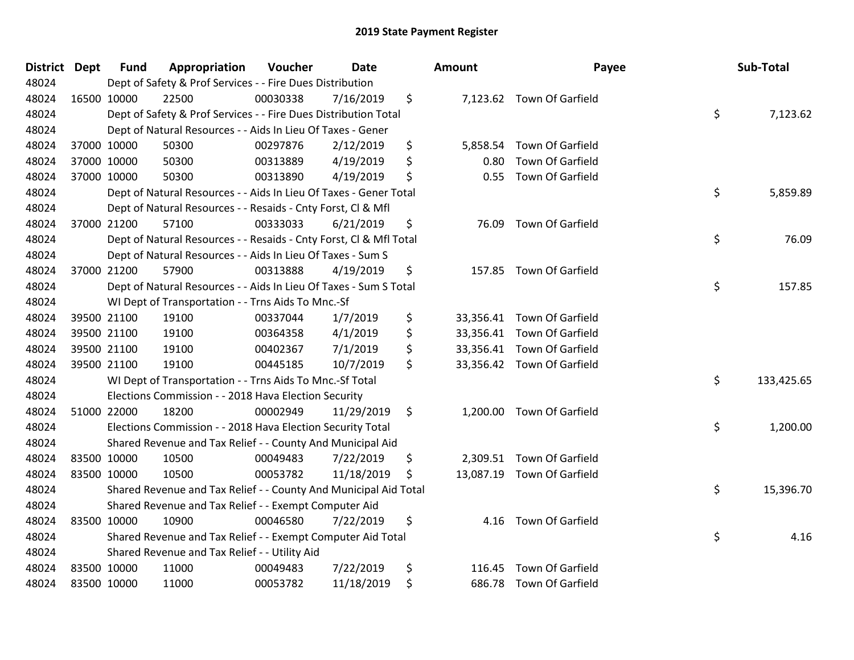| District Dept | <b>Fund</b>                                                       | Appropriation                                                      | Voucher  | <b>Date</b> |    | <b>Amount</b> | Payee                      |      | Sub-Total  |
|---------------|-------------------------------------------------------------------|--------------------------------------------------------------------|----------|-------------|----|---------------|----------------------------|------|------------|
| 48024         | Dept of Safety & Prof Services - - Fire Dues Distribution         |                                                                    |          |             |    |               |                            |      |            |
| 48024         | 16500 10000                                                       | 22500                                                              | 00030338 | 7/16/2019   | \$ |               | 7,123.62 Town Of Garfield  |      |            |
| 48024         |                                                                   | Dept of Safety & Prof Services - - Fire Dues Distribution Total    |          |             |    |               |                            | \$   | 7,123.62   |
| 48024         |                                                                   | Dept of Natural Resources - - Aids In Lieu Of Taxes - Gener        |          |             |    |               |                            |      |            |
| 48024         | 37000 10000                                                       | 50300                                                              | 00297876 | 2/12/2019   | \$ | 5,858.54      | Town Of Garfield           |      |            |
| 48024         | 37000 10000                                                       | 50300                                                              | 00313889 | 4/19/2019   | \$ | 0.80          | Town Of Garfield           |      |            |
| 48024         | 37000 10000                                                       | 50300                                                              | 00313890 | 4/19/2019   | \$ | 0.55          | Town Of Garfield           |      |            |
| 48024         |                                                                   | Dept of Natural Resources - - Aids In Lieu Of Taxes - Gener Total  |          |             |    |               |                            | \$   | 5,859.89   |
| 48024         |                                                                   | Dept of Natural Resources - - Resaids - Cnty Forst, Cl & Mfl       |          |             |    |               |                            |      |            |
| 48024         | 37000 21200                                                       | 57100                                                              | 00333033 | 6/21/2019   | \$ | 76.09         | Town Of Garfield           |      |            |
| 48024         |                                                                   | Dept of Natural Resources - - Resaids - Cnty Forst, Cl & Mfl Total |          |             |    |               |                            | \$   | 76.09      |
| 48024         |                                                                   | Dept of Natural Resources - - Aids In Lieu Of Taxes - Sum S        |          |             |    |               |                            |      |            |
| 48024         | 37000 21200                                                       | 57900                                                              | 00313888 | 4/19/2019   | \$ |               | 157.85 Town Of Garfield    |      |            |
| 48024         |                                                                   | Dept of Natural Resources - - Aids In Lieu Of Taxes - Sum S Total  |          |             |    |               |                            | \$   | 157.85     |
| 48024         |                                                                   | WI Dept of Transportation - - Trns Aids To Mnc.-Sf                 |          |             |    |               |                            |      |            |
| 48024         | 39500 21100                                                       | 19100                                                              | 00337044 | 1/7/2019    | \$ | 33,356.41     | Town Of Garfield           |      |            |
| 48024         | 39500 21100                                                       | 19100                                                              | 00364358 | 4/1/2019    | \$ |               | 33,356.41 Town Of Garfield |      |            |
| 48024         | 39500 21100                                                       | 19100                                                              | 00402367 | 7/1/2019    | \$ |               | 33,356.41 Town Of Garfield |      |            |
| 48024         | 39500 21100                                                       | 19100                                                              | 00445185 | 10/7/2019   | \$ |               | 33,356.42 Town Of Garfield |      |            |
| 48024         |                                                                   | WI Dept of Transportation - - Trns Aids To Mnc.-Sf Total           |          |             |    |               |                            | \$   | 133,425.65 |
| 48024         | Elections Commission - - 2018 Hava Election Security              |                                                                    |          |             |    |               |                            |      |            |
| 48024         | 51000 22000                                                       | 18200                                                              | 00002949 | 11/29/2019  | \$ |               | 1,200.00 Town Of Garfield  |      |            |
| 48024         |                                                                   | Elections Commission - - 2018 Hava Election Security Total         |          |             |    |               |                            | \$   | 1,200.00   |
| 48024         |                                                                   | Shared Revenue and Tax Relief - - County And Municipal Aid         |          |             |    |               |                            |      |            |
| 48024         | 83500 10000                                                       | 10500                                                              | 00049483 | 7/22/2019   | \$ |               | 2,309.51 Town Of Garfield  |      |            |
| 48024         | 83500 10000                                                       | 10500                                                              | 00053782 | 11/18/2019  | \$ |               | 13,087.19 Town Of Garfield |      |            |
| 48024         |                                                                   | Shared Revenue and Tax Relief - - County And Municipal Aid Total   |          |             |    |               |                            | \$   | 15,396.70  |
| 48024         | Shared Revenue and Tax Relief - - Exempt Computer Aid             |                                                                    |          |             |    |               |                            |      |            |
| 48024         | 83500 10000                                                       | 10900                                                              | 00046580 | 7/22/2019   | \$ |               | 4.16 Town Of Garfield      |      |            |
| 48024         | \$<br>Shared Revenue and Tax Relief - - Exempt Computer Aid Total |                                                                    |          |             |    |               |                            | 4.16 |            |
| 48024         | Shared Revenue and Tax Relief - - Utility Aid                     |                                                                    |          |             |    |               |                            |      |            |
| 48024         | 83500 10000                                                       | 11000                                                              | 00049483 | 7/22/2019   | \$ | 116.45        | <b>Town Of Garfield</b>    |      |            |
| 48024         | 83500 10000                                                       | 11000                                                              | 00053782 | 11/18/2019  | \$ |               | 686.78 Town Of Garfield    |      |            |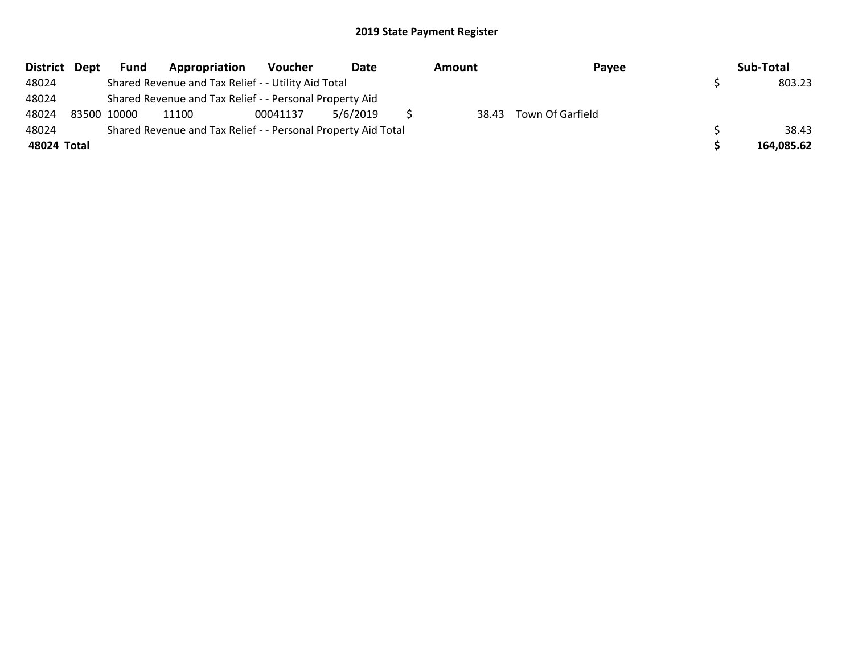| District Dept | <b>Fund</b> | Appropriation                                                 | Voucher  | Date     | Amount | Payee            | Sub-Total  |
|---------------|-------------|---------------------------------------------------------------|----------|----------|--------|------------------|------------|
| 48024         |             | Shared Revenue and Tax Relief - - Utility Aid Total           |          |          |        |                  | 803.23     |
| 48024         |             | Shared Revenue and Tax Relief - - Personal Property Aid       |          |          |        |                  |            |
| 48024         | 83500 10000 | 11100                                                         | 00041137 | 5/6/2019 | 38.43  | Town Of Garfield |            |
| 48024         |             | Shared Revenue and Tax Relief - - Personal Property Aid Total |          |          |        |                  | 38.43      |
| 48024 Total   |             |                                                               |          |          |        |                  | 164.085.62 |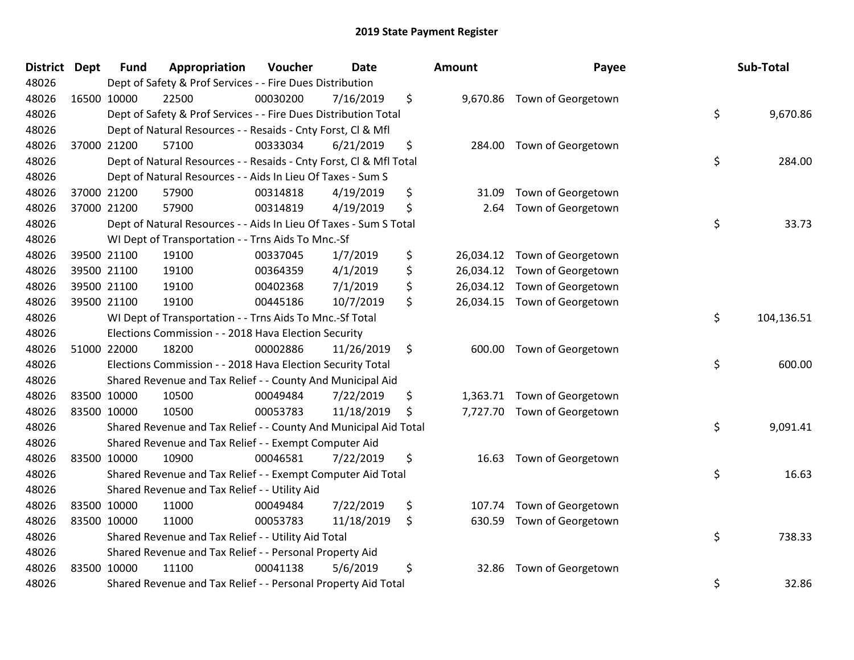| District | <b>Dept</b> | <b>Fund</b>                                   | Appropriation                                                      | Voucher  | <b>Date</b> |    | <b>Amount</b> | Payee                        | Sub-Total        |
|----------|-------------|-----------------------------------------------|--------------------------------------------------------------------|----------|-------------|----|---------------|------------------------------|------------------|
| 48026    |             |                                               | Dept of Safety & Prof Services - - Fire Dues Distribution          |          |             |    |               |                              |                  |
| 48026    |             | 16500 10000                                   | 22500                                                              | 00030200 | 7/16/2019   | \$ |               | 9,670.86 Town of Georgetown  |                  |
| 48026    |             |                                               | Dept of Safety & Prof Services - - Fire Dues Distribution Total    |          |             |    |               |                              | \$<br>9,670.86   |
| 48026    |             |                                               | Dept of Natural Resources - - Resaids - Cnty Forst, CI & Mfl       |          |             |    |               |                              |                  |
| 48026    |             | 37000 21200                                   | 57100                                                              | 00333034 | 6/21/2019   | \$ | 284.00        | Town of Georgetown           |                  |
| 48026    |             |                                               | Dept of Natural Resources - - Resaids - Cnty Forst, Cl & Mfl Total |          |             |    |               |                              | \$<br>284.00     |
| 48026    |             |                                               | Dept of Natural Resources - - Aids In Lieu Of Taxes - Sum S        |          |             |    |               |                              |                  |
| 48026    |             | 37000 21200                                   | 57900                                                              | 00314818 | 4/19/2019   | \$ | 31.09         | Town of Georgetown           |                  |
| 48026    |             | 37000 21200                                   | 57900                                                              | 00314819 | 4/19/2019   | \$ | 2.64          | Town of Georgetown           |                  |
| 48026    |             |                                               | Dept of Natural Resources - - Aids In Lieu Of Taxes - Sum S Total  |          |             |    |               |                              | \$<br>33.73      |
| 48026    |             |                                               | WI Dept of Transportation - - Trns Aids To Mnc.-Sf                 |          |             |    |               |                              |                  |
| 48026    |             | 39500 21100                                   | 19100                                                              | 00337045 | 1/7/2019    | \$ |               | 26,034.12 Town of Georgetown |                  |
| 48026    |             | 39500 21100                                   | 19100                                                              | 00364359 | 4/1/2019    | \$ |               | 26,034.12 Town of Georgetown |                  |
| 48026    |             | 39500 21100                                   | 19100                                                              | 00402368 | 7/1/2019    | \$ |               | 26,034.12 Town of Georgetown |                  |
| 48026    |             | 39500 21100                                   | 19100                                                              | 00445186 | 10/7/2019   | \$ |               | 26,034.15 Town of Georgetown |                  |
| 48026    |             |                                               | WI Dept of Transportation - - Trns Aids To Mnc.-Sf Total           |          |             |    |               |                              | \$<br>104,136.51 |
| 48026    |             |                                               | Elections Commission - - 2018 Hava Election Security               |          |             |    |               |                              |                  |
| 48026    |             | 51000 22000                                   | 18200                                                              | 00002886 | 11/26/2019  | \$ | 600.00        | Town of Georgetown           |                  |
| 48026    |             |                                               | Elections Commission - - 2018 Hava Election Security Total         |          |             |    |               |                              | \$<br>600.00     |
| 48026    |             |                                               | Shared Revenue and Tax Relief - - County And Municipal Aid         |          |             |    |               |                              |                  |
| 48026    |             | 83500 10000                                   | 10500                                                              | 00049484 | 7/22/2019   | \$ | 1,363.71      | Town of Georgetown           |                  |
| 48026    |             | 83500 10000                                   | 10500                                                              | 00053783 | 11/18/2019  | \$ | 7,727.70      | Town of Georgetown           |                  |
| 48026    |             |                                               | Shared Revenue and Tax Relief - - County And Municipal Aid Total   |          |             |    |               |                              | \$<br>9,091.41   |
| 48026    |             |                                               | Shared Revenue and Tax Relief - - Exempt Computer Aid              |          |             |    |               |                              |                  |
| 48026    |             | 83500 10000                                   | 10900                                                              | 00046581 | 7/22/2019   | \$ | 16.63         | Town of Georgetown           |                  |
| 48026    |             |                                               | Shared Revenue and Tax Relief - - Exempt Computer Aid Total        |          |             |    |               |                              | \$<br>16.63      |
| 48026    |             | Shared Revenue and Tax Relief - - Utility Aid |                                                                    |          |             |    |               |                              |                  |
| 48026    |             | 83500 10000                                   | 11000                                                              | 00049484 | 7/22/2019   | \$ | 107.74        | Town of Georgetown           |                  |
| 48026    |             | 83500 10000                                   | 11000                                                              | 00053783 | 11/18/2019  | \$ | 630.59        | Town of Georgetown           |                  |
| 48026    |             |                                               | Shared Revenue and Tax Relief - - Utility Aid Total                |          |             |    |               |                              | \$<br>738.33     |
| 48026    |             |                                               | Shared Revenue and Tax Relief - - Personal Property Aid            |          |             |    |               |                              |                  |
| 48026    |             | 83500 10000                                   | 11100                                                              | 00041138 | 5/6/2019    | \$ | 32.86         | Town of Georgetown           |                  |
| 48026    |             |                                               | Shared Revenue and Tax Relief - - Personal Property Aid Total      |          |             |    |               |                              | \$<br>32.86      |

| ount      | Payee              | Sub-Total        |
|-----------|--------------------|------------------|
| 9,670.86  | Town of Georgetown | \$<br>9,670.86   |
| 284.00    | Town of Georgetown | \$<br>284.00     |
| 31.09     | Town of Georgetown |                  |
| 2.64      | Town of Georgetown | \$<br>33.73      |
| 26,034.12 | Town of Georgetown |                  |
| 26,034.12 | Town of Georgetown |                  |
| 26,034.12 | Town of Georgetown |                  |
| 26,034.15 | Town of Georgetown |                  |
|           |                    | \$<br>104,136.51 |
| 600.00    | Town of Georgetown | \$<br>600.00     |
| 1,363.71  | Town of Georgetown |                  |
| 7,727.70  | Town of Georgetown |                  |
|           |                    | \$<br>9,091.41   |
| 16.63     | Town of Georgetown | \$<br>16.63      |
| 107.74    | Town of Georgetown |                  |
| 630.59    | Town of Georgetown |                  |
|           |                    | \$<br>738.33     |
| 32.86     | Town of Georgetown | \$<br>32.86      |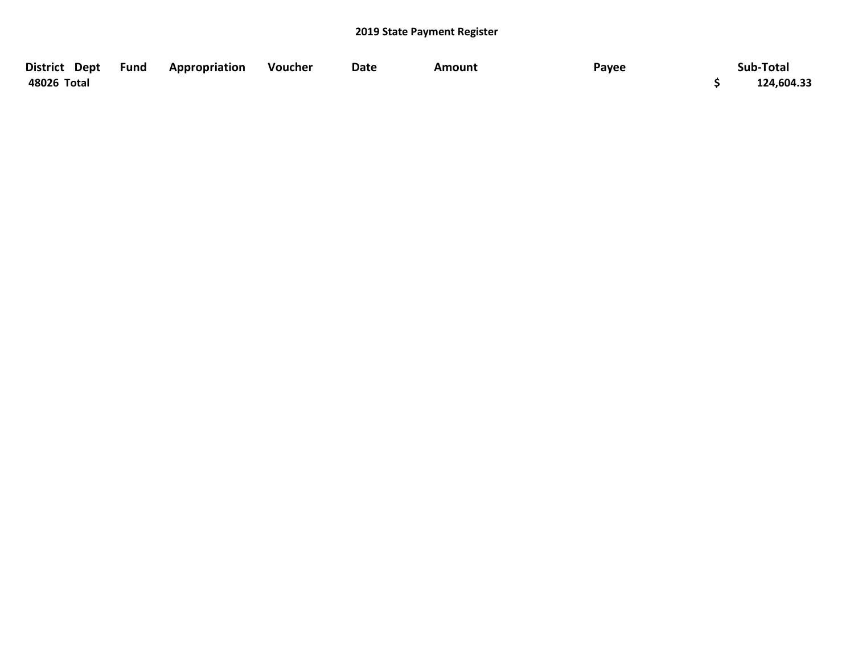| District Dept Fund | Appropriation | Voucher | Date | Amount | Payee | Sub-Total  |
|--------------------|---------------|---------|------|--------|-------|------------|
| 48026 Total        |               |         |      |        |       | 124,604.33 |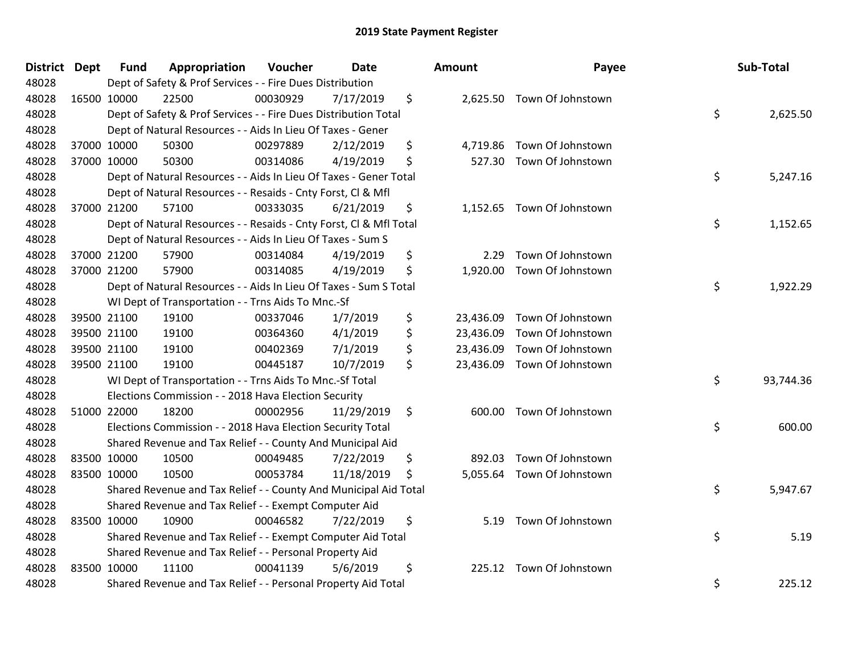| District Dept | <b>Fund</b> | Appropriation                                                      | Voucher  | <b>Date</b> | Amount          | Payee                      | Sub-Total       |
|---------------|-------------|--------------------------------------------------------------------|----------|-------------|-----------------|----------------------------|-----------------|
| 48028         |             | Dept of Safety & Prof Services - - Fire Dues Distribution          |          |             |                 |                            |                 |
| 48028         | 16500 10000 | 22500                                                              | 00030929 | 7/17/2019   | \$              | 2,625.50 Town Of Johnstown |                 |
| 48028         |             | Dept of Safety & Prof Services - - Fire Dues Distribution Total    |          |             |                 |                            | \$<br>2,625.50  |
| 48028         |             | Dept of Natural Resources - - Aids In Lieu Of Taxes - Gener        |          |             |                 |                            |                 |
| 48028         | 37000 10000 | 50300                                                              | 00297889 | 2/12/2019   | \$<br>4,719.86  | Town Of Johnstown          |                 |
| 48028         | 37000 10000 | 50300                                                              | 00314086 | 4/19/2019   | \$<br>527.30    | Town Of Johnstown          |                 |
| 48028         |             | Dept of Natural Resources - - Aids In Lieu Of Taxes - Gener Total  |          |             |                 |                            | \$<br>5,247.16  |
| 48028         |             | Dept of Natural Resources - - Resaids - Cnty Forst, CI & Mfl       |          |             |                 |                            |                 |
| 48028         | 37000 21200 | 57100                                                              | 00333035 | 6/21/2019   | \$              | 1,152.65 Town Of Johnstown |                 |
| 48028         |             | Dept of Natural Resources - - Resaids - Cnty Forst, Cl & Mfl Total |          |             |                 |                            | \$<br>1,152.65  |
| 48028         |             | Dept of Natural Resources - - Aids In Lieu Of Taxes - Sum S        |          |             |                 |                            |                 |
| 48028         | 37000 21200 | 57900                                                              | 00314084 | 4/19/2019   | \$<br>2.29      | Town Of Johnstown          |                 |
| 48028         | 37000 21200 | 57900                                                              | 00314085 | 4/19/2019   | \$<br>1,920.00  | Town Of Johnstown          |                 |
| 48028         |             | Dept of Natural Resources - - Aids In Lieu Of Taxes - Sum S Total  |          |             |                 |                            | \$<br>1,922.29  |
| 48028         |             | WI Dept of Transportation - - Trns Aids To Mnc.-Sf                 |          |             |                 |                            |                 |
| 48028         | 39500 21100 | 19100                                                              | 00337046 | 1/7/2019    | \$<br>23,436.09 | Town Of Johnstown          |                 |
| 48028         | 39500 21100 | 19100                                                              | 00364360 | 4/1/2019    | \$<br>23,436.09 | Town Of Johnstown          |                 |
| 48028         | 39500 21100 | 19100                                                              | 00402369 | 7/1/2019    | \$<br>23,436.09 | Town Of Johnstown          |                 |
| 48028         | 39500 21100 | 19100                                                              | 00445187 | 10/7/2019   | \$<br>23,436.09 | Town Of Johnstown          |                 |
| 48028         |             | WI Dept of Transportation - - Trns Aids To Mnc.-Sf Total           |          |             |                 |                            | \$<br>93,744.36 |
| 48028         |             | Elections Commission - - 2018 Hava Election Security               |          |             |                 |                            |                 |
| 48028         | 51000 22000 | 18200                                                              | 00002956 | 11/29/2019  | \$<br>600.00    | Town Of Johnstown          |                 |
| 48028         |             | Elections Commission - - 2018 Hava Election Security Total         |          |             |                 |                            | \$<br>600.00    |
| 48028         |             | Shared Revenue and Tax Relief - - County And Municipal Aid         |          |             |                 |                            |                 |
| 48028         | 83500 10000 | 10500                                                              | 00049485 | 7/22/2019   | \$<br>892.03    | Town Of Johnstown          |                 |
| 48028         | 83500 10000 | 10500                                                              | 00053784 | 11/18/2019  | \$<br>5,055.64  | Town Of Johnstown          |                 |
| 48028         |             | Shared Revenue and Tax Relief - - County And Municipal Aid Total   |          |             |                 |                            | \$<br>5,947.67  |
| 48028         |             | Shared Revenue and Tax Relief - - Exempt Computer Aid              |          |             |                 |                            |                 |
| 48028         | 83500 10000 | 10900                                                              | 00046582 | 7/22/2019   | \$<br>5.19      | Town Of Johnstown          |                 |
| 48028         |             | Shared Revenue and Tax Relief - - Exempt Computer Aid Total        |          |             |                 |                            | \$<br>5.19      |
| 48028         |             | Shared Revenue and Tax Relief - - Personal Property Aid            |          |             |                 |                            |                 |
| 48028         | 83500 10000 | 11100                                                              | 00041139 | 5/6/2019    | \$<br>225.12    | Town Of Johnstown          |                 |
| 48028         |             | Shared Revenue and Tax Relief - - Personal Property Aid Total      |          |             |                 |                            | \$<br>225.12    |

| unt       | Payee             | Sub-Total       |
|-----------|-------------------|-----------------|
| 2,625.50  | Town Of Johnstown | \$<br>2,625.50  |
| 4,719.86  | Town Of Johnstown |                 |
| 527.30    | Town Of Johnstown |                 |
|           |                   | \$<br>5,247.16  |
| 1,152.65  | Town Of Johnstown |                 |
|           |                   | \$<br>1,152.65  |
| 2.29      | Town Of Johnstown |                 |
| 1,920.00  | Town Of Johnstown |                 |
|           |                   | \$<br>1,922.29  |
| 23,436.09 | Town Of Johnstown |                 |
| 23,436.09 | Town Of Johnstown |                 |
| 23,436.09 | Town Of Johnstown |                 |
| 23,436.09 | Town Of Johnstown |                 |
|           |                   | \$<br>93,744.36 |
| 600.00    | Town Of Johnstown |                 |
|           |                   | \$<br>600.00    |
| 892.03    | Town Of Johnstown |                 |
| 5,055.64  | Town Of Johnstown |                 |
|           |                   | \$<br>5,947.67  |
| 5.19      | Town Of Johnstown |                 |
|           |                   | \$<br>5.19      |
| 225.12    | Town Of Johnstown |                 |
|           |                   | \$<br>225.12    |
|           |                   |                 |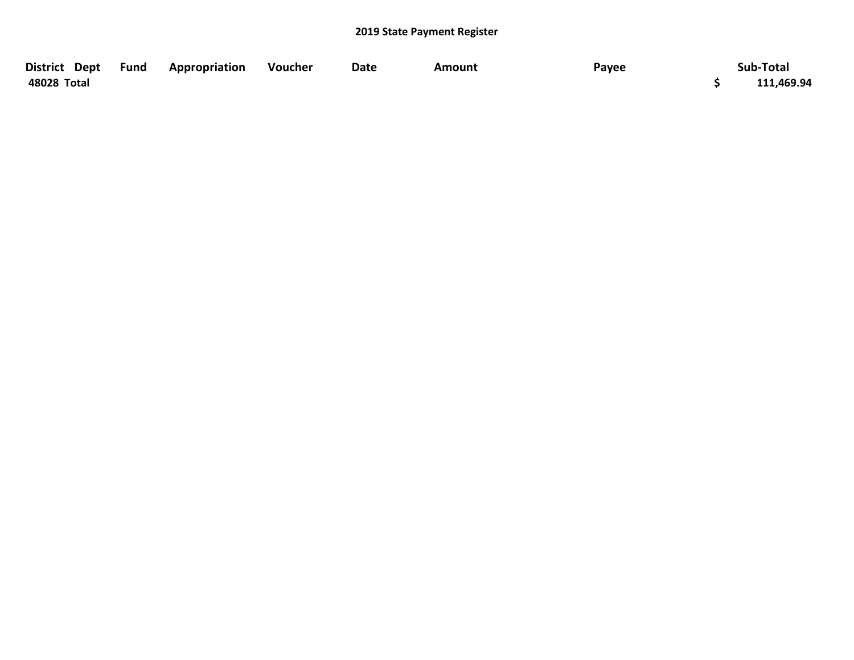| District Dept Fund | Appropriation | Voucher | Date | Amount | Payee | Sub-Total  |
|--------------------|---------------|---------|------|--------|-------|------------|
| 48028 Total        |               |         |      |        |       | 111,469.94 |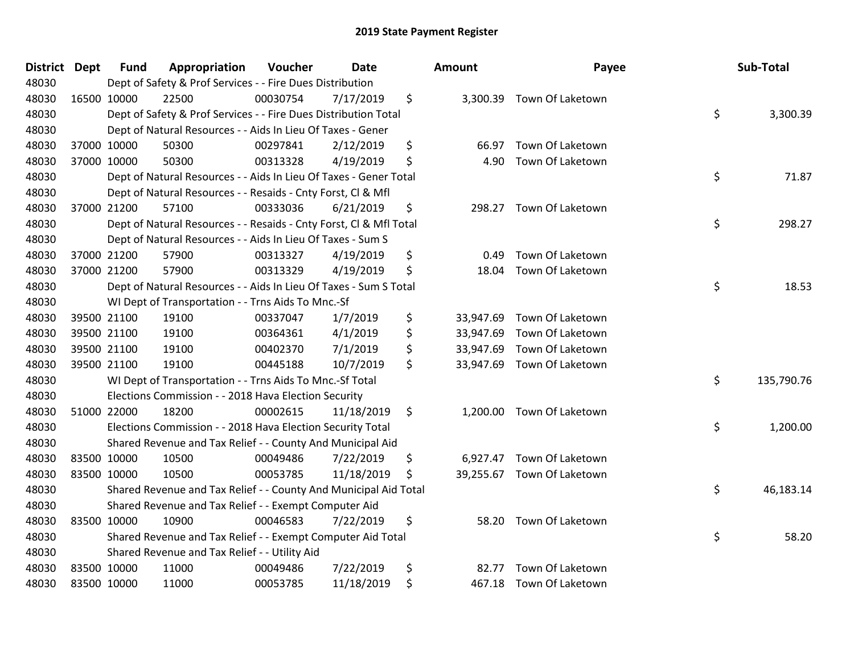| <b>District</b> | <b>Dept</b> | <b>Fund</b> | Appropriation                                                      | Voucher  | <b>Date</b> | <b>Amount</b>   | Payee                      | Sub-Total        |
|-----------------|-------------|-------------|--------------------------------------------------------------------|----------|-------------|-----------------|----------------------------|------------------|
| 48030           |             |             | Dept of Safety & Prof Services - - Fire Dues Distribution          |          |             |                 |                            |                  |
| 48030           |             | 16500 10000 | 22500                                                              | 00030754 | 7/17/2019   | \$              | 3,300.39 Town Of Laketown  |                  |
| 48030           |             |             | Dept of Safety & Prof Services - - Fire Dues Distribution Total    |          |             |                 |                            | \$<br>3,300.39   |
| 48030           |             |             | Dept of Natural Resources - - Aids In Lieu Of Taxes - Gener        |          |             |                 |                            |                  |
| 48030           |             | 37000 10000 | 50300                                                              | 00297841 | 2/12/2019   | \$<br>66.97     | Town Of Laketown           |                  |
| 48030           |             | 37000 10000 | 50300                                                              | 00313328 | 4/19/2019   | \$<br>4.90      | Town Of Laketown           |                  |
| 48030           |             |             | Dept of Natural Resources - - Aids In Lieu Of Taxes - Gener Total  |          |             |                 |                            | \$<br>71.87      |
| 48030           |             |             | Dept of Natural Resources - - Resaids - Cnty Forst, CI & Mfl       |          |             |                 |                            |                  |
| 48030           |             | 37000 21200 | 57100                                                              | 00333036 | 6/21/2019   | \$<br>298.27    | Town Of Laketown           |                  |
| 48030           |             |             | Dept of Natural Resources - - Resaids - Cnty Forst, CI & Mfl Total |          |             |                 |                            | \$<br>298.27     |
| 48030           |             |             | Dept of Natural Resources - - Aids In Lieu Of Taxes - Sum S        |          |             |                 |                            |                  |
| 48030           |             | 37000 21200 | 57900                                                              | 00313327 | 4/19/2019   | \$<br>0.49      | Town Of Laketown           |                  |
| 48030           |             | 37000 21200 | 57900                                                              | 00313329 | 4/19/2019   | \$<br>18.04     | Town Of Laketown           |                  |
| 48030           |             |             | Dept of Natural Resources - - Aids In Lieu Of Taxes - Sum S Total  |          |             |                 |                            | \$<br>18.53      |
| 48030           |             |             | WI Dept of Transportation - - Trns Aids To Mnc.-Sf                 |          |             |                 |                            |                  |
| 48030           |             | 39500 21100 | 19100                                                              | 00337047 | 1/7/2019    | \$<br>33,947.69 | Town Of Laketown           |                  |
| 48030           |             | 39500 21100 | 19100                                                              | 00364361 | 4/1/2019    | \$<br>33,947.69 | Town Of Laketown           |                  |
| 48030           |             | 39500 21100 | 19100                                                              | 00402370 | 7/1/2019    | \$              | 33,947.69 Town Of Laketown |                  |
| 48030           |             | 39500 21100 | 19100                                                              | 00445188 | 10/7/2019   | \$              | 33,947.69 Town Of Laketown |                  |
| 48030           |             |             | WI Dept of Transportation - - Trns Aids To Mnc.-Sf Total           |          |             |                 |                            | \$<br>135,790.76 |
| 48030           |             |             | Elections Commission - - 2018 Hava Election Security               |          |             |                 |                            |                  |
| 48030           |             | 51000 22000 | 18200                                                              | 00002615 | 11/18/2019  | \$              | 1,200.00 Town Of Laketown  |                  |
| 48030           |             |             | Elections Commission - - 2018 Hava Election Security Total         |          |             |                 |                            | \$<br>1,200.00   |
| 48030           |             |             | Shared Revenue and Tax Relief - - County And Municipal Aid         |          |             |                 |                            |                  |
| 48030           |             | 83500 10000 | 10500                                                              | 00049486 | 7/22/2019   | \$<br>6,927.47  | Town Of Laketown           |                  |
| 48030           |             | 83500 10000 | 10500                                                              | 00053785 | 11/18/2019  | \$              | 39,255.67 Town Of Laketown |                  |
| 48030           |             |             | Shared Revenue and Tax Relief - - County And Municipal Aid Total   |          |             |                 |                            | \$<br>46,183.14  |
| 48030           |             |             | Shared Revenue and Tax Relief - - Exempt Computer Aid              |          |             |                 |                            |                  |
| 48030           | 83500 10000 |             | 10900                                                              | 00046583 | 7/22/2019   | \$<br>58.20     | Town Of Laketown           |                  |
| 48030           |             |             | Shared Revenue and Tax Relief - - Exempt Computer Aid Total        |          |             |                 |                            | \$<br>58.20      |
| 48030           |             |             | Shared Revenue and Tax Relief - - Utility Aid                      |          |             |                 |                            |                  |
| 48030           |             | 83500 10000 | 11000                                                              | 00049486 | 7/22/2019   | \$<br>82.77     | Town Of Laketown           |                  |
| 48030           |             | 83500 10000 | 11000                                                              | 00053785 | 11/18/2019  | \$              | 467.18 Town Of Laketown    |                  |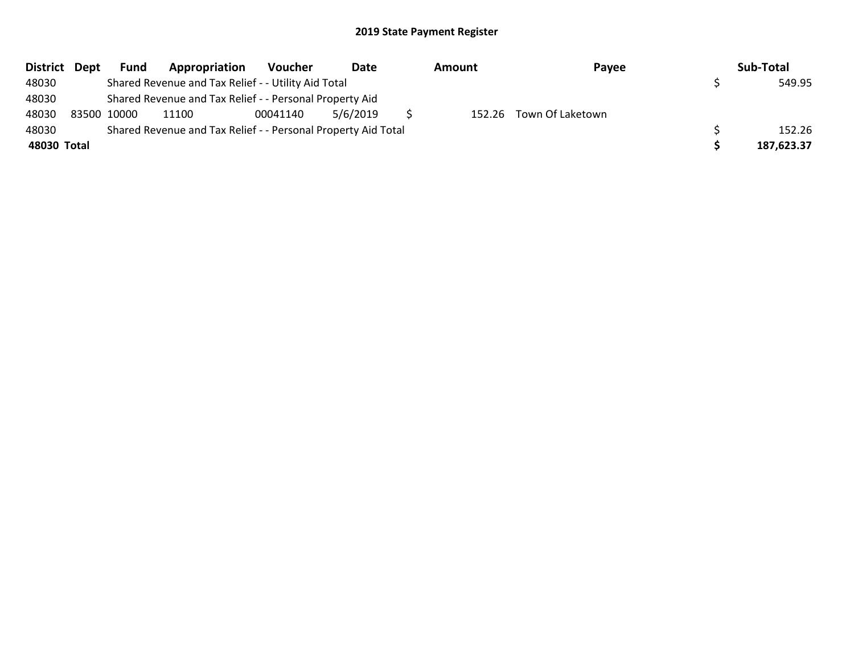| District Dept | <b>Fund</b> | Appropriation                                                 | Voucher  | Date     | Amount | Payee                   | Sub-Total  |
|---------------|-------------|---------------------------------------------------------------|----------|----------|--------|-------------------------|------------|
| 48030         |             | Shared Revenue and Tax Relief - - Utility Aid Total           |          |          |        |                         | 549.95     |
| 48030         |             | Shared Revenue and Tax Relief - - Personal Property Aid       |          |          |        |                         |            |
| 48030         | 83500 10000 | 11100                                                         | 00041140 | 5/6/2019 |        | 152.26 Town Of Laketown |            |
| 48030         |             | Shared Revenue and Tax Relief - - Personal Property Aid Total |          |          |        |                         | 152.26     |
| 48030 Total   |             |                                                               |          |          |        |                         | 187,623.37 |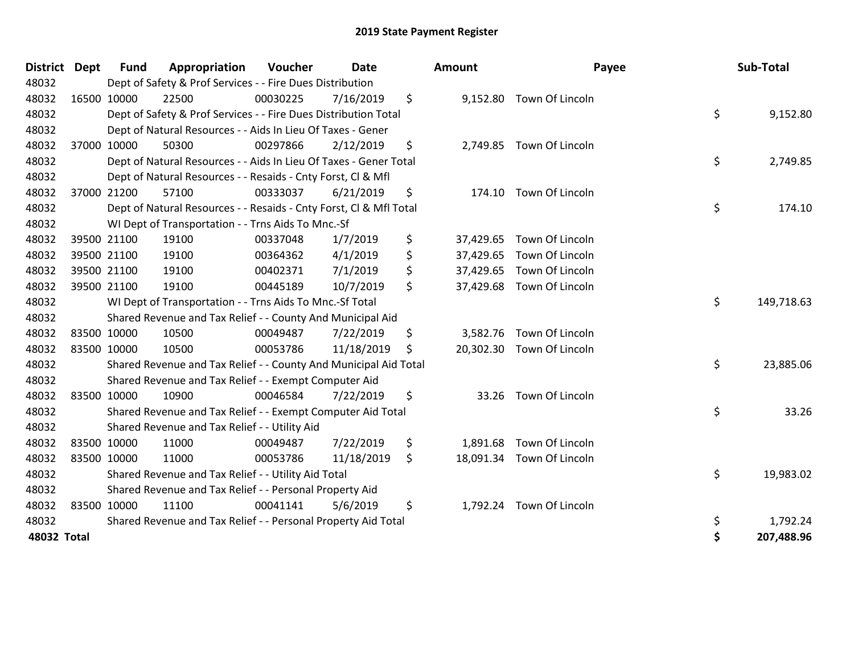| <b>District</b> | <b>Dept</b> | <b>Fund</b> | Appropriation                                                      | Voucher  | Date       | <b>Amount</b>   | Payee                     | Sub-Total        |
|-----------------|-------------|-------------|--------------------------------------------------------------------|----------|------------|-----------------|---------------------------|------------------|
| 48032           |             |             | Dept of Safety & Prof Services - - Fire Dues Distribution          |          |            |                 |                           |                  |
| 48032           |             | 16500 10000 | 22500                                                              | 00030225 | 7/16/2019  | \$              | 9,152.80 Town Of Lincoln  |                  |
| 48032           |             |             | Dept of Safety & Prof Services - - Fire Dues Distribution Total    |          |            |                 |                           | \$<br>9,152.80   |
| 48032           |             |             | Dept of Natural Resources - - Aids In Lieu Of Taxes - Gener        |          |            |                 |                           |                  |
| 48032           |             | 37000 10000 | 50300                                                              | 00297866 | 2/12/2019  | \$              | 2,749.85 Town Of Lincoln  |                  |
| 48032           |             |             | Dept of Natural Resources - - Aids In Lieu Of Taxes - Gener Total  |          |            |                 |                           | \$<br>2,749.85   |
| 48032           |             |             | Dept of Natural Resources - - Resaids - Cnty Forst, CI & Mfl       |          |            |                 |                           |                  |
| 48032           |             | 37000 21200 | 57100                                                              | 00333037 | 6/21/2019  | \$              | 174.10 Town Of Lincoln    |                  |
| 48032           |             |             | Dept of Natural Resources - - Resaids - Cnty Forst, Cl & Mfl Total |          |            |                 |                           | \$<br>174.10     |
| 48032           |             |             | WI Dept of Transportation - - Trns Aids To Mnc.-Sf                 |          |            |                 |                           |                  |
| 48032           |             | 39500 21100 | 19100                                                              | 00337048 | 1/7/2019   | \$<br>37,429.65 | Town Of Lincoln           |                  |
| 48032           |             | 39500 21100 | 19100                                                              | 00364362 | 4/1/2019   | \$<br>37,429.65 | Town Of Lincoln           |                  |
| 48032           |             | 39500 21100 | 19100                                                              | 00402371 | 7/1/2019   | \$<br>37,429.65 | Town Of Lincoln           |                  |
| 48032           |             | 39500 21100 | 19100                                                              | 00445189 | 10/7/2019  | \$              | 37,429.68 Town Of Lincoln |                  |
| 48032           |             |             | WI Dept of Transportation - - Trns Aids To Mnc.-Sf Total           |          |            |                 |                           | \$<br>149,718.63 |
| 48032           |             |             | Shared Revenue and Tax Relief - - County And Municipal Aid         |          |            |                 |                           |                  |
| 48032           |             | 83500 10000 | 10500                                                              | 00049487 | 7/22/2019  | \$              | 3,582.76 Town Of Lincoln  |                  |
| 48032           |             | 83500 10000 | 10500                                                              | 00053786 | 11/18/2019 | \$              | 20,302.30 Town Of Lincoln |                  |
| 48032           |             |             | Shared Revenue and Tax Relief - - County And Municipal Aid Total   |          |            |                 |                           | \$<br>23,885.06  |
| 48032           |             |             | Shared Revenue and Tax Relief - - Exempt Computer Aid              |          |            |                 |                           |                  |
| 48032           | 83500 10000 |             | 10900                                                              | 00046584 | 7/22/2019  | \$              | 33.26 Town Of Lincoln     |                  |
| 48032           |             |             | Shared Revenue and Tax Relief - - Exempt Computer Aid Total        |          |            |                 |                           | \$<br>33.26      |
| 48032           |             |             | Shared Revenue and Tax Relief - - Utility Aid                      |          |            |                 |                           |                  |
| 48032           |             | 83500 10000 | 11000                                                              | 00049487 | 7/22/2019  | \$<br>1,891.68  | Town Of Lincoln           |                  |
| 48032           | 83500 10000 |             | 11000                                                              | 00053786 | 11/18/2019 | \$              | 18,091.34 Town Of Lincoln |                  |
| 48032           |             |             | Shared Revenue and Tax Relief - - Utility Aid Total                |          |            |                 |                           | \$<br>19,983.02  |
| 48032           |             |             | Shared Revenue and Tax Relief - - Personal Property Aid            |          |            |                 |                           |                  |
| 48032           |             | 83500 10000 | 11100                                                              | 00041141 | 5/6/2019   | \$              | 1,792.24 Town Of Lincoln  |                  |
| 48032           |             |             | Shared Revenue and Tax Relief - - Personal Property Aid Total      |          |            |                 |                           | \$<br>1,792.24   |
| 48032 Total     |             |             |                                                                    |          |            |                 |                           | \$<br>207,488.96 |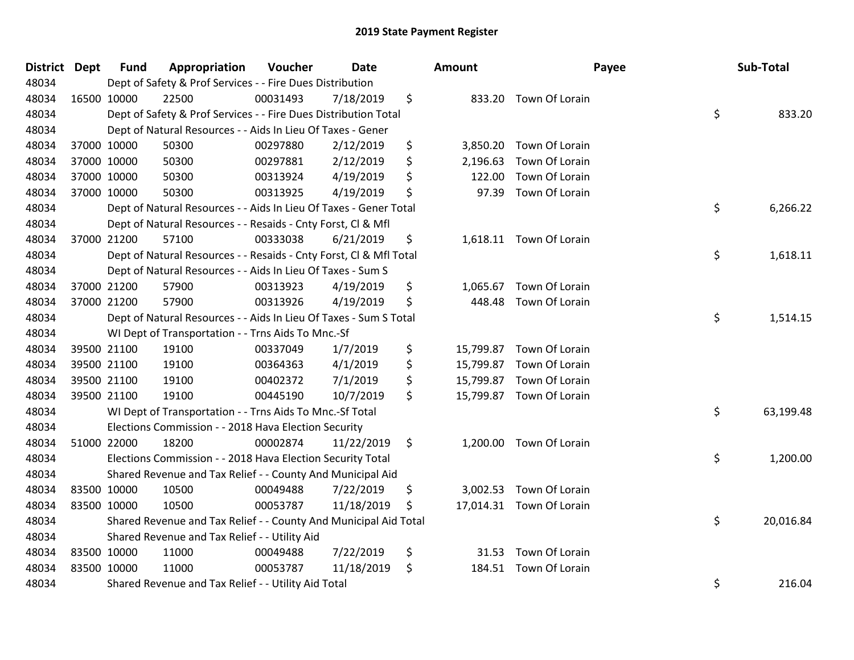| <b>District Dept</b> | <b>Fund</b> | Appropriation                                                      | Voucher  | <b>Date</b> | <b>Amount</b>   |                          | Payee | Sub-Total |
|----------------------|-------------|--------------------------------------------------------------------|----------|-------------|-----------------|--------------------------|-------|-----------|
| 48034                |             | Dept of Safety & Prof Services - - Fire Dues Distribution          |          |             |                 |                          |       |           |
| 48034                | 16500 10000 | 22500                                                              | 00031493 | 7/18/2019   | \$              | 833.20 Town Of Lorain    |       |           |
| 48034                |             | Dept of Safety & Prof Services - - Fire Dues Distribution Total    |          |             |                 |                          | \$    | 833.20    |
| 48034                |             | Dept of Natural Resources - - Aids In Lieu Of Taxes - Gener        |          |             |                 |                          |       |           |
| 48034                | 37000 10000 | 50300                                                              | 00297880 | 2/12/2019   | \$<br>3,850.20  | Town Of Lorain           |       |           |
| 48034                | 37000 10000 | 50300                                                              | 00297881 | 2/12/2019   | \$<br>2,196.63  | Town Of Lorain           |       |           |
| 48034                | 37000 10000 | 50300                                                              | 00313924 | 4/19/2019   | \$<br>122.00    | Town Of Lorain           |       |           |
| 48034                | 37000 10000 | 50300                                                              | 00313925 | 4/19/2019   | \$<br>97.39     | Town Of Lorain           |       |           |
| 48034                |             | Dept of Natural Resources - - Aids In Lieu Of Taxes - Gener Total  |          |             |                 |                          | \$    | 6,266.22  |
| 48034                |             | Dept of Natural Resources - - Resaids - Cnty Forst, Cl & Mfl       |          |             |                 |                          |       |           |
| 48034                | 37000 21200 | 57100                                                              | 00333038 | 6/21/2019   | \$              | 1,618.11 Town Of Lorain  |       |           |
| 48034                |             | Dept of Natural Resources - - Resaids - Cnty Forst, Cl & Mfl Total |          |             |                 |                          | \$    | 1,618.11  |
| 48034                |             | Dept of Natural Resources - - Aids In Lieu Of Taxes - Sum S        |          |             |                 |                          |       |           |
| 48034                | 37000 21200 | 57900                                                              | 00313923 | 4/19/2019   | \$<br>1,065.67  | Town Of Lorain           |       |           |
| 48034                | 37000 21200 | 57900                                                              | 00313926 | 4/19/2019   | \$<br>448.48    | Town Of Lorain           |       |           |
| 48034                |             | Dept of Natural Resources - - Aids In Lieu Of Taxes - Sum S Total  |          |             |                 |                          | \$    | 1,514.15  |
| 48034                |             | WI Dept of Transportation - - Trns Aids To Mnc.-Sf                 |          |             |                 |                          |       |           |
| 48034                | 39500 21100 | 19100                                                              | 00337049 | 1/7/2019    | \$              | 15,799.87 Town Of Lorain |       |           |
| 48034                | 39500 21100 | 19100                                                              | 00364363 | 4/1/2019    | \$<br>15,799.87 | Town Of Lorain           |       |           |
| 48034                | 39500 21100 | 19100                                                              | 00402372 | 7/1/2019    | \$<br>15,799.87 | Town Of Lorain           |       |           |
| 48034                | 39500 21100 | 19100                                                              | 00445190 | 10/7/2019   | \$              | 15,799.87 Town Of Lorain |       |           |
| 48034                |             | WI Dept of Transportation - - Trns Aids To Mnc.-Sf Total           |          |             |                 |                          | \$    | 63,199.48 |
| 48034                |             | Elections Commission - - 2018 Hava Election Security               |          |             |                 |                          |       |           |
| 48034                | 51000 22000 | 18200                                                              | 00002874 | 11/22/2019  | \$              | 1,200.00 Town Of Lorain  |       |           |
| 48034                |             | Elections Commission - - 2018 Hava Election Security Total         |          |             |                 |                          | \$    | 1,200.00  |
| 48034                |             | Shared Revenue and Tax Relief - - County And Municipal Aid         |          |             |                 |                          |       |           |
| 48034                | 83500 10000 | 10500                                                              | 00049488 | 7/22/2019   | \$<br>3,002.53  | Town Of Lorain           |       |           |
| 48034                | 83500 10000 | 10500                                                              | 00053787 | 11/18/2019  | \$              | 17,014.31 Town Of Lorain |       |           |
| 48034                |             | Shared Revenue and Tax Relief - - County And Municipal Aid Total   |          |             |                 |                          | \$    | 20,016.84 |
| 48034                |             | Shared Revenue and Tax Relief - - Utility Aid                      |          |             |                 |                          |       |           |
| 48034                | 83500 10000 | 11000                                                              | 00049488 | 7/22/2019   | \$<br>31.53     | Town Of Lorain           |       |           |
| 48034                | 83500 10000 | 11000                                                              | 00053787 | 11/18/2019  | \$<br>184.51    | Town Of Lorain           |       |           |
| 48034                |             | Shared Revenue and Tax Relief - - Utility Aid Total                |          |             |                 |                          | \$    | 216.04    |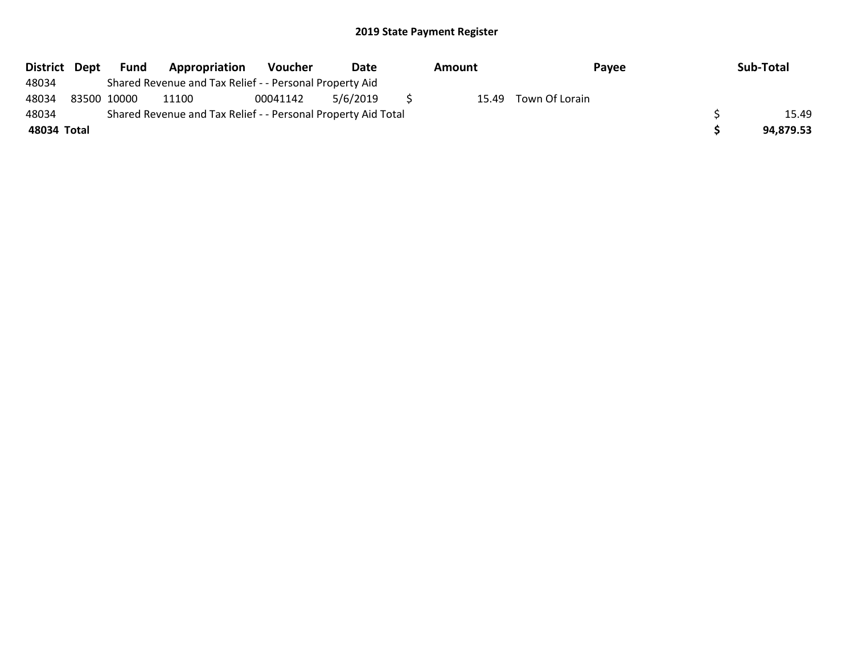| District Dept | Fund        | Appropriation                                                 | <b>Voucher</b> | Date     | Amount | Payee          | Sub-Total |
|---------------|-------------|---------------------------------------------------------------|----------------|----------|--------|----------------|-----------|
| 48034         |             | Shared Revenue and Tax Relief - - Personal Property Aid       |                |          |        |                |           |
| 48034         | 83500 10000 | 11100                                                         | 00041142       | 5/6/2019 | 15.49  | Town Of Lorain |           |
| 48034         |             | Shared Revenue and Tax Relief - - Personal Property Aid Total |                |          |        |                | 15.49     |
| 48034 Total   |             |                                                               |                |          |        |                | 94,879.53 |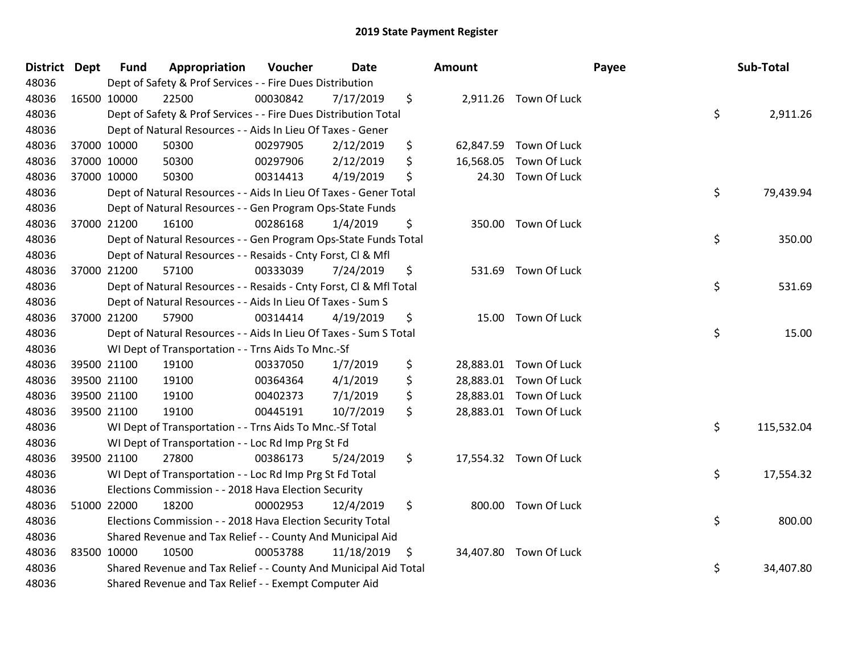| District Dept |             | <b>Fund</b> | Appropriation                                                      | Voucher  | <b>Date</b> | <b>Amount</b>   |                        | Payee | Sub-Total  |
|---------------|-------------|-------------|--------------------------------------------------------------------|----------|-------------|-----------------|------------------------|-------|------------|
| 48036         |             |             | Dept of Safety & Prof Services - - Fire Dues Distribution          |          |             |                 |                        |       |            |
| 48036         | 16500 10000 |             | 22500                                                              | 00030842 | 7/17/2019   | \$              | 2,911.26 Town Of Luck  |       |            |
| 48036         |             |             | Dept of Safety & Prof Services - - Fire Dues Distribution Total    |          |             |                 |                        | \$    | 2,911.26   |
| 48036         |             |             | Dept of Natural Resources - - Aids In Lieu Of Taxes - Gener        |          |             |                 |                        |       |            |
| 48036         |             | 37000 10000 | 50300                                                              | 00297905 | 2/12/2019   | \$              | 62,847.59 Town Of Luck |       |            |
| 48036         |             | 37000 10000 | 50300                                                              | 00297906 | 2/12/2019   | \$<br>16,568.05 | Town Of Luck           |       |            |
| 48036         |             | 37000 10000 | 50300                                                              | 00314413 | 4/19/2019   | \$<br>24.30     | Town Of Luck           |       |            |
| 48036         |             |             | Dept of Natural Resources - - Aids In Lieu Of Taxes - Gener Total  |          |             |                 |                        | \$    | 79,439.94  |
| 48036         |             |             | Dept of Natural Resources - - Gen Program Ops-State Funds          |          |             |                 |                        |       |            |
| 48036         |             | 37000 21200 | 16100                                                              | 00286168 | 1/4/2019    | \$              | 350.00 Town Of Luck    |       |            |
| 48036         |             |             | Dept of Natural Resources - - Gen Program Ops-State Funds Total    |          |             |                 |                        | \$    | 350.00     |
| 48036         |             |             | Dept of Natural Resources - - Resaids - Cnty Forst, Cl & Mfl       |          |             |                 |                        |       |            |
| 48036         |             | 37000 21200 | 57100                                                              | 00333039 | 7/24/2019   | \$              | 531.69 Town Of Luck    |       |            |
| 48036         |             |             | Dept of Natural Resources - - Resaids - Cnty Forst, Cl & Mfl Total |          |             |                 |                        | \$    | 531.69     |
| 48036         |             |             | Dept of Natural Resources - - Aids In Lieu Of Taxes - Sum S        |          |             |                 |                        |       |            |
| 48036         |             | 37000 21200 | 57900                                                              | 00314414 | 4/19/2019   | \$              | 15.00 Town Of Luck     |       |            |
| 48036         |             |             | Dept of Natural Resources - - Aids In Lieu Of Taxes - Sum S Total  |          |             |                 |                        | \$    | 15.00      |
| 48036         |             |             | WI Dept of Transportation - - Trns Aids To Mnc.-Sf                 |          |             |                 |                        |       |            |
| 48036         |             | 39500 21100 | 19100                                                              | 00337050 | 1/7/2019    | \$              | 28,883.01 Town Of Luck |       |            |
| 48036         |             | 39500 21100 | 19100                                                              | 00364364 | 4/1/2019    | \$              | 28,883.01 Town Of Luck |       |            |
| 48036         |             | 39500 21100 | 19100                                                              | 00402373 | 7/1/2019    | \$              | 28,883.01 Town Of Luck |       |            |
| 48036         |             | 39500 21100 | 19100                                                              | 00445191 | 10/7/2019   | \$              | 28,883.01 Town Of Luck |       |            |
| 48036         |             |             | WI Dept of Transportation - - Trns Aids To Mnc.-Sf Total           |          |             |                 |                        | \$    | 115,532.04 |
| 48036         |             |             | WI Dept of Transportation - - Loc Rd Imp Prg St Fd                 |          |             |                 |                        |       |            |
| 48036         |             | 39500 21100 | 27800                                                              | 00386173 | 5/24/2019   | \$              | 17,554.32 Town Of Luck |       |            |
| 48036         |             |             | WI Dept of Transportation - - Loc Rd Imp Prg St Fd Total           |          |             |                 |                        | \$    | 17,554.32  |
| 48036         |             |             | Elections Commission - - 2018 Hava Election Security               |          |             |                 |                        |       |            |
| 48036         |             | 51000 22000 | 18200                                                              | 00002953 | 12/4/2019   | \$              | 800.00 Town Of Luck    |       |            |
| 48036         |             |             | Elections Commission - - 2018 Hava Election Security Total         |          |             |                 |                        | \$    | 800.00     |
| 48036         |             |             | Shared Revenue and Tax Relief - - County And Municipal Aid         |          |             |                 |                        |       |            |
| 48036         |             | 83500 10000 | 10500                                                              | 00053788 | 11/18/2019  | \$              | 34,407.80 Town Of Luck |       |            |
| 48036         |             |             | Shared Revenue and Tax Relief - - County And Municipal Aid Total   |          |             |                 |                        | \$    | 34,407.80  |
| 48036         |             |             | Shared Revenue and Tax Relief - - Exempt Computer Aid              |          |             |                 |                        |       |            |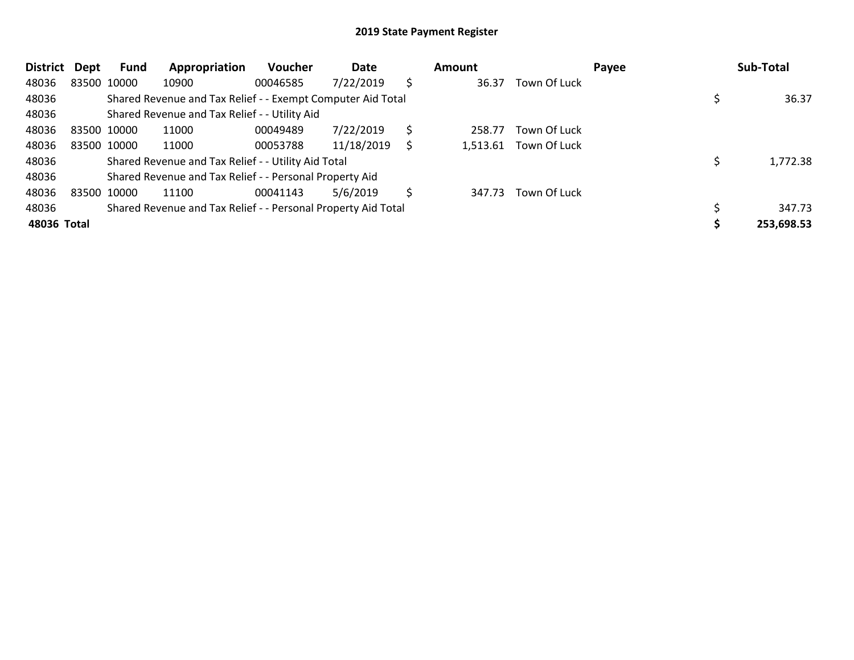| <b>District</b> | Dept        | Fund | Appropriation                                                 | <b>Voucher</b> | Date       |    | Amount   |              | Payee | Sub-Total  |
|-----------------|-------------|------|---------------------------------------------------------------|----------------|------------|----|----------|--------------|-------|------------|
| 48036           | 83500 10000 |      | 10900                                                         | 00046585       | 7/22/2019  | \$ | 36.37    | Town Of Luck |       |            |
| 48036           |             |      | Shared Revenue and Tax Relief - - Exempt Computer Aid Total   |                |            |    |          |              |       | 36.37      |
| 48036           |             |      | Shared Revenue and Tax Relief - - Utility Aid                 |                |            |    |          |              |       |            |
| 48036           | 83500 10000 |      | 11000                                                         | 00049489       | 7/22/2019  | S  | 258.77   | Town Of Luck |       |            |
| 48036           | 83500 10000 |      | 11000                                                         | 00053788       | 11/18/2019 | S  | 1,513.61 | Town Of Luck |       |            |
| 48036           |             |      | Shared Revenue and Tax Relief - - Utility Aid Total           |                |            |    |          |              |       | 1,772.38   |
| 48036           |             |      | Shared Revenue and Tax Relief - - Personal Property Aid       |                |            |    |          |              |       |            |
| 48036           | 83500 10000 |      | 11100                                                         | 00041143       | 5/6/2019   | \$ | 347.73   | Town Of Luck |       |            |
| 48036           |             |      | Shared Revenue and Tax Relief - - Personal Property Aid Total |                |            |    |          |              |       | 347.73     |
| 48036 Total     |             |      |                                                               |                |            |    |          |              |       | 253,698.53 |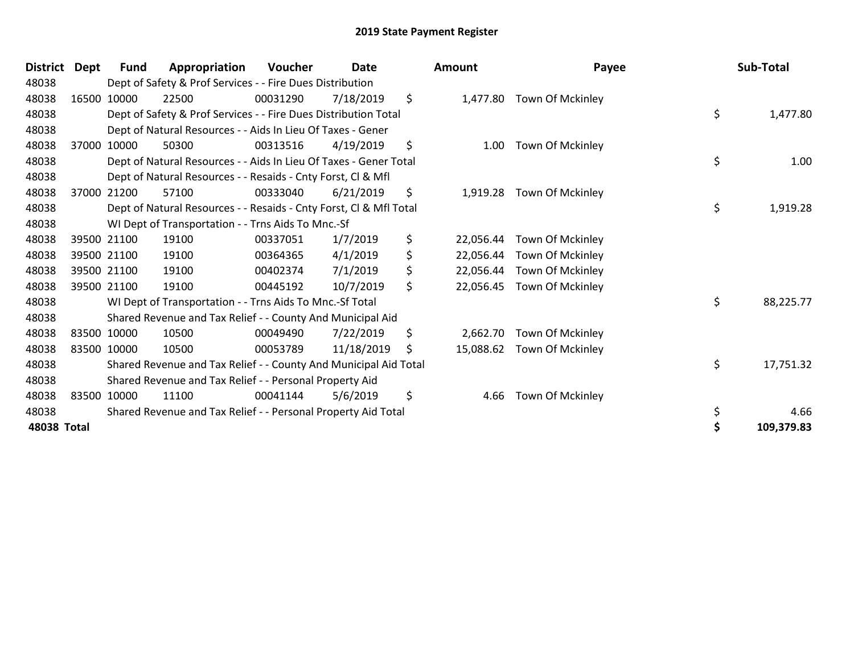| <b>District</b> | Dept | <b>Fund</b> | Appropriation                                                      | Voucher  | <b>Date</b> | <b>Amount</b>   | Payee                   | Sub-Total       |
|-----------------|------|-------------|--------------------------------------------------------------------|----------|-------------|-----------------|-------------------------|-----------------|
| 48038           |      |             | Dept of Safety & Prof Services - - Fire Dues Distribution          |          |             |                 |                         |                 |
| 48038           |      | 16500 10000 | 22500                                                              | 00031290 | 7/18/2019   | \$<br>1,477.80  | Town Of Mckinley        |                 |
| 48038           |      |             | Dept of Safety & Prof Services - - Fire Dues Distribution Total    |          |             |                 |                         | \$<br>1,477.80  |
| 48038           |      |             | Dept of Natural Resources - - Aids In Lieu Of Taxes - Gener        |          |             |                 |                         |                 |
| 48038           |      | 37000 10000 | 50300                                                              | 00313516 | 4/19/2019   | \$<br>1.00      | Town Of Mckinley        |                 |
| 48038           |      |             | Dept of Natural Resources - - Aids In Lieu Of Taxes - Gener Total  |          |             |                 |                         | \$<br>1.00      |
| 48038           |      |             | Dept of Natural Resources - - Resaids - Cnty Forst, CI & Mfl       |          |             |                 |                         |                 |
| 48038           |      | 37000 21200 | 57100                                                              | 00333040 | 6/21/2019   | \$<br>1,919.28  | Town Of Mckinley        |                 |
| 48038           |      |             | Dept of Natural Resources - - Resaids - Cnty Forst, Cl & Mfl Total |          |             |                 |                         | \$<br>1,919.28  |
| 48038           |      |             | WI Dept of Transportation - - Trns Aids To Mnc.-Sf                 |          |             |                 |                         |                 |
| 48038           |      | 39500 21100 | 19100                                                              | 00337051 | 1/7/2019    | \$<br>22,056.44 | Town Of Mckinley        |                 |
| 48038           |      | 39500 21100 | 19100                                                              | 00364365 | 4/1/2019    | \$<br>22,056.44 | Town Of Mckinley        |                 |
| 48038           |      | 39500 21100 | 19100                                                              | 00402374 | 7/1/2019    | \$<br>22,056.44 | Town Of Mckinley        |                 |
| 48038           |      | 39500 21100 | 19100                                                              | 00445192 | 10/7/2019   | \$<br>22,056.45 | Town Of Mckinley        |                 |
| 48038           |      |             | WI Dept of Transportation - - Trns Aids To Mnc.-Sf Total           |          |             |                 |                         | \$<br>88,225.77 |
| 48038           |      |             | Shared Revenue and Tax Relief - - County And Municipal Aid         |          |             |                 |                         |                 |
| 48038           |      | 83500 10000 | 10500                                                              | 00049490 | 7/22/2019   | \$<br>2,662.70  | <b>Town Of Mckinley</b> |                 |
| 48038           |      | 83500 10000 | 10500                                                              | 00053789 | 11/18/2019  | \$<br>15,088.62 | Town Of Mckinley        |                 |
| 48038           |      |             | Shared Revenue and Tax Relief - - County And Municipal Aid Total   |          |             |                 |                         | \$<br>17,751.32 |
| 48038           |      |             | Shared Revenue and Tax Relief - - Personal Property Aid            |          |             |                 |                         |                 |
| 48038           |      | 83500 10000 | 11100                                                              | 00041144 | 5/6/2019    | \$<br>4.66      | Town Of Mckinley        |                 |
| 48038           |      |             | Shared Revenue and Tax Relief - - Personal Property Aid Total      |          |             |                 |                         | \$<br>4.66      |
| 48038 Total     |      |             |                                                                    |          |             |                 |                         | 109,379.83      |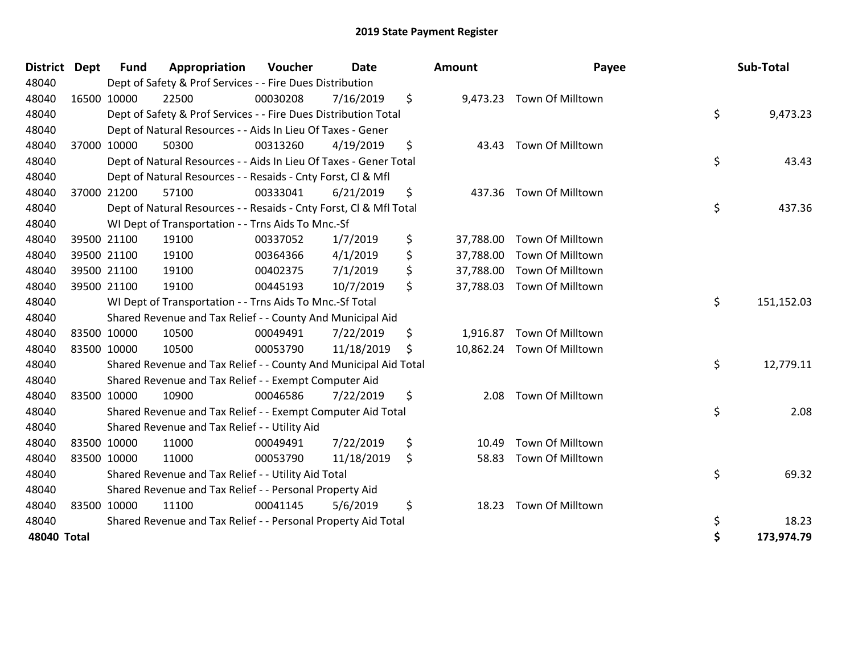| <b>District</b> | <b>Dept</b> | <b>Fund</b> | Appropriation                                                      | Voucher  | <b>Date</b> | <b>Amount</b>   | Payee                     | Sub-Total        |
|-----------------|-------------|-------------|--------------------------------------------------------------------|----------|-------------|-----------------|---------------------------|------------------|
| 48040           |             |             | Dept of Safety & Prof Services - - Fire Dues Distribution          |          |             |                 |                           |                  |
| 48040           |             | 16500 10000 | 22500                                                              | 00030208 | 7/16/2019   | \$              | 9,473.23 Town Of Milltown |                  |
| 48040           |             |             | Dept of Safety & Prof Services - - Fire Dues Distribution Total    |          |             |                 |                           | \$<br>9,473.23   |
| 48040           |             |             | Dept of Natural Resources - - Aids In Lieu Of Taxes - Gener        |          |             |                 |                           |                  |
| 48040           |             | 37000 10000 | 50300                                                              | 00313260 | 4/19/2019   | \$<br>43.43     | Town Of Milltown          |                  |
| 48040           |             |             | Dept of Natural Resources - - Aids In Lieu Of Taxes - Gener Total  |          |             |                 |                           | \$<br>43.43      |
| 48040           |             |             | Dept of Natural Resources - - Resaids - Cnty Forst, CI & Mfl       |          |             |                 |                           |                  |
| 48040           |             | 37000 21200 | 57100                                                              | 00333041 | 6/21/2019   | \$<br>437.36    | Town Of Milltown          |                  |
| 48040           |             |             | Dept of Natural Resources - - Resaids - Cnty Forst, CI & Mfl Total |          |             |                 |                           | \$<br>437.36     |
| 48040           |             |             | WI Dept of Transportation - - Trns Aids To Mnc.-Sf                 |          |             |                 |                           |                  |
| 48040           |             | 39500 21100 | 19100                                                              | 00337052 | 1/7/2019    | \$<br>37,788.00 | Town Of Milltown          |                  |
| 48040           |             | 39500 21100 | 19100                                                              | 00364366 | 4/1/2019    | \$<br>37,788.00 | Town Of Milltown          |                  |
| 48040           |             | 39500 21100 | 19100                                                              | 00402375 | 7/1/2019    | \$<br>37,788.00 | Town Of Milltown          |                  |
| 48040           |             | 39500 21100 | 19100                                                              | 00445193 | 10/7/2019   | \$<br>37,788.03 | Town Of Milltown          |                  |
| 48040           |             |             | WI Dept of Transportation - - Trns Aids To Mnc.-Sf Total           |          |             |                 |                           | \$<br>151,152.03 |
| 48040           |             |             | Shared Revenue and Tax Relief - - County And Municipal Aid         |          |             |                 |                           |                  |
| 48040           |             | 83500 10000 | 10500                                                              | 00049491 | 7/22/2019   | \$<br>1,916.87  | Town Of Milltown          |                  |
| 48040           |             | 83500 10000 | 10500                                                              | 00053790 | 11/18/2019  | \$<br>10,862.24 | Town Of Milltown          |                  |
| 48040           |             |             | Shared Revenue and Tax Relief - - County And Municipal Aid Total   |          |             |                 |                           | \$<br>12,779.11  |
| 48040           |             |             | Shared Revenue and Tax Relief - - Exempt Computer Aid              |          |             |                 |                           |                  |
| 48040           |             | 83500 10000 | 10900                                                              | 00046586 | 7/22/2019   | \$<br>2.08      | Town Of Milltown          |                  |
| 48040           |             |             | Shared Revenue and Tax Relief - - Exempt Computer Aid Total        |          |             |                 |                           | \$<br>2.08       |
| 48040           |             |             | Shared Revenue and Tax Relief - - Utility Aid                      |          |             |                 |                           |                  |
| 48040           |             | 83500 10000 | 11000                                                              | 00049491 | 7/22/2019   | \$<br>10.49     | Town Of Milltown          |                  |
| 48040           |             | 83500 10000 | 11000                                                              | 00053790 | 11/18/2019  | \$<br>58.83     | Town Of Milltown          |                  |
| 48040           |             |             | Shared Revenue and Tax Relief - - Utility Aid Total                |          |             |                 |                           | \$<br>69.32      |
| 48040           |             |             | Shared Revenue and Tax Relief - - Personal Property Aid            |          |             |                 |                           |                  |
| 48040           |             | 83500 10000 | 11100                                                              | 00041145 | 5/6/2019    | \$<br>18.23     | <b>Town Of Milltown</b>   |                  |
| 48040           |             |             | Shared Revenue and Tax Relief - - Personal Property Aid Total      |          |             |                 |                           | \$<br>18.23      |
| 48040 Total     |             |             |                                                                    |          |             |                 |                           | \$<br>173,974.79 |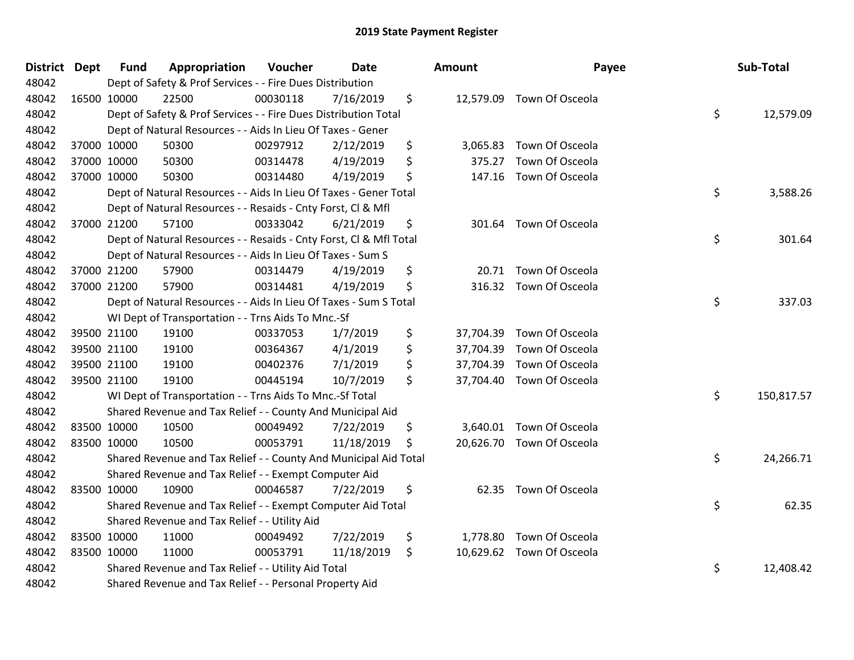| <b>District</b> | <b>Dept</b> | <b>Fund</b> | Appropriation                                                      | Voucher  | <b>Date</b> | Amount          |                           | Payee | Sub-Total  |
|-----------------|-------------|-------------|--------------------------------------------------------------------|----------|-------------|-----------------|---------------------------|-------|------------|
| 48042           |             |             | Dept of Safety & Prof Services - - Fire Dues Distribution          |          |             |                 |                           |       |            |
| 48042           | 16500 10000 |             | 22500                                                              | 00030118 | 7/16/2019   | \$              | 12,579.09 Town Of Osceola |       |            |
| 48042           |             |             | Dept of Safety & Prof Services - - Fire Dues Distribution Total    |          |             |                 |                           | \$    | 12,579.09  |
| 48042           |             |             | Dept of Natural Resources - - Aids In Lieu Of Taxes - Gener        |          |             |                 |                           |       |            |
| 48042           |             | 37000 10000 | 50300                                                              | 00297912 | 2/12/2019   | \$<br>3,065.83  | Town Of Osceola           |       |            |
| 48042           |             | 37000 10000 | 50300                                                              | 00314478 | 4/19/2019   | \$<br>375.27    | Town Of Osceola           |       |            |
| 48042           |             | 37000 10000 | 50300                                                              | 00314480 | 4/19/2019   | \$<br>147.16    | Town Of Osceola           |       |            |
| 48042           |             |             | Dept of Natural Resources - - Aids In Lieu Of Taxes - Gener Total  |          |             |                 |                           | \$    | 3,588.26   |
| 48042           |             |             | Dept of Natural Resources - - Resaids - Cnty Forst, Cl & Mfl       |          |             |                 |                           |       |            |
| 48042           |             | 37000 21200 | 57100                                                              | 00333042 | 6/21/2019   | \$<br>301.64    | Town Of Osceola           |       |            |
| 48042           |             |             | Dept of Natural Resources - - Resaids - Cnty Forst, Cl & Mfl Total |          |             |                 |                           | \$    | 301.64     |
| 48042           |             |             | Dept of Natural Resources - - Aids In Lieu Of Taxes - Sum S        |          |             |                 |                           |       |            |
| 48042           |             | 37000 21200 | 57900                                                              | 00314479 | 4/19/2019   | \$              | 20.71 Town Of Osceola     |       |            |
| 48042           |             | 37000 21200 | 57900                                                              | 00314481 | 4/19/2019   | \$<br>316.32    | Town Of Osceola           |       |            |
| 48042           |             |             | Dept of Natural Resources - - Aids In Lieu Of Taxes - Sum S Total  |          |             |                 |                           | \$    | 337.03     |
| 48042           |             |             | WI Dept of Transportation - - Trns Aids To Mnc.-Sf                 |          |             |                 |                           |       |            |
| 48042           |             | 39500 21100 | 19100                                                              | 00337053 | 1/7/2019    | \$<br>37,704.39 | Town Of Osceola           |       |            |
| 48042           |             | 39500 21100 | 19100                                                              | 00364367 | 4/1/2019    | \$<br>37,704.39 | Town Of Osceola           |       |            |
| 48042           |             | 39500 21100 | 19100                                                              | 00402376 | 7/1/2019    | \$              | 37,704.39 Town Of Osceola |       |            |
| 48042           |             | 39500 21100 | 19100                                                              | 00445194 | 10/7/2019   | \$              | 37,704.40 Town Of Osceola |       |            |
| 48042           |             |             | WI Dept of Transportation - - Trns Aids To Mnc.-Sf Total           |          |             |                 |                           | \$    | 150,817.57 |
| 48042           |             |             | Shared Revenue and Tax Relief - - County And Municipal Aid         |          |             |                 |                           |       |            |
| 48042           |             | 83500 10000 | 10500                                                              | 00049492 | 7/22/2019   | \$              | 3,640.01 Town Of Osceola  |       |            |
| 48042           | 83500 10000 |             | 10500                                                              | 00053791 | 11/18/2019  | \$              | 20,626.70 Town Of Osceola |       |            |
| 48042           |             |             | Shared Revenue and Tax Relief - - County And Municipal Aid Total   |          |             |                 |                           | \$    | 24,266.71  |
| 48042           |             |             | Shared Revenue and Tax Relief - - Exempt Computer Aid              |          |             |                 |                           |       |            |
| 48042           |             | 83500 10000 | 10900                                                              | 00046587 | 7/22/2019   | \$<br>62.35     | Town Of Osceola           |       |            |
| 48042           |             |             | Shared Revenue and Tax Relief - - Exempt Computer Aid Total        |          |             |                 |                           | \$    | 62.35      |
| 48042           |             |             | Shared Revenue and Tax Relief - - Utility Aid                      |          |             |                 |                           |       |            |
| 48042           |             | 83500 10000 | 11000                                                              | 00049492 | 7/22/2019   | \$<br>1,778.80  | Town Of Osceola           |       |            |
| 48042           |             | 83500 10000 | 11000                                                              | 00053791 | 11/18/2019  | \$              | 10,629.62 Town Of Osceola |       |            |
| 48042           |             |             | Shared Revenue and Tax Relief - - Utility Aid Total                |          |             |                 |                           | \$    | 12,408.42  |
| 48042           |             |             | Shared Revenue and Tax Relief - - Personal Property Aid            |          |             |                 |                           |       |            |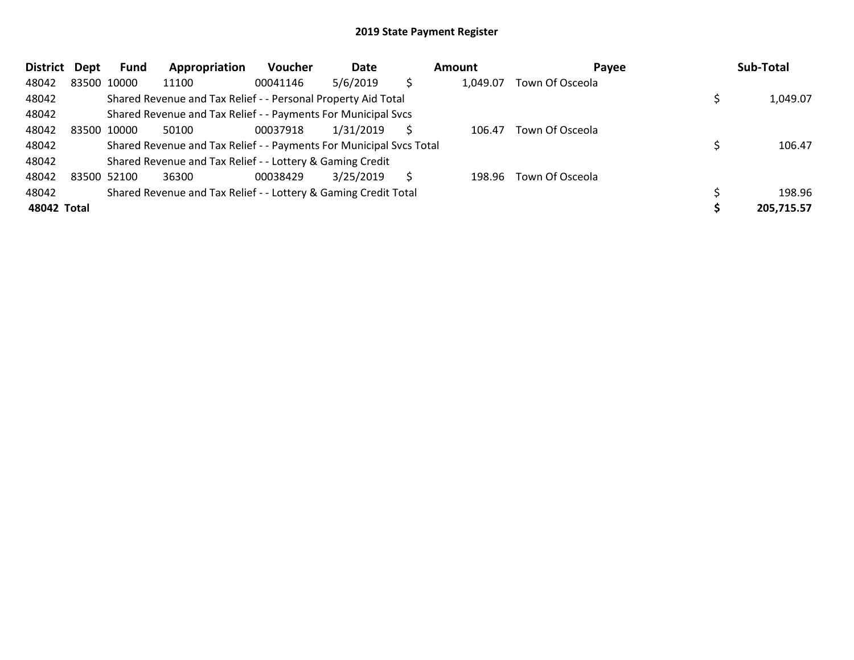| <b>District</b> | Dept | Fund        | Appropriation                                                       | <b>Voucher</b> | Date      |              | <b>Amount</b> | Payee           | Sub-Total  |
|-----------------|------|-------------|---------------------------------------------------------------------|----------------|-----------|--------------|---------------|-----------------|------------|
| 48042           |      | 83500 10000 | 11100                                                               | 00041146       | 5/6/2019  |              | 1,049.07      | Town Of Osceola |            |
| 48042           |      |             | Shared Revenue and Tax Relief - - Personal Property Aid Total       |                |           |              |               |                 | 1,049.07   |
| 48042           |      |             | Shared Revenue and Tax Relief - - Payments For Municipal Svcs       |                |           |              |               |                 |            |
| 48042           |      | 83500 10000 | 50100                                                               | 00037918       | 1/31/2019 |              | 106.47        | Town Of Osceola |            |
| 48042           |      |             | Shared Revenue and Tax Relief - - Payments For Municipal Svcs Total |                |           |              |               |                 | 106.47     |
| 48042           |      |             | Shared Revenue and Tax Relief - - Lottery & Gaming Credit           |                |           |              |               |                 |            |
| 48042           |      | 83500 52100 | 36300                                                               | 00038429       | 3/25/2019 | <sup>S</sup> | 198.96        | Town Of Osceola |            |
| 48042           |      |             | Shared Revenue and Tax Relief - - Lottery & Gaming Credit Total     |                |           |              |               |                 | 198.96     |
| 48042 Total     |      |             |                                                                     |                |           |              |               |                 | 205,715.57 |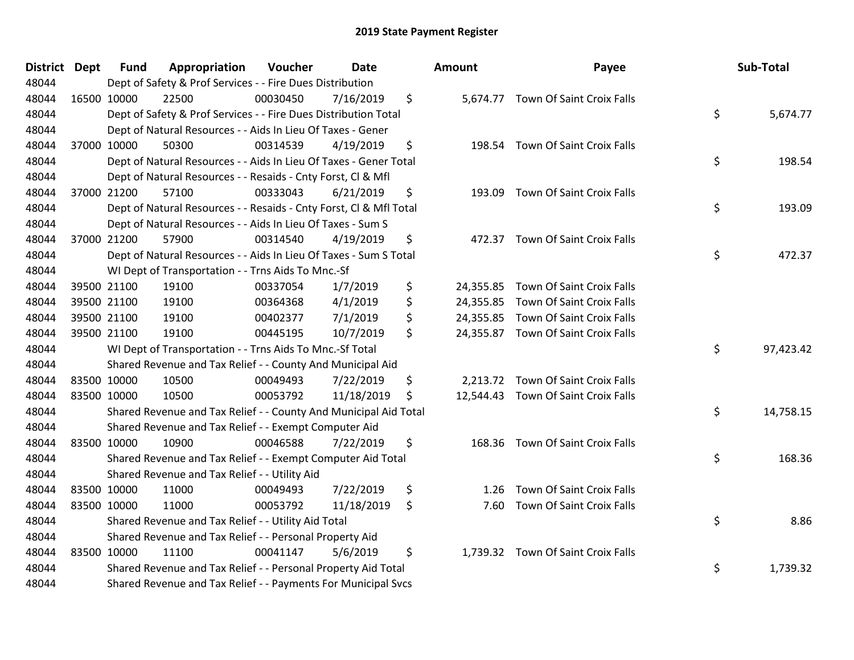| District | <b>Dept</b> | <b>Fund</b> | Appropriation                                                      | Voucher  | Date       | Amount       | Payee                               | Sub-Total       |
|----------|-------------|-------------|--------------------------------------------------------------------|----------|------------|--------------|-------------------------------------|-----------------|
| 48044    |             |             | Dept of Safety & Prof Services - - Fire Dues Distribution          |          |            |              |                                     |                 |
| 48044    |             | 16500 10000 | 22500                                                              | 00030450 | 7/16/2019  | \$           | 5,674.77 Town Of Saint Croix Falls  |                 |
| 48044    |             |             | Dept of Safety & Prof Services - - Fire Dues Distribution Total    |          |            |              |                                     | \$<br>5,674.77  |
| 48044    |             |             | Dept of Natural Resources - - Aids In Lieu Of Taxes - Gener        |          |            |              |                                     |                 |
| 48044    |             | 37000 10000 | 50300                                                              | 00314539 | 4/19/2019  | \$<br>198.54 | Town Of Saint Croix Falls           |                 |
| 48044    |             |             | Dept of Natural Resources - - Aids In Lieu Of Taxes - Gener Total  |          |            |              |                                     | \$<br>198.54    |
| 48044    |             |             | Dept of Natural Resources - - Resaids - Cnty Forst, Cl & Mfl       |          |            |              |                                     |                 |
| 48044    |             | 37000 21200 | 57100                                                              | 00333043 | 6/21/2019  | \$<br>193.09 | Town Of Saint Croix Falls           |                 |
| 48044    |             |             | Dept of Natural Resources - - Resaids - Cnty Forst, Cl & Mfl Total |          |            |              |                                     | \$<br>193.09    |
| 48044    |             |             | Dept of Natural Resources - - Aids In Lieu Of Taxes - Sum S        |          |            |              |                                     |                 |
| 48044    |             | 37000 21200 | 57900                                                              | 00314540 | 4/19/2019  | \$           | 472.37 Town Of Saint Croix Falls    |                 |
| 48044    |             |             | Dept of Natural Resources - - Aids In Lieu Of Taxes - Sum S Total  |          |            |              |                                     | \$<br>472.37    |
| 48044    |             |             | WI Dept of Transportation - - Trns Aids To Mnc.-Sf                 |          |            |              |                                     |                 |
| 48044    |             | 39500 21100 | 19100                                                              | 00337054 | 1/7/2019   | \$           | 24,355.85 Town Of Saint Croix Falls |                 |
| 48044    |             | 39500 21100 | 19100                                                              | 00364368 | 4/1/2019   | \$           | 24,355.85 Town Of Saint Croix Falls |                 |
| 48044    |             | 39500 21100 | 19100                                                              | 00402377 | 7/1/2019   | \$           | 24,355.85 Town Of Saint Croix Falls |                 |
| 48044    |             | 39500 21100 | 19100                                                              | 00445195 | 10/7/2019  | \$           | 24,355.87 Town Of Saint Croix Falls |                 |
| 48044    |             |             | WI Dept of Transportation - - Trns Aids To Mnc.-Sf Total           |          |            |              |                                     | \$<br>97,423.42 |
| 48044    |             |             | Shared Revenue and Tax Relief - - County And Municipal Aid         |          |            |              |                                     |                 |
| 48044    |             | 83500 10000 | 10500                                                              | 00049493 | 7/22/2019  | \$           | 2,213.72 Town Of Saint Croix Falls  |                 |
| 48044    |             | 83500 10000 | 10500                                                              | 00053792 | 11/18/2019 | \$           | 12,544.43 Town Of Saint Croix Falls |                 |
| 48044    |             |             | Shared Revenue and Tax Relief - - County And Municipal Aid Total   |          |            |              |                                     | \$<br>14,758.15 |
| 48044    |             |             | Shared Revenue and Tax Relief - - Exempt Computer Aid              |          |            |              |                                     |                 |
| 48044    |             | 83500 10000 | 10900                                                              | 00046588 | 7/22/2019  | \$           | 168.36 Town Of Saint Croix Falls    |                 |
| 48044    |             |             | Shared Revenue and Tax Relief - - Exempt Computer Aid Total        |          |            |              |                                     | \$<br>168.36    |
| 48044    |             |             | Shared Revenue and Tax Relief - - Utility Aid                      |          |            |              |                                     |                 |
| 48044    |             | 83500 10000 | 11000                                                              | 00049493 | 7/22/2019  | \$<br>1.26   | Town Of Saint Croix Falls           |                 |
| 48044    |             | 83500 10000 | 11000                                                              | 00053792 | 11/18/2019 | \$<br>7.60   | Town Of Saint Croix Falls           |                 |
| 48044    |             |             | Shared Revenue and Tax Relief - - Utility Aid Total                |          |            |              |                                     | \$<br>8.86      |
| 48044    |             |             | Shared Revenue and Tax Relief - - Personal Property Aid            |          |            |              |                                     |                 |
| 48044    |             | 83500 10000 | 11100                                                              | 00041147 | 5/6/2019   | \$           | 1,739.32 Town Of Saint Croix Falls  |                 |
| 48044    |             |             | Shared Revenue and Tax Relief - - Personal Property Aid Total      |          |            |              |                                     | \$<br>1,739.32  |
| 48044    |             |             | Shared Revenue and Tax Relief - - Payments For Municipal Svcs      |          |            |              |                                     |                 |

| Sub-Total | Payee                                                                                                | ount                   |
|-----------|------------------------------------------------------------------------------------------------------|------------------------|
| 5,674.77  | \$<br>5,674.77 Town Of Saint Croix Falls                                                             |                        |
| 198.54    | \$<br>198.54 Town Of Saint Croix Falls                                                               |                        |
| 193.09    | \$<br>Town Of Saint Croix Falls                                                                      | 193.09                 |
| 472.37    | \$<br><b>Town Of Saint Croix Falls</b>                                                               | 472.37                 |
|           | <b>Town Of Saint Croix Falls</b><br>Town Of Saint Croix Falls<br>24,355.85 Town Of Saint Croix Falls | 24,355.85<br>24,355.85 |
| 97,423.42 | \$<br>24,355.87 Town Of Saint Croix Falls                                                            |                        |
|           | 2,213.72 Town Of Saint Croix Falls<br>Town Of Saint Croix Falls                                      | 12,544.43              |
| 14,758.15 | \$<br><b>Town Of Saint Croix Falls</b>                                                               | 168.36                 |
| 168.36    | \$                                                                                                   |                        |
|           | 1.26 Town Of Saint Croix Falls<br>Town Of Saint Croix Falls                                          | 7.60                   |
| 8.86      | \$<br><b>Town Of Saint Croix Falls</b>                                                               | 1,739.32               |
| 1,739.32  | \$                                                                                                   |                        |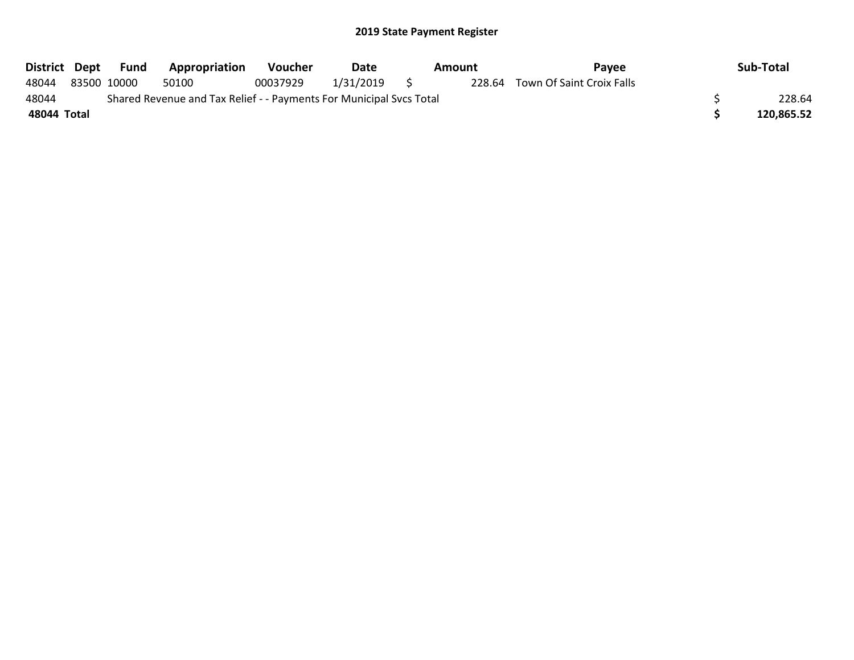| District Dept |                                                                     | Fund        | <b>Appropriation</b> | <b>Voucher</b> | Date      |     | Amount | Pavee                            |  | Sub-Total  |
|---------------|---------------------------------------------------------------------|-------------|----------------------|----------------|-----------|-----|--------|----------------------------------|--|------------|
| 48044         |                                                                     | 83500 10000 | 50100                | 00037929       | 1/31/2019 | - 5 |        | 228.64 Town Of Saint Croix Falls |  |            |
| 48044         | Shared Revenue and Tax Relief - - Payments For Municipal Svcs Total |             |                      |                |           |     |        |                                  |  |            |
| 48044 Total   |                                                                     |             |                      |                |           |     |        |                                  |  | 120,865.52 |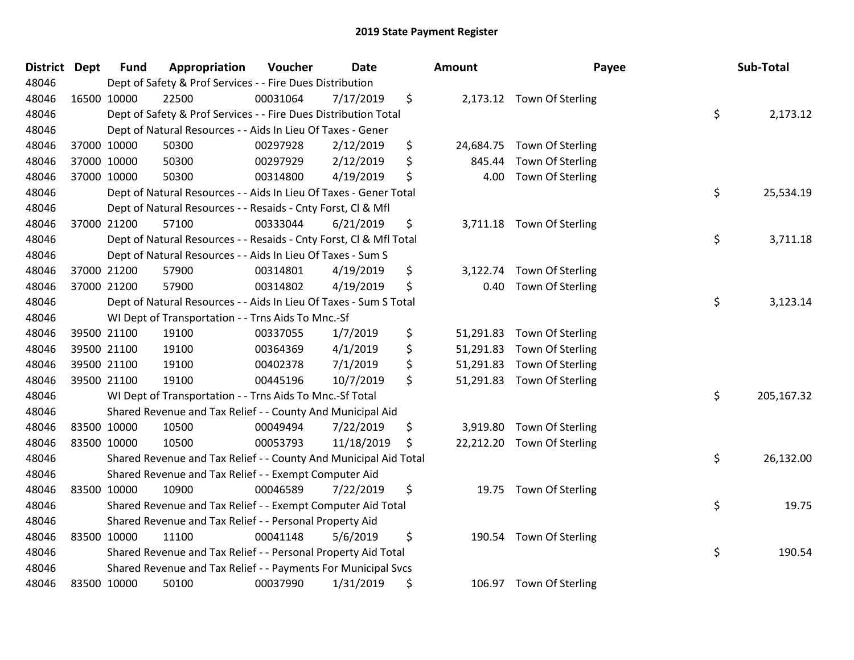| District Dept | <b>Fund</b> | Appropriation                                                      | Voucher  | <b>Date</b> | <b>Amount</b>   | Payee                      | Sub-Total        |
|---------------|-------------|--------------------------------------------------------------------|----------|-------------|-----------------|----------------------------|------------------|
| 48046         |             | Dept of Safety & Prof Services - - Fire Dues Distribution          |          |             |                 |                            |                  |
| 48046         | 16500 10000 | 22500                                                              | 00031064 | 7/17/2019   | \$              | 2,173.12 Town Of Sterling  |                  |
| 48046         |             | Dept of Safety & Prof Services - - Fire Dues Distribution Total    |          |             |                 |                            | \$<br>2,173.12   |
| 48046         |             | Dept of Natural Resources - - Aids In Lieu Of Taxes - Gener        |          |             |                 |                            |                  |
| 48046         | 37000 10000 | 50300                                                              | 00297928 | 2/12/2019   | \$<br>24,684.75 | Town Of Sterling           |                  |
| 48046         | 37000 10000 | 50300                                                              | 00297929 | 2/12/2019   | \$<br>845.44    | Town Of Sterling           |                  |
| 48046         | 37000 10000 | 50300                                                              | 00314800 | 4/19/2019   | \$<br>4.00      | Town Of Sterling           |                  |
| 48046         |             | Dept of Natural Resources - - Aids In Lieu Of Taxes - Gener Total  |          |             |                 |                            | \$<br>25,534.19  |
| 48046         |             | Dept of Natural Resources - - Resaids - Cnty Forst, Cl & Mfl       |          |             |                 |                            |                  |
| 48046         | 37000 21200 | 57100                                                              | 00333044 | 6/21/2019   | \$<br>3,711.18  | Town Of Sterling           |                  |
| 48046         |             | Dept of Natural Resources - - Resaids - Cnty Forst, Cl & Mfl Total |          |             |                 |                            | \$<br>3,711.18   |
| 48046         |             | Dept of Natural Resources - - Aids In Lieu Of Taxes - Sum S        |          |             |                 |                            |                  |
| 48046         | 37000 21200 | 57900                                                              | 00314801 | 4/19/2019   | \$<br>3,122.74  | Town Of Sterling           |                  |
| 48046         | 37000 21200 | 57900                                                              | 00314802 | 4/19/2019   | \$<br>0.40      | Town Of Sterling           |                  |
| 48046         |             | Dept of Natural Resources - - Aids In Lieu Of Taxes - Sum S Total  |          |             |                 |                            | \$<br>3,123.14   |
| 48046         |             | WI Dept of Transportation - - Trns Aids To Mnc.-Sf                 |          |             |                 |                            |                  |
| 48046         | 39500 21100 | 19100                                                              | 00337055 | 1/7/2019    | \$<br>51,291.83 | Town Of Sterling           |                  |
| 48046         | 39500 21100 | 19100                                                              | 00364369 | 4/1/2019    | \$<br>51,291.83 | Town Of Sterling           |                  |
| 48046         | 39500 21100 | 19100                                                              | 00402378 | 7/1/2019    | \$<br>51,291.83 | Town Of Sterling           |                  |
| 48046         | 39500 21100 | 19100                                                              | 00445196 | 10/7/2019   | \$<br>51,291.83 | Town Of Sterling           |                  |
| 48046         |             | WI Dept of Transportation - - Trns Aids To Mnc.-Sf Total           |          |             |                 |                            | \$<br>205,167.32 |
| 48046         |             | Shared Revenue and Tax Relief - - County And Municipal Aid         |          |             |                 |                            |                  |
| 48046         | 83500 10000 | 10500                                                              | 00049494 | 7/22/2019   | \$<br>3,919.80  | Town Of Sterling           |                  |
| 48046         | 83500 10000 | 10500                                                              | 00053793 | 11/18/2019  | \$              | 22,212.20 Town Of Sterling |                  |
| 48046         |             | Shared Revenue and Tax Relief - - County And Municipal Aid Total   |          |             |                 |                            | \$<br>26,132.00  |
| 48046         |             | Shared Revenue and Tax Relief - - Exempt Computer Aid              |          |             |                 |                            |                  |
| 48046         | 83500 10000 | 10900                                                              | 00046589 | 7/22/2019   | \$<br>19.75     | Town Of Sterling           |                  |
| 48046         |             | Shared Revenue and Tax Relief - - Exempt Computer Aid Total        |          |             |                 |                            | \$<br>19.75      |
| 48046         |             | Shared Revenue and Tax Relief - - Personal Property Aid            |          |             |                 |                            |                  |
| 48046         | 83500 10000 | 11100                                                              | 00041148 | 5/6/2019    | \$<br>190.54    | Town Of Sterling           |                  |
| 48046         |             | Shared Revenue and Tax Relief - - Personal Property Aid Total      |          |             |                 |                            | \$<br>190.54     |
| 48046         |             | Shared Revenue and Tax Relief - - Payments For Municipal Svcs      |          |             |                 |                            |                  |
| 48046         | 83500 10000 | 50100                                                              | 00037990 | 1/31/2019   | \$              | 106.97 Town Of Sterling    |                  |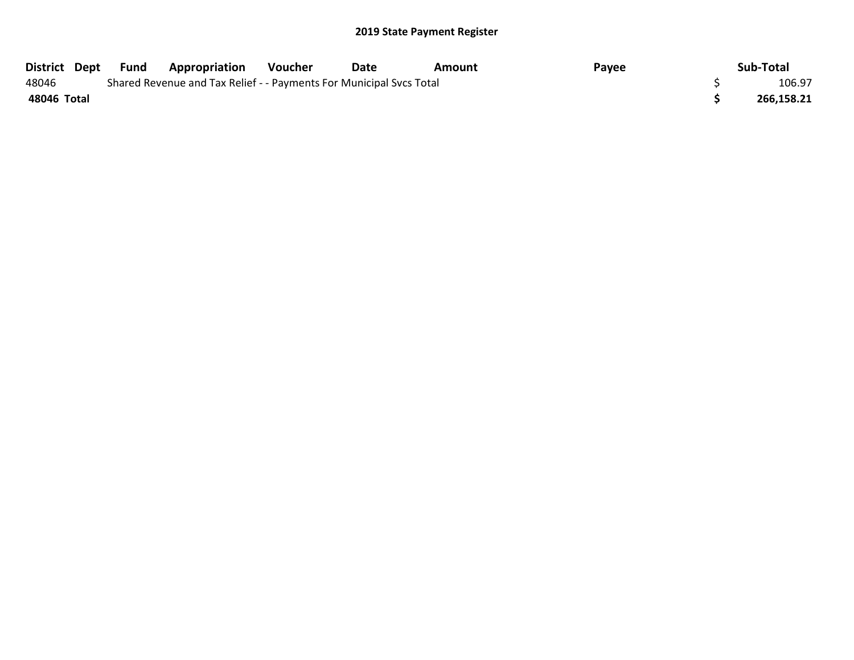| District Dept Fund |  | <b>Appropriation</b>                                                | Voucher | Date | Amount | Payee | Sub-Total  |
|--------------------|--|---------------------------------------------------------------------|---------|------|--------|-------|------------|
| 48046              |  | Shared Revenue and Tax Relief - - Payments For Municipal Svcs Total |         |      |        |       | 106.97     |
| 48046 Total        |  |                                                                     |         |      |        |       | 266,158.21 |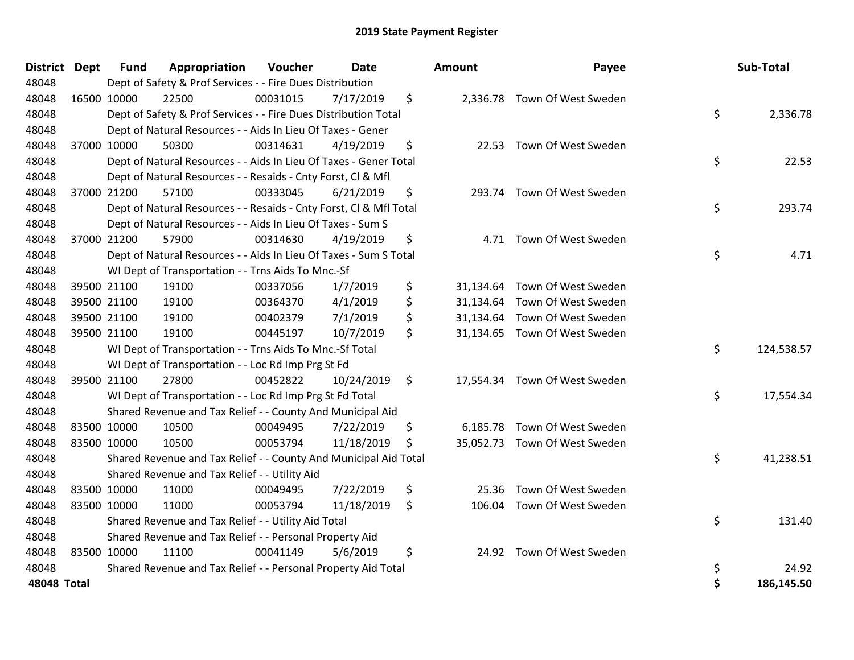|               | District Dept | <b>Fund</b> | Appropriation                                                      | Voucher  | Date       | <b>Amount</b> | Payee                         |    | Sub-Total         |
|---------------|---------------|-------------|--------------------------------------------------------------------|----------|------------|---------------|-------------------------------|----|-------------------|
| 48048         |               |             | Dept of Safety & Prof Services - - Fire Dues Distribution          |          |            |               |                               |    |                   |
| 48048         |               | 16500 10000 | 22500                                                              | 00031015 | 7/17/2019  | \$            | 2,336.78 Town Of West Sweden  |    |                   |
| 48048         |               |             | Dept of Safety & Prof Services - - Fire Dues Distribution Total    |          |            |               |                               | \$ | 2,336.78          |
| 48048         |               |             | Dept of Natural Resources - - Aids In Lieu Of Taxes - Gener        |          |            |               |                               |    |                   |
| 48048         |               | 37000 10000 | 50300                                                              | 00314631 | 4/19/2019  | \$<br>22.53   | Town Of West Sweden           |    |                   |
| 48048         |               |             | Dept of Natural Resources - - Aids In Lieu Of Taxes - Gener Total  |          |            |               |                               | \$ | 22.53             |
| 48048         |               |             | Dept of Natural Resources - - Resaids - Cnty Forst, Cl & Mfl       |          |            |               |                               |    |                   |
| 48048         |               | 37000 21200 | 57100                                                              | 00333045 | 6/21/2019  | \$            | 293.74 Town Of West Sweden    |    |                   |
| 48048         |               |             | Dept of Natural Resources - - Resaids - Cnty Forst, Cl & Mfl Total |          |            |               |                               | \$ | 293.74            |
| 48048         |               |             | Dept of Natural Resources - - Aids In Lieu Of Taxes - Sum S        |          |            |               |                               |    |                   |
| 48048         |               | 37000 21200 | 57900                                                              | 00314630 | 4/19/2019  | \$            | 4.71 Town Of West Sweden      |    |                   |
| 48048         |               |             | Dept of Natural Resources - - Aids In Lieu Of Taxes - Sum S Total  |          |            |               |                               | \$ | 4.71              |
| 48048         |               |             | WI Dept of Transportation - - Trns Aids To Mnc.-Sf                 |          |            |               |                               |    |                   |
| 48048         |               | 39500 21100 | 19100                                                              | 00337056 | 1/7/2019   | \$            | 31,134.64 Town Of West Sweden |    |                   |
| 48048         |               | 39500 21100 | 19100                                                              | 00364370 | 4/1/2019   | \$            | 31,134.64 Town Of West Sweden |    |                   |
| 48048         |               | 39500 21100 | 19100                                                              | 00402379 | 7/1/2019   | \$            | 31,134.64 Town Of West Sweden |    |                   |
| 48048         |               | 39500 21100 | 19100                                                              | 00445197 | 10/7/2019  | \$            | 31,134.65 Town Of West Sweden |    |                   |
| 48048         |               |             | WI Dept of Transportation - - Trns Aids To Mnc.-Sf Total           |          |            |               |                               | \$ | 124,538.57        |
| 48048         |               |             | WI Dept of Transportation - - Loc Rd Imp Prg St Fd                 |          |            |               |                               |    |                   |
| 48048         |               | 39500 21100 | 27800                                                              | 00452822 | 10/24/2019 | \$            | 17,554.34 Town Of West Sweden |    |                   |
| 48048         |               |             | WI Dept of Transportation - - Loc Rd Imp Prg St Fd Total           |          |            |               |                               | \$ | 17,554.34         |
| 48048         |               |             | Shared Revenue and Tax Relief - - County And Municipal Aid         |          |            |               |                               |    |                   |
| 48048         |               | 83500 10000 | 10500                                                              | 00049495 | 7/22/2019  | \$            | 6,185.78 Town Of West Sweden  |    |                   |
| 48048         |               | 83500 10000 | 10500                                                              | 00053794 | 11/18/2019 | \$            | 35,052.73 Town Of West Sweden |    |                   |
| 48048         |               |             | Shared Revenue and Tax Relief - - County And Municipal Aid Total   |          |            |               |                               | \$ | 41,238.51         |
| 48048         |               |             | Shared Revenue and Tax Relief - - Utility Aid                      |          |            |               |                               |    |                   |
| 48048         |               | 83500 10000 | 11000                                                              | 00049495 | 7/22/2019  | \$<br>25.36   | Town Of West Sweden           |    |                   |
| 48048         |               | 83500 10000 | 11000                                                              | 00053794 | 11/18/2019 | \$<br>106.04  | Town Of West Sweden           |    |                   |
| 48048         |               |             | Shared Revenue and Tax Relief - - Utility Aid Total                |          |            |               |                               | \$ | 131.40            |
| 48048         |               |             | Shared Revenue and Tax Relief - - Personal Property Aid            |          |            |               |                               |    |                   |
| 48048         |               | 83500 10000 | 11100                                                              | 00041149 | 5/6/2019   | \$<br>24.92   | Town Of West Sweden           |    |                   |
| 48048         |               |             | Shared Revenue and Tax Relief - - Personal Property Aid Total      |          |            |               |                               | \$ | 24.92             |
| $ABOAB$ Total |               |             |                                                                    |          |            |               |                               | ¢  | <b>186 145 50</b> |

| District Dept      |             | <b>Fund</b> | Appropriation                                                      | <b>Voucher</b> | Date       | <b>Amount</b> | Payee                         | Sub-Total        |
|--------------------|-------------|-------------|--------------------------------------------------------------------|----------------|------------|---------------|-------------------------------|------------------|
| 48048              |             |             | Dept of Safety & Prof Services - - Fire Dues Distribution          |                |            |               |                               |                  |
| 48048              | 16500 10000 |             | 22500                                                              | 00031015       | 7/17/2019  | \$            | 2,336.78 Town Of West Sweden  |                  |
| 48048              |             |             | Dept of Safety & Prof Services - - Fire Dues Distribution Total    |                |            |               |                               | \$<br>2,336.78   |
| 48048              |             |             | Dept of Natural Resources - - Aids In Lieu Of Taxes - Gener        |                |            |               |                               |                  |
| 48048              | 37000 10000 |             | 50300                                                              | 00314631       | 4/19/2019  | \$            | 22.53 Town Of West Sweden     |                  |
| 48048              |             |             | Dept of Natural Resources - - Aids In Lieu Of Taxes - Gener Total  |                |            |               |                               | \$<br>22.53      |
| 48048              |             |             | Dept of Natural Resources - - Resaids - Cnty Forst, Cl & Mfl       |                |            |               |                               |                  |
| 48048              | 37000 21200 |             | 57100                                                              | 00333045       | 6/21/2019  | \$            | 293.74 Town Of West Sweden    |                  |
| 48048              |             |             | Dept of Natural Resources - - Resaids - Cnty Forst, Cl & Mfl Total |                |            |               |                               | \$<br>293.74     |
| 48048              |             |             | Dept of Natural Resources - - Aids In Lieu Of Taxes - Sum S        |                |            |               |                               |                  |
| 48048              | 37000 21200 |             | 57900                                                              | 00314630       | 4/19/2019  | \$            | 4.71 Town Of West Sweden      |                  |
| 48048              |             |             | Dept of Natural Resources - - Aids In Lieu Of Taxes - Sum S Total  |                |            |               |                               | \$<br>4.71       |
| 48048              |             |             | WI Dept of Transportation - - Trns Aids To Mnc.-Sf                 |                |            |               |                               |                  |
| 48048              | 39500 21100 |             | 19100                                                              | 00337056       | 1/7/2019   | \$            | 31,134.64 Town Of West Sweden |                  |
| 48048              | 39500 21100 |             | 19100                                                              | 00364370       | 4/1/2019   | \$            | 31,134.64 Town Of West Sweden |                  |
| 48048              | 39500 21100 |             | 19100                                                              | 00402379       | 7/1/2019   | \$            | 31,134.64 Town Of West Sweden |                  |
| 48048              | 39500 21100 |             | 19100                                                              | 00445197       | 10/7/2019  | \$            | 31,134.65 Town Of West Sweden |                  |
| 48048              |             |             | WI Dept of Transportation - - Trns Aids To Mnc.-Sf Total           |                |            |               |                               | \$<br>124,538.57 |
| 48048              |             |             | WI Dept of Transportation - - Loc Rd Imp Prg St Fd                 |                |            |               |                               |                  |
| 48048              | 39500 21100 |             | 27800                                                              | 00452822       | 10/24/2019 | \$            | 17,554.34 Town Of West Sweden |                  |
| 48048              |             |             | WI Dept of Transportation - - Loc Rd Imp Prg St Fd Total           |                |            |               |                               | \$<br>17,554.34  |
| 48048              |             |             | Shared Revenue and Tax Relief - - County And Municipal Aid         |                |            |               |                               |                  |
| 48048              | 83500 10000 |             | 10500                                                              | 00049495       | 7/22/2019  | \$            | 6,185.78 Town Of West Sweden  |                  |
| 48048              | 83500 10000 |             | 10500                                                              | 00053794       | 11/18/2019 | \$            | 35,052.73 Town Of West Sweden |                  |
| 48048              |             |             | Shared Revenue and Tax Relief - - County And Municipal Aid Total   |                |            |               |                               | \$<br>41,238.51  |
| 48048              |             |             | Shared Revenue and Tax Relief - - Utility Aid                      |                |            |               |                               |                  |
| 48048              | 83500 10000 |             | 11000                                                              | 00049495       | 7/22/2019  | \$<br>25.36   | Town Of West Sweden           |                  |
| 48048              | 83500 10000 |             | 11000                                                              | 00053794       | 11/18/2019 | \$            | 106.04 Town Of West Sweden    |                  |
| 48048              |             |             | Shared Revenue and Tax Relief - - Utility Aid Total                |                |            |               |                               | \$<br>131.40     |
| 48048              |             |             | Shared Revenue and Tax Relief - - Personal Property Aid            |                |            |               |                               |                  |
| 48048              | 83500 10000 |             | 11100                                                              | 00041149       | 5/6/2019   | \$            | 24.92 Town Of West Sweden     |                  |
| 48048              |             |             | Shared Revenue and Tax Relief - - Personal Property Aid Total      |                |            |               |                               | \$<br>24.92      |
| <b>48048 Total</b> |             |             |                                                                    |                |            |               |                               | \$<br>186,145.50 |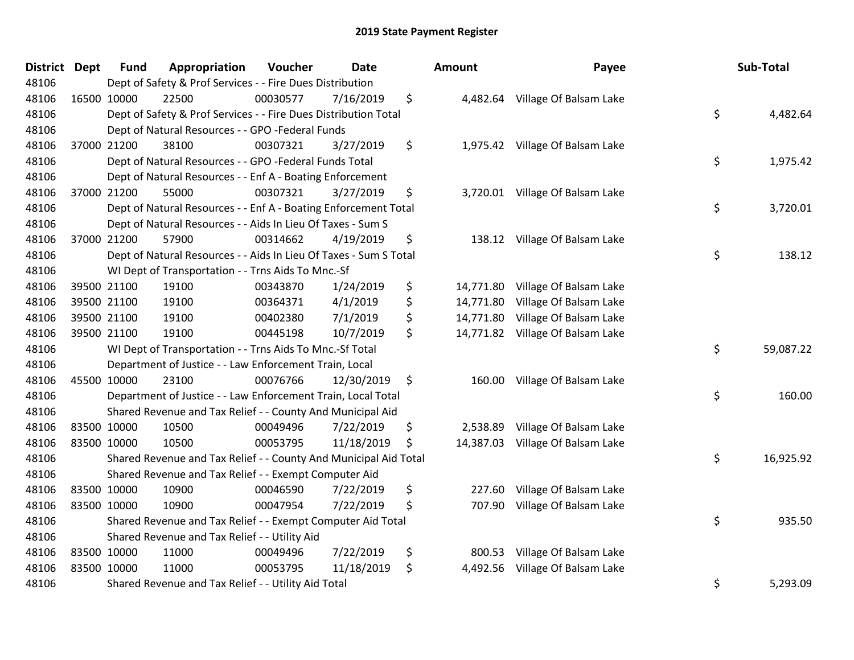| <b>District</b> | <b>Dept</b> | <b>Fund</b> | Appropriation                                                     | Voucher  | <b>Date</b> | <b>Amount</b>   | Payee                            | Sub-Total       |
|-----------------|-------------|-------------|-------------------------------------------------------------------|----------|-------------|-----------------|----------------------------------|-----------------|
| 48106           |             |             | Dept of Safety & Prof Services - - Fire Dues Distribution         |          |             |                 |                                  |                 |
| 48106           |             | 16500 10000 | 22500                                                             | 00030577 | 7/16/2019   | \$              | 4,482.64 Village Of Balsam Lake  |                 |
| 48106           |             |             | Dept of Safety & Prof Services - - Fire Dues Distribution Total   |          |             |                 |                                  | \$<br>4,482.64  |
| 48106           |             |             | Dept of Natural Resources - - GPO -Federal Funds                  |          |             |                 |                                  |                 |
| 48106           |             | 37000 21200 | 38100                                                             | 00307321 | 3/27/2019   | \$              | 1,975.42 Village Of Balsam Lake  |                 |
| 48106           |             |             | Dept of Natural Resources - - GPO -Federal Funds Total            |          |             |                 |                                  | \$<br>1,975.42  |
| 48106           |             |             | Dept of Natural Resources - - Enf A - Boating Enforcement         |          |             |                 |                                  |                 |
| 48106           |             | 37000 21200 | 55000                                                             | 00307321 | 3/27/2019   | \$              | 3,720.01 Village Of Balsam Lake  |                 |
| 48106           |             |             | Dept of Natural Resources - - Enf A - Boating Enforcement Total   |          |             |                 |                                  | \$<br>3,720.01  |
| 48106           |             |             | Dept of Natural Resources - - Aids In Lieu Of Taxes - Sum S       |          |             |                 |                                  |                 |
| 48106           |             | 37000 21200 | 57900                                                             | 00314662 | 4/19/2019   | \$              | 138.12 Village Of Balsam Lake    |                 |
| 48106           |             |             | Dept of Natural Resources - - Aids In Lieu Of Taxes - Sum S Total |          |             |                 |                                  | \$<br>138.12    |
| 48106           |             |             | WI Dept of Transportation - - Trns Aids To Mnc.-Sf                |          |             |                 |                                  |                 |
| 48106           |             | 39500 21100 | 19100                                                             | 00343870 | 1/24/2019   | \$<br>14,771.80 | Village Of Balsam Lake           |                 |
| 48106           |             | 39500 21100 | 19100                                                             | 00364371 | 4/1/2019    | \$<br>14,771.80 | Village Of Balsam Lake           |                 |
| 48106           |             | 39500 21100 | 19100                                                             | 00402380 | 7/1/2019    | \$<br>14,771.80 | Village Of Balsam Lake           |                 |
| 48106           |             | 39500 21100 | 19100                                                             | 00445198 | 10/7/2019   | \$              | 14,771.82 Village Of Balsam Lake |                 |
| 48106           |             |             | WI Dept of Transportation - - Trns Aids To Mnc.-Sf Total          |          |             |                 |                                  | \$<br>59,087.22 |
| 48106           |             |             | Department of Justice - - Law Enforcement Train, Local            |          |             |                 |                                  |                 |
| 48106           |             | 45500 10000 | 23100                                                             | 00076766 | 12/30/2019  | \$              | 160.00 Village Of Balsam Lake    |                 |
| 48106           |             |             | Department of Justice - - Law Enforcement Train, Local Total      |          |             |                 |                                  | \$<br>160.00    |
| 48106           |             |             | Shared Revenue and Tax Relief - - County And Municipal Aid        |          |             |                 |                                  |                 |
| 48106           |             | 83500 10000 | 10500                                                             | 00049496 | 7/22/2019   | \$<br>2,538.89  | Village Of Balsam Lake           |                 |
| 48106           |             | 83500 10000 | 10500                                                             | 00053795 | 11/18/2019  | \$<br>14,387.03 | Village Of Balsam Lake           |                 |
| 48106           |             |             | Shared Revenue and Tax Relief - - County And Municipal Aid Total  |          |             |                 |                                  | \$<br>16,925.92 |
| 48106           |             |             | Shared Revenue and Tax Relief - - Exempt Computer Aid             |          |             |                 |                                  |                 |
| 48106           |             | 83500 10000 | 10900                                                             | 00046590 | 7/22/2019   | \$<br>227.60    | Village Of Balsam Lake           |                 |
| 48106           |             | 83500 10000 | 10900                                                             | 00047954 | 7/22/2019   | \$<br>707.90    | Village Of Balsam Lake           |                 |
| 48106           |             |             | Shared Revenue and Tax Relief - - Exempt Computer Aid Total       |          |             |                 |                                  | \$<br>935.50    |
| 48106           |             |             | Shared Revenue and Tax Relief - - Utility Aid                     |          |             |                 |                                  |                 |
| 48106           |             | 83500 10000 | 11000                                                             | 00049496 | 7/22/2019   | \$<br>800.53    | Village Of Balsam Lake           |                 |
| 48106           |             | 83500 10000 | 11000                                                             | 00053795 | 11/18/2019  | \$<br>4,492.56  | Village Of Balsam Lake           |                 |
| 48106           |             |             | Shared Revenue and Tax Relief - - Utility Aid Total               |          |             |                 |                                  | \$<br>5,293.09  |

| District | Dept | <b>Fund</b> | Appropriation                                                     | <b>Voucher</b> | Date       |    | <b>Amount</b> | Payee                            | Sub-Total       |
|----------|------|-------------|-------------------------------------------------------------------|----------------|------------|----|---------------|----------------------------------|-----------------|
| 48106    |      |             | Dept of Safety & Prof Services - - Fire Dues Distribution         |                |            |    |               |                                  |                 |
| 48106    |      | 16500 10000 | 22500                                                             | 00030577       | 7/16/2019  | \$ |               | 4,482.64 Village Of Balsam Lake  |                 |
| 48106    |      |             | Dept of Safety & Prof Services - - Fire Dues Distribution Total   |                |            |    |               |                                  | \$<br>4,482.64  |
| 48106    |      |             | Dept of Natural Resources - - GPO -Federal Funds                  |                |            |    |               |                                  |                 |
| 48106    |      | 37000 21200 | 38100                                                             | 00307321       | 3/27/2019  | \$ |               | 1,975.42 Village Of Balsam Lake  |                 |
| 48106    |      |             | Dept of Natural Resources - - GPO -Federal Funds Total            |                |            |    |               |                                  | \$<br>1,975.42  |
| 48106    |      |             | Dept of Natural Resources - - Enf A - Boating Enforcement         |                |            |    |               |                                  |                 |
| 48106    |      | 37000 21200 | 55000                                                             | 00307321       | 3/27/2019  | \$ |               | 3,720.01 Village Of Balsam Lake  |                 |
| 48106    |      |             | Dept of Natural Resources - - Enf A - Boating Enforcement Total   |                |            |    |               |                                  | \$<br>3,720.01  |
| 48106    |      |             | Dept of Natural Resources - - Aids In Lieu Of Taxes - Sum S       |                |            |    |               |                                  |                 |
| 48106    |      | 37000 21200 | 57900                                                             | 00314662       | 4/19/2019  | \$ |               | 138.12 Village Of Balsam Lake    |                 |
| 48106    |      |             | Dept of Natural Resources - - Aids In Lieu Of Taxes - Sum S Total |                |            |    |               |                                  | \$<br>138.12    |
| 48106    |      |             | WI Dept of Transportation - - Trns Aids To Mnc.-Sf                |                |            |    |               |                                  |                 |
| 48106    |      | 39500 21100 | 19100                                                             | 00343870       | 1/24/2019  | \$ | 14,771.80     | Village Of Balsam Lake           |                 |
| 48106    |      | 39500 21100 | 19100                                                             | 00364371       | 4/1/2019   | \$ | 14,771.80     | Village Of Balsam Lake           |                 |
| 48106    |      | 39500 21100 | 19100                                                             | 00402380       | 7/1/2019   | \$ |               | 14,771.80 Village Of Balsam Lake |                 |
| 48106    |      | 39500 21100 | 19100                                                             | 00445198       | 10/7/2019  | \$ |               | 14,771.82 Village Of Balsam Lake |                 |
| 48106    |      |             | WI Dept of Transportation - - Trns Aids To Mnc.-Sf Total          |                |            |    |               |                                  | \$<br>59,087.22 |
| 48106    |      |             | Department of Justice - - Law Enforcement Train, Local            |                |            |    |               |                                  |                 |
| 48106    |      | 45500 10000 | 23100                                                             | 00076766       | 12/30/2019 | \$ | 160.00        | Village Of Balsam Lake           |                 |
| 48106    |      |             | Department of Justice - - Law Enforcement Train, Local Total      |                |            |    |               |                                  | \$<br>160.00    |
| 48106    |      |             | Shared Revenue and Tax Relief - - County And Municipal Aid        |                |            |    |               |                                  |                 |
| 48106    |      | 83500 10000 | 10500                                                             | 00049496       | 7/22/2019  | \$ | 2,538.89      | Village Of Balsam Lake           |                 |
| 48106    |      | 83500 10000 | 10500                                                             | 00053795       | 11/18/2019 | S  |               | 14,387.03 Village Of Balsam Lake |                 |
| 48106    |      |             | Shared Revenue and Tax Relief - - County And Municipal Aid Total  |                |            |    |               |                                  | \$<br>16,925.92 |
| 48106    |      |             | Shared Revenue and Tax Relief - - Exempt Computer Aid             |                |            |    |               |                                  |                 |
| 48106    |      | 83500 10000 | 10900                                                             | 00046590       | 7/22/2019  | \$ | 227.60        | Village Of Balsam Lake           |                 |
| 48106    |      | 83500 10000 | 10900                                                             | 00047954       | 7/22/2019  | \$ | 707.90        | Village Of Balsam Lake           |                 |
| 48106    |      |             | Shared Revenue and Tax Relief - - Exempt Computer Aid Total       |                |            |    |               |                                  | \$<br>935.50    |
| 48106    |      |             | Shared Revenue and Tax Relief - - Utility Aid                     |                |            |    |               |                                  |                 |
| 48106    |      | 83500 10000 | 11000                                                             | 00049496       | 7/22/2019  | \$ |               | 800.53 Village Of Balsam Lake    |                 |
| 48106    |      | 83500 10000 | 11000                                                             | 00053795       | 11/18/2019 | \$ | 4,492.56      | Village Of Balsam Lake           |                 |
| 48106    |      |             | Shared Revenue and Tax Relief - - Utility Aid Total               |                |            |    |               |                                  | \$<br>5,293.09  |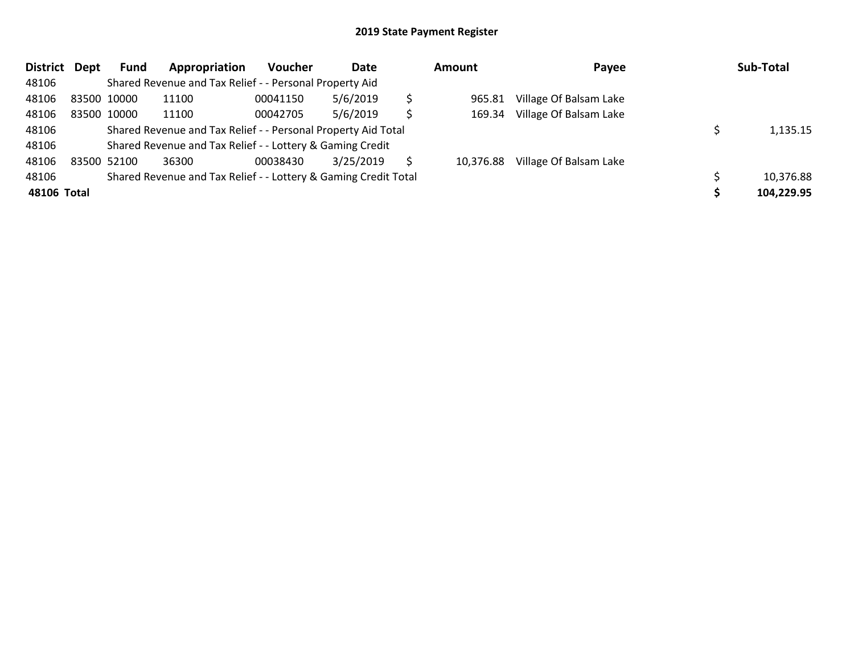| District    | Dept | Fund        | Appropriation                                                   | <b>Voucher</b> | Date      |   | <b>Amount</b> | Payee                  | Sub-Total  |
|-------------|------|-------------|-----------------------------------------------------------------|----------------|-----------|---|---------------|------------------------|------------|
| 48106       |      |             | Shared Revenue and Tax Relief - - Personal Property Aid         |                |           |   |               |                        |            |
| 48106       |      | 83500 10000 | 11100                                                           | 00041150       | 5/6/2019  | Ś | 965.81        | Village Of Balsam Lake |            |
| 48106       |      | 83500 10000 | 11100                                                           | 00042705       | 5/6/2019  | Ś | 169.34        | Village Of Balsam Lake |            |
| 48106       |      |             | Shared Revenue and Tax Relief - - Personal Property Aid Total   |                |           |   |               |                        | 1,135.15   |
| 48106       |      |             | Shared Revenue and Tax Relief - - Lottery & Gaming Credit       |                |           |   |               |                        |            |
| 48106       |      | 83500 52100 | 36300                                                           | 00038430       | 3/25/2019 |   | 10.376.88     | Village Of Balsam Lake |            |
| 48106       |      |             | Shared Revenue and Tax Relief - - Lottery & Gaming Credit Total |                |           |   |               |                        | 10,376.88  |
| 48106 Total |      |             |                                                                 |                |           |   |               |                        | 104,229.95 |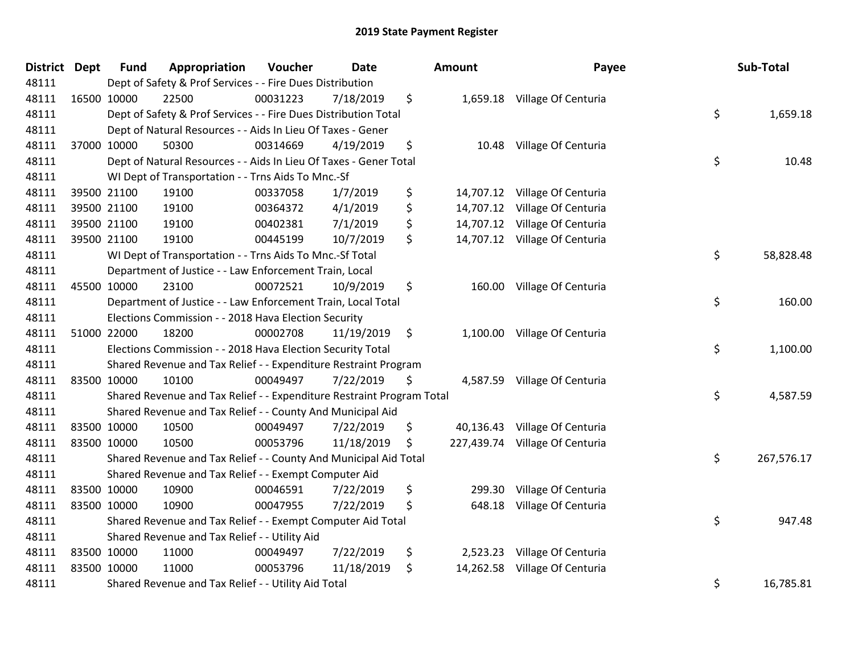| <b>District Dept</b> | <b>Fund</b> | Appropriation                                                         | Voucher  | <b>Date</b> |               | Amount   | Payee                          | Sub-Total        |
|----------------------|-------------|-----------------------------------------------------------------------|----------|-------------|---------------|----------|--------------------------------|------------------|
| 48111                |             | Dept of Safety & Prof Services - - Fire Dues Distribution             |          |             |               |          |                                |                  |
| 48111                | 16500 10000 | 22500                                                                 | 00031223 | 7/18/2019   | \$            |          | 1,659.18 Village Of Centuria   |                  |
| 48111                |             | Dept of Safety & Prof Services - - Fire Dues Distribution Total       |          |             |               |          |                                | \$<br>1,659.18   |
| 48111                |             | Dept of Natural Resources - - Aids In Lieu Of Taxes - Gener           |          |             |               |          |                                |                  |
| 48111                | 37000 10000 | 50300                                                                 | 00314669 | 4/19/2019   | \$            |          | 10.48 Village Of Centuria      |                  |
| 48111                |             | Dept of Natural Resources - - Aids In Lieu Of Taxes - Gener Total     |          |             |               |          |                                | \$<br>10.48      |
| 48111                |             | WI Dept of Transportation - - Trns Aids To Mnc.-Sf                    |          |             |               |          |                                |                  |
| 48111                | 39500 21100 | 19100                                                                 | 00337058 | 1/7/2019    | \$            |          | 14,707.12 Village Of Centuria  |                  |
| 48111                | 39500 21100 | 19100                                                                 | 00364372 | 4/1/2019    | \$            |          | 14,707.12 Village Of Centuria  |                  |
| 48111                | 39500 21100 | 19100                                                                 | 00402381 | 7/1/2019    | \$            |          | 14,707.12 Village Of Centuria  |                  |
| 48111                | 39500 21100 | 19100                                                                 | 00445199 | 10/7/2019   | \$            |          | 14,707.12 Village Of Centuria  |                  |
| 48111                |             | WI Dept of Transportation - - Trns Aids To Mnc.-Sf Total              |          |             |               |          |                                | \$<br>58,828.48  |
| 48111                |             | Department of Justice - - Law Enforcement Train, Local                |          |             |               |          |                                |                  |
| 48111                | 45500 10000 | 23100                                                                 | 00072521 | 10/9/2019   | \$            |          | 160.00 Village Of Centuria     |                  |
| 48111                |             | Department of Justice - - Law Enforcement Train, Local Total          |          |             |               |          |                                | \$<br>160.00     |
| 48111                |             | Elections Commission - - 2018 Hava Election Security                  |          |             |               |          |                                |                  |
| 48111                | 51000 22000 | 18200                                                                 | 00002708 | 11/19/2019  | $\ddot{\phi}$ |          | 1,100.00 Village Of Centuria   |                  |
| 48111                |             | Elections Commission - - 2018 Hava Election Security Total            |          |             |               |          |                                | \$<br>1,100.00   |
| 48111                |             | Shared Revenue and Tax Relief - - Expenditure Restraint Program       |          |             |               |          |                                |                  |
| 48111                | 83500 10000 | 10100                                                                 | 00049497 | 7/22/2019   | \$.           |          | 4,587.59 Village Of Centuria   |                  |
| 48111                |             | Shared Revenue and Tax Relief - - Expenditure Restraint Program Total |          |             |               |          |                                | \$<br>4,587.59   |
| 48111                |             | Shared Revenue and Tax Relief - - County And Municipal Aid            |          |             |               |          |                                |                  |
| 48111                | 83500 10000 | 10500                                                                 | 00049497 | 7/22/2019   | \$            |          | 40,136.43 Village Of Centuria  |                  |
| 48111                | 83500 10000 | 10500                                                                 | 00053796 | 11/18/2019  | \$            |          | 227,439.74 Village Of Centuria |                  |
| 48111                |             | Shared Revenue and Tax Relief - - County And Municipal Aid Total      |          |             |               |          |                                | \$<br>267,576.17 |
| 48111                |             | Shared Revenue and Tax Relief - - Exempt Computer Aid                 |          |             |               |          |                                |                  |
| 48111                | 83500 10000 | 10900                                                                 | 00046591 | 7/22/2019   | \$            | 299.30   | Village Of Centuria            |                  |
| 48111                | 83500 10000 | 10900                                                                 | 00047955 | 7/22/2019   | \$            |          | 648.18 Village Of Centuria     |                  |
| 48111                |             | Shared Revenue and Tax Relief - - Exempt Computer Aid Total           |          |             |               |          |                                | \$<br>947.48     |
| 48111                |             | Shared Revenue and Tax Relief - - Utility Aid                         |          |             |               |          |                                |                  |
| 48111                | 83500 10000 | 11000                                                                 | 00049497 | 7/22/2019   | \$            | 2,523.23 | Village Of Centuria            |                  |
| 48111                | 83500 10000 | 11000                                                                 | 00053796 | 11/18/2019  | \$            |          | 14,262.58 Village Of Centuria  |                  |
| 48111                |             | Shared Revenue and Tax Relief - - Utility Aid Total                   |          |             |               |          |                                | \$<br>16,785.81  |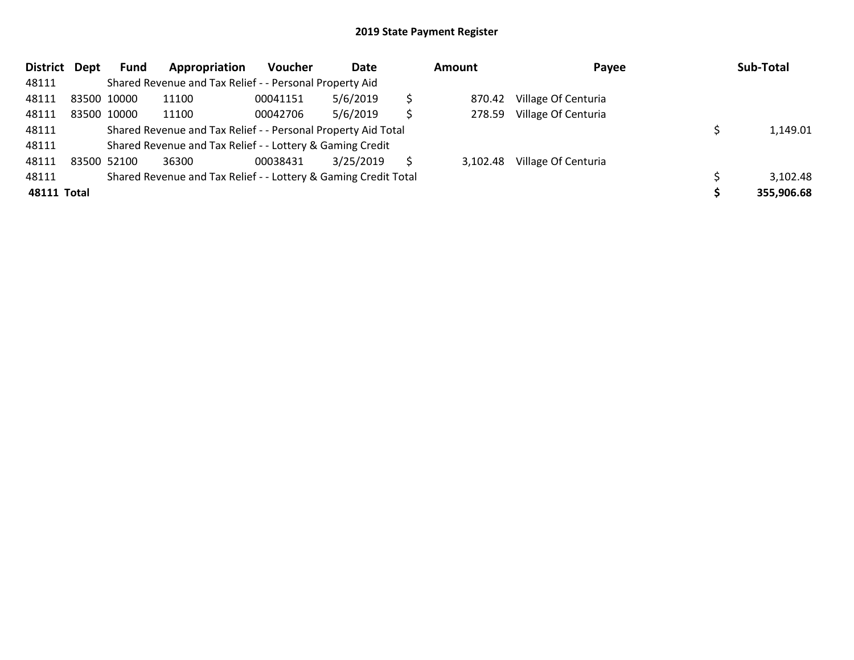| <b>District</b> | Dept        | <b>Fund</b> | Appropriation                                                   | Voucher  | Date      |    | <b>Amount</b> | Payee               | Sub-Total  |
|-----------------|-------------|-------------|-----------------------------------------------------------------|----------|-----------|----|---------------|---------------------|------------|
| 48111           |             |             | Shared Revenue and Tax Relief - - Personal Property Aid         |          |           |    |               |                     |            |
| 48111           | 83500 10000 |             | 11100                                                           | 00041151 | 5/6/2019  | \$ | 870.42        | Village Of Centuria |            |
| 48111           |             | 83500 10000 | 11100                                                           | 00042706 | 5/6/2019  | \$ | 278.59        | Village Of Centuria |            |
| 48111           |             |             | Shared Revenue and Tax Relief - - Personal Property Aid Total   |          |           |    |               |                     | 1,149.01   |
| 48111           |             |             | Shared Revenue and Tax Relief - - Lottery & Gaming Credit       |          |           |    |               |                     |            |
| 48111           |             | 83500 52100 | 36300                                                           | 00038431 | 3/25/2019 | S  | 3,102.48      | Village Of Centuria |            |
| 48111           |             |             | Shared Revenue and Tax Relief - - Lottery & Gaming Credit Total |          |           |    |               |                     | 3,102.48   |
| 48111 Total     |             |             |                                                                 |          |           |    |               |                     | 355,906.68 |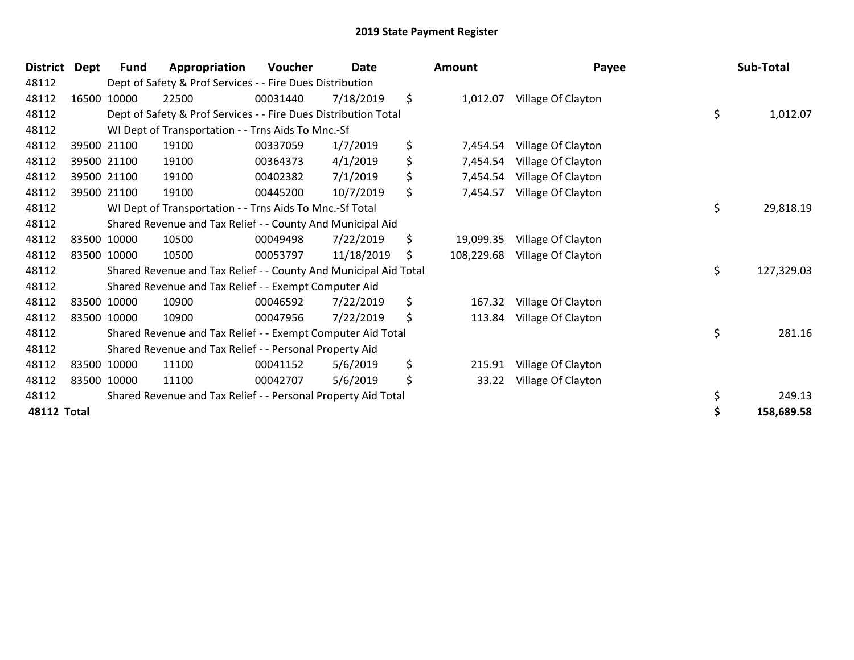| <b>District</b>    | Dept | <b>Fund</b> | Appropriation                                                    | Voucher  | <b>Date</b> | <b>Amount</b>    | Payee              | Sub-Total        |
|--------------------|------|-------------|------------------------------------------------------------------|----------|-------------|------------------|--------------------|------------------|
| 48112              |      |             | Dept of Safety & Prof Services - - Fire Dues Distribution        |          |             |                  |                    |                  |
| 48112              |      | 16500 10000 | 22500                                                            | 00031440 | 7/18/2019   | \$<br>1,012.07   | Village Of Clayton |                  |
| 48112              |      |             | Dept of Safety & Prof Services - - Fire Dues Distribution Total  |          |             |                  |                    | \$<br>1,012.07   |
| 48112              |      |             | WI Dept of Transportation - - Trns Aids To Mnc.-Sf               |          |             |                  |                    |                  |
| 48112              |      | 39500 21100 | 19100                                                            | 00337059 | 1/7/2019    | \$<br>7,454.54   | Village Of Clayton |                  |
| 48112              |      | 39500 21100 | 19100                                                            | 00364373 | 4/1/2019    | \$<br>7,454.54   | Village Of Clayton |                  |
| 48112              |      | 39500 21100 | 19100                                                            | 00402382 | 7/1/2019    | \$<br>7,454.54   | Village Of Clayton |                  |
| 48112              |      | 39500 21100 | 19100                                                            | 00445200 | 10/7/2019   | \$<br>7,454.57   | Village Of Clayton |                  |
| 48112              |      |             | WI Dept of Transportation - - Trns Aids To Mnc.-Sf Total         |          |             |                  |                    | \$<br>29,818.19  |
| 48112              |      |             | Shared Revenue and Tax Relief - - County And Municipal Aid       |          |             |                  |                    |                  |
| 48112              |      | 83500 10000 | 10500                                                            | 00049498 | 7/22/2019   | \$<br>19,099.35  | Village Of Clayton |                  |
| 48112              |      | 83500 10000 | 10500                                                            | 00053797 | 11/18/2019  | \$<br>108,229.68 | Village Of Clayton |                  |
| 48112              |      |             | Shared Revenue and Tax Relief - - County And Municipal Aid Total |          |             |                  |                    | \$<br>127,329.03 |
| 48112              |      |             | Shared Revenue and Tax Relief - - Exempt Computer Aid            |          |             |                  |                    |                  |
| 48112              |      | 83500 10000 | 10900                                                            | 00046592 | 7/22/2019   | \$<br>167.32     | Village Of Clayton |                  |
| 48112              |      | 83500 10000 | 10900                                                            | 00047956 | 7/22/2019   | \$<br>113.84     | Village Of Clayton |                  |
| 48112              |      |             | Shared Revenue and Tax Relief - - Exempt Computer Aid Total      |          |             |                  |                    | \$<br>281.16     |
| 48112              |      |             | Shared Revenue and Tax Relief - - Personal Property Aid          |          |             |                  |                    |                  |
| 48112              |      | 83500 10000 | 11100                                                            | 00041152 | 5/6/2019    | \$<br>215.91     | Village Of Clayton |                  |
| 48112              |      | 83500 10000 | 11100                                                            | 00042707 | 5/6/2019    | \$<br>33.22      | Village Of Clayton |                  |
| 48112              |      |             | Shared Revenue and Tax Relief - - Personal Property Aid Total    |          |             |                  |                    | \$<br>249.13     |
| <b>48112 Total</b> |      |             |                                                                  |          |             |                  |                    | 158,689.58       |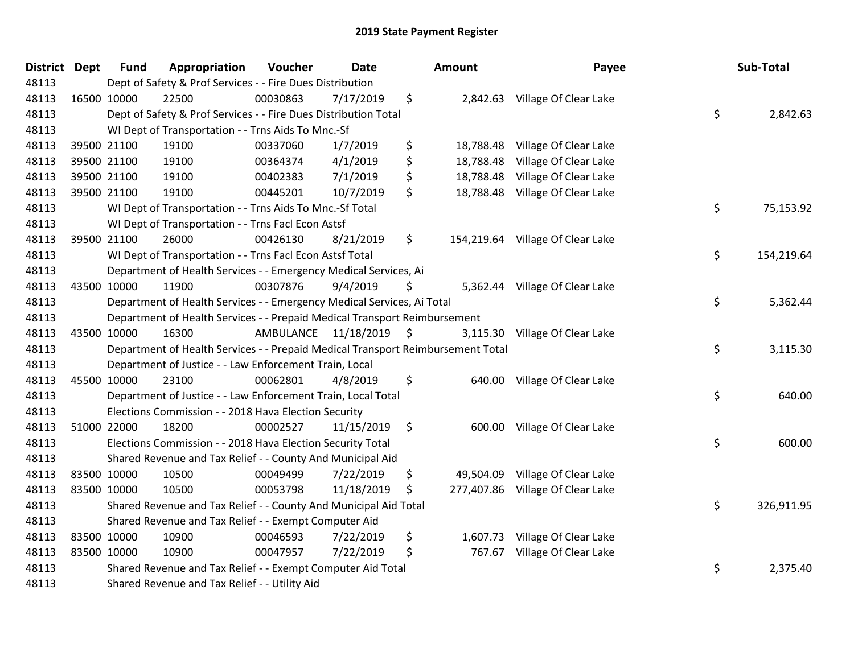| <b>District</b> | <b>Dept</b> | <b>Fund</b> | Appropriation                                                                   | Voucher   | <b>Date</b>   |               | Amount    | Payee                            | Sub-Total        |
|-----------------|-------------|-------------|---------------------------------------------------------------------------------|-----------|---------------|---------------|-----------|----------------------------------|------------------|
| 48113           |             |             | Dept of Safety & Prof Services - - Fire Dues Distribution                       |           |               |               |           |                                  |                  |
| 48113           |             | 16500 10000 | 22500                                                                           | 00030863  | 7/17/2019     | \$            |           | 2,842.63 Village Of Clear Lake   |                  |
| 48113           |             |             | Dept of Safety & Prof Services - - Fire Dues Distribution Total                 |           |               |               |           |                                  | \$<br>2,842.63   |
| 48113           |             |             | WI Dept of Transportation - - Trns Aids To Mnc.-Sf                              |           |               |               |           |                                  |                  |
| 48113           |             | 39500 21100 | 19100                                                                           | 00337060  | 1/7/2019      | \$            | 18,788.48 | Village Of Clear Lake            |                  |
| 48113           |             | 39500 21100 | 19100                                                                           | 00364374  | 4/1/2019      | \$            | 18,788.48 | Village Of Clear Lake            |                  |
| 48113           |             | 39500 21100 | 19100                                                                           | 00402383  | 7/1/2019      | \$            | 18,788.48 | Village Of Clear Lake            |                  |
| 48113           |             | 39500 21100 | 19100                                                                           | 00445201  | 10/7/2019     | \$            | 18,788.48 | Village Of Clear Lake            |                  |
| 48113           |             |             | WI Dept of Transportation - - Trns Aids To Mnc.-Sf Total                        |           |               |               |           |                                  | \$<br>75,153.92  |
| 48113           |             |             | WI Dept of Transportation - - Trns Facl Econ Astsf                              |           |               |               |           |                                  |                  |
| 48113           |             | 39500 21100 | 26000                                                                           | 00426130  | 8/21/2019     | \$            |           | 154,219.64 Village Of Clear Lake |                  |
| 48113           |             |             | WI Dept of Transportation - - Trns Facl Econ Astsf Total                        |           |               |               |           |                                  | \$<br>154,219.64 |
| 48113           |             |             | Department of Health Services - - Emergency Medical Services, Ai                |           |               |               |           |                                  |                  |
| 48113           |             | 43500 10000 | 11900                                                                           | 00307876  | 9/4/2019      | \$            |           | 5,362.44 Village Of Clear Lake   |                  |
| 48113           |             |             | Department of Health Services - - Emergency Medical Services, Ai Total          |           |               |               |           |                                  | \$<br>5,362.44   |
| 48113           |             |             | Department of Health Services - - Prepaid Medical Transport Reimbursement       |           |               |               |           |                                  |                  |
| 48113           |             | 43500 10000 | 16300                                                                           | AMBULANCE | 11/18/2019 \$ |               | 3,115.30  | Village Of Clear Lake            |                  |
| 48113           |             |             | Department of Health Services - - Prepaid Medical Transport Reimbursement Total |           |               |               |           |                                  | \$<br>3,115.30   |
| 48113           |             |             | Department of Justice - - Law Enforcement Train, Local                          |           |               |               |           |                                  |                  |
| 48113           |             | 45500 10000 | 23100                                                                           | 00062801  | 4/8/2019      | \$            |           | 640.00 Village Of Clear Lake     |                  |
| 48113           |             |             | Department of Justice - - Law Enforcement Train, Local Total                    |           |               |               |           |                                  | \$<br>640.00     |
| 48113           |             |             | Elections Commission - - 2018 Hava Election Security                            |           |               |               |           |                                  |                  |
| 48113           |             | 51000 22000 | 18200                                                                           | 00002527  | 11/15/2019    | $\ddot{\phi}$ |           | 600.00 Village Of Clear Lake     |                  |
| 48113           |             |             | Elections Commission - - 2018 Hava Election Security Total                      |           |               |               |           |                                  | \$<br>600.00     |
| 48113           |             |             | Shared Revenue and Tax Relief - - County And Municipal Aid                      |           |               |               |           |                                  |                  |
| 48113           |             | 83500 10000 | 10500                                                                           | 00049499  | 7/22/2019     | \$            | 49,504.09 | Village Of Clear Lake            |                  |
| 48113           | 83500 10000 |             | 10500                                                                           | 00053798  | 11/18/2019    | \$            |           | 277,407.86 Village Of Clear Lake |                  |
| 48113           |             |             | Shared Revenue and Tax Relief - - County And Municipal Aid Total                |           |               |               |           |                                  | \$<br>326,911.95 |
| 48113           |             |             | Shared Revenue and Tax Relief - - Exempt Computer Aid                           |           |               |               |           |                                  |                  |
| 48113           |             | 83500 10000 | 10900                                                                           | 00046593  | 7/22/2019     | \$            | 1,607.73  | Village Of Clear Lake            |                  |
| 48113           |             | 83500 10000 | 10900                                                                           | 00047957  | 7/22/2019     | \$            | 767.67    | Village Of Clear Lake            |                  |
| 48113           |             |             | Shared Revenue and Tax Relief - - Exempt Computer Aid Total                     |           |               |               |           |                                  | \$<br>2,375.40   |
| 48113           |             |             | Shared Revenue and Tax Relief - - Utility Aid                                   |           |               |               |           |                                  |                  |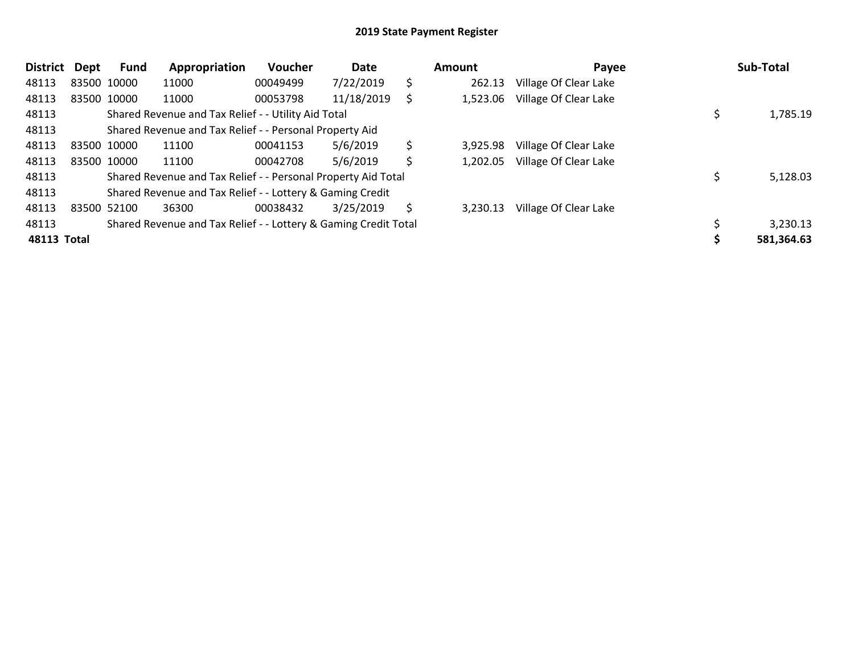| <b>District</b> | Dept        | Fund        | Appropriation                                                   | Voucher  | Date       |     | Amount   | Payee                 | Sub-Total  |
|-----------------|-------------|-------------|-----------------------------------------------------------------|----------|------------|-----|----------|-----------------------|------------|
| 48113           |             | 83500 10000 | 11000                                                           | 00049499 | 7/22/2019  | \$  | 262.13   | Village Of Clear Lake |            |
| 48113           |             | 83500 10000 | 11000                                                           | 00053798 | 11/18/2019 | \$  | 1,523.06 | Village Of Clear Lake |            |
| 48113           |             |             | Shared Revenue and Tax Relief - - Utility Aid Total             |          |            |     |          |                       | 1,785.19   |
| 48113           |             |             | Shared Revenue and Tax Relief - - Personal Property Aid         |          |            |     |          |                       |            |
| 48113           | 83500 10000 |             | 11100                                                           | 00041153 | 5/6/2019   | \$  | 3,925.98 | Village Of Clear Lake |            |
| 48113           | 83500 10000 |             | 11100                                                           | 00042708 | 5/6/2019   | \$. | 1,202.05 | Village Of Clear Lake |            |
| 48113           |             |             | Shared Revenue and Tax Relief - - Personal Property Aid Total   |          |            |     |          |                       | 5,128.03   |
| 48113           |             |             | Shared Revenue and Tax Relief - - Lottery & Gaming Credit       |          |            |     |          |                       |            |
| 48113           |             | 83500 52100 | 36300                                                           | 00038432 | 3/25/2019  | S   | 3,230.13 | Village Of Clear Lake |            |
| 48113           |             |             | Shared Revenue and Tax Relief - - Lottery & Gaming Credit Total |          |            |     |          |                       | 3,230.13   |
| 48113 Total     |             |             |                                                                 |          |            |     |          |                       | 581,364.63 |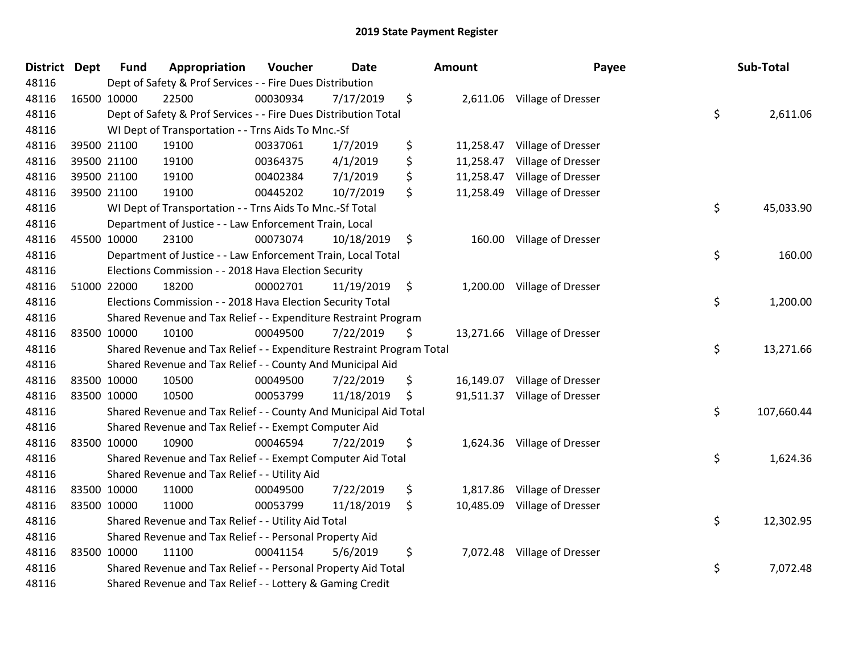| <b>District Dept</b> | <b>Fund</b> | Appropriation                                                         | Voucher  | <b>Date</b> |               | <b>Amount</b> | Payee                        | Sub-Total        |
|----------------------|-------------|-----------------------------------------------------------------------|----------|-------------|---------------|---------------|------------------------------|------------------|
| 48116                |             | Dept of Safety & Prof Services - - Fire Dues Distribution             |          |             |               |               |                              |                  |
| 48116                | 16500 10000 | 22500                                                                 | 00030934 | 7/17/2019   | \$            |               | 2,611.06 Village of Dresser  |                  |
| 48116                |             | Dept of Safety & Prof Services - - Fire Dues Distribution Total       |          |             |               |               |                              | \$<br>2,611.06   |
| 48116                |             | WI Dept of Transportation - - Trns Aids To Mnc.-Sf                    |          |             |               |               |                              |                  |
| 48116                | 39500 21100 | 19100                                                                 | 00337061 | 1/7/2019    | \$            | 11,258.47     | Village of Dresser           |                  |
| 48116                | 39500 21100 | 19100                                                                 | 00364375 | 4/1/2019    | \$            | 11,258.47     | Village of Dresser           |                  |
| 48116                | 39500 21100 | 19100                                                                 | 00402384 | 7/1/2019    | \$            | 11,258.47     | Village of Dresser           |                  |
| 48116                | 39500 21100 | 19100                                                                 | 00445202 | 10/7/2019   | \$            | 11,258.49     | Village of Dresser           |                  |
| 48116                |             | WI Dept of Transportation - - Trns Aids To Mnc.-Sf Total              |          |             |               |               |                              | \$<br>45,033.90  |
| 48116                |             | Department of Justice - - Law Enforcement Train, Local                |          |             |               |               |                              |                  |
| 48116                | 45500 10000 | 23100                                                                 | 00073074 | 10/18/2019  | \$            |               | 160.00 Village of Dresser    |                  |
| 48116                |             | Department of Justice - - Law Enforcement Train, Local Total          |          |             |               |               |                              | \$<br>160.00     |
| 48116                |             | Elections Commission - - 2018 Hava Election Security                  |          |             |               |               |                              |                  |
| 48116                | 51000 22000 | 18200                                                                 | 00002701 | 11/19/2019  | $\ddot{\phi}$ |               | 1,200.00 Village of Dresser  |                  |
| 48116                |             | Elections Commission - - 2018 Hava Election Security Total            |          |             |               |               |                              | \$<br>1,200.00   |
| 48116                |             | Shared Revenue and Tax Relief - - Expenditure Restraint Program       |          |             |               |               |                              |                  |
| 48116                | 83500 10000 | 10100                                                                 | 00049500 | 7/22/2019   | \$            |               | 13,271.66 Village of Dresser |                  |
| 48116                |             | Shared Revenue and Tax Relief - - Expenditure Restraint Program Total |          |             |               |               |                              | \$<br>13,271.66  |
| 48116                |             | Shared Revenue and Tax Relief - - County And Municipal Aid            |          |             |               |               |                              |                  |
| 48116                | 83500 10000 | 10500                                                                 | 00049500 | 7/22/2019   | \$            |               | 16,149.07 Village of Dresser |                  |
| 48116                | 83500 10000 | 10500                                                                 | 00053799 | 11/18/2019  | \$            |               | 91,511.37 Village of Dresser |                  |
| 48116                |             | Shared Revenue and Tax Relief - - County And Municipal Aid Total      |          |             |               |               |                              | \$<br>107,660.44 |
| 48116                |             | Shared Revenue and Tax Relief - - Exempt Computer Aid                 |          |             |               |               |                              |                  |
| 48116                | 83500 10000 | 10900                                                                 | 00046594 | 7/22/2019   | \$            |               | 1,624.36 Village of Dresser  |                  |
| 48116                |             | Shared Revenue and Tax Relief - - Exempt Computer Aid Total           |          |             |               |               |                              | \$<br>1,624.36   |
| 48116                |             | Shared Revenue and Tax Relief - - Utility Aid                         |          |             |               |               |                              |                  |
| 48116                | 83500 10000 | 11000                                                                 | 00049500 | 7/22/2019   | \$            | 1,817.86      | Village of Dresser           |                  |
| 48116                | 83500 10000 | 11000                                                                 | 00053799 | 11/18/2019  | \$            | 10,485.09     | Village of Dresser           |                  |
| 48116                |             | Shared Revenue and Tax Relief - - Utility Aid Total                   |          |             |               |               |                              | \$<br>12,302.95  |
| 48116                |             | Shared Revenue and Tax Relief - - Personal Property Aid               |          |             |               |               |                              |                  |
| 48116                | 83500 10000 | 11100                                                                 | 00041154 | 5/6/2019    | \$            |               | 7,072.48 Village of Dresser  |                  |
| 48116                |             | Shared Revenue and Tax Relief - - Personal Property Aid Total         |          |             |               |               |                              | \$<br>7,072.48   |
| 48116                |             | Shared Revenue and Tax Relief - - Lottery & Gaming Credit             |          |             |               |               |                              |                  |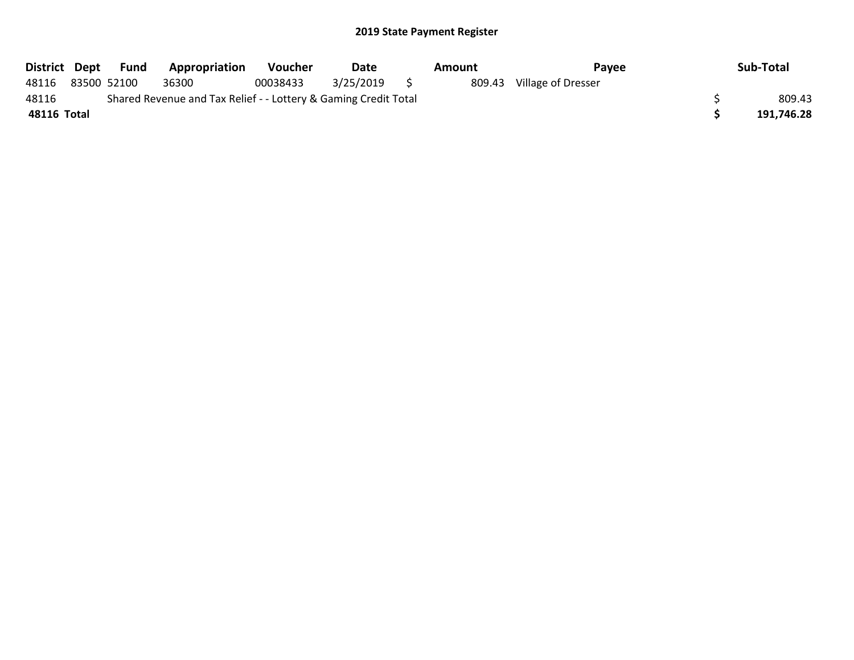| District Dept | Fund        | <b>Appropriation</b>                                            | <b>Voucher</b> | Date         | Amount | Payee              | Sub-Total  |
|---------------|-------------|-----------------------------------------------------------------|----------------|--------------|--------|--------------------|------------|
| 48116         | 83500 52100 | 36300                                                           | 00038433       | 3/25/2019 \$ | 809.43 | Village of Dresser |            |
| 48116         |             | Shared Revenue and Tax Relief - - Lottery & Gaming Credit Total |                |              |        |                    | 809.43     |
| 48116 Total   |             |                                                                 |                |              |        |                    | 191,746.28 |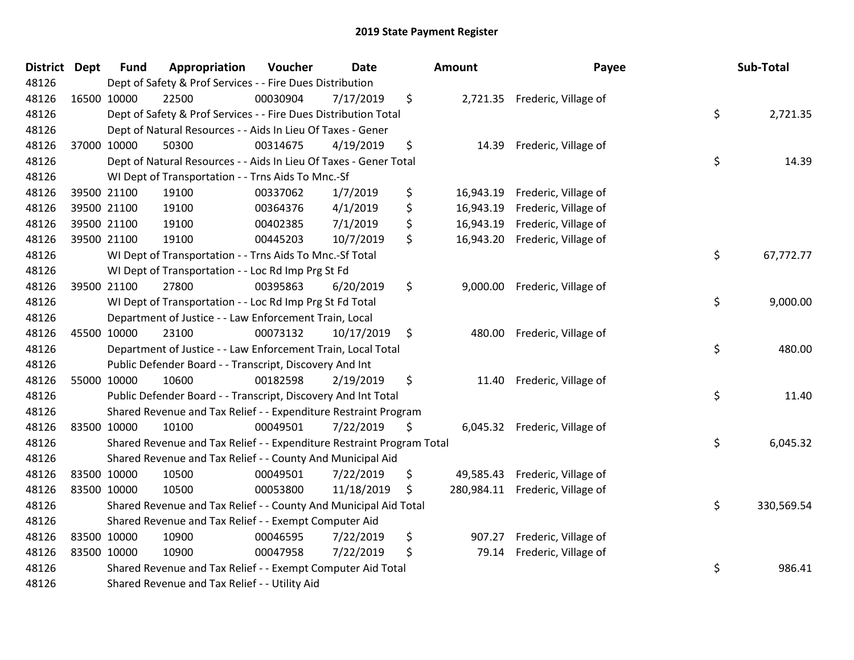| <b>District</b> | <b>Dept</b> | <b>Fund</b> | Appropriation                                                         | Voucher  | <b>Date</b> |     | <b>Amount</b> | Payee                           | Sub-Total        |
|-----------------|-------------|-------------|-----------------------------------------------------------------------|----------|-------------|-----|---------------|---------------------------------|------------------|
| 48126           |             |             | Dept of Safety & Prof Services - - Fire Dues Distribution             |          |             |     |               |                                 |                  |
| 48126           |             | 16500 10000 | 22500                                                                 | 00030904 | 7/17/2019   | \$  |               | 2,721.35 Frederic, Village of   |                  |
| 48126           |             |             | Dept of Safety & Prof Services - - Fire Dues Distribution Total       |          |             |     |               |                                 | \$<br>2,721.35   |
| 48126           |             |             | Dept of Natural Resources - - Aids In Lieu Of Taxes - Gener           |          |             |     |               |                                 |                  |
| 48126           |             | 37000 10000 | 50300                                                                 | 00314675 | 4/19/2019   | \$  | 14.39         | Frederic, Village of            |                  |
| 48126           |             |             | Dept of Natural Resources - - Aids In Lieu Of Taxes - Gener Total     |          |             |     |               |                                 | \$<br>14.39      |
| 48126           |             |             | WI Dept of Transportation - - Trns Aids To Mnc.-Sf                    |          |             |     |               |                                 |                  |
| 48126           |             | 39500 21100 | 19100                                                                 | 00337062 | 1/7/2019    | \$  | 16,943.19     | Frederic, Village of            |                  |
| 48126           |             | 39500 21100 | 19100                                                                 | 00364376 | 4/1/2019    | \$  | 16,943.19     | Frederic, Village of            |                  |
| 48126           |             | 39500 21100 | 19100                                                                 | 00402385 | 7/1/2019    | \$  | 16,943.19     | Frederic, Village of            |                  |
| 48126           |             | 39500 21100 | 19100                                                                 | 00445203 | 10/7/2019   | \$  |               | 16,943.20 Frederic, Village of  |                  |
| 48126           |             |             | WI Dept of Transportation - - Trns Aids To Mnc.-Sf Total              |          |             |     |               |                                 | \$<br>67,772.77  |
| 48126           |             |             | WI Dept of Transportation - - Loc Rd Imp Prg St Fd                    |          |             |     |               |                                 |                  |
| 48126           |             | 39500 21100 | 27800                                                                 | 00395863 | 6/20/2019   | \$  |               | 9,000.00 Frederic, Village of   |                  |
| 48126           |             |             | WI Dept of Transportation - - Loc Rd Imp Prg St Fd Total              |          |             |     |               |                                 | \$<br>9,000.00   |
| 48126           |             |             | Department of Justice - - Law Enforcement Train, Local                |          |             |     |               |                                 |                  |
| 48126           |             | 45500 10000 | 23100                                                                 | 00073132 | 10/17/2019  | \$  | 480.00        | Frederic, Village of            |                  |
| 48126           |             |             | Department of Justice - - Law Enforcement Train, Local Total          |          |             |     |               |                                 | \$<br>480.00     |
| 48126           |             |             | Public Defender Board - - Transcript, Discovery And Int               |          |             |     |               |                                 |                  |
| 48126           |             | 55000 10000 | 10600                                                                 | 00182598 | 2/19/2019   | \$  | 11.40         | Frederic, Village of            |                  |
| 48126           |             |             | Public Defender Board - - Transcript, Discovery And Int Total         |          |             |     |               |                                 | \$<br>11.40      |
| 48126           |             |             | Shared Revenue and Tax Relief - - Expenditure Restraint Program       |          |             |     |               |                                 |                  |
| 48126           |             | 83500 10000 | 10100                                                                 | 00049501 | 7/22/2019   | \$  |               | 6,045.32 Frederic, Village of   |                  |
| 48126           |             |             | Shared Revenue and Tax Relief - - Expenditure Restraint Program Total |          |             |     |               |                                 | \$<br>6,045.32   |
| 48126           |             |             | Shared Revenue and Tax Relief - - County And Municipal Aid            |          |             |     |               |                                 |                  |
| 48126           |             | 83500 10000 | 10500                                                                 | 00049501 | 7/22/2019   | \$  |               | 49,585.43 Frederic, Village of  |                  |
| 48126           |             | 83500 10000 | 10500                                                                 | 00053800 | 11/18/2019  | \$. |               | 280,984.11 Frederic, Village of |                  |
| 48126           |             |             | Shared Revenue and Tax Relief - - County And Municipal Aid Total      |          |             |     |               |                                 | \$<br>330,569.54 |
| 48126           |             |             | Shared Revenue and Tax Relief - - Exempt Computer Aid                 |          |             |     |               |                                 |                  |
| 48126           |             | 83500 10000 | 10900                                                                 | 00046595 | 7/22/2019   | \$  | 907.27        | Frederic, Village of            |                  |
| 48126           |             | 83500 10000 | 10900                                                                 | 00047958 | 7/22/2019   | \$  | 79.14         | Frederic, Village of            |                  |
| 48126           |             |             | Shared Revenue and Tax Relief - - Exempt Computer Aid Total           |          |             |     |               |                                 | \$<br>986.41     |
| 48126           |             |             | Shared Revenue and Tax Relief - - Utility Aid                         |          |             |     |               |                                 |                  |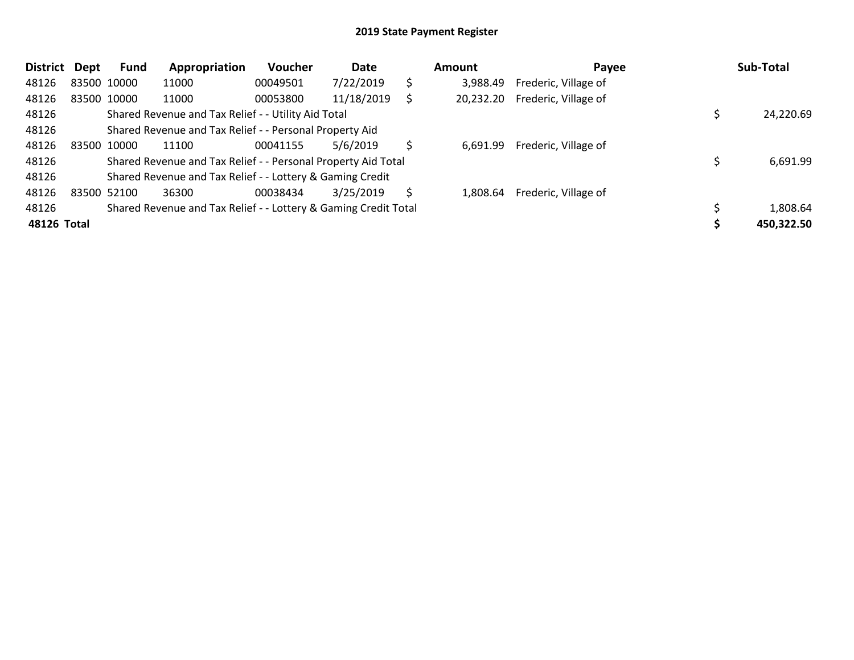| <b>District</b> | <b>Dept</b> | <b>Fund</b> | Appropriation                                                   | <b>Voucher</b> | Date       |    | Amount    | Payee                | Sub-Total  |
|-----------------|-------------|-------------|-----------------------------------------------------------------|----------------|------------|----|-----------|----------------------|------------|
| 48126           |             | 83500 10000 | 11000                                                           | 00049501       | 7/22/2019  | \$ | 3.988.49  | Frederic, Village of |            |
| 48126           |             | 83500 10000 | 11000                                                           | 00053800       | 11/18/2019 |    | 20,232.20 | Frederic, Village of |            |
| 48126           |             |             | Shared Revenue and Tax Relief - - Utility Aid Total             |                |            |    |           |                      | 24,220.69  |
| 48126           |             |             | Shared Revenue and Tax Relief - - Personal Property Aid         |                |            |    |           |                      |            |
| 48126           |             | 83500 10000 | 11100                                                           | 00041155       | 5/6/2019   |    | 6,691.99  | Frederic, Village of |            |
| 48126           |             |             | Shared Revenue and Tax Relief - - Personal Property Aid Total   |                |            |    |           |                      | 6,691.99   |
| 48126           |             |             | Shared Revenue and Tax Relief - - Lottery & Gaming Credit       |                |            |    |           |                      |            |
| 48126           | 83500 52100 |             | 36300                                                           | 00038434       | 3/25/2019  | S  | 1,808.64  | Frederic, Village of |            |
| 48126           |             |             | Shared Revenue and Tax Relief - - Lottery & Gaming Credit Total |                |            |    |           |                      | 1,808.64   |
| 48126 Total     |             |             |                                                                 |                |            |    |           |                      | 450,322.50 |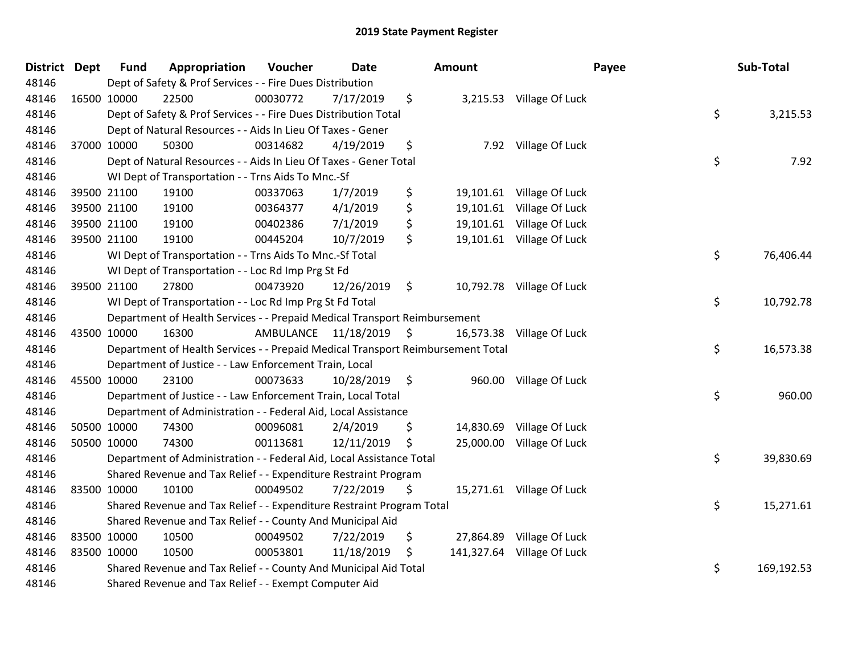| District Dept | <b>Fund</b> | Appropriation                                                                   | Voucher                 | <b>Date</b>     | <b>Amount</b>   |                            | Payee | Sub-Total  |
|---------------|-------------|---------------------------------------------------------------------------------|-------------------------|-----------------|-----------------|----------------------------|-------|------------|
| 48146         |             | Dept of Safety & Prof Services - - Fire Dues Distribution                       |                         |                 |                 |                            |       |            |
| 48146         | 16500 10000 | 22500                                                                           | 00030772                | 7/17/2019       | \$              | 3,215.53 Village Of Luck   |       |            |
| 48146         |             | Dept of Safety & Prof Services - - Fire Dues Distribution Total                 |                         |                 |                 |                            | \$    | 3,215.53   |
| 48146         |             | Dept of Natural Resources - - Aids In Lieu Of Taxes - Gener                     |                         |                 |                 |                            |       |            |
| 48146         | 37000 10000 | 50300                                                                           | 00314682                | 4/19/2019       | \$<br>7.92      | Village Of Luck            |       |            |
| 48146         |             | Dept of Natural Resources - - Aids In Lieu Of Taxes - Gener Total               |                         |                 |                 |                            | \$    | 7.92       |
| 48146         |             | WI Dept of Transportation - - Trns Aids To Mnc.-Sf                              |                         |                 |                 |                            |       |            |
| 48146         | 39500 21100 | 19100                                                                           | 00337063                | 1/7/2019        | \$              | 19,101.61 Village Of Luck  |       |            |
| 48146         | 39500 21100 | 19100                                                                           | 00364377                | 4/1/2019        | \$              | 19,101.61 Village Of Luck  |       |            |
| 48146         | 39500 21100 | 19100                                                                           | 00402386                | 7/1/2019        | \$<br>19,101.61 | Village Of Luck            |       |            |
| 48146         | 39500 21100 | 19100                                                                           | 00445204                | 10/7/2019       | \$              | 19,101.61 Village Of Luck  |       |            |
| 48146         |             | WI Dept of Transportation - - Trns Aids To Mnc.-Sf Total                        |                         |                 |                 |                            | \$    | 76,406.44  |
| 48146         |             | WI Dept of Transportation - - Loc Rd Imp Prg St Fd                              |                         |                 |                 |                            |       |            |
| 48146         | 39500 21100 | 27800                                                                           | 00473920                | 12/26/2019      | \$              | 10,792.78 Village Of Luck  |       |            |
| 48146         |             | WI Dept of Transportation - - Loc Rd Imp Prg St Fd Total                        |                         |                 |                 |                            | \$    | 10,792.78  |
| 48146         |             | Department of Health Services - - Prepaid Medical Transport Reimbursement       |                         |                 |                 |                            |       |            |
| 48146         | 43500 10000 | 16300                                                                           | AMBULANCE 11/18/2019 \$ |                 | 16,573.38       | Village Of Luck            |       |            |
| 48146         |             | Department of Health Services - - Prepaid Medical Transport Reimbursement Total |                         |                 |                 |                            | \$    | 16,573.38  |
| 48146         |             | Department of Justice - - Law Enforcement Train, Local                          |                         |                 |                 |                            |       |            |
| 48146         | 45500 10000 | 23100                                                                           | 00073633                | $10/28/2019$ \$ |                 | 960.00 Village Of Luck     |       |            |
| 48146         |             | Department of Justice - - Law Enforcement Train, Local Total                    |                         |                 |                 |                            | \$    | 960.00     |
| 48146         |             | Department of Administration - - Federal Aid, Local Assistance                  |                         |                 |                 |                            |       |            |
| 48146         | 50500 10000 | 74300                                                                           | 00096081                | 2/4/2019        | \$              | 14,830.69 Village Of Luck  |       |            |
| 48146         | 50500 10000 | 74300                                                                           | 00113681                | 12/11/2019      | \$<br>25,000.00 | Village Of Luck            |       |            |
| 48146         |             | Department of Administration - - Federal Aid, Local Assistance Total            |                         |                 |                 |                            | \$    | 39,830.69  |
| 48146         |             | Shared Revenue and Tax Relief - - Expenditure Restraint Program                 |                         |                 |                 |                            |       |            |
| 48146         | 83500 10000 | 10100                                                                           | 00049502                | 7/22/2019       | \$              | 15,271.61 Village Of Luck  |       |            |
| 48146         |             | Shared Revenue and Tax Relief - - Expenditure Restraint Program Total           |                         |                 |                 |                            | \$    | 15,271.61  |
| 48146         |             | Shared Revenue and Tax Relief - - County And Municipal Aid                      |                         |                 |                 |                            |       |            |
| 48146         | 83500 10000 | 10500                                                                           | 00049502                | 7/22/2019       | \$<br>27,864.89 | Village Of Luck            |       |            |
| 48146         | 83500 10000 | 10500                                                                           | 00053801                | 11/18/2019      | \$              | 141,327.64 Village Of Luck |       |            |
| 48146         |             | Shared Revenue and Tax Relief - - County And Municipal Aid Total                |                         |                 |                 |                            | \$    | 169,192.53 |
| 48146         |             | Shared Revenue and Tax Relief - - Exempt Computer Aid                           |                         |                 |                 |                            |       |            |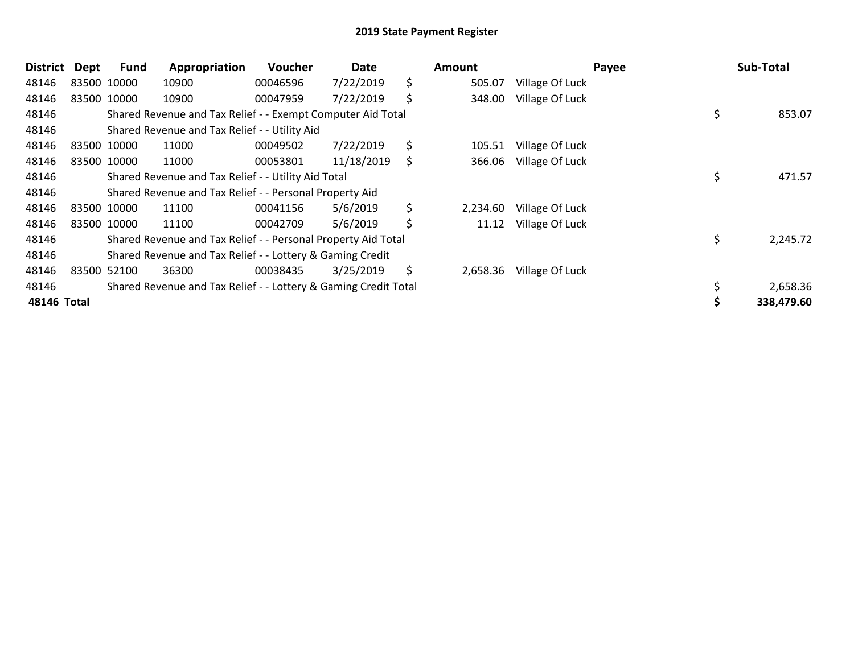| <b>District</b> | <b>Dept</b> | <b>Fund</b> | Appropriation                                                   | <b>Voucher</b> | Date       | <b>Amount</b>  |                 | Payee | Sub-Total  |
|-----------------|-------------|-------------|-----------------------------------------------------------------|----------------|------------|----------------|-----------------|-------|------------|
| 48146           |             | 83500 10000 | 10900                                                           | 00046596       | 7/22/2019  | \$<br>505.07   | Village Of Luck |       |            |
| 48146           |             | 83500 10000 | 10900                                                           | 00047959       | 7/22/2019  | \$<br>348.00   | Village Of Luck |       |            |
| 48146           |             |             | Shared Revenue and Tax Relief - - Exempt Computer Aid Total     |                |            |                |                 | \$    | 853.07     |
| 48146           |             |             | Shared Revenue and Tax Relief - - Utility Aid                   |                |            |                |                 |       |            |
| 48146           |             | 83500 10000 | 11000                                                           | 00049502       | 7/22/2019  | \$<br>105.51   | Village Of Luck |       |            |
| 48146           |             | 83500 10000 | 11000                                                           | 00053801       | 11/18/2019 | \$<br>366.06   | Village Of Luck |       |            |
| 48146           |             |             | Shared Revenue and Tax Relief - - Utility Aid Total             |                |            |                |                 | \$    | 471.57     |
| 48146           |             |             | Shared Revenue and Tax Relief - - Personal Property Aid         |                |            |                |                 |       |            |
| 48146           |             | 83500 10000 | 11100                                                           | 00041156       | 5/6/2019   | \$<br>2,234.60 | Village Of Luck |       |            |
| 48146           |             | 83500 10000 | 11100                                                           | 00042709       | 5/6/2019   | \$<br>11.12    | Village Of Luck |       |            |
| 48146           |             |             | Shared Revenue and Tax Relief - - Personal Property Aid Total   |                |            |                |                 | \$    | 2,245.72   |
| 48146           |             |             | Shared Revenue and Tax Relief - - Lottery & Gaming Credit       |                |            |                |                 |       |            |
| 48146           |             | 83500 52100 | 36300                                                           | 00038435       | 3/25/2019  | \$<br>2,658.36 | Village Of Luck |       |            |
| 48146           |             |             | Shared Revenue and Tax Relief - - Lottery & Gaming Credit Total |                |            |                |                 |       | 2,658.36   |
| 48146 Total     |             |             |                                                                 |                |            |                |                 |       | 338,479.60 |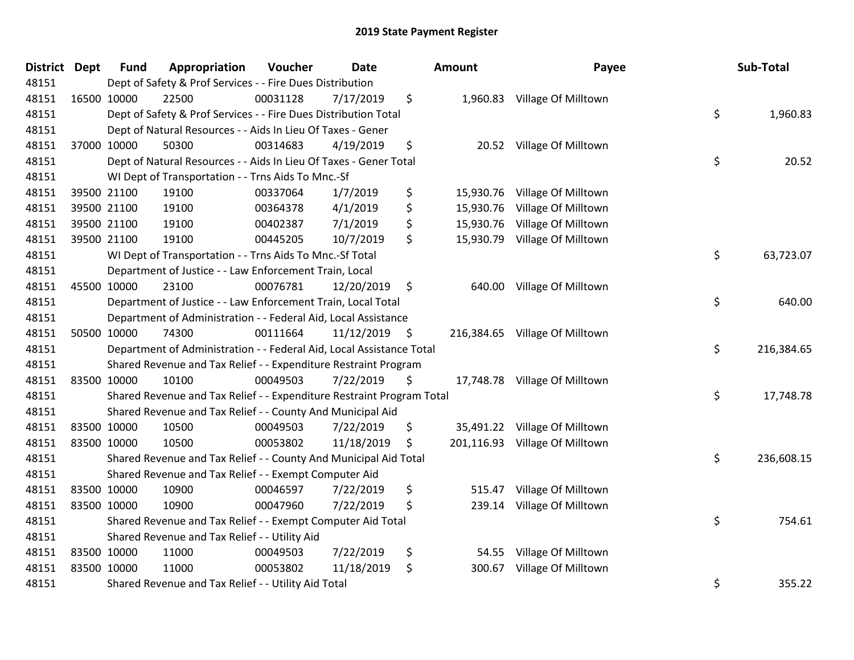| <b>District Dept</b> | <b>Fund</b>                                                          | Appropriation                                                         | Voucher  | <b>Date</b> |    | Amount    | Payee                          |    | Sub-Total  |
|----------------------|----------------------------------------------------------------------|-----------------------------------------------------------------------|----------|-------------|----|-----------|--------------------------------|----|------------|
| 48151                | Dept of Safety & Prof Services - - Fire Dues Distribution            |                                                                       |          |             |    |           |                                |    |            |
| 48151                | 16500 10000                                                          | 22500                                                                 | 00031128 | 7/17/2019   | \$ |           | 1,960.83 Village Of Milltown   |    |            |
| 48151                | Dept of Safety & Prof Services - - Fire Dues Distribution Total      |                                                                       |          |             |    |           |                                |    | 1,960.83   |
| 48151                | Dept of Natural Resources - - Aids In Lieu Of Taxes - Gener          |                                                                       |          |             |    |           |                                |    |            |
| 48151                | 37000 10000                                                          | 50300                                                                 | 00314683 | 4/19/2019   | \$ | 20.52     | Village Of Milltown            |    |            |
| 48151                |                                                                      | Dept of Natural Resources - - Aids In Lieu Of Taxes - Gener Total     |          |             |    |           |                                | \$ | 20.52      |
| 48151                |                                                                      | WI Dept of Transportation - - Trns Aids To Mnc.-Sf                    |          |             |    |           |                                |    |            |
| 48151                | 39500 21100                                                          | 19100                                                                 | 00337064 | 1/7/2019    | \$ | 15,930.76 | Village Of Milltown            |    |            |
| 48151                | 39500 21100                                                          | 19100                                                                 | 00364378 | 4/1/2019    | \$ | 15,930.76 | Village Of Milltown            |    |            |
| 48151                | 39500 21100                                                          | 19100                                                                 | 00402387 | 7/1/2019    | \$ | 15,930.76 | Village Of Milltown            |    |            |
| 48151                | 39500 21100                                                          | 19100                                                                 | 00445205 | 10/7/2019   | \$ | 15,930.79 | Village Of Milltown            |    |            |
| 48151                |                                                                      | WI Dept of Transportation - - Trns Aids To Mnc.-Sf Total              |          |             |    |           |                                | \$ | 63,723.07  |
| 48151                |                                                                      | Department of Justice - - Law Enforcement Train, Local                |          |             |    |           |                                |    |            |
| 48151                | 45500 10000                                                          | 23100                                                                 | 00076781 | 12/20/2019  | \$ | 640.00    | Village Of Milltown            |    |            |
| 48151                | Department of Justice - - Law Enforcement Train, Local Total         |                                                                       |          |             |    |           |                                | \$ | 640.00     |
| 48151                |                                                                      | Department of Administration - - Federal Aid, Local Assistance        |          |             |    |           |                                |    |            |
| 48151                | 50500 10000                                                          | 74300                                                                 | 00111664 | 11/12/2019  | \$ |           | 216,384.65 Village Of Milltown |    |            |
| 48151                | Department of Administration - - Federal Aid, Local Assistance Total |                                                                       |          |             |    |           |                                | \$ | 216,384.65 |
| 48151                |                                                                      | Shared Revenue and Tax Relief - - Expenditure Restraint Program       |          |             |    |           |                                |    |            |
| 48151                | 83500 10000                                                          | 10100                                                                 | 00049503 | 7/22/2019   | \$ |           | 17,748.78 Village Of Milltown  |    |            |
| 48151                |                                                                      | Shared Revenue and Tax Relief - - Expenditure Restraint Program Total |          |             |    |           |                                | \$ | 17,748.78  |
| 48151                |                                                                      | Shared Revenue and Tax Relief - - County And Municipal Aid            |          |             |    |           |                                |    |            |
| 48151                | 83500 10000                                                          | 10500                                                                 | 00049503 | 7/22/2019   | \$ |           | 35,491.22 Village Of Milltown  |    |            |
| 48151                | 83500 10000                                                          | 10500                                                                 | 00053802 | 11/18/2019  | \$ |           | 201,116.93 Village Of Milltown |    |            |
| 48151                |                                                                      | Shared Revenue and Tax Relief - - County And Municipal Aid Total      |          |             |    |           |                                | \$ | 236,608.15 |
| 48151                |                                                                      | Shared Revenue and Tax Relief - - Exempt Computer Aid                 |          |             |    |           |                                |    |            |
| 48151                | 83500 10000                                                          | 10900                                                                 | 00046597 | 7/22/2019   | \$ | 515.47    | Village Of Milltown            |    |            |
| 48151                | 83500 10000                                                          | 10900                                                                 | 00047960 | 7/22/2019   | \$ | 239.14    | Village Of Milltown            |    |            |
| 48151                | Shared Revenue and Tax Relief - - Exempt Computer Aid Total          |                                                                       |          |             |    |           |                                | \$ | 754.61     |
| 48151                | Shared Revenue and Tax Relief - - Utility Aid                        |                                                                       |          |             |    |           |                                |    |            |
| 48151                | 83500 10000                                                          | 11000                                                                 | 00049503 | 7/22/2019   | \$ | 54.55     | Village Of Milltown            |    |            |
| 48151                | 83500 10000                                                          | 11000                                                                 | 00053802 | 11/18/2019  | \$ | 300.67    | Village Of Milltown            |    |            |
| 48151                | Shared Revenue and Tax Relief - - Utility Aid Total                  |                                                                       |          |             |    |           |                                | \$ | 355.22     |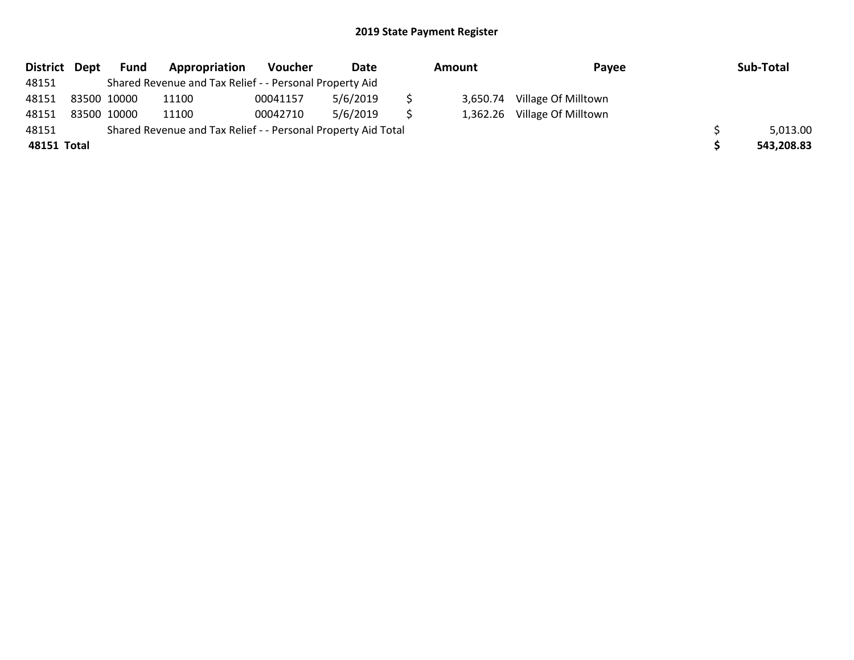| District Dept |                                                               | Fund | Appropriation                                           | Voucher  | Date     | Amount |          | Payee               | Sub-Total  |
|---------------|---------------------------------------------------------------|------|---------------------------------------------------------|----------|----------|--------|----------|---------------------|------------|
| 48151         |                                                               |      | Shared Revenue and Tax Relief - - Personal Property Aid |          |          |        |          |                     |            |
| 48151         | 83500 10000                                                   |      | 11100                                                   | 00041157 | 5/6/2019 |        | 3.650.74 | Village Of Milltown |            |
| 48151         | 83500 10000                                                   |      | 11100                                                   | 00042710 | 5/6/2019 |        | 1.362.26 | Village Of Milltown |            |
| 48151         | Shared Revenue and Tax Relief - - Personal Property Aid Total |      |                                                         |          |          |        |          |                     | 5,013.00   |
| 48151 Total   |                                                               |      |                                                         |          |          |        |          |                     | 543,208.83 |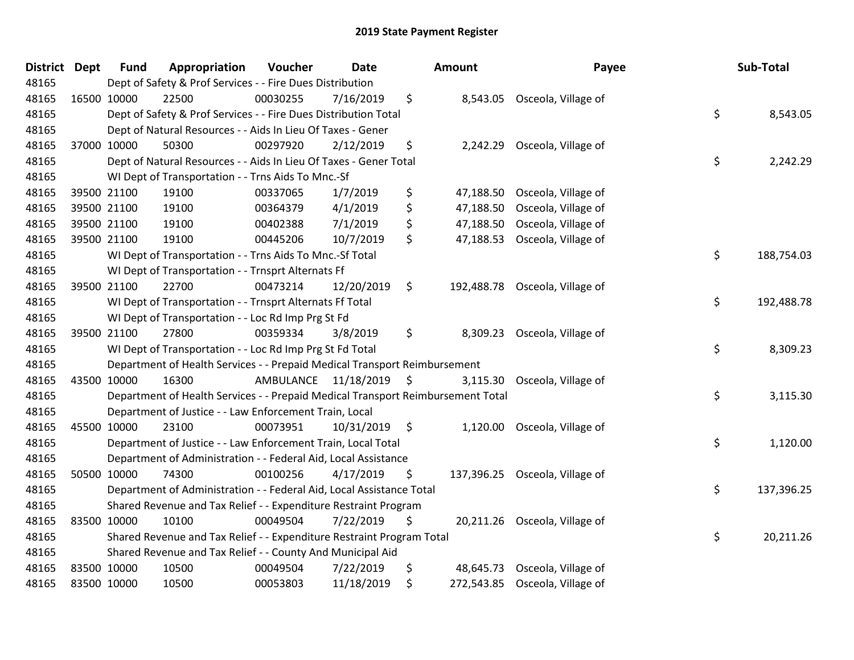| <b>District</b> | <b>Dept</b> | <b>Fund</b>                                                           | Appropriation                                                                            | Voucher  | <b>Date</b>             |     | Amount    | Payee                          |    | Sub-Total  |
|-----------------|-------------|-----------------------------------------------------------------------|------------------------------------------------------------------------------------------|----------|-------------------------|-----|-----------|--------------------------------|----|------------|
| 48165           |             | Dept of Safety & Prof Services - - Fire Dues Distribution             |                                                                                          |          |                         |     |           |                                |    |            |
| 48165           |             | 16500 10000                                                           | 22500                                                                                    | 00030255 | 7/16/2019               | \$  |           | 8,543.05 Osceola, Village of   |    |            |
| 48165           |             | \$<br>Dept of Safety & Prof Services - - Fire Dues Distribution Total |                                                                                          |          |                         |     |           |                                |    | 8,543.05   |
| 48165           |             | Dept of Natural Resources - - Aids In Lieu Of Taxes - Gener           |                                                                                          |          |                         |     |           |                                |    |            |
| 48165           |             | 37000 10000                                                           | 50300                                                                                    | 00297920 | 2/12/2019               | \$  | 2,242.29  | Osceola, Village of            |    |            |
| 48165           |             |                                                                       | Dept of Natural Resources - - Aids In Lieu Of Taxes - Gener Total                        |          |                         |     |           |                                | \$ | 2,242.29   |
| 48165           |             |                                                                       | WI Dept of Transportation - - Trns Aids To Mnc.-Sf                                       |          |                         |     |           |                                |    |            |
| 48165           |             | 39500 21100                                                           | 19100                                                                                    | 00337065 | 1/7/2019                | \$  | 47,188.50 | Osceola, Village of            |    |            |
| 48165           |             | 39500 21100                                                           | 19100                                                                                    | 00364379 | 4/1/2019                | \$  | 47,188.50 | Osceola, Village of            |    |            |
| 48165           |             | 39500 21100                                                           | 19100                                                                                    | 00402388 | 7/1/2019                | \$  | 47,188.50 | Osceola, Village of            |    |            |
| 48165           |             | 39500 21100                                                           | 19100                                                                                    | 00445206 | 10/7/2019               | \$  | 47,188.53 | Osceola, Village of            |    |            |
| 48165           |             |                                                                       | WI Dept of Transportation - - Trns Aids To Mnc.-Sf Total                                 |          |                         |     |           |                                | \$ | 188,754.03 |
| 48165           |             |                                                                       | WI Dept of Transportation - - Trnsprt Alternats Ff                                       |          |                         |     |           |                                |    |            |
| 48165           |             | 39500 21100                                                           | 22700                                                                                    | 00473214 | 12/20/2019              | \$  |           | 192,488.78 Osceola, Village of |    |            |
| 48165           |             |                                                                       | WI Dept of Transportation - - Trnsprt Alternats Ff Total                                 |          |                         |     |           |                                | \$ | 192,488.78 |
| 48165           |             |                                                                       | WI Dept of Transportation - - Loc Rd Imp Prg St Fd                                       |          |                         |     |           |                                |    |            |
| 48165           |             | 39500 21100                                                           | 27800                                                                                    | 00359334 | 3/8/2019                | \$  | 8,309.23  | Osceola, Village of            |    |            |
| 48165           |             |                                                                       | WI Dept of Transportation - - Loc Rd Imp Prg St Fd Total                                 |          |                         |     |           |                                | \$ | 8,309.23   |
| 48165           |             |                                                                       | Department of Health Services - - Prepaid Medical Transport Reimbursement                |          |                         |     |           |                                |    |            |
| 48165           | 43500 10000 |                                                                       | 16300                                                                                    |          | AMBULANCE 11/18/2019 \$ |     | 3,115.30  | Osceola, Village of            |    |            |
| 48165           |             |                                                                       | Department of Health Services - - Prepaid Medical Transport Reimbursement Total          |          |                         |     |           |                                | \$ | 3,115.30   |
| 48165           |             |                                                                       | Department of Justice - - Law Enforcement Train, Local                                   |          |                         |     |           |                                |    |            |
| 48165           | 45500 10000 |                                                                       | 23100                                                                                    | 00073951 | $10/31/2019$ \$         |     |           | 1,120.00 Osceola, Village of   |    |            |
| 48165           |             |                                                                       | Department of Justice - - Law Enforcement Train, Local Total                             |          |                         |     |           |                                | \$ | 1,120.00   |
| 48165           |             |                                                                       | Department of Administration - - Federal Aid, Local Assistance                           |          |                         |     |           |                                |    |            |
| 48165           |             | 50500 10000                                                           | 74300                                                                                    | 00100256 | 4/17/2019               | \$  |           | 137,396.25 Osceola, Village of |    |            |
| 48165           |             |                                                                       | Department of Administration - - Federal Aid, Local Assistance Total                     |          |                         |     |           |                                | \$ | 137,396.25 |
| 48165           |             |                                                                       | Shared Revenue and Tax Relief - - Expenditure Restraint Program                          |          |                         |     |           |                                |    |            |
| 48165           | 83500 10000 |                                                                       | 10100                                                                                    | 00049504 | 7/22/2019               | \$. |           | 20,211.26 Osceola, Village of  |    |            |
| 48165           |             |                                                                       | \$<br>20,211.26<br>Shared Revenue and Tax Relief - - Expenditure Restraint Program Total |          |                         |     |           |                                |    |            |
| 48165           |             | Shared Revenue and Tax Relief - - County And Municipal Aid            |                                                                                          |          |                         |     |           |                                |    |            |
| 48165           |             | 83500 10000                                                           | 10500                                                                                    | 00049504 | 7/22/2019               | \$  | 48,645.73 | Osceola, Village of            |    |            |
| 48165           | 83500 10000 |                                                                       | 10500                                                                                    | 00053803 | 11/18/2019              | \$  |           | 272,543.85 Osceola, Village of |    |            |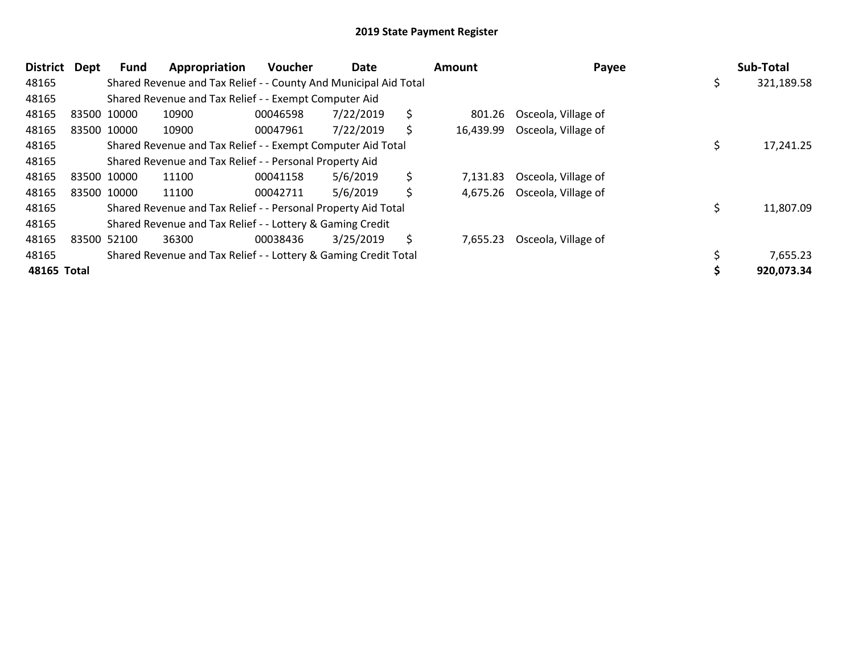| <b>District</b> | <b>Dept</b> | <b>Fund</b>                                               | Appropriation                                                    | <b>Voucher</b> | Date      |    | Amount    | Payee               |  | Sub-Total  |
|-----------------|-------------|-----------------------------------------------------------|------------------------------------------------------------------|----------------|-----------|----|-----------|---------------------|--|------------|
| 48165           |             |                                                           | Shared Revenue and Tax Relief - - County And Municipal Aid Total |                |           |    |           |                     |  | 321,189.58 |
| 48165           |             | Shared Revenue and Tax Relief - - Exempt Computer Aid     |                                                                  |                |           |    |           |                     |  |            |
| 48165           |             | 83500 10000                                               | 10900                                                            | 00046598       | 7/22/2019 | \$ | 801.26    | Osceola, Village of |  |            |
| 48165           |             | 83500 10000                                               | 10900                                                            | 00047961       | 7/22/2019 | S. | 16,439.99 | Osceola, Village of |  |            |
| 48165           |             |                                                           | Shared Revenue and Tax Relief - - Exempt Computer Aid Total      |                |           |    |           |                     |  | 17,241.25  |
| 48165           |             |                                                           | Shared Revenue and Tax Relief - - Personal Property Aid          |                |           |    |           |                     |  |            |
| 48165           |             | 83500 10000                                               | 11100                                                            | 00041158       | 5/6/2019  | \$ | 7.131.83  | Osceola, Village of |  |            |
| 48165           |             | 83500 10000                                               | 11100                                                            | 00042711       | 5/6/2019  | \$ | 4,675.26  | Osceola, Village of |  |            |
| 48165           |             |                                                           | Shared Revenue and Tax Relief - - Personal Property Aid Total    |                |           |    |           |                     |  | 11,807.09  |
| 48165           |             | Shared Revenue and Tax Relief - - Lottery & Gaming Credit |                                                                  |                |           |    |           |                     |  |            |
| 48165           |             | 83500 52100                                               | 36300                                                            | 00038436       | 3/25/2019 | \$ | 7,655.23  | Osceola, Village of |  |            |
| 48165           |             |                                                           | Shared Revenue and Tax Relief - - Lottery & Gaming Credit Total  |                |           |    |           |                     |  | 7,655.23   |
| 48165 Total     |             |                                                           |                                                                  |                |           |    |           |                     |  | 920,073.34 |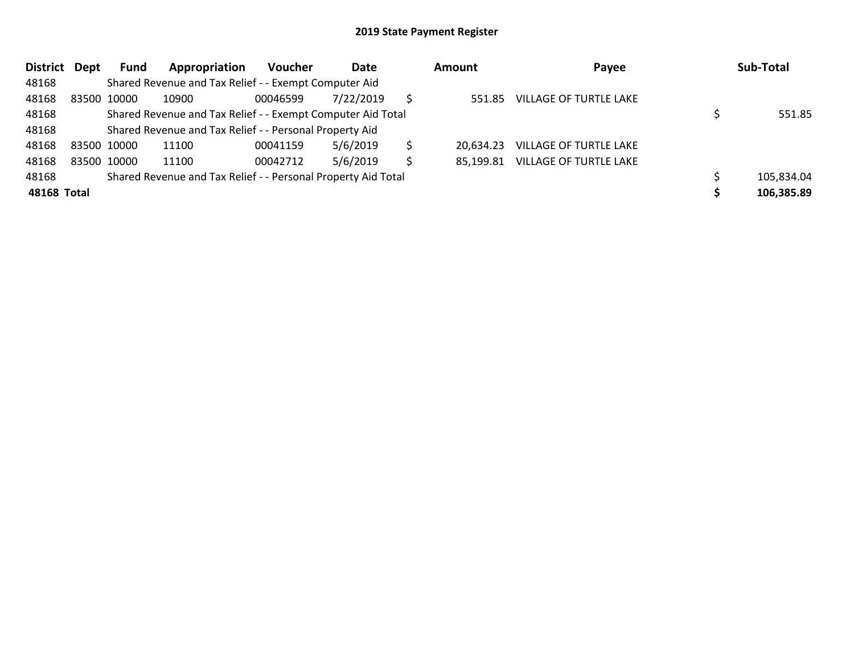| <b>District</b> | Dept                                                          | Fund        | Appropriation                                               | <b>Voucher</b> | Date      |   | <b>Amount</b> | Payee                            |  | Sub-Total  |
|-----------------|---------------------------------------------------------------|-------------|-------------------------------------------------------------|----------------|-----------|---|---------------|----------------------------------|--|------------|
| 48168           |                                                               |             | Shared Revenue and Tax Relief - - Exempt Computer Aid       |                |           |   |               |                                  |  |            |
| 48168           |                                                               | 83500 10000 | 10900                                                       | 00046599       | 7/22/2019 |   | 551.85        | VILLAGE OF TURTLE LAKE           |  |            |
| 48168           |                                                               |             | Shared Revenue and Tax Relief - - Exempt Computer Aid Total |                |           |   |               |                                  |  |            |
| 48168           |                                                               |             | Shared Revenue and Tax Relief - - Personal Property Aid     |                |           |   |               |                                  |  |            |
| 48168           |                                                               | 83500 10000 | 11100                                                       | 00041159       | 5/6/2019  |   | 20.634.23     | VILLAGE OF TURTLE LAKE           |  |            |
| 48168           |                                                               | 83500 10000 | 11100                                                       | 00042712       | 5/6/2019  | S |               | 85,199.81 VILLAGE OF TURTLE LAKE |  |            |
| 48168           | Shared Revenue and Tax Relief - - Personal Property Aid Total |             |                                                             |                |           |   |               |                                  |  | 105,834.04 |
| 48168 Total     |                                                               |             |                                                             |                |           |   |               |                                  |  | 106,385.89 |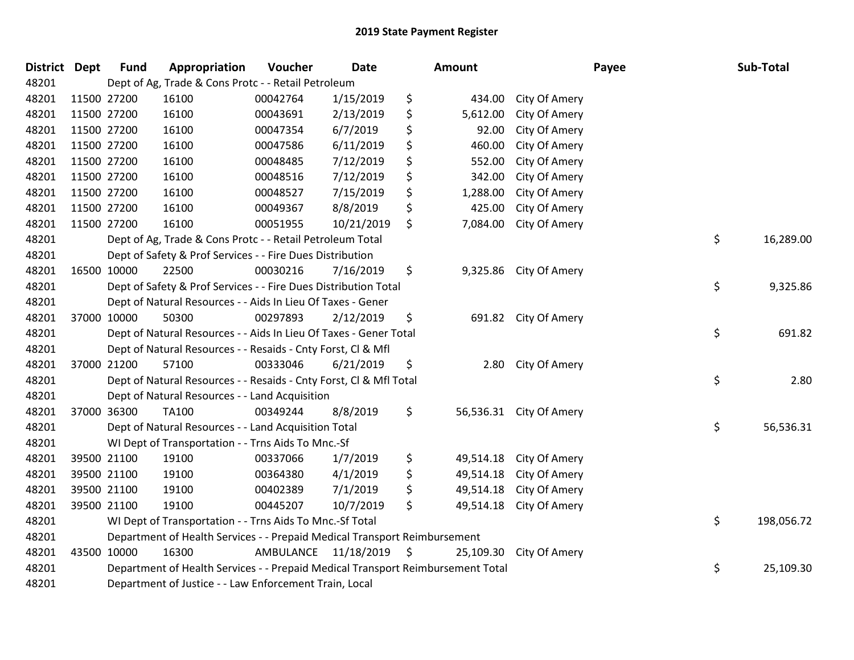| <b>District Dept</b> |             | <b>Fund</b>                                                               | Appropriation                                                                   | Voucher              | <b>Date</b> |    | Amount    |                         | Payee | Sub-Total  |
|----------------------|-------------|---------------------------------------------------------------------------|---------------------------------------------------------------------------------|----------------------|-------------|----|-----------|-------------------------|-------|------------|
| 48201                |             |                                                                           | Dept of Ag, Trade & Cons Protc - - Retail Petroleum                             |                      |             |    |           |                         |       |            |
| 48201                | 11500 27200 |                                                                           | 16100                                                                           | 00042764             | 1/15/2019   | \$ | 434.00    | City Of Amery           |       |            |
| 48201                | 11500 27200 |                                                                           | 16100                                                                           | 00043691             | 2/13/2019   | \$ | 5,612.00  | City Of Amery           |       |            |
| 48201                | 11500 27200 |                                                                           | 16100                                                                           | 00047354             | 6/7/2019    | \$ | 92.00     | City Of Amery           |       |            |
| 48201                | 11500 27200 |                                                                           | 16100                                                                           | 00047586             | 6/11/2019   | \$ | 460.00    | City Of Amery           |       |            |
| 48201                | 11500 27200 |                                                                           | 16100                                                                           | 00048485             | 7/12/2019   | \$ | 552.00    | City Of Amery           |       |            |
| 48201                | 11500 27200 |                                                                           | 16100                                                                           | 00048516             | 7/12/2019   | \$ | 342.00    | City Of Amery           |       |            |
| 48201                | 11500 27200 |                                                                           | 16100                                                                           | 00048527             | 7/15/2019   | \$ | 1,288.00  | City Of Amery           |       |            |
| 48201                | 11500 27200 |                                                                           | 16100                                                                           | 00049367             | 8/8/2019    | \$ | 425.00    | City Of Amery           |       |            |
| 48201                | 11500 27200 |                                                                           | 16100                                                                           | 00051955             | 10/21/2019  | \$ | 7,084.00  | City Of Amery           |       |            |
| 48201                |             |                                                                           | Dept of Ag, Trade & Cons Protc - - Retail Petroleum Total                       |                      |             |    |           |                         | \$    | 16,289.00  |
| 48201                |             |                                                                           | Dept of Safety & Prof Services - - Fire Dues Distribution                       |                      |             |    |           |                         |       |            |
| 48201                | 16500 10000 |                                                                           | 22500                                                                           | 00030216             | 7/16/2019   | \$ |           | 9,325.86 City Of Amery  |       |            |
| 48201                |             |                                                                           | Dept of Safety & Prof Services - - Fire Dues Distribution Total                 |                      |             |    |           |                         | \$    | 9,325.86   |
| 48201                |             |                                                                           | Dept of Natural Resources - - Aids In Lieu Of Taxes - Gener                     |                      |             |    |           |                         |       |            |
| 48201                | 37000 10000 |                                                                           | 50300                                                                           | 00297893             | 2/12/2019   | \$ |           | 691.82 City Of Amery    |       |            |
| 48201                |             |                                                                           | Dept of Natural Resources - - Aids In Lieu Of Taxes - Gener Total               |                      |             |    |           |                         | \$    | 691.82     |
| 48201                |             |                                                                           | Dept of Natural Resources - - Resaids - Cnty Forst, Cl & Mfl                    |                      |             |    |           |                         |       |            |
| 48201                | 37000 21200 |                                                                           | 57100                                                                           | 00333046             | 6/21/2019   | \$ | 2.80      | City Of Amery           |       |            |
| 48201                |             |                                                                           | Dept of Natural Resources - - Resaids - Cnty Forst, Cl & Mfl Total              |                      |             |    |           |                         | \$    | 2.80       |
| 48201                |             |                                                                           | Dept of Natural Resources - - Land Acquisition                                  |                      |             |    |           |                         |       |            |
| 48201                | 37000 36300 |                                                                           | TA100                                                                           | 00349244             | 8/8/2019    | \$ |           | 56,536.31 City Of Amery |       |            |
| 48201                |             |                                                                           | Dept of Natural Resources - - Land Acquisition Total                            |                      |             |    |           |                         | \$    | 56,536.31  |
| 48201                |             |                                                                           | WI Dept of Transportation - - Trns Aids To Mnc.-Sf                              |                      |             |    |           |                         |       |            |
| 48201                | 39500 21100 |                                                                           | 19100                                                                           | 00337066             | 1/7/2019    | \$ | 49,514.18 | City Of Amery           |       |            |
| 48201                | 39500 21100 |                                                                           | 19100                                                                           | 00364380             | 4/1/2019    | \$ | 49,514.18 | City Of Amery           |       |            |
| 48201                | 39500 21100 |                                                                           | 19100                                                                           | 00402389             | 7/1/2019    | \$ | 49,514.18 | City Of Amery           |       |            |
| 48201                | 39500 21100 |                                                                           | 19100                                                                           | 00445207             | 10/7/2019   | \$ | 49,514.18 | City Of Amery           |       |            |
| 48201                |             |                                                                           | WI Dept of Transportation - - Trns Aids To Mnc.-Sf Total                        |                      |             |    |           |                         | \$    | 198,056.72 |
| 48201                |             | Department of Health Services - - Prepaid Medical Transport Reimbursement |                                                                                 |                      |             |    |           |                         |       |            |
| 48201                | 43500 10000 |                                                                           | 16300                                                                           | AMBULANCE 11/18/2019 |             | \$ | 25,109.30 | City Of Amery           |       |            |
| 48201                |             |                                                                           | Department of Health Services - - Prepaid Medical Transport Reimbursement Total |                      |             |    |           |                         | \$    | 25,109.30  |
| 48201                |             | Department of Justice - - Law Enforcement Train, Local                    |                                                                                 |                      |             |    |           |                         |       |            |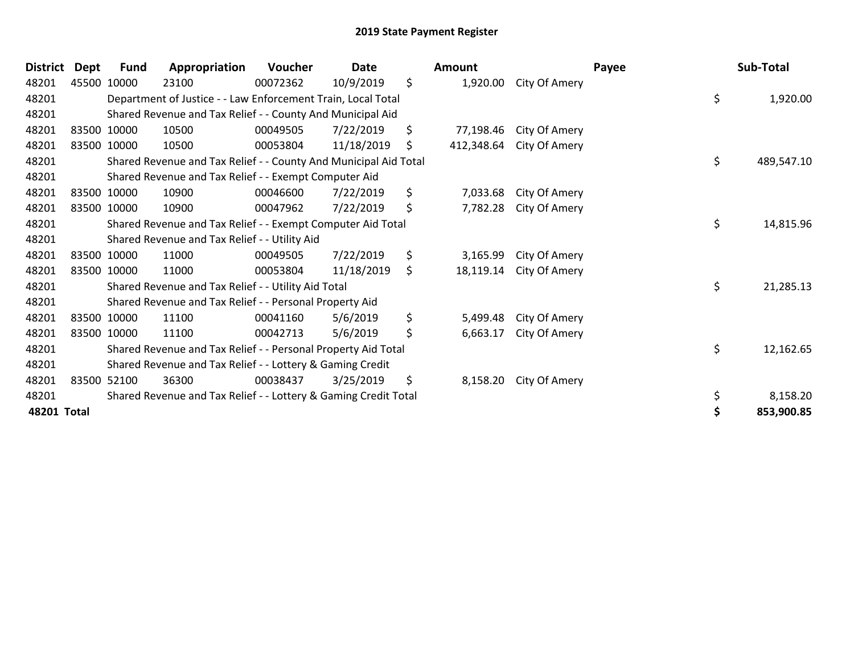| <b>District</b> | Dept | Fund                                                      | Appropriation                                                    | Voucher  | Date       |    | Amount     |               | Payee | Sub-Total        |
|-----------------|------|-----------------------------------------------------------|------------------------------------------------------------------|----------|------------|----|------------|---------------|-------|------------------|
| 48201           |      | 45500 10000                                               | 23100                                                            | 00072362 | 10/9/2019  | \$ | 1,920.00   | City Of Amery |       |                  |
| 48201           |      |                                                           | Department of Justice - - Law Enforcement Train, Local Total     |          |            |    |            |               |       | \$<br>1,920.00   |
| 48201           |      |                                                           | Shared Revenue and Tax Relief - - County And Municipal Aid       |          |            |    |            |               |       |                  |
| 48201           |      | 83500 10000                                               | 10500                                                            | 00049505 | 7/22/2019  | \$ | 77,198.46  | City Of Amery |       |                  |
| 48201           |      | 83500 10000                                               | 10500                                                            | 00053804 | 11/18/2019 | \$ | 412,348.64 | City Of Amery |       |                  |
| 48201           |      |                                                           | Shared Revenue and Tax Relief - - County And Municipal Aid Total |          |            |    |            |               |       | \$<br>489,547.10 |
| 48201           |      |                                                           | Shared Revenue and Tax Relief - - Exempt Computer Aid            |          |            |    |            |               |       |                  |
| 48201           |      | 83500 10000                                               | 10900                                                            | 00046600 | 7/22/2019  | \$ | 7,033.68   | City Of Amery |       |                  |
| 48201           |      | 83500 10000                                               | 10900                                                            | 00047962 | 7/22/2019  | \$ | 7,782.28   | City Of Amery |       |                  |
| 48201           |      |                                                           | Shared Revenue and Tax Relief - - Exempt Computer Aid Total      |          |            |    |            |               |       | \$<br>14,815.96  |
| 48201           |      |                                                           | Shared Revenue and Tax Relief - - Utility Aid                    |          |            |    |            |               |       |                  |
| 48201           |      | 83500 10000                                               | 11000                                                            | 00049505 | 7/22/2019  | \$ | 3,165.99   | City Of Amery |       |                  |
| 48201           |      | 83500 10000                                               | 11000                                                            | 00053804 | 11/18/2019 | \$ | 18,119.14  | City Of Amery |       |                  |
| 48201           |      |                                                           | Shared Revenue and Tax Relief - - Utility Aid Total              |          |            |    |            |               |       | \$<br>21,285.13  |
| 48201           |      |                                                           | Shared Revenue and Tax Relief - - Personal Property Aid          |          |            |    |            |               |       |                  |
| 48201           |      | 83500 10000                                               | 11100                                                            | 00041160 | 5/6/2019   | \$ | 5,499.48   | City Of Amery |       |                  |
| 48201           |      | 83500 10000                                               | 11100                                                            | 00042713 | 5/6/2019   | \$ | 6,663.17   | City Of Amery |       |                  |
| 48201           |      |                                                           | Shared Revenue and Tax Relief - - Personal Property Aid Total    |          |            |    |            |               |       | \$<br>12,162.65  |
| 48201           |      | Shared Revenue and Tax Relief - - Lottery & Gaming Credit |                                                                  |          |            |    |            |               |       |                  |
| 48201           |      | 83500 52100                                               | 36300                                                            | 00038437 | 3/25/2019  | \$ | 8,158.20   | City Of Amery |       |                  |
| 48201           |      |                                                           | Shared Revenue and Tax Relief - - Lottery & Gaming Credit Total  |          |            |    |            |               |       | \$<br>8,158.20   |
| 48201 Total     |      |                                                           |                                                                  |          |            |    |            |               |       | \$<br>853,900.85 |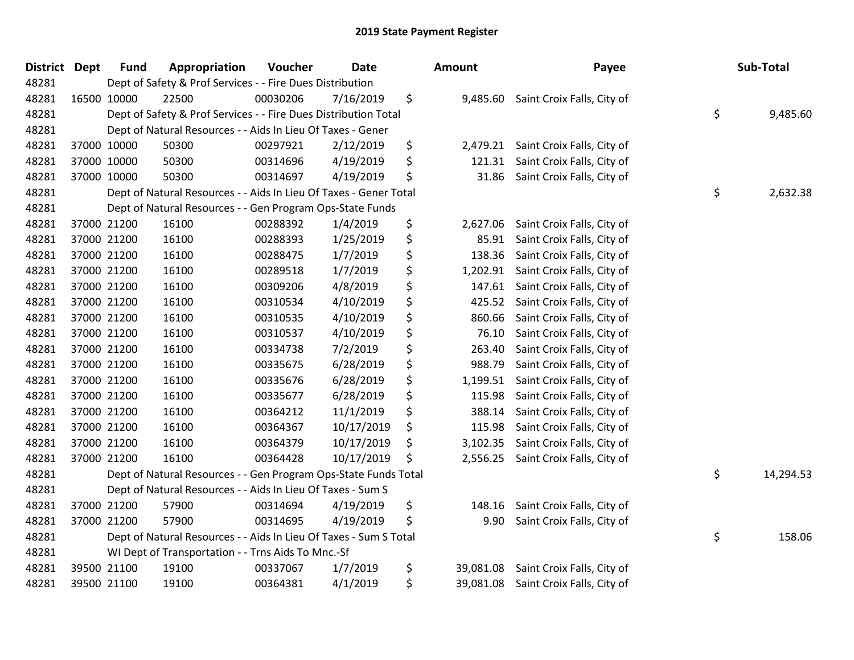| <b>District</b> | <b>Dept</b> | <b>Fund</b>                                                       | Appropriation                                                         | Voucher  | <b>Date</b> |    | <b>Amount</b> | Payee                      |    | Sub-Total |  |
|-----------------|-------------|-------------------------------------------------------------------|-----------------------------------------------------------------------|----------|-------------|----|---------------|----------------------------|----|-----------|--|
| 48281           |             |                                                                   | Dept of Safety & Prof Services - - Fire Dues Distribution             |          |             |    |               |                            |    |           |  |
| 48281           | 16500 10000 |                                                                   | 22500                                                                 | 00030206 | 7/16/2019   | \$ | 9,485.60      | Saint Croix Falls, City of |    |           |  |
| 48281           |             |                                                                   | \$<br>Dept of Safety & Prof Services - - Fire Dues Distribution Total |          |             |    |               |                            |    |           |  |
| 48281           |             |                                                                   | Dept of Natural Resources - - Aids In Lieu Of Taxes - Gener           |          |             |    |               |                            |    |           |  |
| 48281           |             | 37000 10000                                                       | 50300                                                                 | 00297921 | 2/12/2019   | \$ | 2,479.21      | Saint Croix Falls, City of |    |           |  |
| 48281           |             | 37000 10000                                                       | 50300                                                                 | 00314696 | 4/19/2019   | \$ | 121.31        | Saint Croix Falls, City of |    |           |  |
| 48281           |             | 37000 10000                                                       | 50300                                                                 | 00314697 | 4/19/2019   | \$ | 31.86         | Saint Croix Falls, City of |    |           |  |
| 48281           |             |                                                                   | Dept of Natural Resources - - Aids In Lieu Of Taxes - Gener Total     |          |             |    |               |                            | \$ | 2,632.38  |  |
| 48281           |             |                                                                   | Dept of Natural Resources - - Gen Program Ops-State Funds             |          |             |    |               |                            |    |           |  |
| 48281           |             | 37000 21200                                                       | 16100                                                                 | 00288392 | 1/4/2019    | \$ | 2,627.06      | Saint Croix Falls, City of |    |           |  |
| 48281           |             | 37000 21200                                                       | 16100                                                                 | 00288393 | 1/25/2019   | \$ | 85.91         | Saint Croix Falls, City of |    |           |  |
| 48281           |             | 37000 21200                                                       | 16100                                                                 | 00288475 | 1/7/2019    | \$ | 138.36        | Saint Croix Falls, City of |    |           |  |
| 48281           |             | 37000 21200                                                       | 16100                                                                 | 00289518 | 1/7/2019    | \$ | 1,202.91      | Saint Croix Falls, City of |    |           |  |
| 48281           |             | 37000 21200                                                       | 16100                                                                 | 00309206 | 4/8/2019    | \$ | 147.61        | Saint Croix Falls, City of |    |           |  |
| 48281           |             | 37000 21200                                                       | 16100                                                                 | 00310534 | 4/10/2019   | \$ | 425.52        | Saint Croix Falls, City of |    |           |  |
| 48281           |             | 37000 21200                                                       | 16100                                                                 | 00310535 | 4/10/2019   | \$ | 860.66        | Saint Croix Falls, City of |    |           |  |
| 48281           |             | 37000 21200                                                       | 16100                                                                 | 00310537 | 4/10/2019   | \$ | 76.10         | Saint Croix Falls, City of |    |           |  |
| 48281           |             | 37000 21200                                                       | 16100                                                                 | 00334738 | 7/2/2019    | \$ | 263.40        | Saint Croix Falls, City of |    |           |  |
| 48281           | 37000 21200 |                                                                   | 16100                                                                 | 00335675 | 6/28/2019   | \$ | 988.79        | Saint Croix Falls, City of |    |           |  |
| 48281           |             | 37000 21200                                                       | 16100                                                                 | 00335676 | 6/28/2019   | \$ | 1,199.51      | Saint Croix Falls, City of |    |           |  |
| 48281           |             | 37000 21200                                                       | 16100                                                                 | 00335677 | 6/28/2019   | \$ | 115.98        | Saint Croix Falls, City of |    |           |  |
| 48281           |             | 37000 21200                                                       | 16100                                                                 | 00364212 | 11/1/2019   | \$ | 388.14        | Saint Croix Falls, City of |    |           |  |
| 48281           |             | 37000 21200                                                       | 16100                                                                 | 00364367 | 10/17/2019  | \$ | 115.98        | Saint Croix Falls, City of |    |           |  |
| 48281           |             | 37000 21200                                                       | 16100                                                                 | 00364379 | 10/17/2019  | \$ | 3,102.35      | Saint Croix Falls, City of |    |           |  |
| 48281           |             | 37000 21200                                                       | 16100                                                                 | 00364428 | 10/17/2019  | \$ | 2,556.25      | Saint Croix Falls, City of |    |           |  |
| 48281           |             | Dept of Natural Resources - - Gen Program Ops-State Funds Total   |                                                                       |          |             |    |               |                            |    | 14,294.53 |  |
| 48281           |             | Dept of Natural Resources - - Aids In Lieu Of Taxes - Sum S       |                                                                       |          |             |    |               |                            |    |           |  |
| 48281           |             | 37000 21200                                                       | 57900                                                                 | 00314694 | 4/19/2019   | \$ | 148.16        | Saint Croix Falls, City of |    |           |  |
| 48281           |             | 37000 21200                                                       | 57900                                                                 | 00314695 | 4/19/2019   | \$ | 9.90          | Saint Croix Falls, City of |    |           |  |
| 48281           |             | Dept of Natural Resources - - Aids In Lieu Of Taxes - Sum S Total |                                                                       |          |             |    |               |                            |    | 158.06    |  |
| 48281           |             |                                                                   | WI Dept of Transportation - - Trns Aids To Mnc.-Sf                    |          |             |    |               |                            |    |           |  |
| 48281           |             | 39500 21100                                                       | 19100                                                                 | 00337067 | 1/7/2019    | \$ | 39,081.08     | Saint Croix Falls, City of |    |           |  |
| 48281           |             | 39500 21100                                                       | 19100                                                                 | 00364381 | 4/1/2019    | \$ | 39,081.08     | Saint Croix Falls, City of |    |           |  |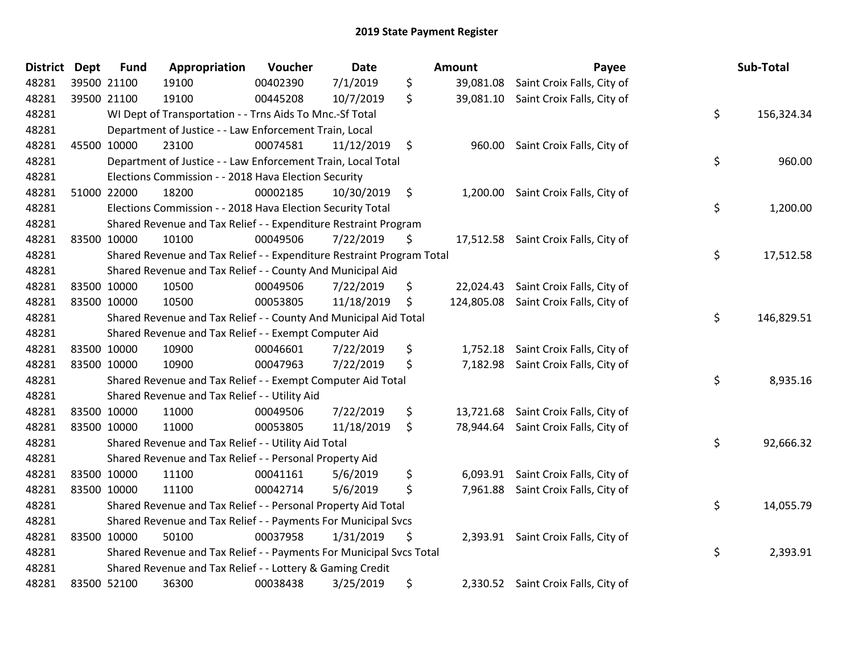| <b>District</b> | <b>Dept</b> | <b>Fund</b>                                                   | Appropriation                                                         | Voucher  | <b>Date</b> |    | Amount    | Payee                                 |    | Sub-Total  |
|-----------------|-------------|---------------------------------------------------------------|-----------------------------------------------------------------------|----------|-------------|----|-----------|---------------------------------------|----|------------|
| 48281           |             | 39500 21100                                                   | 19100                                                                 | 00402390 | 7/1/2019    | \$ | 39,081.08 | Saint Croix Falls, City of            |    |            |
| 48281           |             | 39500 21100                                                   | 19100                                                                 | 00445208 | 10/7/2019   | \$ |           | 39,081.10 Saint Croix Falls, City of  |    |            |
| 48281           |             |                                                               | WI Dept of Transportation - - Trns Aids To Mnc.-Sf Total              |          |             |    |           |                                       | \$ | 156,324.34 |
| 48281           |             |                                                               | Department of Justice - - Law Enforcement Train, Local                |          |             |    |           |                                       |    |            |
| 48281           |             | 45500 10000                                                   | 23100                                                                 | 00074581 | 11/12/2019  | \$ | 960.00    | Saint Croix Falls, City of            |    |            |
| 48281           |             |                                                               | Department of Justice - - Law Enforcement Train, Local Total          |          |             |    |           |                                       | \$ | 960.00     |
| 48281           |             |                                                               | Elections Commission - - 2018 Hava Election Security                  |          |             |    |           |                                       |    |            |
| 48281           |             | 51000 22000                                                   | 18200                                                                 | 00002185 | 10/30/2019  | \$ | 1,200.00  | Saint Croix Falls, City of            |    |            |
| 48281           |             |                                                               | Elections Commission - - 2018 Hava Election Security Total            |          |             |    |           |                                       | \$ | 1,200.00   |
| 48281           |             |                                                               | Shared Revenue and Tax Relief - - Expenditure Restraint Program       |          |             |    |           |                                       |    |            |
| 48281           | 83500 10000 |                                                               | 10100                                                                 | 00049506 | 7/22/2019   | \$ |           | 17,512.58 Saint Croix Falls, City of  |    |            |
| 48281           |             |                                                               | Shared Revenue and Tax Relief - - Expenditure Restraint Program Total |          |             |    |           |                                       | \$ | 17,512.58  |
| 48281           |             |                                                               | Shared Revenue and Tax Relief - - County And Municipal Aid            |          |             |    |           |                                       |    |            |
| 48281           |             | 83500 10000                                                   | 10500                                                                 | 00049506 | 7/22/2019   | \$ |           | 22,024.43 Saint Croix Falls, City of  |    |            |
| 48281           |             | 83500 10000                                                   | 10500                                                                 | 00053805 | 11/18/2019  | \$ |           | 124,805.08 Saint Croix Falls, City of |    |            |
| 48281           |             |                                                               | Shared Revenue and Tax Relief - - County And Municipal Aid Total      |          |             |    |           |                                       | \$ | 146,829.51 |
| 48281           |             |                                                               | Shared Revenue and Tax Relief - - Exempt Computer Aid                 |          |             |    |           |                                       |    |            |
| 48281           |             | 83500 10000                                                   | 10900                                                                 | 00046601 | 7/22/2019   | \$ |           | 1,752.18 Saint Croix Falls, City of   |    |            |
| 48281           | 83500 10000 |                                                               | 10900                                                                 | 00047963 | 7/22/2019   | \$ |           | 7,182.98 Saint Croix Falls, City of   |    |            |
| 48281           |             |                                                               | Shared Revenue and Tax Relief - - Exempt Computer Aid Total           |          |             |    |           |                                       | \$ | 8,935.16   |
| 48281           |             |                                                               | Shared Revenue and Tax Relief - - Utility Aid                         |          |             |    |           |                                       |    |            |
| 48281           |             | 83500 10000                                                   | 11000                                                                 | 00049506 | 7/22/2019   | \$ |           | 13,721.68 Saint Croix Falls, City of  |    |            |
| 48281           | 83500 10000 |                                                               | 11000                                                                 | 00053805 | 11/18/2019  | \$ |           | 78,944.64 Saint Croix Falls, City of  |    |            |
| 48281           |             |                                                               | Shared Revenue and Tax Relief - - Utility Aid Total                   |          |             |    |           |                                       | \$ | 92,666.32  |
| 48281           |             |                                                               | Shared Revenue and Tax Relief - - Personal Property Aid               |          |             |    |           |                                       |    |            |
| 48281           |             | 83500 10000                                                   | 11100                                                                 | 00041161 | 5/6/2019    | \$ | 6,093.91  | Saint Croix Falls, City of            |    |            |
| 48281           |             | 83500 10000                                                   | 11100                                                                 | 00042714 | 5/6/2019    | \$ | 7,961.88  | Saint Croix Falls, City of            |    |            |
| 48281           |             |                                                               | Shared Revenue and Tax Relief - - Personal Property Aid Total         |          |             |    |           |                                       | \$ | 14,055.79  |
| 48281           |             | Shared Revenue and Tax Relief - - Payments For Municipal Svcs |                                                                       |          |             |    |           |                                       |    |            |
| 48281           |             | 83500 10000                                                   | 50100                                                                 | 00037958 | 1/31/2019   | \$ |           | 2,393.91 Saint Croix Falls, City of   |    |            |
| 48281           |             |                                                               | Shared Revenue and Tax Relief - - Payments For Municipal Svcs Total   |          |             |    |           |                                       | \$ | 2,393.91   |
| 48281           |             |                                                               | Shared Revenue and Tax Relief - - Lottery & Gaming Credit             |          |             |    |           |                                       |    |            |
| 48281           |             | 83500 52100                                                   | 36300                                                                 | 00038438 | 3/25/2019   | \$ |           | 2,330.52 Saint Croix Falls, City of   |    |            |